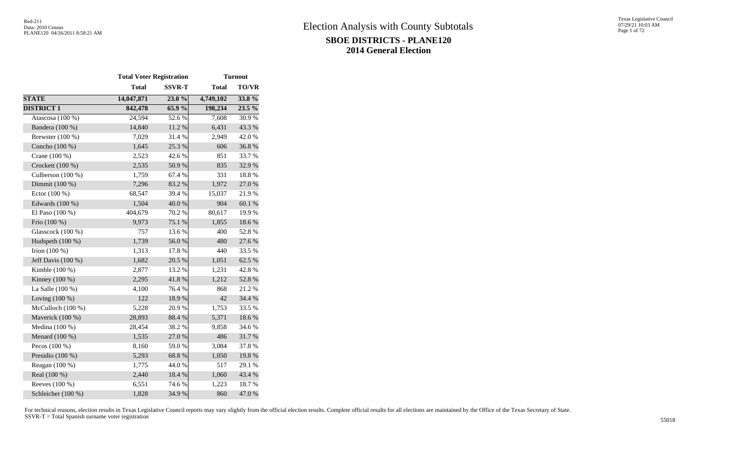|                     | <b>Total Voter Registration</b> |               |              | <b>Turnout</b> |
|---------------------|---------------------------------|---------------|--------------|----------------|
|                     | <b>Total</b>                    | <b>SSVR-T</b> | <b>Total</b> | <b>TO/VR</b>   |
| <b>STATE</b>        | 14,047,871                      | 23.0%         | 4,749,102    | 33.8 %         |
| <b>DISTRICT 1</b>   | 842,478                         | 65.9%         | 198,234      | $23.5\%$       |
| Atascosa (100 %)    | 24,594                          | 52.6%         | 7,608        | 30.9%          |
| Bandera (100 %)     | 14,840                          | $11.2\ \%$    | 6,431        | 43.3%          |
| Brewster $(100\%)$  | 7,029                           | 31.4 %        | 2,949        | 42.0%          |
| Concho (100 %)      | 1,645                           | 25.3 %        | 606          | 36.8%          |
| Crane (100 %)       | 2,523                           | 42.6%         | 851          | 33.7%          |
| Crockett (100 %)    | 2,535                           | 50.9%         | 835          | 32.9%          |
| Culberson $(100\%)$ | 1,759                           | 67.4 %        | 331          | 18.8%          |
| Dimmit (100 %)      | 7,296                           | 83.2%         | 1,972        | 27.0 %         |
| Ector (100 %)       | 68,547                          | 39.4 %        | 15,037       | 21.9%          |
| Edwards (100 %)     | 1,504                           | 40.0%         | 904          | 60.1%          |
| El Paso (100 %)     | 404,679                         | 70.2 %        | 80,617       | 19.9%          |
| Frio $(100\%)$      | 9,973                           | 75.1 %        | 1,855        | 18.6%          |
| Glasscock (100 %)   | 757                             | 13.6 %        | 400          | 52.8%          |
| Hudspeth (100 %)    | 1,739                           | 56.0%         | 480          | 27.6 %         |
| Irion $(100\%)$     | 1,313                           | 17.8%         | 440          | 33.5 %         |
| Jeff Davis (100 %)  | 1,682                           | 20.5 %        | 1,051        | 62.5 %         |
| Kimble $(100\%)$    | 2,877                           | 13.2 %        | 1,231        | 42.8 %         |
| Kinney $(100\%)$    | 2,295                           | 41.8 %        | 1,212        | 52.8%          |
| La Salle (100 %)    | 4,100                           | 76.4%         | 868          | 21.2%          |
| Loving $(100\%)$    | 122                             | 18.9%         | 42           | 34.4 %         |
| McCulloch (100 %)   | 5,228                           | 20.9%         | 1,753        | 33.5 %         |
| Maverick (100 %)    | 28,893                          | 88.4 %        | 5,371        | 18.6%          |
| Medina (100 %)      | 28,454                          | 38.2%         | 9,858        | 34.6 %         |
| Menard $(100\%)$    | 1,535                           | 27.0%         | 486          | 31.7%          |
| Pecos $(100\%)$     | 8,160                           | 59.0%         | 3,084        | 37.8%          |
| Presidio (100 %)    | 5,293                           | 68.8 %        | 1,050        | 19.8 %         |
| Reagan $(100\%)$    | 1,775                           | 44.0%         | 517          | 29.1 %         |
| Real (100 %)        | 2,440                           | 18.4 %        | 1,060        | 43.4 %         |
| Reeves (100 %)      | 6,551                           | 74.6 %        | 1,223        | 18.7%          |
| Schleicher (100 %)  | 1,828                           | 34.9%         | 860          | 47.0%          |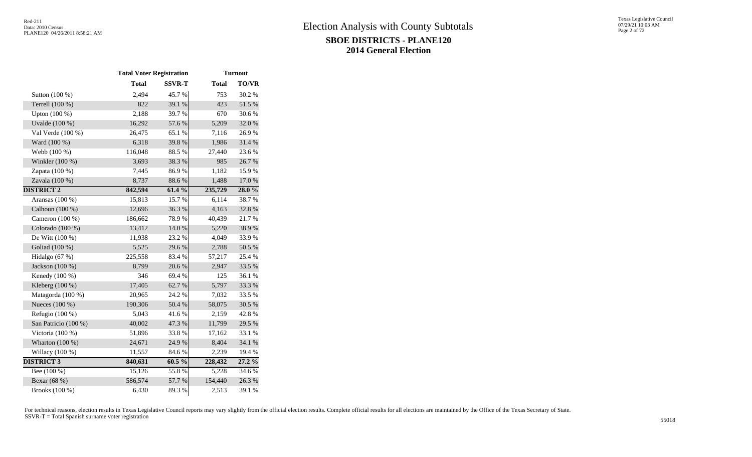|                      | <b>Total Voter Registration</b> |               |              | <b>Turnout</b> |
|----------------------|---------------------------------|---------------|--------------|----------------|
|                      | <b>Total</b>                    | <b>SSVR-T</b> | <b>Total</b> | <b>TO/VR</b>   |
| Sutton (100 %)       | 2,494                           | 45.7%         | 753          | 30.2 %         |
| Terrell (100 %)      | 822                             | 39.1 %        | 423          | 51.5 %         |
| Upton (100 %)        | 2,188                           | 39.7%         | 670          | 30.6%          |
| Uvalde (100 %)       | 16,292                          | 57.6%         | 5,209        | 32.0%          |
| Val Verde (100 %)    | 26,475                          | 65.1 %        | 7,116        | 26.9%          |
| Ward (100 %)         | 6,318                           | 39.8%         | 1,986        | 31.4%          |
| Webb (100 %)         | 116,048                         | 88.5%         | 27,440       | 23.6 %         |
| Winkler (100 %)      | 3,693                           | 38.3%         | 985          | 26.7%          |
| Zapata (100 %)       | 7,445                           | 86.9%         | 1,182        | 15.9%          |
| Zavala (100 %)       | 8,737                           | 88.6%         | 1,488        | $17.0\ \%$     |
| <b>DISTRICT 2</b>    | 842,594                         | 61.4 %        | 235,729      | 28.0%          |
| Aransas $(100\%)$    | 15,813                          | 15.7%         | 6,114        | 38.7%          |
| Calhoun (100 %)      | 12,696                          | 36.3%         | 4,163        | 32.8%          |
| Cameron (100 %)      | 186,662                         | 78.9%         | 40,439       | 21.7%          |
| Colorado (100 %)     | 13,412                          | 14.0 %        | 5,220        | 38.9%          |
| De Witt (100 %)      | 11,938                          | 23.2 %        | 4,049        | 33.9%          |
| Goliad (100 %)       | 5,525                           | 29.6%         | 2,788        | 50.5 %         |
| Hidalgo (67 %)       | 225,558                         | 83.4%         | 57,217       | 25.4 %         |
| Jackson (100 %)      | 8,799                           | 20.6%         | 2,947        | 33.5 %         |
| Kenedy (100 %)       | 346                             | 69.4%         | 125          | 36.1 %         |
| Kleberg $(100\%)$    | 17,405                          | 62.7%         | 5,797        | 33.3 %         |
| Matagorda (100 %)    | 20,965                          | 24.2 %        | 7,032        | 33.5 %         |
| Nueces (100 %)       | 190,306                         | 50.4 %        | 58,075       | 30.5 %         |
| Refugio $(100\%)$    | 5,043                           | 41.6%         | 2,159        | 42.8%          |
| San Patricio (100 %) | 40,002                          | 47.3 %        | 11,799       | 29.5 %         |
| Victoria (100 %)     | 51,896                          | 33.8%         | 17,162       | 33.1 %         |
| Wharton $(100\%)$    | 24,671                          | 24.9%         | 8,404        | 34.1 %         |
| Willacy (100 %)      | 11,557                          | 84.6%         | 2,239        | 19.4 %         |
| <b>DISTRICT 3</b>    | 840,631                         | $60.5\%$      | 228,432      | $27.2\%$       |
| Bee $(100\%)$        | 15,126                          | 55.8%         | 5,228        | 34.6 %         |
| Bexar (68 %)         | 586,574                         | 57.7%         | 154,440      | 26.3%          |
| Brooks (100 %)       | 6,430                           | 89.3%         | 2,513        | 39.1 %         |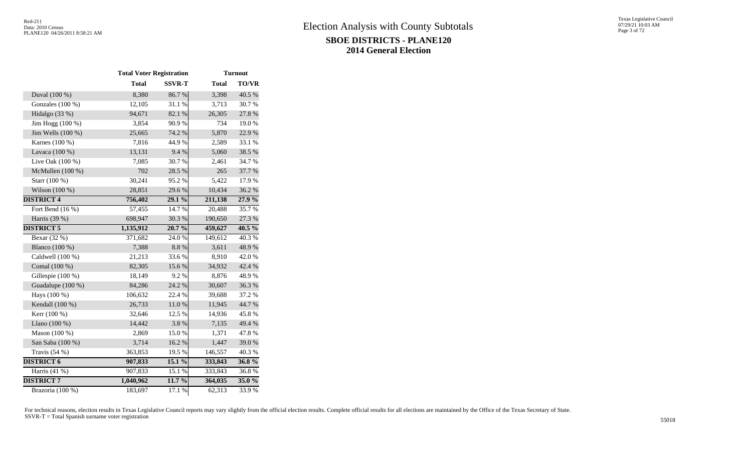|                    | <b>Total Voter Registration</b> |               |              | <b>Turnout</b> |
|--------------------|---------------------------------|---------------|--------------|----------------|
|                    | <b>Total</b>                    | <b>SSVR-T</b> | <b>Total</b> | <b>TO/VR</b>   |
| Duval (100 %)      | 8,380                           | 86.7%         | 3,398        | 40.5 %         |
| Gonzales (100 %)   | 12,105                          | 31.1%         | 3,713        | 30.7%          |
| Hidalgo (33 %)     | 94,671                          | 82.1 %        | 26,305       | 27.8 %         |
| Jim Hogg (100 %)   | 3,854                           | 90.9%         | 734          | 19.0%          |
| Jim Wells (100 %)  | 25,665                          | 74.2 %        | 5,870        | 22.9%          |
| Karnes (100 %)     | 7,816                           | 44.9%         | 2,589        | 33.1 %         |
| Lavaca (100 %)     | 13,131                          | 9.4 %         | 5,060        | 38.5 %         |
| Live Oak (100 %)   | 7,085                           | 30.7%         | 2,461        | 34.7%          |
| McMullen (100 %)   | 702                             | 28.5 %        | 265          | 37.7 %         |
| Starr (100 %)      | 30,241                          | 95.2%         | 5,422        | 17.9%          |
| Wilson (100 %)     | 28,851                          | 29.6%         | 10,434       | 36.2%          |
| <b>DISTRICT 4</b>  | 756,402                         | 29.1 %        | 211,138      | 27.9 %         |
| Fort Bend $(16\%)$ | 57,455                          | 14.7 %        | 20,488       | 35.7%          |
| Harris (39 %)      | 698,947                         | 30.3%         | 190,650      | 27.3 %         |
| <b>DISTRICT 5</b>  | 1,135,912                       | 20.7 %        | 459,627      | $40.5\%$       |
| Bexar (32 %)       | 371,682                         | 24.0%         | 149,612      | 40.3%          |
| Blanco (100 %)     | 7,388                           | $8.8~\%$      | 3,611        | 48.9%          |
| Caldwell (100 %)   | 21,213                          | 33.6%         | 8,910        | 42.0%          |
| Comal (100 %)      | 82,305                          | 15.6%         | 34,932       | 42.4 %         |
| Gillespie (100 %)  | 18,149                          | 9.2 %         | 8,876        | 48.9%          |
| Guadalupe (100 %)  | 84,286                          | 24.2 %        | 30,607       | 36.3%          |
| Hays (100 %)       | 106,632                         | 22.4 %        | 39,688       | 37.2 %         |
| Kendall (100 %)    | 26,733                          | 11.0%         | 11,945       | 44.7 %         |
| Kerr (100 %)       | 32,646                          | 12.5 %        | 14,936       | 45.8 %         |
| Llano (100 %)      | 14,442                          | 3.8%          | 7,135        | 49.4 %         |
| Mason (100 %)      | 2,869                           | 15.0%         | 1,371        | 47.8%          |
| San Saba (100 %)   | 3,714                           | 16.2%         | 1,447        | 39.0%          |
| Travis (54 %)      | 363,853                         | 19.5 %        | 146,557      | 40.3%          |
| <b>DISTRICT 6</b>  | 907,833                         | 15.1 %        | 333,843      | $36.8\%$       |
| Harris $(41\%)$    | 907,833                         | 15.1 %        | 333,843      | 36.8%          |
| <b>DISTRICT 7</b>  | 1,040,962                       | 11.7 %        | 364,035      | $35.0\%$       |
| Brazoria (100 %)   | 183,697                         | 17.1 %        | 62,313       | 33.9%          |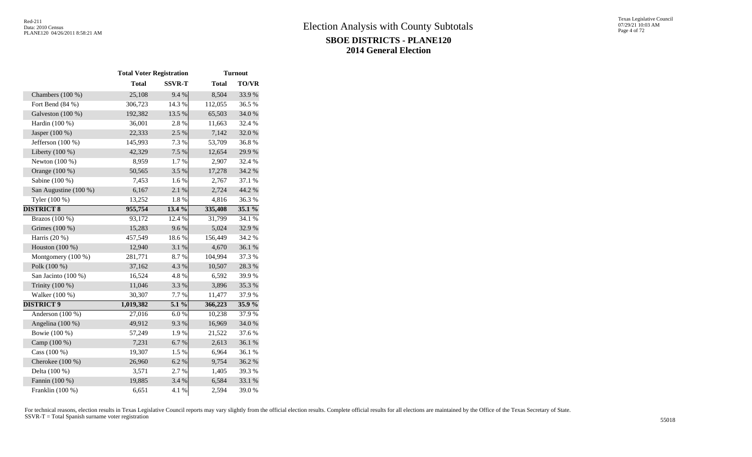|                       | <b>Total Voter Registration</b> |               |              | <b>Turnout</b> |  |
|-----------------------|---------------------------------|---------------|--------------|----------------|--|
|                       | <b>Total</b>                    | <b>SSVR-T</b> | <b>Total</b> | TO/VR          |  |
| Chambers (100 %)      | 25,108                          | 9.4 %         | 8,504        | 33.9%          |  |
| Fort Bend (84 %)      | 306,723                         | 14.3 %        | 112,055      | 36.5%          |  |
| Galveston (100 %)     | 192,382                         | 13.5 %        | 65,503       | 34.0 %         |  |
| Hardin (100 %)        | 36,001                          | 2.8%          | 11,663       | 32.4 %         |  |
| Jasper (100 %)        | 22,333                          | 2.5 %         | 7,142        | 32.0%          |  |
| Jefferson (100 %)     | 145,993                         | 7.3 %         | 53,709       | 36.8%          |  |
| Liberty (100 %)       | 42,329                          | 7.5 %         | 12,654       | 29.9%          |  |
| Newton (100 %)        | 8,959                           | 1.7%          | 2,907        | 32.4 %         |  |
| Orange (100 %)        | 50,565                          | 3.5 %         | 17,278       | 34.2 %         |  |
| Sabine (100 %)        | 7,453                           | 1.6%          | 2,767        | 37.1 %         |  |
| San Augustine (100 %) | 6,167                           | 2.1 %         | 2,724        | 44.2 %         |  |
| Tyler (100 %)         | 13,252                          | 1.8%          | 4,816        | 36.3%          |  |
| <b>DISTRICT 8</b>     | 955,754                         | 13.4 %        | 335,408      | $35.1\%$       |  |
| Brazos (100 %)        | 93,172                          | 12.4 %        | 31,799       | 34.1 %         |  |
| Grimes (100 %)        | 15,283                          | 9.6%          | 5,024        | 32.9%          |  |
| Harris (20 %)         | 457,549                         | 18.6%         | 156,449      | 34.2 %         |  |
| Houston (100 %)       | 12,940                          | 3.1 %         | 4,670        | 36.1 %         |  |
| Montgomery (100 %)    | 281,771                         | 8.7%          | 104,994      | 37.3 %         |  |
| Polk (100 %)          | 37,162                          | 4.3 %         | 10,507       | 28.3%          |  |
| San Jacinto (100 %)   | 16,524                          | 4.8%          | 6,592        | 39.9%          |  |
| Trinity (100 %)       | 11,046                          | 3.3 %         | 3,896        | 35.3%          |  |
| Walker (100 %)        | 30,307                          | 7.7%          | 11,477       | 37.9%          |  |
| <b>DISTRICT 9</b>     | 1,019,382                       | 5.1 %         | 366,223      | $35.9\%$       |  |
| Anderson (100 %)      | 27,016                          | 6.0%          | 10,238       | 37.9%          |  |
| Angelina (100 %)      | 49,912                          | 9.3%          | 16,969       | 34.0 %         |  |
| Bowie (100 %)         | 57,249                          | 1.9%          | 21,522       | 37.6 %         |  |
| Camp (100 %)          | 7,231                           | 6.7%          | 2,613        | 36.1 %         |  |
| Cass (100 %)          | 19,307                          | $1.5~\%$      | 6,964        | 36.1%          |  |
| Cherokee (100 %)      | 26,960                          | 6.2%          | 9,754        | 36.2%          |  |
| Delta (100 %)         | 3,571                           | 2.7%          | 1,405        | 39.3%          |  |
| Fannin (100 %)        | 19,885                          | 3.4 %         | 6,584        | 33.1 %         |  |
| Franklin (100 %)      | 6,651                           | 4.1 %         | 2,594        | 39.0%          |  |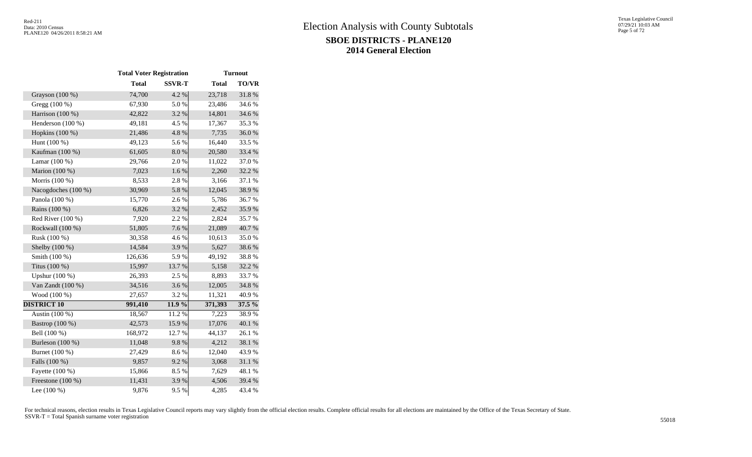|                     | <b>Total Voter Registration</b> |               |              | <b>Turnout</b> |  |
|---------------------|---------------------------------|---------------|--------------|----------------|--|
|                     | <b>Total</b>                    | <b>SSVR-T</b> | <b>Total</b> | TO/VR          |  |
| Grayson (100 %)     | 74,700                          | 4.2 %         | 23,718       | 31.8%          |  |
| Gregg (100 %)       | 67,930                          | 5.0%          | 23,486       | 34.6 %         |  |
| Harrison (100 %)    | 42,822                          | 3.2 %         | 14,801       | 34.6 %         |  |
| Henderson (100 %)   | 49,181                          | 4.5 %         | 17,367       | 35.3%          |  |
| Hopkins (100 %)     | 21,486                          | 4.8 %         | 7,735        | 36.0%          |  |
| Hunt (100 %)        | 49,123                          | 5.6%          | 16,440       | 33.5 %         |  |
| Kaufman (100 %)     | 61,605                          | 8.0%          | 20,580       | 33.4 %         |  |
| Lamar $(100\%)$     | 29,766                          | 2.0%          | 11,022       | 37.0 %         |  |
| Marion (100 %)      | 7,023                           | 1.6 %         | 2,260        | 32.2 %         |  |
| Morris (100 %)      | 8,533                           | 2.8%          | 3,166        | 37.1 %         |  |
| Nacogdoches (100 %) | 30,969                          | 5.8 %         | 12,045       | 38.9%          |  |
| Panola (100 %)      | 15,770                          | 2.6 %         | 5,786        | 36.7%          |  |
| Rains (100 %)       | 6,826                           | 3.2 %         | 2,452        | 35.9%          |  |
| Red River $(100\%)$ | 7,920                           | 2.2 %         | 2,824        | 35.7%          |  |
| Rockwall (100 %)    | 51,805                          | 7.6%          | 21,089       | 40.7%          |  |
| Rusk (100 %)        | 30,358                          | 4.6 %         | 10,613       | 35.0%          |  |
| Shelby (100 %)      | 14,584                          | 3.9%          | 5,627        | 38.6%          |  |
| Smith (100 %)       | 126,636                         | 5.9%          | 49,192       | 38.8%          |  |
| Titus (100 %)       | 15,997                          | 13.7 %        | 5,158        | 32.2 %         |  |
| Upshur (100 %)      | 26,393                          | 2.5 %         | 8,893        | 33.7%          |  |
| Van Zandt (100 %)   | 34,516                          | 3.6%          | 12,005       | 34.8%          |  |
| Wood (100 %)        | 27,657                          | 3.2 %         | 11,321       | 40.9%          |  |
| <b>DISTRICT 10</b>  | 991,410                         | 11.9 %        | 371,393      | $37.5\%$       |  |
| Austin (100 %)      | 18,567                          | 11.2 %        | 7,223        | 38.9%          |  |
| Bastrop (100 %)     | 42,573                          | 15.9%         | 17,076       | 40.1 %         |  |
| Bell (100 %)        | 168,972                         | 12.7 %        | 44,137       | 26.1 %         |  |
| Burleson (100 %)    | 11,048                          | 9.8%          | 4,212        | 38.1 %         |  |
| Burnet (100 %)      | 27,429                          | 8.6%          | 12,040       | 43.9%          |  |
| Falls (100 %)       | 9,857                           | 9.2%          | 3,068        | 31.1 %         |  |
| Fayette (100 %)     | 15,866                          | 8.5%          | 7,629        | 48.1 %         |  |
| Freestone (100 %)   | 11,431                          | 3.9%          | 4,506        | 39.4 %         |  |
| Lee $(100\%)$       | 9,876                           | 9.5 %         | 4,285        | 43.4 %         |  |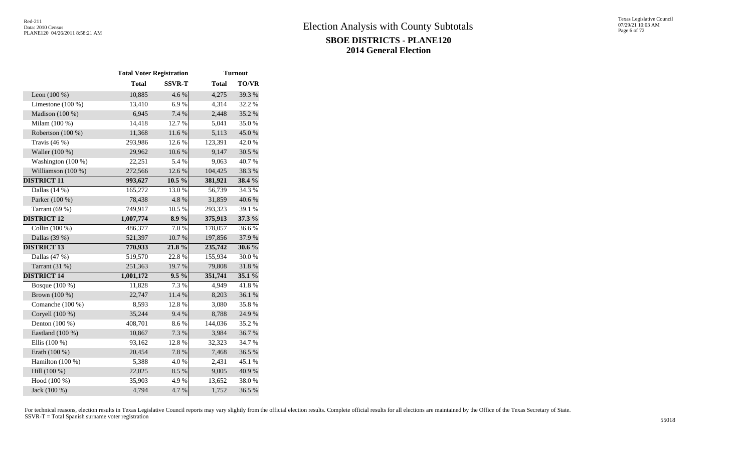|                     | <b>Total Voter Registration</b> |               |              | <b>Turnout</b> |  |
|---------------------|---------------------------------|---------------|--------------|----------------|--|
|                     | <b>Total</b>                    | <b>SSVR-T</b> | <b>Total</b> | TO/VR          |  |
| Leon $(100\%)$      | 10,885                          | 4.6 %         | 4,275        | 39.3%          |  |
| Limestone $(100\%)$ | 13,410                          | 6.9%          | 4,314        | 32.2 %         |  |
| Madison (100 %)     | 6,945                           | 7.4 %         | 2,448        | 35.2 %         |  |
| Milam (100 %)       | 14,418                          | 12.7 %        | 5,041        | 35.0%          |  |
| Robertson (100 %)   | 11,368                          | 11.6 %        | 5,113        | 45.0%          |  |
| Travis $(46\%)$     | 293,986                         | 12.6%         | 123,391      | 42.0%          |  |
| Waller (100 %)      | 29,962                          | 10.6%         | 9,147        | 30.5 %         |  |
| Washington (100 %)  | 22,251                          | 5.4 %         | 9,063        | 40.7%          |  |
| Williamson (100 %)  | 272,566                         | 12.6 %        | 104,425      | 38.3%          |  |
| <b>DISTRICT 11</b>  | 993,627                         | $10.5\%$      | 381,921      | 38.4 %         |  |
| Dallas $(14\%)$     | 165,272                         | 13.0%         | 56,739       | 34.3 %         |  |
| Parker (100 %)      | 78,438                          | 4.8%          | 31,859       | 40.6%          |  |
| Tarrant (69 %)      | 749,917                         | 10.5 %        | 293,323      | 39.1 %         |  |
| <b>DISTRICT 12</b>  | 1,007,774                       | $8.9\%$       | 375,913      | 37.3 %         |  |
| Collin (100 %)      | 486,377                         | 7.0%          | 178,057      | 36.6%          |  |
| Dallas (39 %)       | 521,397                         | 10.7%         | 197,856      | 37.9%          |  |
| <b>DISTRICT 13</b>  | 770,933                         | 21.8%         | 235,742      | $30.6\%$       |  |
| Dallas (47 %)       | 519,570                         | 22.8%         | 155,934      | 30.0%          |  |
| Tarrant $(31%)$     | 251,363                         | 19.7%         | 79,808       | 31.8%          |  |
| <b>DISTRICT 14</b>  | 1,001,172                       | $9.5\%$       | 351,741      | 35.1 %         |  |
| Bosque (100 %)      | 11,828                          | 7.3 %         | 4,949        | 41.8%          |  |
| Brown (100 %)       | 22,747                          | 11.4 %        | 8,203        | 36.1 %         |  |
| Comanche (100 %)    | 8,593                           | 12.8 %        | 3,080        | 35.8%          |  |
| Coryell (100 %)     | 35,244                          | 9.4 %         | 8,788        | 24.9 %         |  |
| Denton (100 %)      | 408,701                         | 8.6%          | 144,036      | 35.2%          |  |
| Eastland (100 %)    | 10,867                          | 7.3 %         | 3,984        | 36.7%          |  |
| Ellis (100 %)       | 93,162                          | 12.8%         | 32,323       | 34.7 %         |  |
| Erath (100 %)       | 20,454                          | 7.8%          | 7,468        | 36.5 %         |  |
| Hamilton (100 %)    | 5,388                           | $4.0\ \%$     | 2,431        | 45.1 %         |  |
| Hill (100 %)        | 22,025                          | 8.5%          | 9,005        | 40.9 %         |  |
| Hood (100 %)        | 35,903                          | 4.9%          | 13,652       | 38.0%          |  |
| Jack (100 %)        | 4,794                           | 4.7%          | 1,752        | 36.5 %         |  |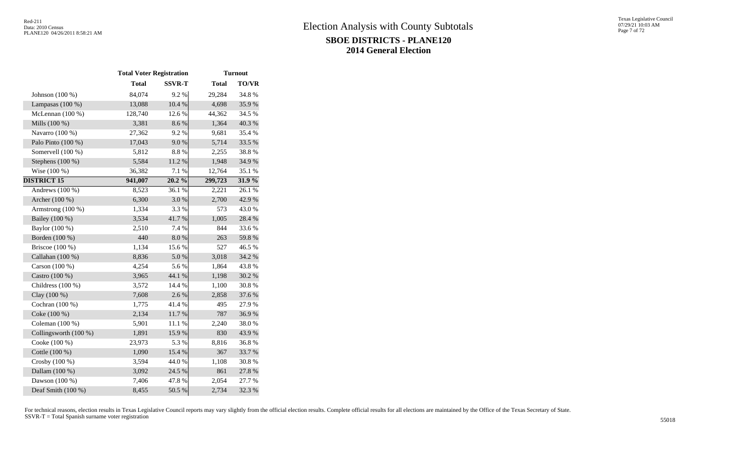|                       | <b>Total Voter Registration</b> | <b>Turnout</b> |              |              |
|-----------------------|---------------------------------|----------------|--------------|--------------|
|                       | <b>Total</b>                    | <b>SSVR-T</b>  | <b>Total</b> | <b>TO/VR</b> |
| Johnson $(100\%)$     | 84,074                          | 9.2 %          | 29,284       | 34.8%        |
| Lampasas $(100\%)$    | 13,088                          | 10.4 %         | 4,698        | 35.9%        |
| McLennan (100 %)      | 128,740                         | 12.6 %         | 44,362       | 34.5 %       |
| Mills (100 %)         | 3,381                           | 8.6%           | 1,364        | 40.3%        |
| Navarro (100 %)       | 27,362                          | 9.2%           | 9,681        | 35.4 %       |
| Palo Pinto (100 %)    | 17,043                          | 9.0%           | 5,714        | 33.5 %       |
| Somervell (100 %)     | 5,812                           | 8.8%           | 2,255        | 38.8%        |
| Stephens $(100\%)$    | 5,584                           | 11.2 %         | 1,948        | 34.9%        |
| Wise (100 %)          | 36,382                          | $7.1~\%$       | 12,764       | 35.1 %       |
| <b>DISTRICT 15</b>    | 941,007                         | 20.2%          | 299,723      | $31.9\%$     |
| Andrews $(100\%)$     | 8,523                           | 36.1%          | 2,221        | 26.1 %       |
| Archer (100 %)        | 6,300                           | 3.0%           | 2,700        | 42.9%        |
| Armstrong (100 %)     | 1,334                           | 3.3 %          | 573          | 43.0%        |
| Bailey (100 %)        | 3,534                           | 41.7%          | 1,005        | 28.4 %       |
| Baylor (100 %)        | 2,510                           | 7.4 %          | 844          | 33.6%        |
| Borden (100 %)        | 440                             | 8.0%           | 263          | 59.8%        |
| Briscoe (100 %)       | 1,134                           | 15.6%          | 527          | 46.5 %       |
| Callahan (100 %)      | 8,836                           | 5.0%           | 3,018        | 34.2 %       |
| Carson (100 %)        | 4,254                           | 5.6%           | 1,864        | 43.8%        |
| Castro (100 %)        | 3,965                           | 44.1 %         | 1,198        | 30.2 %       |
| Childress (100 %)     | 3,572                           | 14.4 %         | 1,100        | 30.8 %       |
| Clay (100 %)          | 7,608                           | 2.6%           | 2,858        | 37.6 %       |
| Cochran (100 %)       | 1,775                           | 41.4%          | 495          | 27.9%        |
| Coke (100 %)          | 2,134                           | 11.7 %         | 787          | 36.9%        |
| Coleman (100 %)       | 5,901                           | 11.1 %         | 2,240        | 38.0%        |
| Collingsworth (100 %) | 1,891                           | 15.9%          | 830          | 43.9%        |
| Cooke (100 %)         | 23,973                          | 5.3 %          | 8,816        | 36.8%        |
| Cottle (100 %)        | 1,090                           | 15.4 %         | 367          | 33.7%        |
| Crosby $(100\%)$      | 3,594                           | 44.0%          | 1,108        | 30.8%        |
| Dallam (100 %)        | 3,092                           | 24.5 %         | 861          | 27.8%        |
| Dawson (100 %)        | 7,406                           | 47.8%          | 2,054        | 27.7 %       |
| Deaf Smith (100 %)    | 8,455                           | 50.5 %         | 2,734        | 32.3 %       |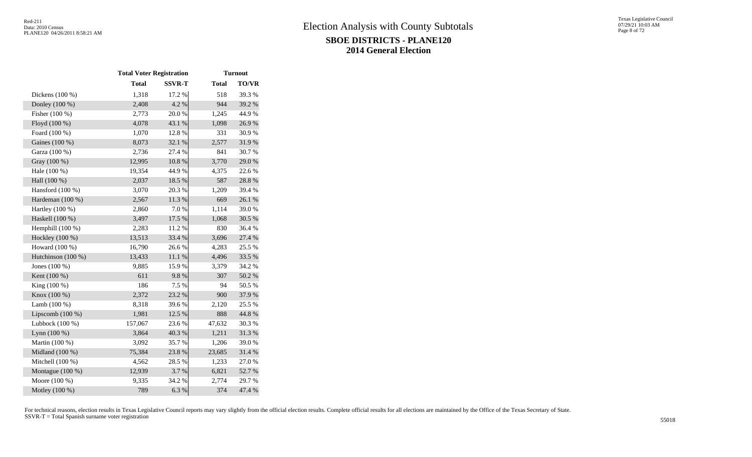|                    | <b>Total Voter Registration</b> |               |              | <b>Turnout</b> |
|--------------------|---------------------------------|---------------|--------------|----------------|
|                    | <b>Total</b>                    | <b>SSVR-T</b> | <b>Total</b> | <b>TO/VR</b>   |
| Dickens $(100\%)$  | 1,318                           | 17.2 %        | 518          | 39.3%          |
| Donley (100 %)     | 2,408                           | 4.2 %         | 944          | 39.2 %         |
| Fisher (100 %)     | 2,773                           | $20.0~\%$     | 1,245        | 44.9%          |
| Floyd (100 %)      | 4,078                           | 43.1 %        | 1,098        | 26.9%          |
| Foard (100 %)      | 1,070                           | 12.8%         | 331          | 30.9%          |
| Gaines (100 %)     | 8,073                           | 32.1 %        | 2,577        | 31.9%          |
| Garza (100 %)      | 2,736                           | 27.4 %        | 841          | 30.7%          |
| Gray (100 %)       | 12,995                          | 10.8%         | 3,770        | 29.0%          |
| Hale (100 %)       | 19,354                          | 44.9%         | 4,375        | 22.6 %         |
| Hall (100 %)       | 2,037                           | 18.5 %        | 587          | 28.8%          |
| Hansford (100 %)   | 3,070                           | 20.3%         | 1,209        | 39.4 %         |
| Hardeman (100 %)   | 2,567                           | 11.3%         | 669          | 26.1 %         |
| Hartley (100 %)    | 2,860                           | 7.0 %         | 1,114        | 39.0%          |
| Haskell (100 %)    | 3,497                           | 17.5 %        | 1,068        | 30.5 %         |
| Hemphill $(100\%)$ | 2,283                           | 11.2%         | 830          | 36.4 %         |
| Hockley (100 %)    | 13,513                          | 33.4 %        | 3,696        | 27.4 %         |
| Howard (100 %)     | 16,790                          | 26.6%         | 4,283        | 25.5 %         |
| Hutchinson (100 %) | 13,433                          | 11.1%         | 4,496        | 33.5 %         |
| Jones (100 %)      | 9,885                           | 15.9%         | 3,379        | 34.2 %         |
| Kent (100 %)       | 611                             | 9.8%          | 307          | $50.2~\%$      |
| King (100 %)       | 186                             | 7.5 %         | 94           | 50.5 %         |
| Knox (100 %)       | 2,372                           | 23.2 %        | 900          | 37.9%          |
| Lamb $(100\%)$     | 8,318                           | 39.6%         | 2,120        | 25.5 %         |
| Lipscomb $(100\%)$ | 1,981                           | 12.5 %        | 888          | 44.8%          |
| Lubbock (100 %)    | 157,067                         | 23.6 %        | 47,632       | 30.3%          |
| Lynn $(100\%)$     | 3,864                           | 40.3%         | 1,211        | 31.3%          |
| Martin (100 %)     | 3,092                           | 35.7%         | 1,206        | 39.0%          |
| Midland (100 %)    | 75,384                          | 23.8 %        | 23,685       | 31.4 %         |
| Mitchell (100 %)   | 4,562                           | 28.5 %        | 1,233        | 27.0%          |
| Montague (100 %)   | 12,939                          | 3.7%          | 6,821        | 52.7 %         |
| Moore $(100\%)$    | 9,335                           | 34.2 %        | 2,774        | 29.7 %         |
| Motley (100 %)     | 789                             | 6.3 %         | 374          | 47.4 %         |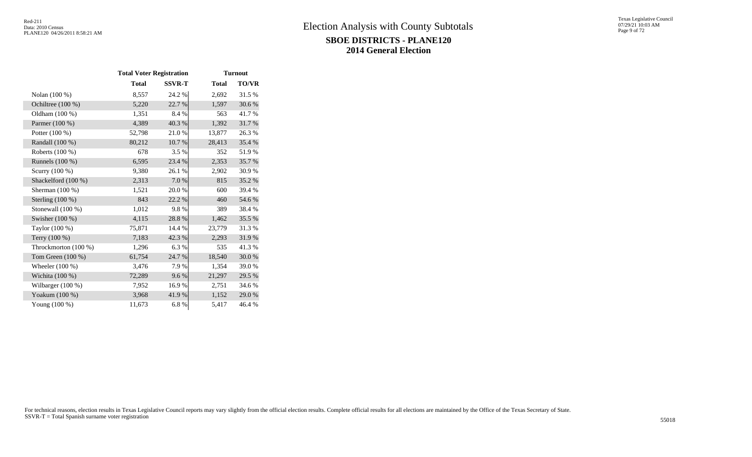|                      | <b>Total Voter Registration</b> |               | <b>Turnout</b><br><b>Total</b><br>24.2 %<br>2,692<br>22.7 %<br>1,597<br>8.4%<br>563<br>40.3%<br>1,392<br>21.0%<br>13,877<br>$10.7~\%$<br>28,413<br>3.5 %<br>352<br>23.4 %<br>2,353<br>26.1 %<br>2,902<br>7.0%<br>815<br>20.0%<br>600<br>22.2 %<br>460<br>9.8%<br>389<br>28.8%<br>1,462<br>14.4 %<br>23,779<br>42.3 %<br>2,293<br>6.3%<br>535<br>24.7 %<br>18,540 |              |  |  |  |  |
|----------------------|---------------------------------|---------------|------------------------------------------------------------------------------------------------------------------------------------------------------------------------------------------------------------------------------------------------------------------------------------------------------------------------------------------------------------------|--------------|--|--|--|--|
|                      | <b>Total</b>                    | <b>SSVR-T</b> |                                                                                                                                                                                                                                                                                                                                                                  | <b>TO/VR</b> |  |  |  |  |
| Nolan (100 %)        | 8,557                           |               |                                                                                                                                                                                                                                                                                                                                                                  | 31.5 %       |  |  |  |  |
| Ochiltree (100 %)    | 5,220                           |               |                                                                                                                                                                                                                                                                                                                                                                  | 30.6%        |  |  |  |  |
| Oldham (100 %)       | 1,351                           |               |                                                                                                                                                                                                                                                                                                                                                                  | 41.7 %       |  |  |  |  |
| Parmer (100 %)       | 4,389                           |               |                                                                                                                                                                                                                                                                                                                                                                  | 31.7%        |  |  |  |  |
| Potter (100 %)       | 52,798                          |               |                                                                                                                                                                                                                                                                                                                                                                  | 26.3%        |  |  |  |  |
| Randall (100 %)      | 80,212                          |               |                                                                                                                                                                                                                                                                                                                                                                  | 35.4 %       |  |  |  |  |
| Roberts (100 %)      | 678                             |               |                                                                                                                                                                                                                                                                                                                                                                  | 51.9%        |  |  |  |  |
| Runnels $(100\%)$    | 6,595                           |               |                                                                                                                                                                                                                                                                                                                                                                  | 35.7%        |  |  |  |  |
| Scurry (100 %)       | 9,380                           |               |                                                                                                                                                                                                                                                                                                                                                                  | 30.9%        |  |  |  |  |
| Shackelford (100 %)  | 2,313                           |               |                                                                                                                                                                                                                                                                                                                                                                  | 35.2%        |  |  |  |  |
| Sherman (100 %)      | 1,521                           |               |                                                                                                                                                                                                                                                                                                                                                                  | 39.4 %       |  |  |  |  |
| Sterling $(100\%)$   | 843                             |               |                                                                                                                                                                                                                                                                                                                                                                  | 54.6 %       |  |  |  |  |
| Stonewall $(100\%)$  | 1,012                           |               |                                                                                                                                                                                                                                                                                                                                                                  | 38.4 %       |  |  |  |  |
| Swisher (100 %)      | 4,115                           |               |                                                                                                                                                                                                                                                                                                                                                                  | 35.5 %       |  |  |  |  |
| Taylor (100 %)       | 75,871                          |               |                                                                                                                                                                                                                                                                                                                                                                  | 31.3%        |  |  |  |  |
| Terry (100 %)        | 7,183                           |               |                                                                                                                                                                                                                                                                                                                                                                  | 31.9%        |  |  |  |  |
| Throckmorton (100 %) | 1,296                           |               |                                                                                                                                                                                                                                                                                                                                                                  | 41.3%        |  |  |  |  |
| Tom Green (100 %)    | 61,754                          |               |                                                                                                                                                                                                                                                                                                                                                                  | 30.0%        |  |  |  |  |
| Wheeler $(100\%)$    | 3,476                           | 7.9%          | 1,354                                                                                                                                                                                                                                                                                                                                                            | 39.0%        |  |  |  |  |
| Wichita $(100\%)$    | 72,289                          | 9.6%          | 21,297                                                                                                                                                                                                                                                                                                                                                           | 29.5 %       |  |  |  |  |
| Wilbarger $(100\%)$  | 7,952                           | 16.9%         | 2,751                                                                                                                                                                                                                                                                                                                                                            | 34.6 %       |  |  |  |  |
| Yoakum (100 %)       | 3,968                           | 41.9%         | 1,152                                                                                                                                                                                                                                                                                                                                                            | 29.0 %       |  |  |  |  |
| Young $(100\%)$      | 11,673                          | 6.8%          | 5,417                                                                                                                                                                                                                                                                                                                                                            | 46.4 %       |  |  |  |  |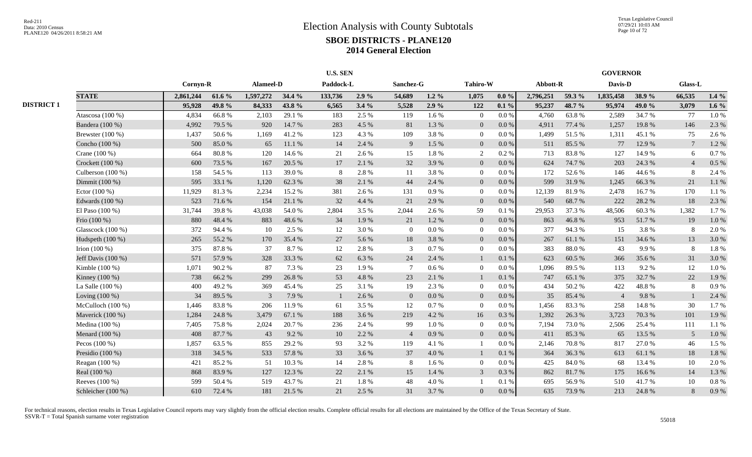|                   |                     |           |        |           |        | <b>U.S. SEN</b> |       |                 |           |                 | <b>GOVERNOR</b> |           |        |                |        |                 |         |
|-------------------|---------------------|-----------|--------|-----------|--------|-----------------|-------|-----------------|-----------|-----------------|-----------------|-----------|--------|----------------|--------|-----------------|---------|
|                   |                     | Cornyn-R  |        | Alameel-D |        | Paddock-L       |       | Sanchez-G       |           | <b>Tahiro-W</b> |                 | Abbott-R  |        | Davis-D        |        | <b>Glass-L</b>  |         |
|                   | <b>STATE</b>        | 2,861,244 | 61.6 % | 1,597,272 | 34.4 % | 133,736         | 2.9%  | 54,689          | $1.2\%$   | 1,075           | $0.0 \%$        | 2,796,251 | 59.3 % | 1,835,458      | 38.9%  | 66,535          | $1.4\%$ |
| <b>DISTRICT 1</b> |                     | 95,928    | 49.8%  | 84,333    | 43.8%  | 6,565           | 3.4%  | 5,528           | $2.9\%$   | 122             | $0.1 \%$        | 95,237    | 48.7 % | 95,974         | 49.0 % | 3,079           | 1.6 $%$ |
|                   | Atascosa (100 %)    | 4,834     | 66.8%  | 2,103     | 29.1 % | 183             | 2.5 % | 119             | 1.6%      | $\overline{0}$  | $0.0\,\%$       | 4,760     | 63.8%  | 2,589          | 34.7%  | 77              | 1.0%    |
|                   | Bandera (100 %)     | 4,992     | 79.5 % | 920       | 14.7 % | 283             | 4.5 % | 81              | 1.3 %     | $\overline{0}$  | 0.0 %           | 4,911     | 77.4 % | 1,257          | 19.8%  | 146             | 2.3 %   |
|                   | Brewster (100 %)    | 1,437     | 50.6%  | 1,169     | 41.2%  | 123             | 4.3%  | 109             | 3.8%      | $\overline{0}$  | 0.0 %           | 1,499     | 51.5 % | 1,311          | 45.1 % | 75              | 2.6%    |
|                   | Concho (100 %)      | 500       | 85.0%  | 65        | 11.1 % | 14              | 2.4 % | 9               | 1.5 %     | $\overline{0}$  | $0.0\,\%$       | 511       | 85.5 % | 77             | 12.9%  | $7\phantom{.0}$ | 1.2%    |
|                   | Crane (100 %)       | 664       | 80.8%  | 120       | 14.6 % | 21              | 2.6%  | 15              | 1.8%      | $\overline{2}$  | 0.2 %           | 713       | 83.8%  | 127            | 14.9%  | 6               | 0.7%    |
|                   | Crockett (100 %)    | 600       | 73.5 % | 167       | 20.5 % | 17              | 2.1%  | 32              | 3.9%      | $\overline{0}$  | $0.0\,\%$       | 624       | 74.7 % | 203            | 24.3 % |                 | 0.5 %   |
|                   | Culberson $(100\%)$ | 158       | 54.5 % | 113       | 39.0%  |                 | 2.8%  | 11              | 3.8%      | $\overline{0}$  | 0.0 %           | 172       | 52.6%  | 146            | 44.6 % | 8               | 2.4 %   |
|                   | Dimmit (100 %)      | 595       | 33.1 % | 1,120     | 62.3%  | 38              | 2.1 % | 44              | 2.4 %     | $\overline{0}$  | $0.0\,\%$       | 599       | 31.9 % | 1,245          | 66.3%  | 21              | 1.1%    |
|                   | Ector $(100\%)$     | 11,929    | 81.3%  | 2,234     | 15.2 % | 381             | 2.6 % | 131             | 0.9%      | $\overline{0}$  | $0.0\%$         | 12,139    | 81.9%  | 2,478          | 16.7%  | 170             | 1.1%    |
|                   | Edwards (100 %)     | 523       | 71.6%  | 154       | 21.1 % | 32              | 4.4 % | 21              | 2.9%      | $\overline{0}$  | 0.0 %           | 540       | 68.7%  | 222            | 28.2 % | 18              | 2.3 %   |
|                   | El Paso (100 %)     | 31,744    | 39.8%  | 43,038    | 54.0%  | 2,804           | 3.5 % | 2,044           | 2.6 %     | 59              | 0.1%            | 29,953    | 37.3 % | 48,506         | 60.3%  | 1,382           | 1.7%    |
|                   | Frio (100 %)        | 880       | 48.4%  | 883       | 48.6%  | 34              | 1.9%  | 21              | 1.2%      | $\overline{0}$  | $0.0\,\%$       | 863       | 46.8%  | 953            | 51.7%  | 19              | 1.0 %   |
|                   | Glasscock (100 %)   | 372       | 94.4 % | 10        | 2.5 %  | 12              | 3.0%  | $\theta$        | 0.0 %     | $\Omega$        | $0.0\%$         | 377       | 94.3%  | 15             | 3.8%   | 8               | 2.0%    |
|                   | Hudspeth (100 %)    | 265       | 55.2%  | 170       | 35.4 % | 27              | 5.6%  | 18              | 3.8%      | $\overline{0}$  | 0.0 %           | 267       | 61.1%  | 151            | 34.6 % | 13              | 3.0%    |
|                   | Irion $(100\%)$     | 375       | 87.8%  | 37        | 8.7%   | 12              | 2.8%  | 3               | 0.7 %     | $\overline{0}$  | $0.0\%$         | 383       | 88.0%  | 43             | 9.9%   | 8               | 1.8%    |
|                   | Jeff Davis (100 %)  | 571       | 57.9%  | 328       | 33.3 % | 62              | 6.3%  | 24              | 2.4 %     |                 | 0.1%            | 623       | 60.5%  | 366            | 35.6%  | 31              | 3.0%    |
|                   | Kimble (100 %)      | 1,071     | 90.2%  | 87        | 7.3 %  | 23              | 1.9%  | $7\phantom{.0}$ | 0.6 %     | $\Omega$        | $0.0\%$         | 1,096     | 89.5%  | 113            | 9.2%   | 12              | 1.0%    |
|                   | Kinney (100 %)      | 738       | 66.2%  | 299       | 26.8%  | 53              | 4.8%  | 23              | 2.1 %     |                 | 0.1%            | 747       | 65.1 % | 375            | 32.7 % | 22              | 1.9%    |
|                   | La Salle (100 %)    | 400       | 49.2%  | 369       | 45.4 % | 25              | 3.1 % | 19              | 2.3 %     | $\Omega$        | 0.0 %           | 434       | 50.2 % | 422            | 48.8%  | 8               | 0.9%    |
|                   | Loving $(100\%)$    | 34        | 89.5%  | 3         | 7.9%   |                 | 2.6%  | $\theta$        | $0.0\ \%$ | $\Omega$        | $0.0\,\%$       | 35        | 85.4%  | $\overline{4}$ | 9.8%   |                 | 2.4 %   |
|                   | McCulloch $(100\%)$ | 1,446     | 83.8%  | 206       | 11.9%  | 61              | 3.5 % | 12              | 0.7%      | $\theta$        | $0.0\%$         | 1,456     | 83.3%  | 258            | 14.8%  | 30              | 1.7%    |
|                   | Maverick (100 %)    | 1,284     | 24.8%  | 3,479     | 67.1 % | 188             | 3.6%  | 219             | 4.2%      | 16              | 0.3 %           | 1,392     | 26.3%  | 3,723          | 70.3%  | 101             | 1.9%    |
|                   | Medina (100 %)      | 7,405     | 75.8%  | 2,024     | 20.7%  | 236             | 2.4 % | 99              | $1.0\ \%$ | $\overline{0}$  | 0.0 %           | 7,194     | 73.0%  | 2,506          | 25.4 % | 111             | 1.1%    |
|                   | Menard (100 %)      | 408       | 87.7%  | 43        | 9.2%   | 10              | 2.2 % | $\overline{4}$  | 0.9%      | $\overline{0}$  | $0.0\,\%$       | 411       | 85.3%  | 65             | 13.5 % | 5               | 1.0 %   |
|                   | Pecos $(100\%)$     | 1,857     | 63.5%  | 855       | 29.2 % | 93              | 3.2%  | 119             | 4.1 %     |                 | $0.0\%$         | 2,146     | 70.8%  | 817            | 27.0%  | 46              | 1.5 %   |
|                   | Presidio (100 %)    | 318       | 34.5 % | 533       | 57.8 % | 33              | 3.6%  | 37              | 4.0%      |                 | 0.1%            | 364       | 36.3%  | 613            | 61.1%  | 18              | 1.8%    |
|                   | Reagan (100 %)      | 421       | 85.2%  | 51        | 10.3 % | 14              | 2.8%  | 8               | 1.6%      | $\overline{0}$  | 0.0 %           | 425       | 84.0%  | 68             | 13.4 % | 10              | 2.0%    |
|                   | Real (100 %)        | 868       | 83.9%  | 127       | 12.3 % | 22              | 2.1%  | 15              | 1.4 %     | $\mathbf{3}$    | 0.3 %           | 862       | 81.7%  | 175            | 16.6%  | 14              | 1.3%    |
|                   | Reeves (100 %)      | 599       | 50.4%  | 519       | 43.7%  | 21              | 1.8%  | 48              | 4.0%      |                 | 0.1%            | 695       | 56.9%  | 510            | 41.7%  | 10              | 0.8 %   |
|                   | Schleicher (100 %)  | 610       | 72.4 % | 181       | 21.5 % | 21              | 2.5 % | 31              | 3.7%      | $\Omega$        | $0.0\,\%$       | 635       | 73.9%  | 213            | 24.8%  | 8               | 0.9%    |
|                   |                     |           |        |           |        |                 |       |                 |           |                 |                 |           |        |                |        |                 |         |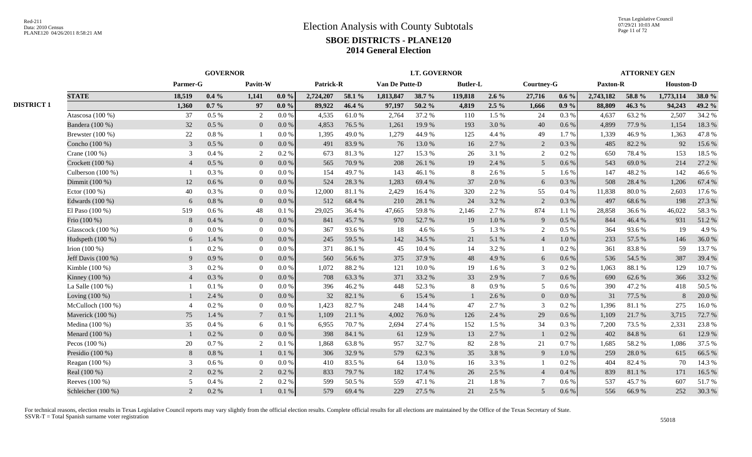|                   |                      | <b>GOVERNOR</b> |           |                 |         |           |        |                | <b>LT. GOVERNOR</b> |                 | <b>ATTORNEY GEN</b> |                 |           |                 |        |                  |        |
|-------------------|----------------------|-----------------|-----------|-----------------|---------|-----------|--------|----------------|---------------------|-----------------|---------------------|-----------------|-----------|-----------------|--------|------------------|--------|
|                   |                      | Parmer-G        |           | Pavitt-W        |         | Patrick-R |        | Van De Putte-D |                     | <b>Butler-L</b> |                     | Courtney-G      |           | <b>Paxton-R</b> |        | <b>Houston-D</b> |        |
|                   | <b>STATE</b>         | 18.519          | $0.4\%$   | 1,141           | $0.0\%$ | 2,724,207 | 58.1 % | 1.813.847      | 38.7 %              | 119,818         | $2.6\%$             | 27,716          | $0.6\%$   | 2,743,182       | 58.8%  | 1,773,114        | 38.0 % |
| <b>DISTRICT 1</b> |                      | 1,360           | $0.7\%$   | 97              | $0.0\%$ | 89,922    | 46.4 % | 97,197         | 50.2 %              | 4,819           | $2.5\%$             | 1,666           | $0.9\%$   | 88,809          | 46.3%  | 94,243           | 49.2 % |
|                   | Atascosa (100 %)     | 37              | $0.5\%$   | 2               | 0.0 %   | 4.535     | 61.0%  | 2,764          | 37.2 %              | 110             | 1.5 %               | 24              | 0.3 %     | 4,637           | 63.2%  | 2,507            | 34.2 % |
|                   | Bandera (100 %)      | 32              | $0.5\%$   | $\mathbf{0}$    | 0.0 %   | 4,853     | 76.5 % | 1,261          | 19.9%               | 193             | 3.0%                | 40              | 0.6 %     | 4.899           | 77.9%  | 1,154            | 18.3%  |
|                   | Brewster $(100\%)$   | 22              | $0.8~\%$  |                 | 0.0 %   | 1.395     | 49.0%  | 1,279          | 44.9%               | 125             | 4.4 %               | 49              | $1.7\%$   | 1,339           | 46.9%  | 1,363            | 47.8%  |
|                   | Concho (100 %)       | $\overline{3}$  | $0.5\%$   | $\mathbf{0}$    | $0.0\%$ | 491       | 83.9%  | 76             | 13.0%               | 16              | 2.7 %               | $\overline{2}$  | $0.3\%$   | 485             | 82.2%  | 92               | 15.6 % |
|                   | Crane (100 %)        | 3               | 0.4%      | 2               | 0.2%    | 673       | 81.3%  | 127            | 15.3 %              | 26              | 3.1 %               | 2               | $0.2\%$   | 650             | 78.4%  | 153              | 18.5 % |
|                   | Crockett $(100\%)$   | $\overline{4}$  | $0.5\%$   | $\mathbf{0}$    | 0.0 %   | 565       | 70.9%  | 208            | 26.1 %              | 19              | 2.4 %               | 5 <sup>5</sup>  | 0.6 %     | 543             | 69.0%  | 214              | 27.2 % |
|                   | Culberson (100 %)    |                 | 0.3%      | $\overline{0}$  | 0.0 %   | 154       | 49.7 % | 143            | 46.1 %              | 8               | 2.6 %               | 5               | 1.6 %     | 147             | 48.2%  | 142              | 46.6%  |
|                   | Dimmit (100 %)       | 12              | 0.6 %     | $\mathbf{0}$    | 0.0 %   | 524       | 28.3 % | 1,283          | 69.4%               | 37              | 2.0%                | 6               | 0.3%      | 508             | 28.4 % | 1,206            | 67.4 % |
|                   | Ector $(100\%)$      | 40              | 0.3 %     | $\overline{0}$  | 0.0 %   | 12,000    | 81.1 % | 2,429          | 16.4 %              | 320             | 2.2 %               | 55              | $0.4\%$   | 11,838          | 80.0%  | 2,603            | 17.6 % |
|                   | Edwards (100 %)      | 6               | $0.8\ \%$ | $\overline{0}$  | 0.0 %   | 512       | 68.4%  | 210            | 28.1 %              | 24              | 3.2 %               | 2               | 0.3%      | 497             | 68.6%  | 198              | 27.3 % |
|                   | El Paso $(100\%)$    | 519             | 0.6 %     | 48              | 0.1%    | 29,025    | 36.4 % | 47,665         | 59.8%               | 2,146           | 2.7 %               | 874             | 1.1%      | 28,858          | 36.6%  | 46,022           | 58.3%  |
|                   | Frio (100 %)         | 8               | 0.4%      | $\overline{0}$  | 0.0 %   | 841       | 45.7 % | 970            | 52.7 %              | 19              | 1.0%                | 9               | $0.5\%$   | 844             | 46.4%  | 931              | 51.2%  |
|                   | Glasscock $(100\%)$  | $\overline{0}$  | $0.0\ \%$ | $\overline{0}$  | 0.0 %   | 367       | 93.6%  | 18             | 4.6 %               | 5               | 1.3 %               | 2               | $0.5\%$   | 364             | 93.6%  | 19               | 4.9%   |
|                   | Hudspeth (100 %)     | 6               | 1.4 %     | $\overline{0}$  | $0.0\%$ | 245       | 59.5 % | 142            | 34.5 %              | 21              | 5.1 %               | $\overline{4}$  | 1.0%      | 233             | 57.5 % | 146              | 36.0%  |
|                   | Irion $(100\%)$      |                 | $0.2 \%$  | $\overline{0}$  | 0.0 %   | 371       | 86.1%  | 45             | 10.4 %              | 14              | 3.2 %               | 1               | $0.2\%$   | 361             | 83.8%  | 59               | 13.7 % |
|                   | Jeff Davis $(100\%)$ | -9              | 0.9%      | $\overline{0}$  | $0.0\%$ | 560       | 56.6%  | 375            | 37.9 %              | 48              | 4.9%                | 6               | 0.6 %     | 536             | 54.5 % | 387              | 39.4 % |
|                   | Kimble $(100\%)$     | 3               | $0.2 \%$  | $\overline{0}$  | 0.0 %   | 1.072     | 88.2%  | 121            | 10.0%               | 19              | 1.6 %               | 3               | $0.2\%$   | 1,063           | 88.1 % | 129              | 10.7%  |
|                   | Kinney (100 %)       | $\overline{4}$  | $0.3~\%$  | $\mathbf{0}$    | 0.0 %   | 708       | 63.3%  | 371            | 33.2 %              | 33              | 2.9 %               | $7\overline{ }$ | 0.6 %     | 690             | 62.6%  | 366              | 33.2 % |
|                   | La Salle $(100\%)$   |                 | 0.1 %     | $\overline{0}$  | 0.0 %   | 396       | 46.2%  | 448            | 52.3 %              | 8               | 0.9%                | 5               | $0.6\%$   | 390             | 47.2 % | 418              | 50.5 % |
|                   | Loving $(100\%)$     |                 | 2.4 %     | $\mathbf{0}$    | 0.0 %   | 32        | 82.1 % | 6              | 15.4 %              |                 | 2.6 %               | $\mathbf{0}$    | 0.0 %     | 31              | 77.5 % | 8                | 20.0 % |
|                   | McCulloch $(100\%)$  | $\overline{4}$  | $0.2~\%$  | $\overline{0}$  | 0.0 %   | 1,423     | 82.7%  | 248            | 14.4 %              | 47              | 2.7 %               | 3               | 0.2 %     | 1,396           | 81.1 % | 275              | 16.0%  |
|                   | Maverick (100 %)     | 75              | 1.4 %     | $7\phantom{.0}$ | 0.1%    | 1,109     | 21.1 % | 4,002          | 76.0%               | 126             | 2.4 %               | 29              | $0.6\,\%$ | 1,109           | 21.7%  | 3,715            | 72.7 % |
|                   | Medina (100 %)       | 35              | 0.4 %     | 6               | 0.1%    | 6,955     | 70.7%  | 2,694          | 27.4 %              | 152             | 1.5 %               | 34              | 0.3%      | 7,200           | 73.5 % | 2,331            | 23.8%  |
|                   | Menard (100 %)       |                 | 0.2 %     | $\overline{0}$  | $0.0\%$ | 398       | 84.1 % | 61             | 12.9 %              | 13              | 2.7%                | $\mathbf{1}$    | 0.2 %     | 402             | 84.8%  | 61               | 12.9 % |
|                   | Pecos $(100\%)$      | 20              | 0.7 %     | 2               | 0.1%    | 1,868     | 63.8%  | 957            | 32.7%               | 82              | 2.8 %               | 21              | 0.7 %     | 1,685           | 58.2%  | 1,086            | 37.5 % |
|                   | Presidio (100 %)     | 8               | $0.8\ \%$ |                 | 0.1%    | 306       | 32.9%  | 579            | 62.3%               | 35              | 3.8%                | $\overline{9}$  | 1.0 %     | 259             | 28.0%  | 615              | 66.5 % |
|                   | Reagan (100 %)       | 3               | $0.6\%$   | $\overline{0}$  | 0.0 %   | 410       | 83.5%  | 64             | 13.0%               | 16              | 3.3 %               | $\mathbf{1}$    | 0.2 %     | 404             | 82.4 % | 70               | 14.3 % |
|                   | Real (100 %)         | 2               | $0.2 \%$  | 2               | 0.2%    | 833       | 79.7 % | 182            | 17.4 %              | 26              | 2.5 %               | $\overline{4}$  | 0.4%      | 839             | 81.1 % | 171              | 16.5 % |
|                   | Reeves (100 %)       | .5              | 0.4 %     | $\overline{2}$  | 0.2%    | 599       | 50.5 % | 559            | 47.1 %              | 21              | 1.8%                | $\overline{7}$  | 0.6 %     | 537             | 45.7%  | 607              | 51.7%  |
|                   | Schleicher (100 %)   | 2               | 0.2 %     | $\mathbf{1}$    | 0.1%    | 579       | 69.4 % | 229            | 27.5 %              | 21              | 2.5 %               | 5 <sup>5</sup>  | 0.6 %     | 556             | 66.9%  | 252              | 30.3%  |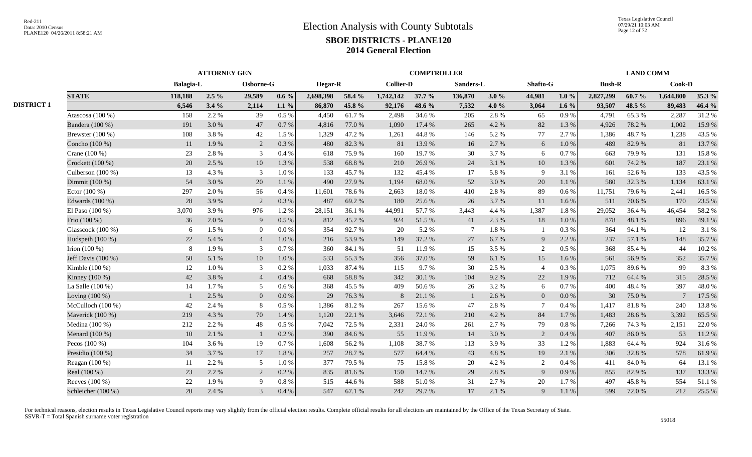|                   |                     | <b>ATTORNEY GEN</b> |         |                 |         |                | <b>COMPTROLLER</b> |                  |        |                 |         |                |          |               | <b>LAND COMM</b> |                 |        |  |  |
|-------------------|---------------------|---------------------|---------|-----------------|---------|----------------|--------------------|------------------|--------|-----------------|---------|----------------|----------|---------------|------------------|-----------------|--------|--|--|
|                   |                     | <b>Balagia-L</b>    |         | Osborne-G       |         | <b>Hegar-R</b> |                    | <b>Collier-D</b> |        | Sanders-L       |         | Shafto-G       |          | <b>Bush-R</b> |                  | Cook-D          |        |  |  |
|                   | <b>STATE</b>        | 118.188             | $2.5\%$ | 29,589          | $0.6\%$ | 2,698,398      | 58.4 %             | 1,742,142        | 37.7 % | 136,870         | 3.0%    | 44,981         | $1.0\%$  | 2,827,299     | 60.7%            | 1,644,800       | 35.3 % |  |  |
| <b>DISTRICT 1</b> |                     | 6,546               | 3.4%    | 2,114           | 1.1 $%$ | 86,870         | 45.8 %             | 92,176           | 48.6 % | 7,532           | 4.0 $%$ | 3,064          | 1.6 $%$  | 93,507        | 48.5 %           | 89,483          | 46.4 % |  |  |
|                   | Atascosa (100 %)    | 158                 | 2.2 %   | 39              | 0.5%    | 4,450          | 61.7%              | 2,498            | 34.6 % | 205             | 2.8%    | 65             | 0.9%     | 4.791         | 65.3%            | 2,287           | 31.2%  |  |  |
|                   | Bandera (100 %)     | 191                 | 3.0 %   | 47              | 0.7%    | 4,816          | 77.0 %             | 1,090            | 17.4 % | 265             | 4.2 %   | 82             | 1.3 %    | 4,926         | 78.2%            | 1,002           | 15.9%  |  |  |
|                   | Brewster (100 %)    | 108                 | 3.8%    | 42              | 1.5 %   | 1,329          | 47.2 %             | 1,261            | 44.8%  | 146             | 5.2 %   | 77             | 2.7 %    | 1,386         | 48.7%            | 1,238           | 43.5 % |  |  |
|                   | Concho (100 %)      | 11                  | 1.9%    | 2               | 0.3%    | 480            | 82.3%              | 81               | 13.9%  | 16              | 2.7 %   | 6              | $1.0\%$  | 489           | 82.9%            | 81              | 13.7 % |  |  |
|                   | Crane (100 %)       | 23                  | 2.8 %   | 3               | 0.4%    | 618            | 75.9%              | 160              | 19.7%  | 30              | 3.7%    | 6              | 0.7 %    | 663           | 79.9%            | 131             | 15.8%  |  |  |
|                   | Crockett (100 %)    | 20                  | 2.5 %   | 10              | 1.3%    | 538            | 68.8%              | 210              | 26.9%  | 24              | 3.1 %   | 10             | 1.3%     | 601           | 74.2 %           | 187             | 23.1 % |  |  |
|                   | Culberson (100 %)   | 13                  | 4.3 %   | 3               | 1.0%    | 133            | 45.7 %             | 132              | 45.4 % | 17              | 5.8%    | 9              | 3.1 %    | 161           | 52.6 %           | 133             | 43.5 % |  |  |
|                   | Dimmit (100 %)      | 54                  | 3.0%    | 20              | 1.1 %   | 490            | 27.9 %             | 1,194            | 68.0%  | 52              | 3.0%    | 20             | 1.1%     | 580           | 32.3 %           | 1,134           | 63.1 % |  |  |
|                   | Ector $(100\%)$     | 297                 | 2.0 %   | 56              | 0.4%    | 11,601         | 78.6%              | 2,663            | 18.0%  | 410             | 2.8%    | 89             | 0.6 %    | 11,751        | 79.6 %           | 2,441           | 16.5 % |  |  |
|                   | Edwards (100 %)     | 28                  | 3.9%    | 2               | 0.3%    | 487            | 69.2%              | 180              | 25.6 % | 26              | 3.7 %   | 11             | 1.6 %    | 511           | 70.6 %           | 170             | 23.5 % |  |  |
|                   | El Paso $(100\%)$   | 3,070               | 3.9%    | 976             | 1.2%    | 28,151         | 36.1 %             | 44,991           | 57.7 % | 3,443           | 4.4 %   | 1,387          | 1.8%     | 29,052        | 36.4%            | 46,454          | 58.2%  |  |  |
|                   | Frio (100 %)        | 36                  | 2.0 %   | 9               | 0.5 %   | 812            | 45.2 %             | 924              | 51.5 % | 41              | 2.3 %   | 18             | 1.0%     | 878           | 48.1 %           | 896             | 49.1 % |  |  |
|                   | Glasscock (100 %)   | 6                   | 1.5 %   | $\overline{0}$  | 0.0 %   | 354            | 92.7%              | 20               | 5.2 %  | $7\phantom{.0}$ | 1.8%    | $\mathbf{1}$   | 0.3%     | 364           | 94.1 %           | 12              | 3.1 %  |  |  |
|                   | Hudspeth (100 %)    | 22                  | 5.4 %   | $\overline{4}$  | 1.0%    | 216            | 53.9%              | 149              | 37.2 % | 27              | 6.7%    | 9              | 2.2 %    | 237           | 57.1 %           | 148             | 35.7%  |  |  |
|                   | Irion $(100\%)$     | 8                   | 1.9%    | 3               | 0.7%    | 360            | 84.1 %             | 51               | 11.9%  | 15              | 3.5 %   | 2              | $0.5\%$  | 368           | 85.4%            | 44              | 10.2%  |  |  |
|                   | Jeff Davis (100 %)  | 50                  | 5.1 %   | 10              | 1.0%    | 533            | 55.3%              | 356              | 37.0 % | 59              | 6.1 %   | 15             | 1.6 %    | 561           | 56.9%            | 352             | 35.7 % |  |  |
|                   | Kimble (100 %)      | 12                  | 1.0%    | 3               | 0.2%    | 1,033          | 87.4 %             | 115              | 9.7 %  | 30              | 2.5 %   | $\overline{4}$ | $0.3\%$  | 1.075         | 89.6%            | 99              | 8.3%   |  |  |
|                   | Kinney (100 %)      | 42                  | 3.8%    | $\overline{4}$  | 0.4%    | 668            | 58.8%              | 342              | 30.1 % | 104             | 9.2 %   | 22             | 1.9%     | 712           | 64.4 %           | 315             | 28.5 % |  |  |
|                   | La Salle $(100\%)$  | 14                  | 1.7 %   | $5\overline{)}$ | $0.6\%$ | 368            | 45.5 %             | 409              | 50.6%  | 26              | 3.2 %   | 6              | 0.7 %    | 400           | 48.4%            | 397             | 48.0%  |  |  |
|                   | Loving $(100\%)$    |                     | 2.5 %   | $\mathbf{0}$    | $0.0\%$ | 29             | 76.3 %             | 8                | 21.1 % |                 | 2.6 %   | $\overline{0}$ | 0.0 %    | 30            | 75.0%            | $7\phantom{.0}$ | 17.5 % |  |  |
|                   | McCulloch $(100\%)$ | 42                  | 2.4 %   | 8               | 0.5%    | 1,386          | 81.2%              | 267              | 15.6 % | 47              | 2.8%    | $\tau$         | 0.4 %    | 1,417         | 81.8%            | 240             | 13.8%  |  |  |
|                   | Maverick (100 %)    | 219                 | 4.3 %   | 70              | 1.4 %   | 1,120          | 22.1 %             | 3,646            | 72.1 % | 210             | 4.2 %   | 84             | 1.7%     | 1,483         | 28.6 %           | 3,392           | 65.5 % |  |  |
|                   | Medina (100 %)      | 212                 | 2.2 %   | 48              | 0.5%    | 7,042          | 72.5 %             | 2,331            | 24.0%  | 261             | 2.7 %   | 79             | $0.8 \%$ | 7,266         | 74.3 %           | 2,151           | 22.0 % |  |  |
|                   | Menard (100 %)      | 10                  | 2.1 %   | $\mathbf{1}$    | 0.2 %   | 390            | 84.6 %             | 55               | 11.9%  | 14              | 3.0%    | $\overline{2}$ | $0.4~\%$ | 407           | 86.0%            | 53              | 11.2%  |  |  |
|                   | Pecos $(100\%)$     | 104                 | 3.6 %   | 19              | 0.7%    | 1,608          | 56.2%              | 1,108            | 38.7%  | 113             | 3.9%    | 33             | 1.2%     | 1,883         | 64.4 %           | 924             | 31.6%  |  |  |
|                   | Presidio (100 %)    | 34                  | 3.7 %   | 17              | 1.8%    | 257            | 28.7%              | 577              | 64.4 % | 43              | 4.8%    | 19             | 2.1 %    | 306           | 32.8%            | 578             | 61.9%  |  |  |
|                   | Reagan (100 %)      | 11                  | 2.2 %   | $\overline{5}$  | 1.0%    | 377            | 79.5 %             | 75               | 15.8%  | 20              | 4.2 %   | 2              | 0.4 %    | 411           | 84.0%            | 64              | 13.1 % |  |  |
|                   | Real (100 %)        | 23                  | 2.2 %   | 2               | 0.2%    | 835            | 81.6%              | 150              | 14.7 % | 29              | 2.8%    | 9              | 0.9%     | 855           | 82.9%            | 137             | 13.3 % |  |  |
|                   | Reeves (100 %)      | 22                  | 1.9%    | 9               | 0.8 %   | 515            | 44.6 %             | 588              | 51.0%  | 31              | 2.7 %   | 20             | 1.7%     | 497           | 45.8%            | 554             | 51.1%  |  |  |
|                   | Schleicher (100 %)  | 20                  | 2.4 %   | $\mathfrak{Z}$  | 0.4%    | 547            | 67.1 %             | 242              | 29.7 % | 17              | 2.1%    | 9              | 1.1 %    | 599           | 72.0%            | 212             | 25.5 % |  |  |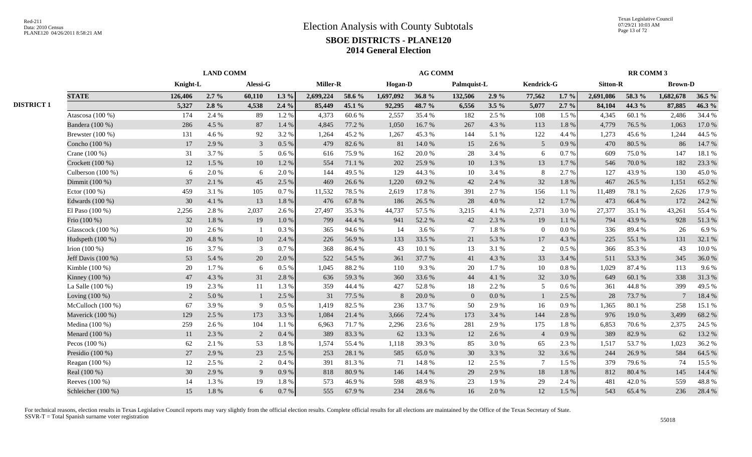|                   |                      |          | <b>LAND COMM</b> |                |         |                 |        |           | <b>AG COMM</b> |                 |           |                  |           |                 | <b>RR COMM 3</b> |                |          |
|-------------------|----------------------|----------|------------------|----------------|---------|-----------------|--------|-----------|----------------|-----------------|-----------|------------------|-----------|-----------------|------------------|----------------|----------|
|                   |                      | Knight-L |                  | Alessi-G       |         | <b>Miller-R</b> |        | Hogan-D   |                | Palmquist-L     |           | Kendrick-G       |           | <b>Sitton-R</b> |                  | <b>Brown-D</b> |          |
|                   | <b>STATE</b>         | 126,406  | $2.7\%$          | 60,110         | $1.3\%$ | 2,699,224       | 58.6 % | 1,697,092 | 36.8%          | 132,506         | 2.9%      | 77,562           | $1.7\%$   | 2,691,086       | 58.3 %           | 1,682,678      | 36.5 $%$ |
| <b>DISTRICT 1</b> |                      | 5,327    | $2.8\%$          | 4,538          | 2.4%    | 85,449          | 45.1 % | 92,295    | 48.7 %         | 6,556           | $3.5 \%$  | 5,077            | $2.7 \%$  | 84,104          | 44.3 %           | 87,885         | 46.3 %   |
|                   | Atascosa (100 %)     | 174      | 2.4 %            | 89             | 1.2%    | 4,373           | 60.6 % | 2,557     | 35.4 %         | 182             | 2.5 %     | 108              | 1.5 %     | 4,345           | 60.1 %           | 2,486          | 34.4 %   |
|                   | Bandera (100 %)      | 286      | 4.5 %            | 87             | 1.4 %   | 4,845           | 77.2 % | 1,050     | 16.7%          | 267             | 4.3 %     | 113              | 1.8 %     | 4,779           | 76.5 %           | 1,063          | 17.0 %   |
|                   | Brewster (100 %)     | 131      | 4.6 %            | 92             | 3.2%    | 1,264           | 45.2%  | 1,267     | 45.3%          | 144             | 5.1 %     | 122              | 4.4 %     | 1,273           | 45.6%            | 1,244          | 44.5 %   |
|                   | Concho (100 %)       | 17       | 2.9 %            | $\mathfrak{Z}$ | $0.5\%$ | 479             | 82.6%  | 81        | 14.0 %         | 15              | 2.6 %     | $5\overline{)}$  | 0.9%      | 470             | 80.5 %           | 86             | 14.7 %   |
|                   | Crane (100 %)        | 31       | 3.7%             | 5              | $0.6\%$ | 616             | 75.9%  | 162       | 20.0%          | 28              | 3.4 %     | 6                | 0.7 %     | 609             | 75.0%            | 147            | 18.1%    |
|                   | Crockett $(100\%)$   | 12       | 1.5 %            | 10             | 1.2%    | 554             | 71.1 % | 202       | 25.9%          | 10              | 1.3%      | 13               | 1.7%      | 546             | 70.0%            | 182            | 23.3 %   |
|                   | Culberson (100 %)    | 6        | 2.0%             | 6              | 2.0%    | 144             | 49.5 % | 129       | 44.3 %         | 10              | 3.4 %     | 8                | 2.7 %     | 127             | 43.9%            | 130            | 45.0%    |
|                   | Dimmit (100 %)       | 37       | 2.1 %            | 45             | 2.5 %   | 469             | 26.6 % | 1,220     | 69.2%          | 42              | 2.4 %     | 32               | 1.8%      | 467             | 26.5 %           | 1,151          | 65.2%    |
|                   | Ector $(100\%)$      | 459      | 3.1 %            | 105            | 0.7%    | 11,532          | 78.5 % | 2,619     | 17.8%          | 391             | 2.7 %     | 156              | 1.1%      | 11,489          | 78.1 %           | 2,626          | 17.9 %   |
|                   | Edwards (100 %)      | 30       | 4.1 %            | 13             | 1.8%    | 476             | 67.8%  | 186       | 26.5 %         | 28              | 4.0%      | 12               | 1.7%      | 473             | 66.4%            | 172            | 24.2 %   |
|                   | El Paso $(100\%)$    | 2,256    | 2.8%             | 2,037          | 2.6 %   | 27,497          | 35.3%  | 44,737    | 57.5 %         | 3,215           | 4.1 %     | 2,371            | 3.0%      | 27,377          | 35.1 %           | 43,261         | 55.4 %   |
|                   | Frio (100 %)         | 32       | $1.8\ \%$        | 19             | 1.0%    | 799             | 44.4 % | 941       | 52.2 %         | 42              | 2.3 %     | 19               | 1.1%      | 794             | 43.9%            | 928            | 51.3%    |
|                   | Glasscock (100 %)    | 10       | 2.6 %            |                | 0.3%    | 365             | 94.6%  | 14        | 3.6%           | $7\phantom{.0}$ | $1.8~\%$  | $\boldsymbol{0}$ | $0.0\ \%$ | 336             | 89.4%            | 26             | 6.9%     |
|                   | Hudspeth (100 %)     | 20       | 4.8%             | 10             | 2.4 %   | 226             | 56.9%  | 133       | 33.5 %         | 21              | 5.3 %     | 17               | 4.3 %     | 225             | 55.1 %           | 131            | 32.1 %   |
|                   | Irion $(100\%)$      | 16       | 3.7%             | 3              | 0.7%    | 368             | 86.4%  | 43        | 10.1%          | 13              | 3.1 %     | 2                | $0.5\%$   | 366             | 85.3%            | 43             | 10.0%    |
|                   | Jeff Davis $(100\%)$ | 53       | 5.4 %            | 20             | 2.0%    | 522             | 54.5 % | 361       | 37.7 %         | 41              | 4.3 %     | 33               | 3.4 %     | 511             | 53.3 %           | 345            | 36.0%    |
|                   | Kimble (100 %)       | 20       | $1.7\%$          | 6              | 0.5%    | 1.045           | 88.2%  | 110       | 9.3 %          | 20              | 1.7%      | 10               | $0.8 \%$  | 1.029           | 87.4 %           | 113            | 9.6%     |
|                   | Kinney (100 %)       | 47       | 4.3 %            | 31             | 2.8%    | 636             | 59.3%  | 360       | 33.6 %         | 44              | 4.1 %     | 32               | 3.0%      | 649             | 60.1 %           | 338            | 31.3%    |
|                   | La Salle $(100\%)$   | 19       | 2.3 %            | 11             | 1.3 %   | 359             | 44.4 % | 427       | 52.8%          | 18              | 2.2 %     | 5                | 0.6 %     | 361             | 44.8%            | 399            | 49.5 %   |
|                   | Loving $(100\%)$     | 2        | $5.0\,\%$        | $\mathbf{1}$   | 2.5 %   | 31              | 77.5 % | $8\,$     | $20.0%$        | $\overline{0}$  | $0.0\ \%$ |                  | 2.5 %     | 28              | 73.7 %           |                | 18.4 %   |
|                   | McCulloch $(100\%)$  | 67       | 3.9%             | 9              | 0.5 %   | 1,419           | 82.5 % | 236       | 13.7%          | 50              | 2.9%      | 16               | 0.9%      | 1,365           | 80.1%            | 258            | 15.1 %   |
|                   | Maverick (100 %)     | 129      | 2.5 %            | 173            | 3.3 %   | 1,084           | 21.4 % | 3,666     | 72.4 %         | 173             | 3.4 %     | 144              | 2.8 %     | 976             | 19.0%            | 3,499          | 68.2%    |
|                   | Medina (100 %)       | 259      | 2.6 %            | 104            | 1.1%    | 6.963           | 71.7%  | 2,296     | 23.6 %         | 281             | 2.9%      | 175              | 1.8%      | 6,853           | 70.6%            | 2,375          | 24.5 %   |
|                   | Menard (100 %)       | 11       | 2.3 %            | 2              | 0.4%    | 389             | 83.3%  | 62        | 13.3 %         | 12              | 2.6 %     | $\overline{4}$   | $0.9\%$   | 389             | 82.9%            | 62             | 13.2 %   |
|                   | Pecos $(100\%)$      | 62       | 2.1 %            | 53             | 1.8%    | 1.574           | 55.4 % | 1,118     | 39.3 %         | 85              | 3.0%      | 65               | 2.3 %     | 1.517           | 53.7%            | 1,023          | 36.2 %   |
|                   | Presidio $(100\%)$   | 27       | 2.9 %            | 23             | 2.5 %   | 253             | 28.1 % | 585       | 65.0%          | 30              | 3.3 %     | 32               | 3.6 %     | 244             | 26.9%            | 584            | 64.5 %   |
|                   | Reagan (100 %)       | 12       | 2.5 %            | 2              | 0.4%    | 391             | 81.3%  | 71        | 14.8%          | 12              | 2.5 %     | $7\phantom{.0}$  | 1.5 %     | 379             | 79.6 %           | 74             | 15.5 %   |
|                   | Real (100 %)         | 30       | 2.9 %            | 9              | 0.9%    | 818             | 80.9%  | 146       | 14.4 %         | 29              | 2.9 %     | 18               | 1.8%      | 812             | 80.4%            | 145            | 14.4 %   |
|                   | Reeves (100 %)       | 14       | 1.3 %            | 19             | 1.8%    | 573             | 46.9%  | 598       | 48.9%          | 23              | 1.9%      | 29               | 2.4 %     | 481             | 42.0%            | 559            | 48.8%    |
|                   | Schleicher (100 %)   | 15       | 1.8%             | 6              | 0.7%    | 555             | 67.9%  | 234       | 28.6%          | 16              | 2.0%      | 12               | 1.5 %     | 543             | 65.4 %           | 236            | 28.4 %   |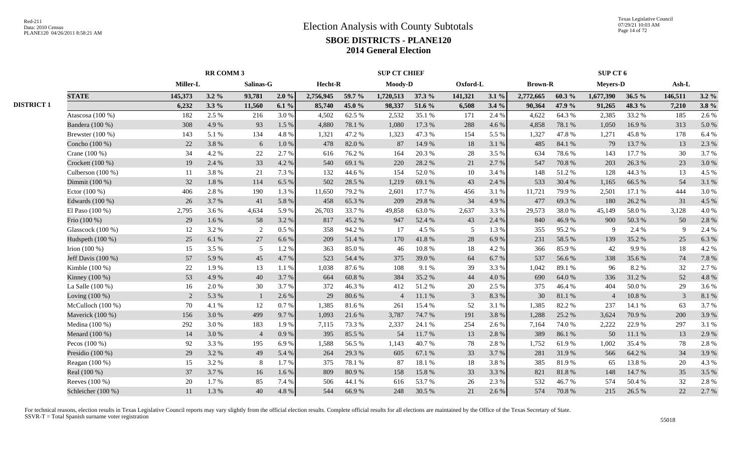|                   |                     |                 |         |                | <b>SUP CT CHIEF</b> |           |        |                |           |                | SUP CT 6 |                |                  |                 |           |                |         |
|-------------------|---------------------|-----------------|---------|----------------|---------------------|-----------|--------|----------------|-----------|----------------|----------|----------------|------------------|-----------------|-----------|----------------|---------|
|                   |                     | <b>Miller-L</b> |         | Salinas-G      |                     | Hecht-R   |        | Moody-D        |           | Oxford-L       |          | <b>Brown-R</b> |                  | <b>Meyers-D</b> |           | Ash-L          |         |
|                   | <b>STATE</b>        | 145,373         | $3.2\%$ | 93,781         | 2.0%                | 2,756,945 | 59.7 % | 1,720,513      | 37.3 %    | 141,321        | 3.1%     | 2,772,665      | 60.3%            | 1,677,390       | 36.5%     | 146,511        | $3.2\%$ |
| <b>DISTRICT 1</b> |                     | 6,232           | $3.3\%$ | 11,560         | $6.1\%$             | 85,740    | 45.0 % | 98,337         | 51.6 %    | 6,508          | 3.4%     | 90,364         | 47.9 %           | 91,265          | 48.3 %    | 7,210          | $3.8\%$ |
|                   | Atascosa (100 %)    | 182             | 2.5 %   | 216            | 3.0%                | 4,502     | 62.5 % | 2,532          | 35.1 %    | 171            | 2.4 %    | 4,622          | 64.3%            | 2,385           | 33.2 %    | 185            | 2.6 %   |
|                   | Bandera (100 %)     | 308             | 4.9%    | 93             | 1.5 %               | 4,880     | 78.1 % | 1,080          | 17.3 %    | 288            | 4.6 %    | 4,858          | 78.1 %           | 1,050           | 16.9%     | 313            | 5.0%    |
|                   | Brewster (100 %)    | 143             | 5.1%    | 134            | 4.8 %               | 1,321     | 47.2 % | 1,323          | 47.3 %    | 154            | 5.5 %    | 1,327          | 47.8%            | 1,271           | 45.8%     | 178            | 6.4%    |
|                   | Concho (100 %)      | 22              | 3.8%    | 6              | 1.0%                | 478       | 82.0%  | 87             | 14.9%     | 18             | 3.1 %    | 485            | 84.1 %           | 79              | 13.7 %    | 13             | 2.3 %   |
|                   | Crane (100 %)       | 34              | 4.2%    | $22\,$         | 2.7 %               | 616       | 76.2%  | 164            | 20.3 %    | 28             | 3.5%     | 634            | 78.6%            | 143             | 17.7 %    | 30             | 3.7%    |
|                   | Crockett (100 %)    | 19              | 2.4 %   | 33             | 4.2 %               | 540       | 69.1 % | 220            | 28.2 %    | 21             | 2.7%     | 547            | 70.8%            | 203             | 26.3 %    | 23             | 3.0%    |
|                   | Culberson (100 %)   | 11              | 3.8%    | 21             | 7.3 %               | 132       | 44.6 % | 154            | 52.0%     | 10             | 3.4 %    | 148            | 51.2%            | 128             | 44.3 %    | 13             | 4.5 %   |
|                   | Dimmit (100 %)      | 32              | 1.8%    | 114            | 6.5%                | 502       | 28.5 % | 1,219          | 69.1 %    | 43             | 2.4 %    | 533            | 30.4 %           | 1,165           | 66.5%     | 54             | 3.1%    |
|                   | Ector (100 %)       | 406             | 2.8%    | 190            | 1.3 %               | 11,650    | 79.2 % | 2,601          | 17.7 %    | 456            | 3.1 %    | 11,721         | 79.9%            | 2,501           | 17.1 %    | 444            | 3.0%    |
|                   | Edwards (100 %)     | 26              | 3.7%    | 41             | 5.8%                | 458       | 65.3%  | 209            | 29.8%     | 34             | 4.9 %    | 477            | 69.3%            | 180             | 26.2 %    | 31             | 4.5 %   |
|                   | El Paso (100 %)     | 2,795           | 3.6%    | 4,634          | 5.9%                | 26,703    | 33.7%  | 49,858         | 63.0%     | 2,637          | 3.3%     | 29,573         | 38.0%            | 45,149          | 58.0%     | 3,128          | 4.0%    |
|                   | Frio (100 %)        | 29              | 1.6 %   | 58             | 3.2 %               | 817       | 45.2%  | 947            | 52.4 %    | 43             | 2.4 %    | 840            | 46.9%            | 900             | 50.3%     | 50             | 2.8%    |
|                   | Glasscock (100 %)   | 12              | 3.2%    | 2              | $0.5\ \%$           | 358       | 94.2%  | 17             | 4.5 %     | 5              | 1.3%     | 355            | 95.2%            | 9               | 2.4 %     | 9              | 2.4 %   |
|                   | Hudspeth (100 %)    | 25              | 6.1%    | 27             | 6.6%                | 209       | 51.4%  | 170            | 41.8%     | 28             | 6.9%     | 231            | 58.5 %           | 139             | 35.2 %    | 25             | 6.3%    |
|                   | Irion $(100\%)$     | 15              | 3.5 %   | 5              | 1.2%                | 363       | 85.0%  | 46             | $10.8~\%$ | 18             | 4.2%     | 366            | 85.9%            | 42              | 9.9%      | 18             | 4.2%    |
|                   | Jeff Davis (100 %)  | 57              | 5.9%    | 45             | 4.7%                | 523       | 54.4 % | 375            | 39.0%     | 64             | 6.7%     | 537            | 56.6%            | 338             | 35.6%     | 74             | 7.8 %   |
|                   | Kimble (100 %)      | 22              | 1.9%    | 13             | 1.1%                | 1,038     | 87.6%  | 108            | 9.1 %     | 39             | 3.3%     | 1,042          | 89.1%            | 96              | 8.2%      | 32             | 2.7%    |
|                   | Kinney (100 %)      | 53              | 4.9%    | 40             | 3.7%                | 664       | 60.8%  | 384            | 35.2%     | 44             | 4.0%     | 690            | 64.0%            | 336             | 31.2%     | 52             | 4.8%    |
|                   | La Salle (100 %)    | 16              | 2.0%    | 30             | 3.7%                | 372       | 46.3%  | 412            | 51.2%     | 20             | 2.5 %    | 375            | 46.4%            | 404             | 50.0%     | 29             | 3.6%    |
|                   | Loving $(100\%)$    | 2               | 5.3 %   | $\overline{1}$ | 2.6 %               | 29        | 80.6%  | $\overline{4}$ | 11.1%     | $\overline{3}$ | 8.3%     | 30             | $81.1\text{ }\%$ | $\overline{4}$  | $10.8~\%$ | $\overline{3}$ | 8.1%    |
|                   | McCulloch $(100\%)$ | 70              | 4.1%    | 12             | 0.7 %               | 1,385     | 81.6%  | 261            | 15.4 %    | 52             | 3.1%     | 1,385          | 82.2%            | 237             | 14.1 %    | 63             | 3.7%    |
|                   | Maverick (100 %)    | 156             | 3.0%    | 499            | 9.7%                | 1,093     | 21.6%  | 3,787          | 74.7%     | 191            | 3.8%     | 1,288          | 25.2 %           | 3,624           | 70.9%     | 200            | 3.9%    |
|                   | Medina (100 %)      | 292             | 3.0%    | 183            | 1.9%                | 7,115     | 73.3 % | 2,337          | 24.1 %    | 254            | 2.6 %    | 7,164          | 74.0%            | 2,222           | 22.9%     | 297            | 3.1%    |
|                   | Menard (100 %)      | 14              | 3.0%    | $\overline{4}$ | 0.9 %               | 395       | 85.5 % | 54             | 11.7 %    | 13             | 2.8%     | 389            | 86.1 %           | 50              | 11.1%     | 13             | 2.9%    |
|                   | Pecos $(100\%)$     | 92              | 3.3 %   | 195            | 6.9%                | 1,588     | 56.5%  | 1,143          | 40.7%     | 78             | 2.8%     | 1,752          | 61.9%            | 1,002           | 35.4 %    | 78             | 2.8%    |
|                   | Presidio (100 %)    | 29              | 3.2%    | 49             | 5.4 %               | 264       | 29.3%  | 605            | 67.1 %    | 33             | 3.7 %    | 281            | 31.9%            | 566             | 64.2%     | 34             | 3.9%    |
|                   | Reagan (100 %)      | 15              | 3.2%    | 8              | 1.7%                | 375       | 78.1 % | 87             | 18.1 %    | 18             | 3.8%     | 385            | 81.9%            | 65              | 13.8%     | 20             | 4.3 %   |
|                   | Real (100 %)        | 37              | 3.7%    | 16             | 1.6%                | 809       | 80.9%  | 158            | 15.8%     | 33             | 3.3 %    | 821            | 81.8 %           | 148             | 14.7 %    | 35             | 3.5 %   |
|                   | Reeves (100 %)      | 20              | 1.7%    | 85             | 7.4 %               | 506       | 44.1 % | 616            | 53.7%     | 26             | 2.3 %    | 532            | 46.7%            | 574             | 50.4 %    | 32             | 2.8%    |
|                   | Schleicher (100 %)  | 11              | 1.3%    | 40             | 4.8%                | 544       | 66.9%  | 248            | 30.5 %    | 21             | 2.6%     | 574            | 70.8%            | 215             | 26.5 %    | 22             | 2.7%    |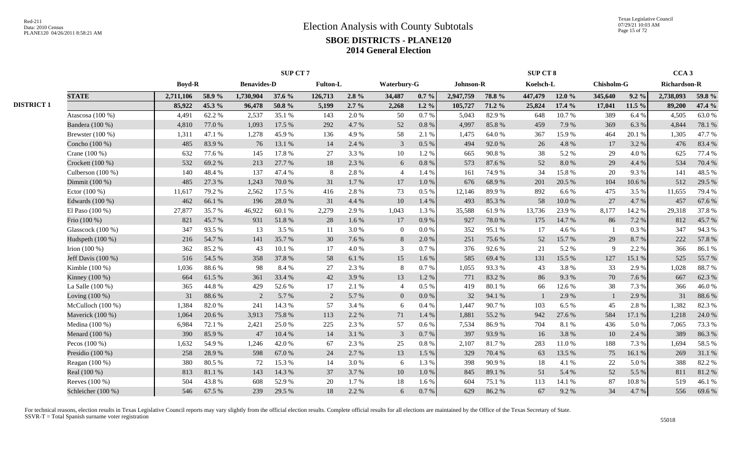|                   |                     |               |        |                    | <b>SUP CT 7</b> |                 |         |                |           |           |        | SUP CT 8  |          |            |         | CCA <sub>3</sub>    |        |
|-------------------|---------------------|---------------|--------|--------------------|-----------------|-----------------|---------|----------------|-----------|-----------|--------|-----------|----------|------------|---------|---------------------|--------|
|                   |                     | <b>Boyd-R</b> |        | <b>Benavides-D</b> |                 | <b>Fulton-L</b> |         | Waterbury-G    |           | Johnson-R |        | Koelsch-L |          | Chisholm-G |         | <b>Richardson-R</b> |        |
|                   | <b>STATE</b>        | 2,711,106     | 58.9%  | 1,730,904          | 37.6 %          | 126,713         | $2.8\%$ | 34,487         | $0.7 \%$  | 2,947,759 | 78.8%  | 447,479   | 12.0 $%$ | 345,640    | $9.2\%$ | 2,738,093           | 59.8 % |
| <b>DISTRICT 1</b> |                     | 85,922        | 45.3 % | 96,478             | 50.8%           | 5,199           | $2.7\%$ | 2,268          | $1.2\%$   | 105,727   | 71.2 % | 25,824    | 17.4 %   | 17,041     | 11.5 %  | 89,200              | 47.4 % |
|                   | Atascosa (100 %)    | 4,491         | 62.2%  | 2,537              | 35.1 %          | 143             | 2.0 %   | 50             | 0.7%      | 5,043     | 82.9%  | 648       | 10.7%    | 389        | 6.4 %   | 4,505               | 63.0%  |
|                   | Bandera (100 %)     | 4,810         | 77.0%  | 1,093              | 17.5 %          | 292             | 4.7 %   | 52             | 0.8%      | 4,997     | 85.8%  | 459       | 7.9%     | 369        | 6.3%    | 4,844               | 78.1 % |
|                   | Brewster (100 %)    | 1,311         | 47.1 % | 1,278              | 45.9%           | 136             | 4.9%    | 58             | 2.1 %     | 1,475     | 64.0%  | 367       | 15.9%    | 464        | 20.1 %  | 1,305               | 47.7%  |
|                   | Concho (100 %)      | 485           | 83.9%  | 76                 | 13.1 %          | 14              | 2.4 %   | $\overline{3}$ | $0.5\%$   | 494       | 92.0%  | 26        | 4.8%     | 17         | 3.2 %   | 476                 | 83.4%  |
|                   | Crane (100 %)       | 632           | 77.6%  | 145                | 17.8%           | 27              | 3.3 %   | 10             | 1.2%      | 665       | 90.8%  | 38        | 5.2 %    | 29         | 4.0%    | 625                 | 77.4 % |
|                   | Crockett $(100\%)$  | 532           | 69.2%  | 213                | 27.7 %          | 18              | 2.3 %   | 6              | $0.8\%$   | 573       | 87.6%  | 52        | 8.0%     | 29         | 4.4 %   | 534                 | 70.4 % |
|                   | Culberson (100 %)   | 140           | 48.4%  | 137                | 47.4 %          | -8              | 2.8%    | $\overline{4}$ | 1.4 %     | 161       | 74.9%  | 34        | 15.8%    | 20         | 9.3%    | 141                 | 48.5%  |
|                   | Dimmit (100 %)      | 485           | 27.3 % | 1,243              | 70.0%           | 31              | 1.7%    | 17             | 1.0%      | 676       | 68.9%  | 201       | 20.5 %   | 104        | 10.6 %  | 512                 | 29.5 % |
|                   | Ector $(100\%)$     | 11,617        | 79.2 % | 2,562              | 17.5 %          | 416             | 2.8%    | 73             | $0.5\%$   | 12,146    | 89.9%  | 892       | 6.6%     | 475        | 3.5%    | 11,655              | 79.4 % |
|                   | Edwards (100 %)     | 462           | 66.1%  | 196                | 28.0%           | 31              | 4.4 %   | 10             | 1.4%      | 493       | 85.3%  | 58        | 10.0%    | 27         | 4.7%    | 457                 | 67.6%  |
|                   | El Paso $(100\%)$   | 27,877        | 35.7%  | 46,922             | 60.1%           | 2,279           | 2.9%    | 1,043          | 1.3%      | 35,588    | 61.9%  | 13,736    | 23.9%    | 8,177      | 14.2 %  | 29,318              | 37.8%  |
|                   | Frio (100 %)        | 821           | 45.7%  | 931                | 51.8%           | 28              | 1.6 %   | 17             | 0.9%      | 927       | 78.0%  | 175       | 14.7 %   | 86         | 7.2 %   | 812                 | 45.7%  |
|                   | Glasscock (100 %)   | 347           | 93.5%  | 13                 | 3.5 %           | 11              | 3.0%    | $\mathbf{0}$   | $0.0\ \%$ | 352       | 95.1 % | 17        | 4.6%     |            | 0.3%    | 347                 | 94.3%  |
|                   | Hudspeth (100 %)    | 216           | 54.7%  | 141                | 35.7%           | 30              | 7.6%    | 8              | 2.0 %     | 251       | 75.6%  | 52        | 15.7%    | 29         | 8.7%    | 222                 | 57.8%  |
|                   | Irion $(100\%)$     | 362           | 85.2%  | 43                 | 10.1 %          | 17              | 4.0 %   | 3              | $0.7\%$   | 376       | 92.6%  | 21        | 5.2 %    | 9          | 2.2 %   | 366                 | 86.1%  |
|                   | Jeff Davis (100 %)  | 516           | 54.5 % | 358                | 37.8%           | 58              | 6.1 %   | 15             | 1.6 %     | 585       | 69.4%  | 131       | 15.5 %   | 127        | 15.1 %  | 525                 | 55.7%  |
|                   | Kimble (100 %)      | 1,036         | 88.6%  | 98                 | 8.4 %           | 27              | 2.3 %   | 8              | 0.7%      | 1,055     | 93.3%  | 43        | 3.8%     | 33         | 2.9%    | 1,028               | 88.7%  |
|                   | Kinney (100 %)      | 664           | 61.5%  | 361                | 33.4 %          | 42              | 3.9%    | 13             | 1.2%      | 771       | 83.2%  | 86        | 9.3%     | 70         | 7.6%    | 667                 | 62.3%  |
|                   | La Salle (100 %)    | 365           | 44.8%  | 429                | 52.6%           | 17              | 2.1 %   | $\overline{4}$ | 0.5 %     | 419       | 80.1%  | 66        | 12.6 %   | 38         | 7.3 %   | 366                 | 46.0%  |
|                   | Loving $(100\%)$    | 31            | 88.6%  | 2                  | 5.7 %           | 2               | 5.7 %   | $\overline{0}$ | 0.0 %     | 32        | 94.1 % |           | 2.9 %    |            | 2.9%    | 31                  | 88.6%  |
|                   | McCulloch $(100\%)$ | 1,384         | 82.0%  | 241                | 14.3 %          | 57              | 3.4 %   | 6              | 0.4 %     | 1,447     | 90.7%  | 103       | 6.5%     | 45         | 2.8%    | 1,382               | 82.3%  |
|                   | Maverick (100 %)    | 1,064         | 20.6%  | 3,913              | 75.8%           | 113             | 2.2 %   | 71             | 1.4 %     | 1,881     | 55.2%  | 942       | 27.6 %   | 584        | 17.1 %  | 1,218               | 24.0 % |
|                   | Medina $(100\%)$    | 6,984         | 72.1 % | 2,421              | 25.0%           | 225             | 2.3 %   | 57             | 0.6%      | 7,534     | 86.9%  | 704       | 8.1 %    | 436        | 5.0%    | 7,065               | 73.3 % |
|                   | Menard (100 %)      | 390           | 85.9%  | 47                 | 10.4%           | 14              | 3.1 %   | $\overline{3}$ | 0.7%      | 397       | 93.9%  | 16        | 3.8%     | 10         | 2.4 %   | 389                 | 86.3%  |
|                   | Pecos $(100\%)$     | 1,632         | 54.9%  | 1,246              | 42.0%           | 67              | 2.3 %   | 25             | 0.8%      | 2,107     | 81.7%  | 283       | 11.0%    | 188        | 7.3 %   | 1,694               | 58.5%  |
|                   | Presidio (100 %)    | 258           | 28.9%  | 598                | 67.0%           | 24              | 2.7 %   | 13             | 1.5 %     | 329       | 70.4 % | 63        | 13.5 %   | 75         | 16.1%   | 269                 | 31.1 % |
|                   | Reagan (100 %)      | 380           | 80.5%  | 72                 | 15.3%           | 14              | 3.0%    | 6              | 1.3%      | 398       | 90.9%  | 18        | 4.1 %    | 22         | 5.0%    | 388                 | 82.2%  |
|                   | Real (100 %)        | 813           | 81.1%  | 143                | 14.3 %          | 37              | 3.7 %   | 10             | 1.0 %     | 845       | 89.1 % | 51        | 5.4 %    | 52         | 5.5 %   | 811                 | 81.2%  |
|                   | Reeves (100 %)      | 504           | 43.8%  | 608                | 52.9%           | 20              | 1.7%    | 18             | 1.6%      | 604       | 75.1 % | 113       | 14.1 %   | 87         | 10.8%   | 519                 | 46.1%  |
|                   | Schleicher (100 %)  | 546           | 67.5 % | 239                | 29.5 %          | 18              | 2.2 %   | 6              | 0.7 %     | 629       | 86.2%  | 67        | 9.2%     | 34         | 4.7%    | 556                 | 69.6%  |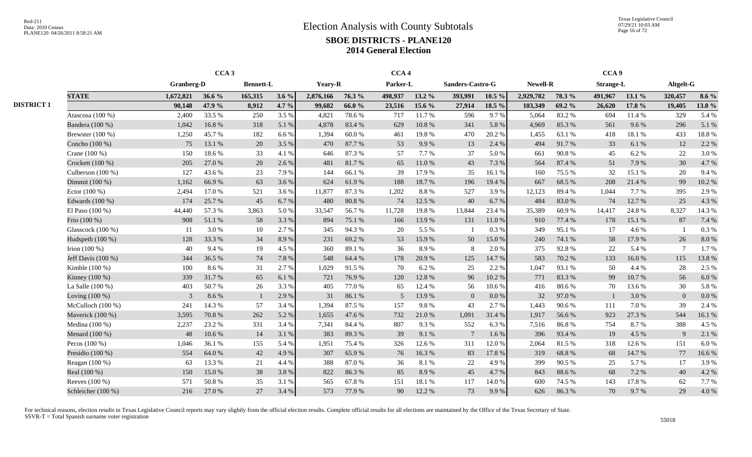Texas Legislative Council 07/29/21 10:03 AM Page 16 of 72

|                   | CCA <sub>3</sub>     |                |        |                  |         |                |        | CCA <sub>4</sub> |            |                          |           |                 |        | CCA <sub>9</sub> |        |           |         |
|-------------------|----------------------|----------------|--------|------------------|---------|----------------|--------|------------------|------------|--------------------------|-----------|-----------------|--------|------------------|--------|-----------|---------|
|                   |                      | Granberg-D     |        | <b>Bennett-L</b> |         | <b>Yeary-R</b> |        | Parker-L         |            | Sanders-Castro-G         |           | <b>Newell-R</b> |        | <b>Strange-L</b> |        | Altgelt-G |         |
|                   | <b>STATE</b>         | 1,672,821      | 36.6 % | 165,315          | $3.6\%$ | 2,876,166      | 76.3 % | 498,937          | 13.2 %     | 393,991                  | $10.5\%$  | 2,929,782       | 78.3 % | 491,967          | 13.1 % | 320,457   | $8.6\%$ |
| <b>DISTRICT 1</b> |                      | 90,148         | 47.9 % | 8,912            | 4.7 %   | 99,682         | 66.0%  | 23,516           | 15.6 %     | 27,914                   | 18.5 %    | 103,349         | 69.2 % | 26,620           | 17.8 % | 19,405    | 13.0 %  |
|                   | Atascosa (100 %)     | 2,400          | 33.5 % | 250              | 3.5 %   | 4,821          | 78.6%  | 717              | 11.7 %     | 596                      | 9.7%      | 5,064           | 83.2%  | 694              | 11.4 % | 329       | 5.4 %   |
|                   | Bandera (100 %)      | 1,042          | 16.8%  | 318              | 5.1 %   | 4.878          | 83.4 % | 629              | 10.8%      | 341                      | 5.8%      | 4,969           | 85.3%  | 561              | 9.6%   | 296       | 5.1 %   |
|                   | Brewster (100 %)     | 1,250          | 45.7%  | 182              | 6.6%    | 1,394          | 60.0%  | 461              | 19.8%      | 470                      | 20.2 %    | 1,455           | 63.1 % | 418              | 18.1%  | 433       | 18.8%   |
|                   | Concho (100 %)       | 75             | 13.1 % | 20               | 3.5 %   | 470            | 87.7 % | 53               | 9.9%       | 13                       | 2.4 %     | 494             | 91.7%  | 33               | 6.1 %  | 12        | 2.2 %   |
|                   | Crane (100 %)        | 150            | 18.6%  | 33               | 4.1 %   | 646            | 87.3%  | 57               | 7.7 %      | 37                       | 5.0%      | 661             | 90.8%  | 45               | 6.2%   | 22        | 3.0%    |
|                   | Crockett (100 %)     | 205            | 27.0%  | 20               | 2.6%    | 481            | 81.7%  | 65               | $11.0\ \%$ | 43                       | 7.3 %     | 564             | 87.4 % | 51               | 7.9%   | 30        | 4.7%    |
|                   | Culberson (100 %)    | 127            | 43.6 % | 23               | 7.9%    | 144            | 66.1 % | 39               | 17.9%      | 35                       | 16.1%     | 160             | 75.5 % | 32               | 15.1 % | 20        | 9.4 %   |
|                   | Dimmit (100 %)       | 1,162          | 66.9%  | 63               | 3.6 %   | 624            | 61.9%  | 188              | 18.7%      | 196                      | 19.4 %    | 667             | 68.5 % | 208              | 21.4 % | 99        | 10.2%   |
|                   | Ector $(100\%)$      | 2,494          | 17.0%  | 521              | 3.6 %   | 11,877         | 87.3%  | 1,202            | 8.8%       | 527                      | 3.9%      | 12,123          | 89.4%  | 1,044            | 7.7 %  | 395       | 2.9%    |
|                   | Edwards (100 %)      | 174            | 25.7 % | 45               | 6.7%    | 480            | 80.8%  | 74               | 12.5 %     | 40                       | 6.7%      | 484             | 83.0%  | 74               | 12.7 % | 25        | 4.3 %   |
|                   | El Paso $(100\%)$    | 44,440         | 57.3 % | 3,863            | 5.0%    | 33,547         | 56.7%  | 11,728           | 19.8%      | 13,844                   | 23.4 %    | 35,389          | 60.9%  | 14,417           | 24.8%  | 8,327     | 14.3 %  |
|                   | Frio (100 %)         | 908            | 51.1 % | 58               | 3.3 %   | 894            | 75.1 % | 166              | 13.9%      | 131                      | 11.0%     | 910             | 77.4 % | 178              | 15.1 % | 87        | 7.4 %   |
|                   | Glasscock (100 %)    | -11            | 3.0%   | 10               | 2.7%    | 345            | 94.3%  | 20               | 5.5 %      | $\overline{\phantom{0}}$ | $0.3~\%$  | 349             | 95.1 % | 17               | 4.6%   |           | 0.3%    |
|                   | Hudspeth (100 %)     | 128            | 33.3 % | 34               | 8.9%    | 231            | 69.2%  | 53               | 15.9%      | 50                       | 15.0%     | 240             | 74.1 % | 58               | 17.9%  | 26        | 8.0%    |
|                   | Irion $(100\%)$      | 40             | 9.4 %  | 19               | 4.5 %   | 360            | 89.1 % | 36               | 8.9%       | 8                        | 2.0%      | 375             | 92.8%  | 22               | 5.4 %  | $\tau$    | 1.7%    |
|                   | Jeff Davis $(100\%)$ | 344            | 36.5 % | 74               | 7.8%    | 548            | 64.4 % | 178              | 20.9%      | 125                      | 14.7%     | 583             | 70.2 % | 133              | 16.0%  | 115       | 13.8 %  |
|                   | Kimble $(100\%)$     | 100            | 8.6%   | 31               | 2.7 %   | 1.029          | 91.5 % | 70               | 6.2%       | 25                       | 2.2 %     | 1,047           | 93.1 % | 50               | 4.4 %  | 28        | 2.5 %   |
|                   | Kinney (100 %)       | 339            | 31.7%  | 65               | 6.1%    | 721            | 76.9%  | 120              | 12.8 %     | 96                       | 10.2%     | 771             | 83.3%  | 99               | 10.7%  | 56        | 6.0%    |
|                   | La Salle (100 %)     | 403            | 50.7%  | 26               | 3.3%    | 405            | 77.0 % | 65               | 12.4 %     | 56                       | 10.6%     | 416             | 80.6%  | 70               | 13.6 % | 30        | 5.8%    |
|                   | Loving $(100\%)$     | $\overline{3}$ | 8.6%   |                  | 2.9%    | 31             | 86.1%  | 5                | 13.9%      | $\overline{0}$           | $0.0\,\%$ | 32              | 97.0%  |                  | 3.0%   | $\Omega$  | 0.0 %   |
|                   | McCulloch $(100\%)$  | 241            | 14.3 % | 57               | 3.4 %   | 1,394          | 87.5 % | 157              | 9.8%       | 43                       | 2.7%      | 1,443           | 90.6%  | 111              | 7.0%   | 39        | 2.4 %   |
|                   | Maverick (100 %)     | 3,595          | 70.8%  | 262              | 5.2 %   | 1,655          | 47.6 % | 732              | 21.0%      | 1,091                    | 31.4 %    | 1,917           | 56.6 % | 923              | 27.3 % | 544       | 16.1 %  |
|                   | Medina $(100\%)$     | 2,237          | 23.2 % | 331              | 3.4 %   | 7,341          | 84.4 % | 807              | 9.3%       | 552                      | 6.3%      | 7,516           | 86.8%  | 754              | 8.7%   | 388       | 4.5 %   |
|                   | Menard (100 %)       | 48             | 10.6%  | 14               | 3.1 %   | 383            | 89.3%  | 39               | 9.1 %      | $\overline{7}$           | 1.6%      | 396             | 93.4 % | 19               | 4.5 %  | 9         | 2.1 %   |
|                   | Pecos $(100\%)$      | 1,046          | 36.1%  | 155              | 5.4 %   | 1,951          | 75.4 % | 326              | 12.6 %     | 311                      | 12.0%     | 2,064           | 81.5%  | 318              | 12.6%  | 151       | 6.0%    |
|                   | Presidio (100 %)     | 554            | 64.0%  | 42               | 4.9%    | 307            | 65.9%  | 76               | 16.3%      | 83                       | 17.8%     | 319             | 68.8%  | 68               | 14.7 % | 77        | 16.6%   |
|                   | Reagan $(100\%)$     | 63             | 13.3 % | 21               | 4.4 %   | 388            | 87.0 % | 36               | 8.1 %      | 22                       | 4.9%      | 399             | 90.5 % | 25               | 5.7 %  | 17        | 3.9%    |
|                   | Real (100 %)         | 150            | 15.0%  | 38               | 3.8%    | 822            | 86.3%  | 85               | 8.9%       | 45                       | 4.7%      | 843             | 88.6%  | 68               | 7.2 %  | 40        | 4.2 %   |
|                   | Reeves (100 %)       | 571            | 50.8%  | 35               | 3.1 %   | 565            | 67.8%  | 151              | 18.1 %     | 117                      | 14.0%     | 600             | 74.5 % | 143              | 17.8%  | 62        | 7.7 %   |
|                   | Schleicher (100 %)   | 216            | 27.0%  | 27               | 3.4 %   | 573            | 77.9 % | 90               | 12.2 %     | 73                       | 9.9%      | 626             | 86.3%  | 70               | 9.7%   | 29        | 4.0%    |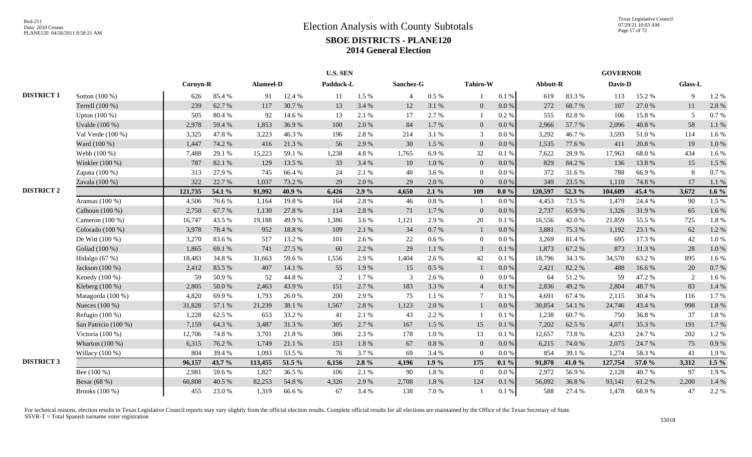|                   |                      |          |        |           |        | <b>U.S. SEN</b> |         |                |         |                 |           |          |        | <b>GOVERNOR</b> |        |         |         |
|-------------------|----------------------|----------|--------|-----------|--------|-----------------|---------|----------------|---------|-----------------|-----------|----------|--------|-----------------|--------|---------|---------|
|                   |                      | Cornyn-R |        | Alameel-D |        | Paddock-L       |         | Sanchez-G      |         | <b>Tahiro-W</b> |           | Abbott-R |        | Davis-D         |        | Glass-L |         |
| <b>DISTRICT 1</b> | Sutton (100 %)       | 626      | 85.4%  | 91        | 12.4 % | 11              | 1.5 %   | $\overline{4}$ | $0.5\%$ |                 | 0.1%      | 619      | 83.3%  | 113             | 15.2 % | 9       | 1.2%    |
|                   | Terrell (100 %)      | 239      | 62.7%  | 117       | 30.7%  | 13              | 3.4 %   | 12             | 3.1 %   | $\mathbf{0}$    | $0.0\,\%$ | 272      | 68.7%  | 107             | 27.0%  | 11      | 2.8%    |
|                   | Upton $(100\%)$      | 505      | 80.4 % | 92        | 14.6 % | 13              | 2.1 %   | 17             | 2.7%    |                 | 0.2%      | 555      | 82.8%  | 106             | 15.8%  | 5       | 0.7%    |
|                   | Uvalde (100 %)       | 2,978    | 59.4 % | 1,853     | 36.9%  | 100             | 2.0 %   | 84             | 1.7%    | $\mathbf{0}$    | 0.0 %     | 2,966    | 57.7 % | 2,096           | 40.8%  | 58      | 1.1 %   |
|                   | Val Verde (100 %)    | 3,325    | 47.8%  | 3,223     | 46.3%  | 196             | 2.8%    | 214            | 3.1%    | 3               | $0.0\%$   | 3,292    | 46.7%  | 3,593           | 51.0%  | 114     | 1.6%    |
|                   | Ward (100 %)         | 1,447    | 74.2 % | 416       | 21.3%  | 56              | 2.9%    | 30             | 1.5 %   | $\mathbf{0}$    | 0.0 %     | 1,535    | 77.6 % | 411             | 20.8%  | 19      | 1.0%    |
|                   | Webb (100 %)         | 7,488    | 29.1 % | 15,223    | 59.1 % | 1,238           | 4.8%    | 1,765          | 6.9%    | $32\,$          | 0.1 %     | 7,622    | 28.9%  | 17,963          | 68.0%  | 434     | 1.6%    |
|                   | Winkler (100 %)      | 787      | 82.1 % | 129       | 13.5 % | 33              | 3.4 %   | 10             | 1.0%    | $\mathbf{0}$    | $0.0\,\%$ | 829      | 84.2 % | 136             | 13.8%  | 15      | 1.5 %   |
|                   | Zapata (100 %)       | 313      | 27.9%  | 745       | 66.4%  | 24              | 2.1 %   | 40             | 3.6%    | $\overline{0}$  | 0.0 %     | 372      | 31.6%  | 788             | 66.9%  | 8       | 0.7%    |
|                   | Zavala (100 %)       | 322      | 22.7 % | 1,037     | 73.2 % | 29              | 2.0%    | 29             | 2.0%    | $\Omega$        | 0.0%      | 349      | 23.5 % | 1,110           | 74.8%  | 17      | 1.1%    |
| <b>DISTRICT 2</b> |                      | 121,735  | 54.1 % | 91,992    | 40.9%  | 6,426           | $2.9\%$ | 4,650          | 2.1%    | 109             | $0.0\%$   | 120,597  | 52.3 % | 104,609         | 45.4 % | 3,672   | 1.6 $%$ |
|                   | Aransas (100 %)      | 4,506    | 76.6%  | 1,164     | 19.8%  | 164             | 2.8%    | 46             | 0.8%    |                 | $0.0\%$   | 4,453    | 73.5 % | 1,479           | 24.4 % | 90      | 1.5 %   |
|                   | Calhoun (100 %)      | 2,750    | 67.7%  | 1,130     | 27.8 % | 114             | 2.8%    | $71\,$         | 1.7%    | $\overline{0}$  | $0.0\%$   | 2,737    | 65.9%  | 1,326           | 31.9%  | 65      | 1.6 %   |
|                   | Cameron (100 %)      | 16,747   | 43.5 % | 19,188    | 49.9%  | 1,386           | 3.6%    | 1,121          | 2.9%    | $20\,$          | 0.1%      | 16,556   | 42.0%  | 21,859          | 55.5 % | 725     | 1.8%    |
|                   | Colorado (100 %)     | 3,978    | 78.4%  | 952       | 18.8 % | 109             | 2.1%    | 34             | 0.7 %   | $\overline{1}$  | $0.0\,\%$ | 3,881    | 75.3 % | 1,192           | 23.1 % | 62      | 1.2 %   |
|                   | De Witt (100 %)      | 3,270    | 83.6%  | 517       | 13.2 % | 101             | 2.6%    | $22\,$         | $0.6\%$ | $\mathbf{0}$    | $0.0\%$   | 3,269    | 81.4%  | 695             | 17.3 % | 42      | 1.0%    |
|                   | Goliad (100 %)       | 1,865    | 69.1 % | 741       | 27.5 % | 60              | 2.2 %   | 29             | 1.1 %   | $\overline{3}$  | 0.1%      | 1,873    | 67.2%  | 873             | 31.3%  | 28      | 1.0 %   |
|                   | Hidalgo (67 %)       | 18,483   | 34.8%  | 31,663    | 59.6%  | 1,556           | 2.9%    | 1,404          | 2.6 %   | $42\,$          | 0.1%      | 18,796   | 34.3 % | 34,570          | 63.2%  | 895     | 1.6%    |
|                   | Jackson (100 %)      | 2,412    | 83.5%  | 407       | 14.1 % | 55              | 1.9%    | 15             | 0.5 %   | -1              | $0.0\,\%$ | 2,421    | 82.2 % | 488             | 16.6%  | 20      | 0.7%    |
|                   | Kenedy (100 %)       | 59       | 50.9%  | 52        | 44.8%  | 2               | 1.7%    | 3              | 2.6 %   | $\Omega$        | 0.0 %     | 64       | 51.2%  | 59              | 47.2%  | 2       | 1.6%    |
|                   | Kleberg (100 %)      | 2,805    | 50.0%  | 2,463     | 43.9%  | 151             | 2.7%    | 183            | 3.3 %   | $\overline{4}$  | 0.1 %     | 2,836    | 49.2 % | 2,804           | 48.7%  | 83      | 1.4 %   |
|                   | Matagorda (100 %)    | 4,820    | 69.9%  | 1,793     | 26.0%  | 200             | 2.9%    | 75             | 1.1%    | $\overline{7}$  | 0.1%      | 4,691    | 67.4 % | 2,115           | 30.4 % | 116     | 1.7%    |
|                   | Nueces (100 %)       | 31,828   | 57.1 % | 21,239    | 38.1 % | 1,567           | 2.8%    | 1,123          | 2.0%    | $\overline{1}$  | $0.0\,\%$ | 30,854   | 54.1 % | 24,746          | 43.4 % | 998     | 1.8%    |
|                   | Refugio (100 %)      | 1,228    | 62.5 % | 653       | 33.2 % | 41              | 2.1%    | 43             | 2.2 %   | - 1             | 0.1%      | 1,238    | 60.7%  | 750             | 36.8%  | 37      | 1.8%    |
|                   | San Patricio (100 %) | 7,159    | 64.3%  | 3,487     | 31.3%  | 305             | 2.7%    | 167            | 1.5 %   | 15              | $0.1\ \%$ | 7,202    | 62.5 % | 4,071           | 35.3%  | 191     | 1.7%    |
|                   | Victoria (100 %)     | 12,706   | 74.8%  | 3,701     | 21.8%  | 386             | 2.3%    | 178            | 1.0%    | 13              | 0.1 %     | 12,657   | 73.8%  | 4,233           | 24.7%  | 202     | 1.2%    |
|                   | Wharton $(100\%)$    | 6,315    | 76.2 % | 1,749     | 21.1 % | 153             | 1.8%    | 67             | 0.8%    | $\mathbf{0}$    | $0.0\,\%$ | 6,215    | 74.0%  | 2,075           | 24.7%  | 75      | 0.9%    |
|                   | Willacy (100 %)      | 804      | 39.4%  | 1,093     | 53.5 % | 76              | 3.7%    | 69             | 3.4 %   | $\Omega$        | 0.0 %     | 854      | 39.1 % | 1,274           | 58.3%  | 41      | 1.9%    |
| <b>DISTRICT 3</b> |                      | 96,157   | 43.7 % | 113,455   | 51.5 % | 6,156           | $2.8\%$ | 4,196          | 1.9%    | 175             | $0.1 \%$  | 91,870   | 41.0%  | 127,754         | 57.0 % | 3,312   | $1.5\%$ |
|                   | Bee (100 %)          | 2,981    | 59.6%  | 1,827     | 36.5 % | 106             | 2.1%    | 90             | 1.8%    | $\overline{0}$  | $0.0\%$   | 2,972    | 56.9%  | 2,128           | 40.7%  | 97      | 1.9%    |
|                   | Bexar (68 %)         | 60,808   | 40.5 % | 82,253    | 54.8 % | 4,326           | 2.9%    | 2,708          | 1.8%    | 124             | 0.1 %     | 56,092   | 36.8%  | 93,141          | 61.2%  | 2,200   | 1.4 %   |
|                   | Brooks (100 %)       | 455      | 23.0%  | 1,319     | 66.6%  | 67              | 3.4%    | 138            | 7.0%    |                 | 0.1%      | 588      | 27.4 % | 1,478           | 68.9%  | 47      | 2.2 %   |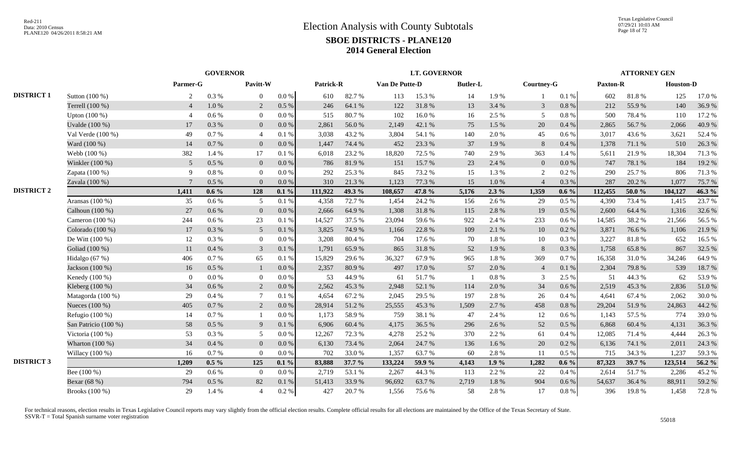|                   |                      | <b>GOVERNOR</b> |           |                 |           |           |        | <b>LT. GOVERNOR</b> |        |                 |          |                |           | <b>ATTORNEY GEN</b> |            |                  |        |
|-------------------|----------------------|-----------------|-----------|-----------------|-----------|-----------|--------|---------------------|--------|-----------------|----------|----------------|-----------|---------------------|------------|------------------|--------|
|                   |                      | Parmer-G        |           | Pavitt-W        |           | Patrick-R |        | Van De Putte-D      |        | <b>Butler-L</b> |          | Courtney-G     |           | Paxton-R            |            | <b>Houston-D</b> |        |
| <b>DISTRICT 1</b> | Sutton (100 %)       | 2               | 0.3%      | $\Omega$        | 0.0 %     | 610       | 82.7%  | 113                 | 15.3 % | 14              | 1.9%     |                | 0.1 %     | 602                 | 81.8%      | 125              | 17.0%  |
|                   | Terrell (100 %)      | $\overline{4}$  | 1.0%      | 2               | 0.5 %     | 246       | 64.1 % | 122                 | 31.8%  | 13              | 3.4 %    | 3              | $0.8\ \%$ | 212                 | 55.9%      | 140              | 36.9%  |
|                   | Upton $(100\%)$      | $\overline{4}$  | 0.6 %     | $\overline{0}$  | 0.0 %     | 515       | 80.7%  | 102                 | 16.0%  | 16              | 2.5 %    | 5              | $0.8\ \%$ | 500                 | 78.4%      | 110              | 17.2 % |
|                   | Uvalde (100 %)       | 17              | 0.3%      | $\overline{0}$  | 0.0 %     | 2,861     | 56.0%  | 2,149               | 42.1 % | 75              | 1.5 %    | 20             | 0.4%      | 2,865               | 56.7%      | 2,066            | 40.9%  |
|                   | Val Verde (100 %)    | 49              | 0.7%      | $\overline{4}$  | 0.1%      | 3.038     | 43.2 % | 3,804               | 54.1 % | 140             | 2.0%     | 45             | $0.6\%$   | 3,017               | 43.6 %     | 3,621            | 52.4 % |
|                   | Ward (100 %)         | 14              | 0.7%      | $\overline{0}$  | 0.0 %     | 1.447     | 74.4 % | 452                 | 23.3 % | 37              | 1.9%     | $\, 8$         | 0.4%      | 1,378               | 71.1 %     | 510              | 26.3 % |
|                   | Webb (100 %)         | 382             | 1.4 %     | 17              | 0.1%      | 6,018     | 23.2 % | 18,820              | 72.5 % | 740             | 2.9%     | 363            | 1.4 %     | 5,611               | 21.9%      | 18,304           | 71.3 % |
|                   | Winkler (100 %)      | 5 <sup>5</sup>  | 0.5 %     | $\mathbf{0}$    | 0.0 %     | 786       | 81.9%  | 151                 | 15.7%  | 23              | 2.4 %    | $\overline{0}$ | 0.0 %     | 747                 | 78.1 %     | 184              | 19.2%  |
|                   | Zapata (100 %)       | 9               | 0.8%      | $\overline{0}$  | 0.0 %     | 292       | 25.3 % | 845                 | 73.2 % | 15              | 1.3 %    | 2              | 0.2 %     | 290                 | 25.7 %     | 806              | 71.3%  |
|                   | Zavala (100 %)       | $\overline{7}$  | 0.5%      | $\Omega$        | 0.0 %     | 310       | 21.3%  | 1,123               | 77.3 % | 15              | 1.0 %    | $\overline{4}$ | 0.3%      | 287                 | 20.2 %     | 1,077            | 75.7%  |
| <b>DISTRICT 2</b> |                      | 1,411           | $0.6\%$   | 128             | $0.1\%$   | 111,922   | 49.3 % | 108,657             | 47.8 % | 5,176           | $2.3\%$  | 1,359          | $0.6\%$   | 112,455             | 50.0%      | 104,127          | 46.3 % |
|                   | Aransas (100 %)      | 35              | $0.6\,\%$ | 5               | 0.1%      | 4,358     | 72.7%  | 1,454               | 24.2 % | 156             | 2.6%     | 29             | $0.5\%$   | 4,390               | 73.4 %     | 1,415            | 23.7%  |
|                   | Calhoun (100 %)      | 27              | 0.6 %     | $\overline{0}$  | $0.0\ \%$ | 2,666     | 64.9%  | 1,308               | 31.8%  | 115             | 2.8%     | 19             | $0.5 \%$  | 2,600               | 64.4 %     | 1,316            | 32.6 % |
|                   | Cameron $(100\%)$    | 244             | 0.6 %     | 23              | 0.1%      | 14,527    | 37.5 % | 23,094              | 59.6%  | 922             | 2.4 %    | 233            | 0.6 %     | 14,585              | 38.2%      | 21,566           | 56.5%  |
|                   | Colorado (100 %)     | 17              | 0.3%      | $5\overline{)}$ | 0.1 %     | 3,825     | 74.9%  | 1,166               | 22.8 % | 109             | 2.1 %    | $10\,$         | 0.2 %     | 3,871               | 76.6%      | 1,106            | 21.9%  |
|                   | De Witt $(100\%)$    | 12              | 0.3%      | $\mathbf{0}$    | 0.0 %     | 3,208     | 80.4%  | 704                 | 17.6 % | 70              | 1.8 %    | $10\,$         | $0.3\ \%$ | 3,227               | $81.8\ \%$ | 652              | 16.5 % |
|                   | Goliad (100 %)       | 11              | 0.4%      | $\mathfrak{Z}$  | 0.1%      | 1,791     | 65.9%  | 865                 | 31.8%  | 52              | 1.9%     | $8\,$          | 0.3%      | 1,758               | 65.8%      | 867              | 32.5 % |
|                   | Hidalgo $(67%)$      | 406             | 0.7 %     | 65              | 0.1%      | 15,829    | 29.6%  | 36,327              | 67.9%  | 965             | 1.8%     | 369            | $0.7\%$   | 16,358              | 31.0%      | 34,246           | 64.9%  |
|                   | Jackson (100 %)      | 16              | $0.5\%$   | $\mathbf{1}$    | $0.0\ \%$ | 2,357     | 80.9%  | 497                 | 17.0 % | 57              | 2.0 %    | $\overline{4}$ | $0.1~\%$  | 2,304               | 79.8%      | 539              | 18.7%  |
|                   | Kenedy (100 %)       | $\overline{0}$  | $0.0\ \%$ | $\overline{0}$  | 0.0 %     | 53        | 44.9%  | 61                  | 51.7%  |                 | $0.8~\%$ | 3              | 2.5 %     | 51                  | 44.3 %     | 62               | 53.9%  |
|                   | Kleberg (100 %)      | 34              | 0.6 %     | 2               | $0.0\ \%$ | 2,562     | 45.3%  | 2,948               | 52.1 % | 114             | 2.0%     | 34             | $0.6\,\%$ | 2,519               | 45.3%      | 2,836            | 51.0%  |
|                   | Matagorda (100 %)    | 29              | 0.4%      | $\tau$          | 0.1%      | 4.654     | 67.2%  | 2,045               | 29.5 % | 197             | 2.8%     | 26             | 0.4%      | 4.641               | 67.4 %     | 2,062            | 30.0%  |
|                   | Nueces (100 %)       | 405             | 0.7 %     | 2               | $0.0\ \%$ | 28,914    | 51.2%  | 25,555              | 45.3%  | 1,509           | 2.7%     | 458            | $0.8\ \%$ | 29,204              | 51.9%      | 24,863           | 44.2 % |
|                   | Refugio (100 %)      | 14              | 0.7 %     | -1              | 0.0 %     | 1,173     | 58.9%  | 759                 | 38.1%  | 47              | 2.4 %    | 12             | $0.6\,\%$ | 1,143               | 57.5 %     | 774              | 39.0%  |
|                   | San Patricio (100 %) | 58              | 0.5 %     | 9               | $0.1\ \%$ | 6,906     | 60.4 % | 4,175               | 36.5 % | 296             | 2.6%     | 52             | $0.5\%$   | 6,868               | 60.4 %     | 4,131            | 36.3%  |
|                   | Victoria $(100\%)$   | 53              | 0.3%      | 5               | 0.0 %     | 12,267    | 72.3 % | 4,278               | 25.2 % | 370             | 2.2 %    | 61             | $0.4\%$   | 12,085              | 71.4 %     | 4,444            | 26.3%  |
|                   | Wharton $(100\%)$    | 34              | 0.4%      | $\mathbf{0}$    | $0.0\ \%$ | 6,130     | 73.4 % | 2,064               | 24.7%  | 136             | 1.6 %    | 20             | 0.2 %     | 6,136               | 74.1 %     | 2,011            | 24.3 % |
|                   | Willacy $(100\%)$    | 16              | 0.7%      | $\overline{0}$  | 0.0 %     | 702       | 33.0%  | 1,357               | 63.7%  | 60              | 2.8%     | 11             | $0.5\%$   | 715                 | 34.3 %     | 1,237            | 59.3%  |
| <b>DISTRICT 3</b> |                      | 1,209           | $0.5\%$   | 125             | $0.1\%$   | 83,888    | 37.7 % | 133,224             | 59.9%  | 4,143           | 1.9%     | 1,282          | $0.6\%$   | 87,323              | 39.7 %     | 123,514          | 56.2 % |
|                   | Bee $(100\%)$        | 29              | $0.6\%$   | $\overline{0}$  | 0.0 %     | 2,719     | 53.1 % | 2,267               | 44.3 % | 113             | 2.2 %    | 22             | 0.4 %     | 2,614               | 51.7%      | 2,286            | 45.2%  |
|                   | Bexar (68 %)         | 794             | 0.5%      | 82              | 0.1 %     | 51,413    | 33.9%  | 96,692              | 63.7%  | 2,719           | 1.8%     | 904            | 0.6 %     | 54,637              | 36.4 %     | 88,911           | 59.2%  |
|                   | Brooks (100 %)       | 29              | 1.4 %     | $\overline{4}$  | 0.2 %     | 427       | 20.7%  | 1,556               | 75.6%  | 58              | 2.8%     | 17             | 0.8 %     | 396                 | 19.8%      | 1,458            | 72.8%  |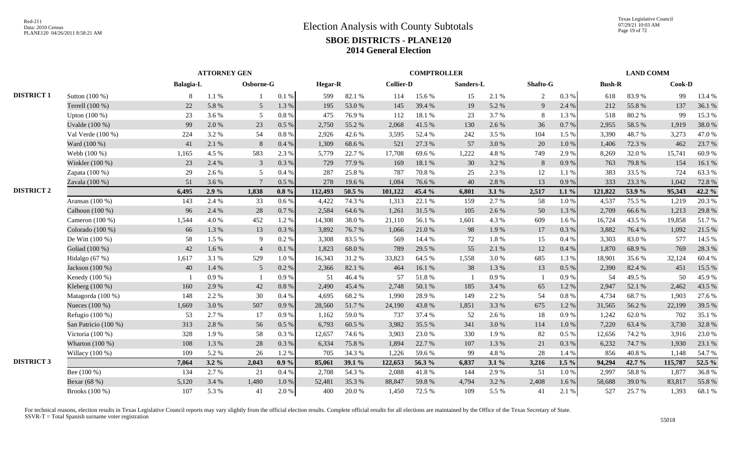|                   |                      | <b>ATTORNEY GEN</b><br>Osborne-G |         |                 |           |                |            |                  | <b>COMPTROLLER</b> |           |           |                |           |               | <b>LAND COMM</b> |         |        |
|-------------------|----------------------|----------------------------------|---------|-----------------|-----------|----------------|------------|------------------|--------------------|-----------|-----------|----------------|-----------|---------------|------------------|---------|--------|
|                   |                      | <b>Balagia-L</b>                 |         |                 |           | <b>Hegar-R</b> |            | <b>Collier-D</b> |                    | Sanders-L |           | Shafto-G       |           | <b>Bush-R</b> |                  | Cook-D  |        |
| <b>DISTRICT 1</b> | Sutton (100 %)       | 8                                | 1.1%    |                 | 0.1%      | 599            | 82.1 %     | 114              | 15.6 %             | 15        | 2.1 %     | $\overline{2}$ | 0.3%      | 618           | 83.9%            | 99      | 13.4 % |
|                   | Terrell (100 %)      | 22                               | 5.8%    | $5\overline{)}$ | 1.3 %     | 195            | 53.0%      | 145              | 39.4 %             | 19        | 5.2 %     | 9              | 2.4 %     | 212           | 55.8%            | 137     | 36.1%  |
|                   | Upton (100 %)        | 23                               | 3.6 %   | 5               | $0.8\ \%$ | 475            | 76.9%      | 112              | 18.1%              | 23        | 3.7%      | 8              | 1.3 %     | 518           | 80.2%            | 99      | 15.3%  |
|                   | Uvalde (100 %)       | 99                               | 2.0%    | 23              | $0.5\%$   | 2.750          | 55.2%      | 2,068            | 41.5 %             | 130       | 2.6 %     | 36             | 0.7 %     | 2,955         | 58.5 %           | 1,919   | 38.0%  |
|                   | Val Verde (100 %)    | 224                              | 3.2 %   | 54              | 0.8%      | 2,926          | 42.6%      | 3,595            | 52.4 %             | 242       | 3.5 %     | 104            | 1.5 %     | 3,390         | 48.7%            | 3,273   | 47.0%  |
|                   | Ward (100 %)         | 41                               | 2.1 %   | $8\phantom{.}8$ | 0.4%      | 1,309          | 68.6%      | 521              | 27.3 %             | 57        | 3.0%      | 20             | 1.0 %     | 1,406         | 72.3 %           | 462     | 23.7%  |
|                   | Webb (100 %)         | 1,165                            | 4.5 %   | 583             | 2.3 %     | 5.779          | 22.7 %     | 17,708           | 69.6%              | 1,222     | 4.8%      | 749            | 2.9%      | 8,269         | 32.0%            | 15,741  | 60.9%  |
|                   | Winkler (100 %)      | 23                               | 2.4 %   | $\overline{3}$  | $0.3\%$   | 729            | 77.9%      | 169              | 18.1 %             | 30        | 3.2 %     | 8              | 0.9%      | 763           | 79.8%            | 154     | 16.1%  |
|                   | Zapata (100 %)       | 29                               | 2.6 %   | 5               | 0.4%      | 287            | 25.8%      | 787              | 70.8%              | 25        | 2.3%      | $12\,$         | 1.1 %     | 383           | 33.5 %           | 724     | 63.3%  |
|                   | Zavala (100 %)       | 51                               | 3.6 %   | $\overline{7}$  | 0.5%      | 278            | 19.6%      | 1,084            | 76.6%              | 40        | 2.8%      | 13             | 0.9%      | 333           | 23.3 %           | 1,042   | 72.8%  |
| <b>DISTRICT 2</b> |                      | 6,495                            | 2.9%    | 1,838           | $0.8\%$   | 112,493        | 50.5 %     | 101,122          | 45.4 %             | 6,801     | 3.1%      | 2,517          | $1.1\%$   | 121,822       | 53.9%            | 95,343  | 42.2 % |
|                   | Aransas (100 %)      | 143                              | 2.4 %   | 33              | 0.6 %     | 4,422          | 74.3 %     | 1,313            | 22.1 %             | 159       | 2.7%      | 58             | $1.0\ \%$ | 4,537         | 75.5 %           | 1,219   | 20.3%  |
|                   | Calhoun (100 %)      | 96                               | 2.4 %   | 28              | $0.7~\%$  | 2,584          | 64.6%      | 1,261            | 31.5%              | 105       | 2.6%      | 50             | 1.3%      | 2,709         | 66.6%            | 1,213   | 29.8%  |
|                   | Cameron $(100\%)$    | 1,544                            | 4.0 %   | 452             | 1.2%      | 14,308         | 38.0%      | 21,110           | 56.1%              | 1,601     | 4.3 %     | 609            | $1.6\%$   | 16,724        | 43.5 %           | 19,858  | 51.7%  |
|                   | Colorado (100 %)     | 66                               | 1.3 %   | 13              | 0.3 %     | 3,892          | 76.7%      | 1,066            | 21.0%              | 98        | 1.9%      | 17             | 0.3 %     | 3,882         | 76.4%            | 1,092   | 21.5 % |
|                   | De Witt $(100\%)$    | 58                               | 1.5 %   | 9               | 0.2 %     | 3,308          | 83.5%      | 569              | 14.4 %             | 72        | $1.8\ \%$ | 15             | 0.4%      | 3,303         | 83.0%            | 577     | 14.5 % |
|                   | Goliad (100 %)       | 42                               | 1.6%    | $\overline{4}$  | 0.1%      | 1,823          | 68.0%      | 789              | 29.5 %             | 55        | 2.1 %     | 12             | 0.4%      | 1,870         | 68.9%            | 769     | 28.3%  |
|                   | Hidalgo $(67%)$      | 1,617                            | 3.1 %   | 529             | 1.0%      | 16,343         | 31.2%      | 33,823           | 64.5 %             | 1,558     | 3.0%      | 685            | 1.3 %     | 18,901        | 35.6 %           | 32,124  | 60.4%  |
|                   | Jackson (100 %)      | 40                               | 1.4 %   | $5\overline{)}$ | 0.2 %     | 2,366          | 82.1 %     | 464              | 16.1%              | 38        | 1.3%      | 13             | $0.5\%$   | 2,390         | 82.4 %           | 451     | 15.5 % |
|                   | Kenedy (100 %)       |                                  | 0.9%    | $\overline{1}$  | 0.9%      | 51             | 46.4%      | 57               | 51.8%              |           | 0.9%      | $\overline{1}$ | 0.9%      | 54            | 49.5 %           | 50      | 45.9%  |
|                   | Kleberg (100 %)      | 160                              | 2.9 %   | 42              | 0.8%      | 2.490          | 45.4 %     | 2,748            | 50.1 %             | 185       | 3.4 %     | 65             | 1.2 %     | 2,947         | 52.1 %           | 2,462   | 43.5 % |
|                   | Matagorda (100 %)    | 148                              | 2.2 %   | 30              | 0.4%      | 4,695          | 68.2%      | 1,990            | 28.9%              | 149       | 2.2 %     | 54             | $0.8~\%$  | 4,734         | 68.7%            | 1,903   | 27.6 % |
|                   | Nueces (100 %)       | 1,669                            | 3.0%    | 507             | 0.9%      | 28,560         | 51.7%      | 24,190           | 43.8%              | 1,851     | 3.3 %     | 675            | 1.2 %     | 31,565        | 56.2%            | 22,199  | 39.5 % |
|                   | Refugio $(100\%)$    | 53                               | 2.7 %   | 17              | 0.9%      | 1,162          | 59.0%      | 737              | 37.4 %             | 52        | 2.6 %     | 18             | 0.9%      | 1,242         | 62.0%            | 702     | 35.1 % |
|                   | San Patricio (100 %) | 313                              | 2.8%    | 56              | $0.5\ \%$ | 6,793          | 60.5 %     | 3,982            | 35.5 %             | 341       | 3.0%      | 114            | $1.0\ \%$ | 7,220         | 63.4 %           | 3,730   | 32.8%  |
|                   | Victoria (100 %)     | 328                              | 1.9%    | 58              | 0.3%      | 12,657         | 74.6%      | 3,903            | 23.0%              | 330       | 1.9%      | 82             | $0.5\%$   | 12,656        | 74.2 %           | 3,916   | 23.0%  |
|                   | Wharton $(100\%)$    | 108                              | 1.3%    | 28              | $0.3\%$   | 6,334          | 75.8%      | 1,894            | 22.7 %             | 107       | 1.3%      | 21             | 0.3%      | 6,232         | 74.7 %           | 1,930   | 23.1 % |
|                   | Willacy (100 %)      | 109                              | 5.2 %   | 26              | 1.2%      | 705            | 34.3 %     | 1,226            | 59.6%              | 99        | 4.8%      | 28             | 1.4 %     | 856           | 40.8%            | 1,148   | 54.7%  |
| <b>DISTRICT 3</b> |                      | 7,064                            | $3.2\%$ | 2,043           | $0.9\%$   | 85,061         | 39.1 %     | 122,653          | 56.3 %             | 6,837     | 3.1%      | 3,216          | $1.5\%$   | 94,294        | 42.7 %           | 115,787 | 52.5 % |
|                   | Bee $(100\%)$        | 134                              | 2.7 %   | 21              | 0.4%      | 2,708          | 54.3 %     | 2,088            | 41.8%              | 144       | 2.9%      | 51             | $1.0\ \%$ | 2.997         | 58.8%            | 1,877   | 36.8%  |
|                   | Bexar (68 %)         | 5,120                            | 3.4 %   | 1,480           | 1.0%      | 52,481         | 35.3 %     | 88,847           | 59.8%              | 4,794     | 3.2%      | 2,408          | 1.6%      | 58,688        | 39.0%            | 83,817  | 55.8%  |
|                   | Brooks (100 %)       | 107                              | 5.3 %   | 41              | 2.0%      | 400            | $20.0\;\%$ | 1,450            | 72.5 %             | 109       | 5.5 %     | 41             | 2.1 %     | 527           | 25.7%            | 1,393   | 68.1%  |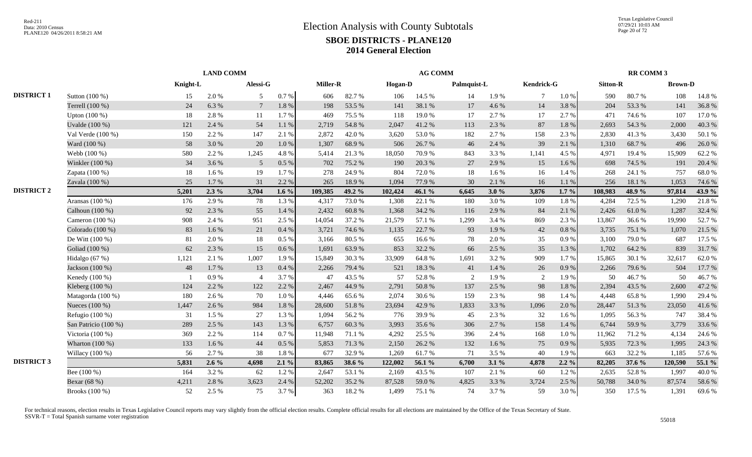|                   |                      | <b>LAND COMM</b> |         |                |           |          |        | <b>AG COMM</b> |        |             |         |            |           | <b>RR COMM 3</b> |        |                |        |
|-------------------|----------------------|------------------|---------|----------------|-----------|----------|--------|----------------|--------|-------------|---------|------------|-----------|------------------|--------|----------------|--------|
|                   |                      | Knight-L         |         | Alessi-G       |           | Miller-R |        | Hogan-D        |        | Palmquist-L |         | Kendrick-G |           | <b>Sitton-R</b>  |        | <b>Brown-D</b> |        |
| <b>DISTRICT 1</b> | Sutton (100 %)       | 15               | 2.0 %   | 5              | 0.7 %     | 606      | 82.7%  | 106            | 14.5 % | 14          | 1.9%    | $\tau$     | $1.0 \%$  | 590              | 80.7%  | 108            | 14.8%  |
|                   | Terrell (100 %)      | 24               | 6.3%    | 7              | $1.8\ \%$ | 198      | 53.5 % | 141            | 38.1 % | 17          | 4.6 %   | 14         | 3.8%      | 204              | 53.3%  | 141            | 36.8%  |
|                   | Upton $(100\%)$      | 18               | 2.8%    | 11             | 1.7%      | 469      | 75.5 % | 118            | 19.0%  | 17          | 2.7 %   | 17         | 2.7 %     | 471              | 74.6 % | 107            | 17.0%  |
|                   | Uvalde (100 %)       | 121              | 2.4 %   | 54             | 1.1%      | 2,719    | 54.8%  | 2,047          | 41.2%  | 113         | 2.3 %   | 87         | $1.8~\%$  | 2,693            | 54.3 % | 2,000          | 40.3%  |
|                   | Val Verde (100 %)    | 150              | 2.2 %   | 147            | 2.1 %     | 2,872    | 42.0 % | 3,620          | 53.0%  | 182         | 2.7 %   | 158        | 2.3 %     | 2,830            | 41.3%  | 3,430          | 50.1%  |
|                   | Ward (100 %)         | 58               | 3.0%    | 20             | $1.0\ \%$ | 1,307    | 68.9%  | 506            | 26.7%  | 46          | 2.4 %   | 39         | 2.1 %     | 1,310            | 68.7%  | 496            | 26.0%  |
|                   | Webb (100 %)         | 580              | 2.2 %   | 1,245          | 4.8%      | 5,414    | 21.3%  | 18,050         | 70.9%  | 843         | 3.3 %   | 1,141      | 4.5 %     | 4.971            | 19.4 % | 15,909         | 62.2%  |
|                   | Winkler (100 %)      | 34               | 3.6%    | 5              | 0.5 %     | 702      | 75.2 % | 190            | 20.3 % | 27          | 2.9%    | 15         | 1.6 %     | 698              | 74.5 % | 191            | 20.4 % |
|                   | Zapata (100 %)       | 18               | 1.6%    | 19             | 1.7%      | 278      | 24.9%  | 804            | 72.0%  | 18          | 1.6 %   | 16         | 1.4 %     | 268              | 24.1 % | 757            | 68.0%  |
|                   | Zavala (100 %)       | 25               | 1.7%    | 31             | 2.2 %     | 265      | 18.9%  | 1,094          | 77.9%  | 30          | 2.1 %   | 16         | 1.1%      | 256              | 18.1%  | 1,053          | 74.6%  |
| <b>DISTRICT 2</b> |                      | 5,201            | $2.3\%$ | 3,704          | $1.6\%$   | 109.385  | 49.2 % | 102,424        | 46.1 % | 6,645       | 3.0%    | 3,876      | $1.7\%$   | 108.983          | 48.9%  | 97,814         | 43.9%  |
|                   | Aransas $(100\%)$    | 176              | 2.9%    | 78             | 1.3%      | 4.317    | 73.0%  | 1,308          | 22.1 % | 180         | 3.0%    | 109        | 1.8%      | 4.284            | 72.5 % | 1,290          | 21.8%  |
|                   | Calhoun (100 %)      | 92               | 2.3 %   | 55             | 1.4 %     | 2,432    | 60.8%  | 1,368          | 34.2 % | 116         | 2.9%    | 84         | 2.1 %     | 2,426            | 61.0%  | 1,287          | 32.4 % |
|                   | Cameron (100 %)      | 908              | 2.4 %   | 951            | 2.5 %     | 14,054   | 37.2 % | 21,579         | 57.1 % | 1,299       | 3.4 %   | 869        | 2.3 %     | 13,867           | 36.6%  | 19,990         | 52.7%  |
|                   | Colorado (100 %)     | 83               | 1.6 %   | 21             | 0.4 %     | 3,721    | 74.6 % | 1,135          | 22.7 % | 93          | 1.9%    | 42         | $0.8\ \%$ | 3,735            | 75.1 % | 1,070          | 21.5 % |
|                   | De Witt $(100\%)$    | 81               | 2.0%    | $18\,$         | 0.5%      | 3,166    | 80.5 % | 655            | 16.6%  | 78          | 2.0%    | 35         | 0.9%      | 3,100            | 79.0%  | 687            | 17.5 % |
|                   | Goliad (100 %)       | 62               | 2.3%    | 15             | 0.6 %     | 1.691    | 63.9%  | 853            | 32.2 % | 66          | 2.5 %   | 35         | 1.3%      | 1.702            | 64.2 % | 839            | 31.7%  |
|                   | Hidalgo (67 %)       | 1,121            | 2.1 %   | 1,007          | 1.9%      | 15,849   | 30.3%  | 33,909         | 64.8%  | 1,691       | 3.2 %   | 909        | 1.7%      | 15,865           | 30.1 % | 32,617         | 62.0%  |
|                   | Jackson (100 %)      | 48               | 1.7%    | 13             | 0.4%      | 2,266    | 79.4 % | 521            | 18.3%  | 41          | 1.4%    | 26         | 0.9%      | 2,266            | 79.6%  | 504            | 17.7 % |
|                   | Kenedy (100 %)       |                  | 0.9%    | $\overline{4}$ | 3.7%      | 47       | 43.5 % | 57             | 52.8%  | 2           | 1.9%    | 2          | 1.9%      | 50               | 46.7%  | 50             | 46.7%  |
|                   | Kleberg (100 %)      | 124              | 2.2 %   | 122            | 2.2 %     | 2.467    | 44.9%  | 2,791          | 50.8%  | 137         | 2.5 %   | 98         | 1.8%      | 2.394            | 43.5 % | 2,600          | 47.2%  |
|                   | Matagorda (100 %)    | 180              | 2.6%    | 70             | 1.0%      | 4,446    | 65.6%  | 2,074          | 30.6%  | 159         | 2.3 %   | 98         | 1.4 %     | 4,448            | 65.8%  | 1,990          | 29.4 % |
|                   | Nueces (100 %)       | 1,447            | 2.6%    | 984            | 1.8%      | 28,600   | 51.8%  | 23,694         | 42.9%  | 1,833       | 3.3%    | 1,096      | 2.0 %     | 28,447           | 51.3%  | 23,050         | 41.6%  |
|                   | Refugio (100 %)      | 31               | 1.5 %   | 27             | 1.3%      | 1,094    | 56.2%  | 776            | 39.9%  | 45          | 2.3 %   | 32         | 1.6%      | 1,095            | 56.3%  | 747            | 38.4%  |
|                   | San Patricio (100 %) | 289              | 2.5 %   | 143            | 1.3 %     | 6,757    | 60.3%  | 3,993          | 35.6 % | 306         | 2.7 %   | 158        | 1.4 %     | 6,744            | 59.9%  | 3,779          | 33.6%  |
|                   | Victoria (100 %)     | 369              | 2.2 %   | 114            | 0.7%      | 11,948   | 71.1 % | 4,292          | 25.5 % | 396         | 2.4 %   | 168        | $1.0\%$   | 11,962           | 71.2%  | 4,134          | 24.6%  |
|                   | Wharton $(100\%)$    | 133              | $1.6\%$ | 44             | 0.5 %     | 5,853    | 71.3 % | 2,150          | 26.2 % | 132         | 1.6 %   | 75         | $0.9\ \%$ | 5,935            | 72.3 % | 1,995          | 24.3 % |
|                   | Willacy (100 %)      | 56               | 2.7%    | 38             | 1.8%      | 677      | 32.9%  | 1,269          | 61.7%  | 71          | 3.5 %   | 40         | 1.9%      | 663              | 32.2 % | 1,185          | 57.6%  |
| <b>DISTRICT 3</b> |                      | 5,831            | $2.6\%$ | 4,698          | 2.1%      | 83,865   | 38.6 % | 122,002        | 56.1 % | 6,700       | $3.1\%$ | 4,878      | $2.2\%$   | 82,205           | 37.6 % | 120,590        | 55.1 % |
|                   | Bee $(100\%)$        | 164              | 3.2 %   | 62             | 1.2%      | 2.647    | 53.1 % | 2,169          | 43.5 % | 107         | 2.1 %   | 60         | 1.2%      | 2,635            | 52.8%  | 1,997          | 40.0%  |
|                   | Bexar (68 %)         | 4,211            | 2.8%    | 3,623          | 2.4 %     | 52,202   | 35.2 % | 87,528         | 59.0%  | 4,825       | 3.3 %   | 3,724      | 2.5 %     | 50,788           | 34.0 % | 87,574         | 58.6%  |
|                   | Brooks (100 %)       | 52               | 2.5 %   | 75             | 3.7%      | 363      | 18.2%  | 1,499          | 75.1 % | 74          | 3.7%    | 59         | 3.0%      | 350              | 17.5 % | 1,391          | 69.6%  |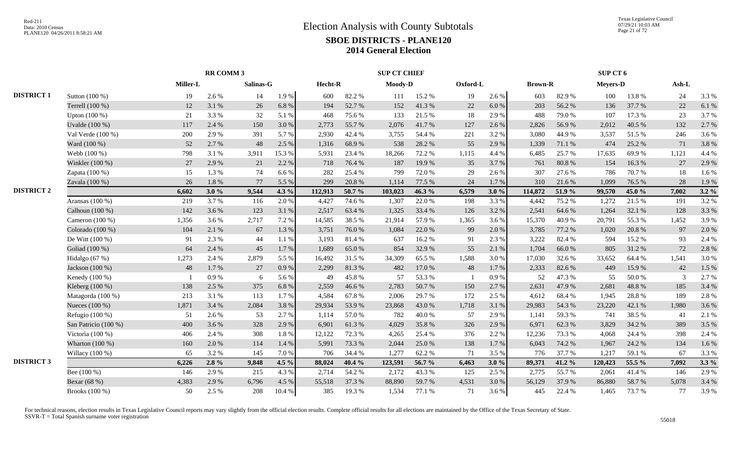|                   |                      |          | RR COMM 3 |           |         |         |        | <b>SUP CT CHIEF</b> |        |          |       |                |        | SUP CT 6        |        |       |         |
|-------------------|----------------------|----------|-----------|-----------|---------|---------|--------|---------------------|--------|----------|-------|----------------|--------|-----------------|--------|-------|---------|
|                   |                      | Miller-L |           | Salinas-G |         | Hecht-R |        | Moody-D             |        | Oxford-L |       | <b>Brown-R</b> |        | <b>Meyers-D</b> |        | Ash-L |         |
| <b>DISTRICT 1</b> | Sutton (100 %)       | 19       | 2.6 %     | 14        | 1.9%    | 600     | 82.2%  | 111                 | 15.2 % | 19       | 2.6 % | 603            | 82.9%  | 100             | 13.8%  | 24    | 3.3%    |
|                   | Terrell (100 %)      | 12       | 3.1 %     | 26        | 6.8%    | 194     | 52.7%  | 152                 | 41.3%  | 22       | 6.0 % | 203            | 56.2%  | 136             | 37.7 % | 22    | 6.1%    |
|                   | Upton (100 %)        | 21       | 3.3%      | 32        | 5.1 %   | 468     | 75.6%  | 133                 | 21.5 % | 18       | 2.9%  | 488            | 79.0%  | 107             | 17.3 % | 23    | 3.7%    |
|                   | Uvalde (100 %)       | 117      | 2.4 %     | 150       | 3.0%    | 2,773   | 55.7%  | 2,076               | 41.7%  | 127      | 2.6 % | 2,826          | 56.9%  | 2,012           | 40.5 % | 132   | 2.7 %   |
|                   | Val Verde (100 %)    | 200      | 2.9%      | 391       | 5.7%    | 2,930   | 42.4 % | 3,755               | 54.4 % | 221      | 3.2%  | 3,080          | 44.9%  | 3,537           | 51.5%  | 246   | 3.6%    |
|                   | Ward (100 %)         | 52       | 2.7 %     | 48        | 2.5 %   | 1,316   | 68.9%  | 538                 | 28.2 % | 55       | 2.9%  | 1,339          | 71.1 % | 474             | 25.2 % | 71    | 3.8%    |
|                   | Webb (100 %)         | 798      | 3.1 %     | 3,911     | 15.3 %  | 5.931   | 23.4 % | 18,266              | 72.2 % | 1,115    | 4.4 % | 6,485          | 25.7 % | 17,635          | 69.9%  | 1,121 | 4.4 %   |
|                   | Winkler (100 %)      | 27       | 2.9%      | 21        | 2.2 %   | 718     | 76.4 % | 187                 | 19.9%  | 35       | 3.7%  | 761            | 80.8%  | 154             | 16.3%  | 27    | 2.9%    |
|                   | Zapata (100 %)       | 15       | 1.3%      | 74        | 6.6%    | 282     | 25.4 % | 799                 | 72.0%  | 29       | 2.6 % | 307            | 27.6 % | 786             | 70.7%  | 18    | 1.6%    |
|                   | Zavala (100 %)       | 26       | 1.8%      | 77        | 5.5 %   | 299     | 20.8%  | 1,114               | 77.5 % | 24       | 1.7%  | 310            | 21.6%  | 1,099           | 76.5 % | 28    | 1.9%    |
| <b>DISTRICT 2</b> |                      | 6,602    | 3.0%      | 9,544     | 4.3 %   | 112,913 | 50.7 % | 103,023             | 46.3%  | 6,579    | 3.0%  | 114,872        | 51.9 % | 99,570          | 45.0 % | 7,002 | $3.2\%$ |
|                   | Aransas (100 %)      | 219      | 3.7%      | 116       | 2.0%    | 4,427   | 74.6%  | 1,307               | 22.0%  | 198      | 3.3 % | 4,442          | 75.2 % | 1,272           | 21.5 % | 191   | 3.2%    |
|                   | Calhoun (100 %)      | 142      | 3.6%      | 123       | 3.1 %   | 2,517   | 63.4%  | 1,325               | 33.4 % | 126      | 3.2%  | 2,541          | 64.6 % | 1,264           | 32.1 % | 128   | 3.3 %   |
|                   | Cameron (100 %)      | 1,356    | 3.6 %     | 2,717     | 7.2 %   | 14,585  | 38.5%  | 21,914              | 57.9%  | 1,365    | 3.6%  | 15,370         | 40.9%  | 20,791          | 55.3%  | 1,452 | 3.9%    |
|                   | Colorado (100 %)     | 104      | 2.1 %     | 67        | 1.3 %   | 3,751   | 76.0%  | 1,084               | 22.0%  | 99       | 2.0%  | 3,785          | 77.2 % | 1,020           | 20.8%  | 97    | 2.0%    |
|                   | De Witt (100 %)      | 91       | 2.3 %     | 44        | 1.1 %   | 3,193   | 81.4%  | 637                 | 16.2%  | 91       | 2.3%  | 3,222          | 82.4 % | 594             | 15.2 % | 93    | 2.4 %   |
|                   | Goliad (100 %)       | 64       | 2.4 %     | 45        | 1.7%    | 1,689   | 65.0%  | 854                 | 32.9%  | 55       | 2.1 % | 1,704          | 66.0%  | 805             | 31.2%  | 72    | 2.8%    |
|                   | Hidalgo (67 %)       | 1,273    | 2.4 %     | 2,879     | 5.5 %   | 16,492  | 31.5 % | 34,309              | 65.5%  | 1,588    | 3.0%  | 17,030         | 32.6 % | 33,652          | 64.4 % | 1,541 | 3.0%    |
|                   | Jackson (100 %)      | 48       | 1.7%      | 27        | 0.9%    | 2,299   | 81.3%  | 482                 | 17.0 % | 48       | 1.7%  | 2,333          | 82.6%  | 449             | 15.9%  | 42    | 1.5 %   |
|                   | Kenedy (100 %)       |          | 0.9%      | 6         | 5.6 %   | 49      | 45.8%  | 57                  | 53.3 % |          | 0.9%  | 52             | 47.3 % | 55              | 50.0%  | 3     | 2.7%    |
|                   | Kleberg (100 %)      | 138      | 2.5 %     | 375       | 6.8%    | 2,559   | 46.6%  | 2,783               | 50.7%  | 150      | 2.7 % | 2,631          | 47.9%  | 2,681           | 48.8%  | 185   | 3.4 %   |
|                   | Matagorda (100 %)    | 213      | 3.1 %     | 113       | 1.7%    | 4,584   | 67.8%  | 2,006               | 29.7%  | 172      | 2.5 % | 4,612          | 68.4%  | 1,945           | 28.8%  | 189   | 2.8%    |
|                   | Nueces (100 %)       | 1,871    | 3.4 %     | 2,084     | 3.8%    | 29,934  | 53.9%  | 23,868              | 43.0%  | 1,718    | 3.1 % | 29,983         | 54.3 % | 23,220          | 42.1 % | 1,980 | 3.6%    |
|                   | Refugio (100 %)      | 51       | 2.6%      | 53        | 2.7 %   | 1,114   | 57.0%  | 782                 | 40.0%  | 57       | 2.9%  | 1,141          | 59.3%  | 741             | 38.5%  | 41    | 2.1 %   |
|                   | San Patricio (100 %) | 400      | 3.6%      | 328       | 2.9%    | 6,901   | 61.3%  | 4,029               | 35.8%  | 326      | 2.9%  | 6,971          | 62.3%  | 3,829           | 34.2 % | 389   | 3.5 %   |
|                   | Victoria (100 %)     | 406      | 2.4 %     | 308       | 1.8%    | 12,122  | 72.3 % | 4,265               | 25.4 % | 376      | 2.2 % | 12,236         | 73.3 % | 4,068           | 24.4 % | 398   | 2.4 %   |
|                   | Wharton (100 %)      | 160      | 2.0%      | 114       | 1.4 %   | 5,991   | 73.3 % | 2,044               | 25.0%  | 138      | 1.7%  | 6,043          | 74.2 % | 1,967           | 24.2 % | 134   | 1.6 %   |
|                   | Willacy (100 %)      | 65       | 3.2%      | 145       | 7.0%    | 706     | 34.4 % | 1,277               | 62.2%  | 71       | 3.5 % | 776            | 37.7%  | 1,217           | 59.1 % | 67    | 3.3 %   |
| <b>DISTRICT 3</b> |                      | 6,226    | $2.8\%$   | 9,848     | 4.5 $%$ | 88,024  | 40.4 % | 123,591             | 56.7 % | 6,463    | 3.0%  | 89,371         | 41.2%  | 120,423         | 55.5 % | 7,092 | $3.3\%$ |
|                   | Bee (100 %)          | 146      | 2.9%      | 215       | 4.3 %   | 2,714   | 54.2 % | 2,172               | 43.3 % | 125      | 2.5 % | 2,775          | 55.7%  | 2,061           | 41.4%  | 146   | 2.9%    |
|                   | Bexar (68 %)         | 4,383    | 2.9%      | 6,796     | 4.5 %   | 55,518  | 37.3 % | 88,890              | 59.7%  | 4,531    | 3.0%  | 56,129         | 37.9%  | 86,880          | 58.7%  | 5,078 | 3.4 %   |
|                   | Brooks (100 %)       | 50       | 2.5 %     | 208       | 10.4 %  | 385     | 19.3%  | 1,534               | 77.1 % | 71       | 3.6 % | 445            | 22.4 % | 1,465           | 73.7%  | 77    | 3.9%    |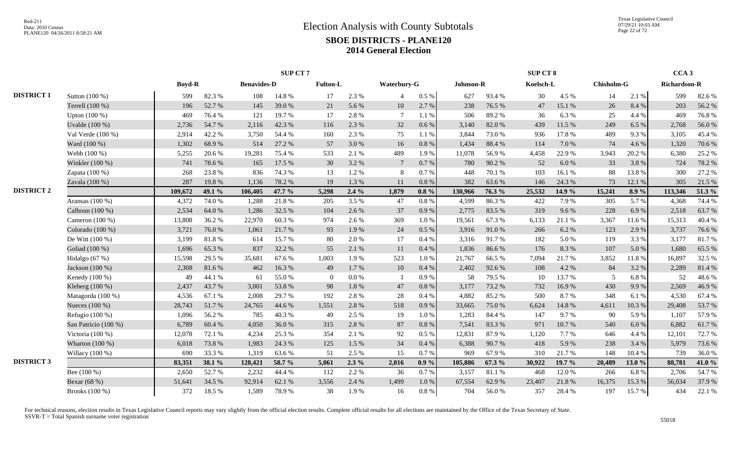|                   |                      |               |        |                    | SUP CT 7 |                 |         |                 |           |           |        | SUP CT 8  |        |                   |           | CCA <sub>3</sub>    |        |
|-------------------|----------------------|---------------|--------|--------------------|----------|-----------------|---------|-----------------|-----------|-----------|--------|-----------|--------|-------------------|-----------|---------------------|--------|
|                   |                      | <b>Boyd-R</b> |        | <b>Benavides-D</b> |          | <b>Fulton-L</b> |         | Waterbury-G     |           | Johnson-R |        | Koelsch-L |        | <b>Chisholm-G</b> |           | <b>Richardson-R</b> |        |
| <b>DISTRICT 1</b> | Sutton (100 %)       | 599           | 82.3%  | 108                | 14.8%    | 17              | 2.3 %   | $\overline{4}$  | $0.5\%$   | 627       | 93.4%  | 30        | 4.5 %  | 14                | 2.1 %     | 599                 | 82.6%  |
|                   | Terrell (100 %)      | 196           | 52.7%  | 145                | 39.0%    | 21              | 5.6%    | 10              | 2.7 %     | 238       | 76.5 % | 47        | 15.1 % | 26                | 8.4%      | 203                 | 56.2%  |
|                   | Upton (100 %)        | 469           | 76.4%  | 121                | 19.7%    | 17              | 2.8%    | $\overline{7}$  | 1.1%      | 506       | 89.2%  | 36        | 6.3%   | 25                | 4.4 %     | 469                 | 76.8%  |
|                   | Uvalde (100 %)       | 2,736         | 54.7%  | 2,116              | 42.3 %   | 116             | 2.3 %   | 32              | 0.6 %     | 3,140     | 82.0%  | 439       | 11.5 % | 249               | 6.5%      | 2,768               | 56.0%  |
|                   | Val Verde (100 %)    | 2,914         | 42.2 % | 3,750              | 54.4 %   | 160             | 2.3 %   | 75              | 1.1 %     | 3,844     | 73.0%  | 936       | 17.8%  | 489               | 9.3%      | 3,105               | 45.4 % |
|                   | Ward (100 %)         | 1,302         | 68.9%  | 514                | 27.2 %   | 57              | 3.0%    | 16              | 0.8 %     | 1,434     | 88.4%  | 114       | 7.0%   | 74                | 4.6 %     | 1,320               | 70.6%  |
|                   | Webb (100 %)         | 5,255         | 20.6 % | 19,281             | 75.4 %   | 533             | 2.1 %   | 489             | 1.9%      | 11,078    | 56.9%  | 4,458     | 22.9%  | 3,943             | 20.2 %    | 6,380               | 25.2 % |
|                   | Winkler (100 %)      | 741           | 78.6%  | 165                | 17.5 %   | 30              | 3.2%    | $7\phantom{.0}$ | 0.7%      | 780       | 90.2%  | 52        | 6.0%   | 33                | 3.8%      | 724                 | 78.2%  |
|                   | Zapata (100 %)       | 268           | 23.8%  | 836                | 74.3 %   | 13              | 1.2%    | 8               | 0.7%      | 448       | 70.1 % | 103       | 16.1%  | 88                | 13.8 %    | 300                 | 27.2 % |
|                   | Zavala (100 %)       | 287           | 19.8%  | 1,136              | 78.2%    | 19              | 1.3%    | 11              | 0.8 %     | 382       | 63.6%  | 146       | 24.3 % | 73                | 12.1 %    | 305                 | 21.5 % |
| <b>DISTRICT 2</b> |                      | 109,672       | 49.1 % | 106,405            | 47.7 $%$ | 5,298           | $2.4\%$ | 1,879           | $0.8 \%$  | 130.966   | 76.3%  | 25,532    | 14.9 % | 15,241            | 8.9 %     | 113,346             | 51.3 % |
|                   | Aransas (100 %)      | 4,372         | 74.0%  | 1,288              | 21.8%    | 205             | 3.5 %   | 47              | 0.8%      | 4,599     | 86.3%  | 422       | 7.9%   | 305               | 5.7%      | 4,368               | 74.4 % |
|                   | Calhoun (100 %)      | 2,534         | 64.0%  | 1,286              | 32.5 %   | 104             | 2.6%    | 37              | 0.9%      | 2,775     | 83.5%  | 319       | 9.6%   | 228               | 6.9%      | 2,518               | 63.7%  |
|                   | Cameron $(100\%)$    | 13,808        | 36.2%  | 22,970             | 60.3%    | 974             | 2.6 %   | 369             | 1.0 %     | 19,561    | 67.3%  | 6,133     | 21.1 % | 3,367             | 11.6%     | 15,313              | 40.4 % |
|                   | Colorado (100 %)     | 3,721         | 76.0%  | 1,061              | 21.7%    | 93              | 1.9%    | 24              | 0.5 %     | 3,916     | 91.0%  | 266       | 6.2%   | 123               | 2.9%      | 3,737               | 76.6%  |
|                   | De Witt (100 %)      | 3,199         | 81.8%  | 614                | 15.7%    | 80              | 2.0%    | 17              | 0.4%      | 3,316     | 91.7%  | 182       | 5.0%   | 119               | 3.3 %     | 3,177               | 81.7%  |
|                   | Goliad (100 %)       | 1,696         | 65.3%  | 837                | 32.2 %   | 55              | 2.1 %   | 11              | 0.4%      | 1,836     | 86.6%  | 176       | 8.3%   | 107               | 5.0%      | 1,680               | 65.5%  |
|                   | Hidalgo (67 %)       | 15,598        | 29.5 % | 35,681             | 67.6%    | 1,003           | 1.9%    | 523             | 1.0%      | 21,767    | 66.5%  | 7,094     | 21.7%  | 3,852             | 11.8%     | 16,897              | 32.5 % |
|                   | Jackson (100 %)      | 2,308         | 81.6%  | 462                | 16.3%    | 49              | 1.7%    | 10              | 0.4%      | 2,402     | 92.6%  | 108       | 4.2 %  | 84                | 3.2 %     | 2,289               | 81.4%  |
|                   | Kenedy $(100\%)$     | 49            | 44.1 % | 61                 | 55.0%    | $\theta$        | 0.0 %   |                 | 0.9%      | 58        | 79.5 % | 10        | 13.7%  | -5                | 6.8%      | 52                  | 48.6%  |
|                   | Kleberg $(100\%)$    | 2,437         | 43.7 % | 3,001              | 53.8%    | 98              | 1.8%    | 47              | 0.8%      | 3,177     | 73.2 % | 732       | 16.9%  | 430               | 9.9%      | 2,569               | 46.9%  |
|                   | Matagorda (100 %)    | 4,536         | 67.1 % | 2,008              | 29.7%    | 192             | 2.8%    | 28              | 0.4%      | 4,882     | 85.2%  | 500       | 8.7%   | 348               | 6.1 %     | 4,530               | 67.4 % |
|                   | Nueces (100 %)       | 28,743        | 51.7%  | 24,765             | 44.6%    | 1,551           | 2.8%    | 518             | 0.9%      | 33,665    | 75.0%  | 6,624     | 14.8%  | 4,611             | 10.3%     | 29,408              | 53.7%  |
|                   | Refugio $(100\%)$    | 1,096         | 56.2%  | 785                | 40.3%    | 49              | 2.5 %   | 19              | 1.0%      | 1,283     | 84.4 % | 147       | 9.7%   | 90                | 5.9%      | 1,107               | 57.9%  |
|                   | San Patricio (100 %) | 6,789         | 60.4%  | 4,050              | 36.0%    | 315             | 2.8%    | $87\,$          | 0.8%      | 7,541     | 83.3%  | 971       | 10.7%  | 540               | $6.0\ \%$ | 6,882               | 61.7%  |
|                   | Victoria (100 %)     | 12,078        | 72.1 % | 4,234              | 25.3 %   | 354             | 2.1 %   | 92              | 0.5 %     | 12,831    | 87.9%  | 1,120     | 7.7%   | 646               | 4.4 %     | 12,101              | 72.7 % |
|                   | Wharton (100 %)      | 6,018         | 73.8%  | 1,983              | 24.3 %   | 125             | 1.5 %   | 34              | 0.4%      | 6,388     | 90.7%  | 418       | 5.9%   | 238               | 3.4 %     | 5,979               | 73.6%  |
|                   | Willacy (100 %)      | 690           | 33.3 % | 1,319              | 63.6%    | 51              | 2.5 %   | 15              | 0.7%      | 969       | 67.9%  | 310       | 21.7%  | 148               | 10.4%     | 739                 | 36.0%  |
| <b>DISTRICT 3</b> |                      | 83,351        | 38.1 % | 128,421            | 58.7%    | 5,061           | $2.3\%$ | 2,016           | $0.9\%$   | 105,886   | 67.3 % | 30,922    | 19.7 % | 20,489            | 13.0 $%$  | 88,781              | 41.0%  |
|                   | Bee (100 %)          | 2,650         | 52.7 % | 2,232              | 44.4 %   | 112             | 2.2 %   | 36              | 0.7%      | 3,157     | 81.1%  | 468       | 12.0%  | 266               | 6.8%      | 2,706               | 54.7%  |
|                   | Bexar (68 %)         | 51,641        | 34.5 % | 92,914             | 62.1 %   | 3,556           | 2.4 %   | 1,499           | $1.0\ \%$ | 67,554    | 62.9%  | 23,407    | 21.8%  | 16,375            | 15.3 %    | 56,034              | 37.9%  |
|                   | Brooks (100 %)       | 372           | 18.5 % | 1,589              | 78.9%    | 38              | 1.9%    | 16              | $0.8~\%$  | 704       | 56.0%  | 357       | 28.4 % | 197               | 15.7%     | 434                 | 22.1 % |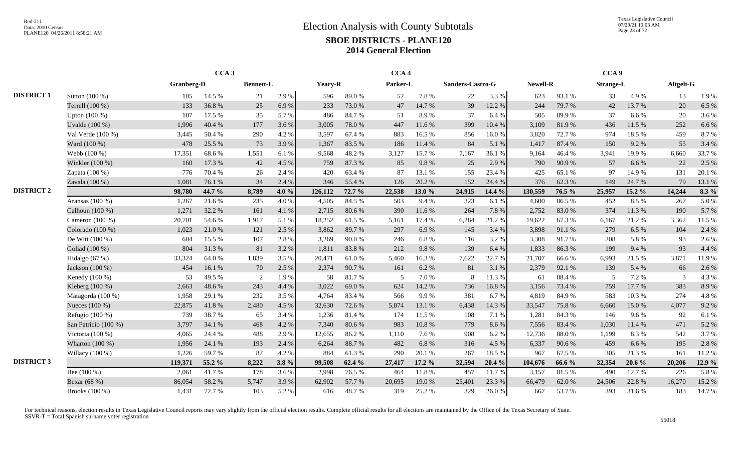Texas Legislative Council 07/29/21 10:03 AM Page 23 of 72

|                   |                      | CCA <sub>3</sub> |        |                  |       |         |        | CCA <sub>4</sub> |        |                  |        |          |        | CCA <sub>9</sub> |          |           |         |
|-------------------|----------------------|------------------|--------|------------------|-------|---------|--------|------------------|--------|------------------|--------|----------|--------|------------------|----------|-----------|---------|
|                   |                      | Granberg-D       |        | <b>Bennett-L</b> |       | Yeary-R |        | Parker-L         |        | Sanders-Castro-G |        | Newell-R |        | <b>Strange-L</b> |          | Altgelt-G |         |
| <b>DISTRICT 1</b> | Sutton (100 %)       | 105              | 14.5 % | 21               | 2.9%  | 596     | 89.0%  | 52               | 7.8%   | 22               | 3.3%   | 623      | 93.1 % | 33               | 4.9%     | 13        | 1.9%    |
|                   | Terrell (100 %)      | 133              | 36.8%  | 25               | 6.9%  | 233     | 73.0%  | 47               | 14.7 % | 39               | 12.2 % | 244      | 79.7%  | 42               | 13.7 %   | 20        | 6.5%    |
|                   | Upton (100 %)        | 107              | 17.5 % | 35               | 5.7 % | 486     | 84.7%  | 51               | 8.9%   | 37               | 6.4 %  | 505      | 89.9%  | 37               | 6.6%     | 20        | 3.6%    |
|                   | Uvalde (100 %)       | 1,996            | 40.4 % | 177              | 3.6 % | 3,005   | 78.0%  | 447              | 11.6 % | 399              | 10.4 % | 3,109    | 81.9%  | 436              | 11.5 %   | 252       | 6.6%    |
|                   | Val Verde $(100\%)$  | 3,445            | 50.4%  | 290              | 4.2 % | 3.597   | 67.4 % | 883              | 16.5 % | 856              | 16.0%  | 3,820    | 72.7 % | 974              | 18.5 %   | 459       | 8.7%    |
|                   | Ward (100 %)         | 478              | 25.5 % | 73               | 3.9%  | 1,367   | 83.5 % | 186              | 11.4 % | 84               | 5.1 %  | 1,417    | 87.4 % | 150              | 9.2%     | 55        | 3.4 %   |
|                   | Webb (100 %)         | 17,351           | 68.6%  | 1,551            | 6.1 % | 9,568   | 48.2%  | 3,127            | 15.7%  | 7,167            | 36.1%  | 9,164    | 46.4%  | 3,941            | 19.9%    | 6,660     | 33.7%   |
|                   | Winkler (100 %)      | 160              | 17.3 % | 42               | 4.5 % | 759     | 87.3%  | 85               | 9.8%   | 25               | 2.9 %  | 790      | 90.9%  | 57               | 6.6 %    | 22        | 2.5 %   |
|                   | Zapata (100 %)       | 776              | 70.4%  | 26               | 2.4 % | 420     | 63.4%  | 87               | 13.1 % | 155              | 23.4 % | 425      | 65.1 % | 97               | 14.9%    | 131       | 20.1 %  |
|                   | Zavala (100 %)       | 1,081            | 76.1%  | 34               | 2.4 % | 346     | 55.4 % | 126              | 20.2 % | 152              | 24.4 % | 376      | 62.3%  | 149              | 24.7 %   | 79        | 13.1 %  |
| <b>DISTRICT 2</b> |                      | 98,780           | 44.7 % | 8,789            | 4.0 % | 126,112 | 72.7 % | 22,538           | 13.0%  | 24,915           | 14.4 % | 130,559  | 76.5 % | 25,957           | 15.2 %   | 14,244    | $8.3\%$ |
|                   | Aransas (100 %)      | 1,267            | 21.6%  | 235              | 4.0%  | 4.505   | 84.5 % | 503              | 9.4 %  | 323              | 6.1 %  | 4,600    | 86.5%  | 452              | 8.5 %    | 267       | 5.0%    |
|                   | Calhoun (100 %)      | 1,271            | 32.2 % | 161              | 4.1 % | 2,715   | 80.6%  | 390              | 11.6 % | 264              | 7.8 %  | 2,752    | 83.0%  | 374              | 11.3 %   | 190       | 5.7%    |
|                   | Cameron $(100\%)$    | 20,701           | 54.6%  | 1,917            | 5.1 % | 18,252  | 61.5%  | 5,161            | 17.4 % | 6,284            | 21.2%  | 19,622   | 67.3 % | 6.167            | 21.2 %   | 3,362     | 11.5 %  |
|                   | Colorado (100 %)     | 1,023            | 21.0%  | 121              | 2.5 % | 3,862   | 89.7%  | 297              | 6.9%   | 145              | 3.4 %  | 3,898    | 91.1 % | 279              | 6.5 %    | 104       | 2.4 %   |
|                   | De Witt (100 %)      | 604              | 15.5 % | 107              | 2.8%  | 3,269   | 90.0%  | 246              | 6.8%   | 116              | 3.2%   | 3,308    | 91.7%  | 208              | 5.8%     | 93        | 2.6 %   |
|                   | Goliad (100 %)       | 804              | 31.3%  | 81               | 3.2%  | 1,811   | 83.8%  | 212              | 9.8%   | 139              | 6.4%   | 1,833    | 86.3%  | 199              | 9.4 %    | 93        | 4.4 %   |
|                   | Hidalgo (67 %)       | 33,324           | 64.0%  | 1,839            | 3.5 % | 20,471  | 61.0%  | 5,460            | 16.3%  | 7,622            | 22.7 % | 21,707   | 66.6%  | 6,993            | 21.5 %   | 3,871     | 11.9%   |
|                   | Jackson (100 %)      | 454              | 16.1 % | 70               | 2.5 % | 2,374   | 90.7%  | 161              | 6.2 %  | 81               | 3.1 %  | 2,379    | 92.1 % | 139              | 5.4 %    | 66        | 2.6 %   |
|                   | Kenedy (100 %)       | 53               | 49.5 % | 2                | 1.9%  | 58      | 81.7%  | 5                | 7.0%   | 8                | 11.3 % | 61       | 88.4%  | $\sim$           | 7.2 %    | 3         | 4.3 %   |
|                   | Kleberg (100 %)      | 2,663            | 48.6%  | 243              | 4.4 % | 3,022   | 69.0%  | 624              | 14.2 % | 736              | 16.8%  | 3,156    | 73.4 % | 759              | 17.7 %   | 383       | 8.9%    |
|                   | Matagorda $(100\%)$  | 1,958            | 29.1 % | 232              | 3.5 % | 4.764   | 83.4 % | 566              | 9.9%   | 381              | 6.7%   | 4,819    | 84.9%  | 583              | 10.3%    | 274       | 4.8%    |
|                   | Nueces (100 %)       | 22,875           | 41.8%  | 2,480            | 4.5 % | 32,630  | 72.6 % | 5,874            | 13.1 % | 6,438            | 14.3 % | 33,547   | 75.8%  | 6,660            | 15.0%    | 4,077     | 9.2%    |
|                   | Refugio $(100\%)$    | 739              | 38.7%  | 65               | 3.4 % | 1,236   | 81.4%  | 174              | 11.5 % | 108              | 7.1 %  | 1,281    | 84.3%  | 146              | 9.6%     | 92        | 6.1%    |
|                   | San Patricio (100 %) | 3,797            | 34.1 % | 468              | 4.2 % | 7,340   | 80.6%  | 983              | 10.8%  | 779              | 8.6%   | 7,556    | 83.4%  | 1,030            | 11.4 %   | 471       | 5.2 %   |
|                   | Victoria (100 %)     | 4,065            | 24.4 % | 488              | 2.9 % | 12,655  | 86.2%  | 1,110            | 7.6%   | 908              | 6.2%   | 12,736   | 88.0%  | 1,199            | 8.3 %    | 542       | 3.7%    |
|                   | Wharton $(100\%)$    | 1,956            | 24.1 % | 193              | 2.4 % | 6,264   | 88.7%  | 482              | 6.8%   | 316              | 4.5 %  | 6,337    | 90.6%  | 459              | 6.6 %    | 195       | 2.8%    |
|                   | Willacy (100 %)      | 1,226            | 59.7%  | 87               | 4.2 % | 884     | 61.3%  | 290              | 20.1 % | 267              | 18.5%  | 967      | 67.5%  | 305              | 21.3 %   | 161       | 11.2%   |
| <b>DISTRICT 3</b> |                      | 119,371          | 55.2 % | 8,222            | 3.8%  | 99,508  | 62.4 % | 27,417           | 17.2 % | 32,594           | 20.4 % | 104,676  | 66.6 % | 32,354           | $20.6\%$ | 20,206    | 12.9%   |
|                   | Bee (100 %)          | 2,061            | 41.7%  | 178              | 3.6 % | 2.998   | 76.5 % | 464              | 11.8%  | 457              | 11.7 % | 3.157    | 81.5%  | 490              | 12.7 %   | 226       | 5.8%    |
|                   | Bexar (68 %)         | 86,054           | 58.2%  | 5,747            | 3.9%  | 62,902  | 57.7 % | 20,695           | 19.0%  | 25,401           | 23.3 % | 66,479   | 62.0%  | 24,506           | 22.8 %   | 16,270    | 15.2 %  |
|                   | Brooks (100 %)       | 1,431            | 72.7%  | 103              | 5.2%  | 616     | 48.7%  | 319              | 25.2 % | 329              | 26.0%  | 667      | 53.7%  | 393              | 31.6 %   | 183       | 14.7%   |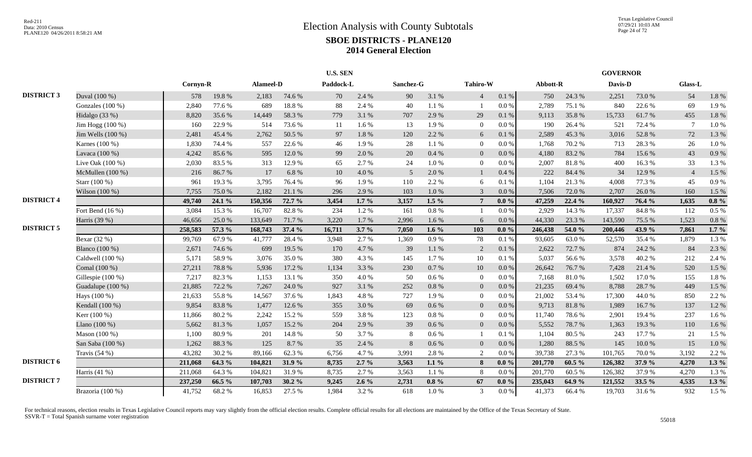|                   |                    |          |        |           |           | <b>U.S. SEN</b> |         |           |           |                             |           |          |        | <b>GOVERNOR</b> |        |                |         |
|-------------------|--------------------|----------|--------|-----------|-----------|-----------------|---------|-----------|-----------|-----------------------------|-----------|----------|--------|-----------------|--------|----------------|---------|
|                   |                    | Cornyn-R |        | Alameel-D |           | Paddock-L       |         | Sanchez-G |           | Tahiro-W                    |           | Abbott-R |        | Davis-D         |        | <b>Glass-L</b> |         |
| <b>DISTRICT 3</b> | Duval (100 %)      | 578      | 19.8%  | 2,183     | 74.6 %    | 70              | 2.4 %   | 90        | 3.1 %     | $\overline{4}$              | $0.1\ \%$ | 750      | 24.3 % | 2,251           | 73.0%  | 54             | 1.8%    |
|                   | Gonzales $(100\%)$ | 2,840    | 77.6 % | 689       | 18.8%     | 88              | 2.4 %   | 40        | 1.1 %     |                             | $0.0\,\%$ | 2,789    | 75.1 % | 840             | 22.6 % | 69             | 1.9%    |
|                   | Hidalgo $(33%)$    | 8,820    | 35.6%  | 14,449    | 58.3%     | 779             | 3.1 %   | 707       | 2.9 %     | 29                          | 0.1%      | 9,113    | 35.8%  | 15,733          | 61.7%  | 455            | 1.8%    |
|                   | Jim Hogg $(100\%)$ | 160      | 22.9 % | 514       | 73.6 %    | -11             | 1.6%    | 13        | 1.9%      | $\Omega$                    | 0.0 %     | 190      | 26.4 % | 521             | 72.4 % | $\tau$         | 1.0%    |
|                   | Jim Wells (100 %)  | 2,481    | 45.4 % | 2,762     | 50.5 %    | 97              | 1.8%    | 120       | 2.2 %     | 6                           | 0.1%      | 2,589    | 45.3%  | 3,016           | 52.8%  | 72             | 1.3 %   |
|                   | Karnes (100 %)     | 1,830    | 74.4 % | 557       | 22.6 %    | 46              | 1.9%    | 28        | $1.1~\%$  | $\overline{0}$              | 0.0 %     | 1,768    | 70.2 % | 713             | 28.3%  | 26             | 1.0%    |
|                   | Lavaca (100 %)     | 4,242    | 85.6%  | 595       | 12.0%     | 99              | 2.0%    | 20        | $0.4\ \%$ | $\overline{0}$              | $0.0\,\%$ | 4,180    | 83.2%  | 784             | 15.6 % | 43             | 0.9%    |
|                   | Live Oak $(100\%)$ | 2,030    | 83.5%  | 313       | 12.9 %    | 65              | 2.7%    | 24        | $1.0\ \%$ | $\Omega$                    | 0.0 %     | 2,007    | 81.8%  | 400             | 16.3%  | 33             | 1.3 %   |
|                   | McMullen (100 %)   | 216      | 86.7%  | 17        | 6.8%      | 10              | 4.0%    | .5        | 2.0%      |                             | 0.4%      | 222      | 84.4 % | 34              | 12.9%  | $\overline{4}$ | 1.5 %   |
|                   | Starr (100 %)      | 961      | 19.3%  | 3,795     | 76.4 %    | 96              | 1.9%    | 110       | 2.2 %     | 6                           | 0.1%      | 1.104    | 21.3%  | 4,008           | 77.3 % | 45             | 0.9%    |
|                   | Wilson $(100\%)$   | 7,755    | 75.0%  | 2.182     | 21.1%     | 296             | 2.9%    | 103       | 1.0%      | $\mathcal{R}$               | $0.0\%$   | 7,506    | 72.0 % | 2.707           | 26.0%  | 160            | 1.5 %   |
| <b>DISTRICT 4</b> |                    | 49,740   | 24.1%  | 150,356   | 72.7 %    | 3,454           | $1.7\%$ | 3,157     | $1.5\%$   |                             | $0.0\%$   | 47,259   | 22.4 % | 160,927         | 76.4 % | 1,635          | $0.8\%$ |
|                   | Fort Bend (16 %)   | 3,084    | 15.3 % | 16,707    | 82.8%     | 234             | 1.2%    | 161       | $0.8\ \%$ |                             | 0.0 %     | 2,929    | 14.3 % | 17,337          | 84.8%  | 112            | 0.5 %   |
|                   | Harris (39 %)      | 46,656   | 25.0%  | 133,649   | 71.7%     | 3,220           | 1.7%    | 2,996     | 1.6 %     | 6                           | 0.0 %     | 44,330   | 23.3 % | 143,590         | 75.5 % | 1,523          | 0.8 %   |
| <b>DISTRICT 5</b> |                    | 258,583  | 57.3 % | 168,743   | 37.4 %    | 16,711          | 3.7%    | 7,050     | 1.6 $%$   | 103                         | $0.0\%$   | 246,438  | 54.0 % | 200,446         | 43.9%  | 7,861          | $1.7\%$ |
|                   | Bexar (32 %)       | 99,769   | 67.9%  | 41,777    | 28.4 %    | 3,948           | 2.7 %   | 1,369     | 0.9%      | 78                          | 0.1%      | 93,605   | 63.0%  | 52,570          | 35.4 % | 1,879          | 1.3 %   |
|                   | Blanco (100 %)     | 2,671    | 74.6 % | 699       | 19.5 %    | 170             | 4.7%    | 39        | 1.1 %     | 2                           | 0.1%      | 2,622    | 72.7 % | 874             | 24.2 % | 84             | 2.3 %   |
|                   | Caldwell (100 %)   | 5,171    | 58.9%  | 3,076     | 35.0%     | 380             | 4.3%    | 145       | 1.7%      | 10                          | 0.1 %     | 5,037    | 56.6%  | 3,578           | 40.2%  | 212            | 2.4 %   |
|                   | Comal (100 %)      | 27,211   | 78.8%  | 5,936     | 17.2 %    | 1,134           | 3.3 %   | 230       | $0.7\ \%$ | 10                          | $0.0\,\%$ | 26,642   | 76.7%  | 7,428           | 21.4%  | 520            | $1.5\%$ |
|                   | Gillespie (100 %)  | 7,217    | 82.3%  | 1,153     | 13.1 %    | 350             | 4.0%    | 50        | 0.6 %     | $\theta$                    | 0.0 %     | 7,168    | 81.0%  | 1,502           | 17.0%  | 155            | 1.8%    |
|                   | Guadalupe (100 %)  | 21,885   | 72.2 % | 7,267     | 24.0%     | 927             | 3.1 %   | 252       | $0.8\ \%$ | $\overline{0}$              | 0.0 %     | 21,235   | 69.4 % | 8,788           | 28.7%  | 449            | 1.5 %   |
|                   | Hays (100 %)       | 21,633   | 55.8%  | 14,567    | 37.6 %    | 1,843           | 4.8%    | 727       | 1.9%      | $\theta$                    | 0.0 %     | 21,002   | 53.4 % | 17,300          | 44.0%  | 850            | 2.2 %   |
|                   | Kendall (100 %)    | 9,854    | 83.8%  | 1,477     | 12.6 %    | 355             | 3.0%    | 69        | 0.6 %     | $\overline{0}$              | 0.0 %     | 9,713    | 81.8%  | 1,989           | 16.7%  | 137            | 1.2%    |
|                   | Kerr (100 %)       | 11,866   | 80.2%  | 2,242     | 15.2 %    | 559             | 3.8%    | 123       | $0.8~\%$  | $\overline{0}$              | $0.0\,\%$ | 11,740   | 78.6%  | 2,901           | 19.4 % | 237            | 1.6 %   |
|                   | Llano $(100\%)$    | 5,662    | 81.3%  | 1,057     | 15.2 %    | 204             | 2.9%    | 39        | $0.6\,\%$ | $\overline{0}$              | 0.0 %     | 5,552    | 78.7%  | 1,363           | 19.3 % | 110            | 1.6 %   |
|                   | Mason (100 %)      | 1,100    | 80.9%  | 201       | 14.8 %    | 50              | 3.7%    | 8         | $0.6\,\%$ |                             | 0.1%      | 1,104    | 80.5%  | 243             | 17.7 % | 21             | 1.5 %   |
|                   | San Saba (100 %)   | 1,262    | 88.3%  | 125       | 8.7%      | 35              | 2.4 %   | 8         | 0.6 %     | $\overline{0}$              | $0.0\,\%$ | 1,280    | 88.5%  | 145             | 10.0%  | 15             | 1.0%    |
|                   | Travis $(54%)$     | 43,282   | 30.2 % | 89,166    | 62.3%     | 6,756           | 4.7%    | 3,991     | 2.8%      | $\mathcal{D}_{\mathcal{A}}$ | 0.0 %     | 39,738   | 27.3 % | 101,765         | 70.0%  | 3,192          | 2.2 %   |
| <b>DISTRICT 6</b> |                    | 211,068  | 64.3 % | 104,821   | 31.9 %    | 8,735           | $2.7\%$ | 3,563     | $1.1\%$   | 8                           | $0.0 \%$  | 201,770  | 60.5 % | 126,382         | 37.9 % | 4,270          | $1.3\%$ |
|                   | Harris $(41 \%)$   | 211,068  | 64.3%  | 104,821   | 31.9%     | 8,735           | 2.7 %   | 3,563     | 1.1%      | 8                           | 0.0 %     | 201,770  | 60.5 % | 126,382         | 37.9%  | 4,270          | 1.3%    |
| <b>DISTRICT 7</b> |                    | 237,250  | 66.5 % | 107,703   | $30.2 \%$ | 9,245           | $2.6\%$ | 2,731     | $0.8~\%$  | 67                          | $0.0 \%$  | 235,043  | 64.9 % | 121,552         | 33.5 % | 4,535          | $1.3\%$ |
|                   | Brazoria (100 %)   | 41,752   | 68.2%  | 16,853    | 27.5 %    | 1,984           | 3.2%    | 618       | 1.0 %     | 3                           | $0.0\,\%$ | 41,373   | 66.4%  | 19,703          | 31.6%  | 932            | 1.5 %   |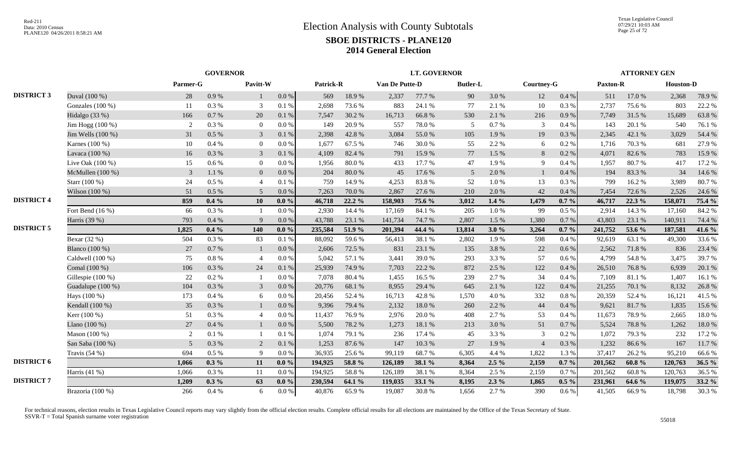|                   |                    |                | <b>GOVERNOR</b><br>Parmer-G |                |           |           |          |                | <b>LT. GOVERNOR</b> |                 |           |                |          |          | <b>ATTORNEY GEN</b> |                  |        |
|-------------------|--------------------|----------------|-----------------------------|----------------|-----------|-----------|----------|----------------|---------------------|-----------------|-----------|----------------|----------|----------|---------------------|------------------|--------|
|                   |                    |                |                             | Pavitt-W       |           | Patrick-R |          | Van De Putte-D |                     | <b>Butler-L</b> |           | Courtney-G     |          | Paxton-R |                     | <b>Houston-D</b> |        |
| <b>DISTRICT 3</b> | Duval (100 %)      | 28             | 0.9%                        | 1              | $0.0\ \%$ | 569       | 18.9%    | 2,337          | 77.7 %              | 90              | 3.0%      | 12             | 0.4 %    | 511      | 17.0%               | 2,368            | 78.9%  |
|                   | Gonzales $(100\%)$ | -11            | 0.3%                        | 3              | 0.1%      | 2,698     | 73.6 %   | 883            | 24.1 %              | 77              | 2.1 %     | 10             | 0.3%     | 2,737    | 75.6%               | 803              | 22.2 % |
|                   | Hidalgo $(33%)$    | 166            | 0.7%                        | 20             | 0.1%      | 7,547     | 30.2 %   | 16,713         | 66.8%               | 530             | 2.1 %     | 216            | 0.9%     | 7.749    | 31.5 %              | 15,689           | 63.8%  |
|                   | Jim Hogg (100 %)   | 2              | 0.3%                        | $\overline{0}$ | 0.0 %     | 149       | 20.9%    | 557            | 78.0%               | 5               | 0.7 %     | 3              | 0.4%     | 143      | 20.1 %              | 540              | 76.1%  |
|                   | Jim Wells (100 %)  | 31             | 0.5 %                       | $\mathfrak{Z}$ | 0.1%      | 2,398     | 42.8%    | 3,084          | 55.0%               | 105             | 1.9%      | 19             | $0.3~\%$ | 2,345    | 42.1 %              | 3,029            | 54.4 % |
|                   | Karnes (100 %)     | 10             | 0.4%                        | $\overline{0}$ | $0.0\%$   | 1,677     | 67.5 %   | 746            | 30.0%               | 55              | 2.2 %     | 6              | 0.2 %    | 1,716    | 70.3%               | 681              | 27.9%  |
|                   | Lavaca (100 %)     | 16             | 0.3%                        | $\mathfrak{Z}$ | 0.1 %     | 4.109     | 82.4 %   | 791            | 15.9%               | 77              | 1.5 %     | 8              | 0.2 %    | 4,071    | 82.6 %              | 783              | 15.9%  |
|                   | Live Oak (100 %)   | 15             | 0.6 %                       | $\overline{0}$ | $0.0\%$   | 1.956     | 80.0%    | 433            | 17.7 %              | 47              | 1.9%      | 9              | 0.4%     | 1.957    | 80.7%               | 417              | 17.2 % |
|                   | McMullen (100 %)   | $\mathfrak{Z}$ | 1.1%                        | $\overline{0}$ | 0.0 %     | 204       | 80.0%    | 45             | 17.6 %              | 5               | 2.0%      | $\mathbf{1}$   | 0.4%     | 194      | 83.3%               | 34               | 14.6 % |
|                   | Starr (100 %)      | 24             | 0.5%                        | $\overline{4}$ | 0.1%      | 759       | 14.9%    | 4,253          | 83.8%               | 52              | $1.0\ \%$ | 13             | 0.3%     | 799      | 16.2%               | 3,989            | 80.7%  |
|                   | Wilson (100 %)     | 51             | 0.5 %                       | 5              | 0.0 %     | 7,263     | 70.0%    | 2,867          | 27.6 %              | 210             | 2.0 %     | 42             | 0.4%     | 7,454    | 72.6%               | 2,526            | 24.6 % |
| <b>DISTRICT 4</b> |                    | 859            | $0.4\%$                     | 10             | $0.0\%$   | 46,718    | $22.2\%$ | 158,903        | 75.6 %              | 3,012           | $1.4\%$   | 1,479          | $0.7\%$  | 46,717   | 22.3 %              | 158,071          | 75.4 % |
|                   | Fort Bend $(16\%)$ | 66             | 0.3 %                       | -1             | $0.0\%$   | 2.930     | 14.4 %   | 17,169         | 84.1 %              | 205             | $1.0 \%$  | -99            | 0.5 %    | 2.914    | 14.3 %              | 17,160           | 84.2%  |
|                   | Harris (39 %)      | 793            | 0.4%                        | $\mathbf{Q}$   | $0.0\%$   | 43,788    | 23.1 %   | 141,734        | 74.7%               | 2,807           | 1.5 %     | 1,380          | 0.7%     | 43,803   | 23.1 %              | 140,911          | 74.4 % |
| <b>DISTRICT 5</b> |                    | 1,825          | $0.4\%$                     | 140            | $0.0\%$   | 235,584   | 51.9%    | 201,394        | 44.4 %              | 13,814          | 3.0%      | 3,264          | $0.7 \%$ | 241,752  | 53.6 %              | 187,581          | 41.6 % |
|                   | Bexar (32 %)       | 504            | 0.3%                        | 83             | 0.1%      | 88,092    | 59.6%    | 56,413         | 38.1%               | 2,802           | 1.9%      | 598            | 0.4%     | 92,619   | 63.1 %              | 49,300           | 33.6%  |
|                   | Blanco (100 %)     | 27             | 0.7%                        | 1              | 0.0 %     | 2,606     | 72.5 %   | 831            | 23.1 %              | 135             | 3.8%      | 22             | 0.6 %    | 2,562    | 71.8%               | 836              | 23.4 % |
|                   | Caldwell (100 %)   | 75             | 0.8%                        | $\overline{4}$ | 0.0 %     | 5,042     | 57.1 %   | 3,441          | 39.0%               | 293             | 3.3 %     | 57             | $0.6\%$  | 4,799    | 54.8%               | 3,475            | 39.7%  |
|                   | Comal (100 %)      | 106            | 0.3%                        | 24             | 0.1%      | 25,939    | 74.9%    | 7,703          | 22.2 %              | 872             | 2.5 %     | 122            | 0.4%     | 26,510   | 76.8%               | 6,939            | 20.1 % |
|                   | Gillespie (100 %)  | 22             | 0.2 %                       |                | $0.0\%$   | 7.078     | 80.4%    | 1,455          | 16.5%               | 239             | 2.7 %     | 34             | 0.4%     | 7.109    | 81.1%               | 1,407            | 16.1%  |
|                   | Guadalupe (100 %)  | 104            | 0.3%                        | $\mathfrak{Z}$ | 0.0 %     | 20,776    | 68.1%    | 8,955          | 29.4 %              | 645             | 2.1 %     | 122            | 0.4 %    | 21,255   | 70.1 %              | 8,132            | 26.8%  |
|                   | Hays (100 %)       | 173            | 0.4%                        | 6              | 0.0 %     | 20,456    | 52.4 %   | 16,713         | 42.8%               | 1,570           | 4.0%      | 332            | $0.8\%$  | 20,359   | 52.4 %              | 16,121           | 41.5%  |
|                   | Kendall (100 %)    | 35             | 0.3%                        | $\mathbf{1}$   | 0.0 %     | 9,396     | 79.4 %   | 2,132          | 18.0%               | 260             | 2.2 %     | 44             | 0.4 %    | 9,621    | 81.7%               | 1,835            | 15.6%  |
|                   | Kerr (100 %)       | 51             | 0.3%                        | $\overline{4}$ | 0.0 %     | 11,437    | 76.9%    | 2,976          | 20.0%               | 408             | 2.7 %     | 53             | 0.4%     | 11,673   | 78.9%               | 2,665            | 18.0%  |
|                   | Llano $(100\%)$    | 27             | 0.4%                        | $\mathbf{1}$   | 0.0 %     | 5,500     | 78.2 %   | 1,273          | 18.1 %              | 213             | 3.0%      | 51             | 0.7%     | 5.524    | 78.8%               | 1,262            | 18.0%  |
|                   | Mason (100 %)      | 2              | 0.1 %                       | $\mathbf{1}$   | 0.1%      | 1,074     | 79.1 %   | 236            | 17.4 %              | 45              | 3.3 %     | 3              | $0.2~\%$ | 1,072    | 79.3%               | 232              | 17.2 % |
|                   | San Saba (100 %)   | 5 <sup>5</sup> | 0.3%                        | 2              | 0.1 %     | 1,253     | 87.6%    | 147            | 10.3 %              | 27              | 1.9%      | $\overline{4}$ | $0.3~\%$ | 1,232    | 86.6%               | 167              | 11.7%  |
|                   | Travis $(54%)$     | 694            | 0.5%                        | 9              | 0.0 %     | 36,935    | 25.6 %   | 99,119         | 68.7%               | 6,305           | 4.4 %     | 1,822          | 1.3%     | 37,417   | 26.2%               | 95,210           | 66.6%  |
| <b>DISTRICT 6</b> |                    | 1,066          | $0.3\%$                     | 11             | $0.0\%$   | 194,925   | 58.8%    | 126,189        | 38.1 %              | 8,364           | $2.5\%$   | 2,159          | $0.7 \%$ | 201,562  | $60.8 \%$           | 120,763          | 36.5 % |
|                   | Harris (41 %)      | 1.066          | 0.3%                        | 11             | $0.0\%$   | 194.925   | 58.8%    | 126,189        | 38.1 %              | 8,364           | 2.5 %     | 2,159          | 0.7%     | 201,562  | 60.8%               | 120,763          | 36.5 % |
| <b>DISTRICT 7</b> |                    | 1,209          | $0.3\%$                     | 63             | $0.0\%$   | 230,594   | 64.1 %   | 119,035        | 33.1 %              | 8,195           | $2.3\%$   | 1,865          | $0.5\%$  | 231,961  | 64.6 %              | 119,075          | 33.2 % |
|                   | Brazoria (100 %)   | 266            | 0.4%                        | 6              | 0.0 %     | 40,876    | 65.9%    | 19,087         | 30.8%               | 1,656           | 2.7 %     | 390            | $0.6\%$  | 41,505   | 66.9%               | 18,798           | 30.3%  |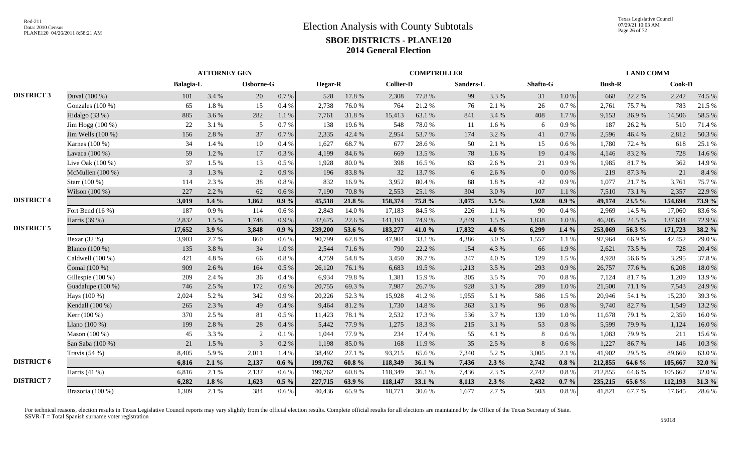|                   |                    |                | <b>ATTORNEY GEN</b><br>Osborne-G<br><b>Balagia-L</b> |                |           |                |           |                  | <b>COMPTROLLER</b> |           |         |              |           |               | <b>LAND COMM</b> |         |        |
|-------------------|--------------------|----------------|------------------------------------------------------|----------------|-----------|----------------|-----------|------------------|--------------------|-----------|---------|--------------|-----------|---------------|------------------|---------|--------|
|                   |                    |                |                                                      |                |           | <b>Hegar-R</b> |           | <b>Collier-D</b> |                    | Sanders-L |         | Shafto-G     |           | <b>Bush-R</b> |                  | Cook-D  |        |
| <b>DISTRICT 3</b> | Duval (100 %)      | 101            | 3.4 %                                                | 20             | 0.7 %     | 528            | 17.8 %    | 2,308            | 77.8%              | 99        | 3.3 %   | 31           | $1.0\ \%$ | 668           | 22.2 %           | 2,242   | 74.5 % |
|                   | Gonzales $(100\%)$ | 65             | 1.8%                                                 | 15             | 0.4%      | 2,738          | 76.0%     | 764              | 21.2%              | 76        | 2.1 %   | 26           | 0.7 %     | 2,761         | 75.7%            | 783     | 21.5 % |
|                   | Hidalgo (33 %)     | 885            | 3.6%                                                 | 282            | 1.1 %     | 7,761          | 31.8%     | 15,413           | 63.1 %             | 841       | 3.4 %   | 408          | 1.7 %     | 9,153         | 36.9%            | 14,506  | 58.5%  |
|                   | Jim Hogg (100 %)   | 22             | 3.1 %                                                | 5              | 0.7%      | 138            | 19.6%     | 548              | 78.0%              | 11        | 1.6 %   | 6            | 0.9%      | 187           | 26.2%            | 510     | 71.4%  |
|                   | Jim Wells (100 %)  | 156            | 2.8%                                                 | 37             | 0.7%      | 2,335          | 42.4 %    | 2,954            | 53.7%              | 174       | 3.2 %   | 41           | 0.7%      | 2,596         | 46.4%            | 2,812   | 50.3%  |
|                   | Karnes (100 %)     | 34             | 1.4 %                                                | 10             | 0.4%      | 1.627          | 68.7%     | 677              | 28.6%              | 50        | 2.1 %   | 15           | 0.6 %     | 1,780         | 72.4 %           | 618     | 25.1 % |
|                   | Lavaca (100 %)     | 59             | 1.2%                                                 | 17             | 0.3 %     | 4.199          | 84.6%     | 669              | 13.5 %             | 78        | $1.6\%$ | 19           | 0.4%      | 4.146         | 83.2%            | 728     | 14.6 % |
|                   | Live Oak (100 %)   | 37             | 1.5 %                                                | 13             | 0.5%      | 1,928          | 80.0%     | 398              | 16.5 %             | 63        | 2.6 %   | 21           | 0.9%      | 1,985         | 81.7%            | 362     | 14.9 % |
|                   | McMullen (100 %)   | $\mathfrak{Z}$ | 1.3%                                                 | 2              | 0.9%      | 196            | 83.8%     | 32               | 13.7%              | 6         | 2.6%    | $\mathbf{0}$ | 0.0 %     | 219           | 87.3%            | 21      | 8.4%   |
|                   | Starr (100 %)      | 114            | 2.3 %                                                | 38             | 0.8%      | 832            | 16.9%     | 3,952            | 80.4%              | 88        | 1.8%    | 42           | 0.9%      | 1.077         | 21.7%            | 3,761   | 75.7%  |
|                   | Wilson (100 %)     | 227            | 2.2%                                                 | 62             | 0.6 %     | 7,190          | 70.8%     | 2,553            | 25.1 %             | 304       | 3.0%    | 107          | 1.1 %     | 7,510         | 73.1 %           | 2,357   | 22.9 % |
| <b>DISTRICT 4</b> |                    | 3,019          | $1.4\%$                                              | 1,862          | $0.9\%$   | 45,518         | 21.8%     | 158,374          | 75.8 %             | 3,075     | $1.5\%$ | 1,928        | $0.9\%$   | 49,174        | 23.5 %           | 154,694 | 73.9%  |
|                   | Fort Bend (16 %)   | 187            | 0.9%                                                 | 114            | 0.6 %     | 2.843          | 14.0%     | 17,183           | 84.5 %             | 226       | 1.1%    | 90           | 0.4 %     | 2.969         | 14.5 %           | 17,060  | 83.6%  |
|                   | Harris (39 %)      | 2,832          | 1.5 %                                                | 1,748          | 0.9%      | 42,675         | 22.6 %    | 141,191          | 74.9%              | 2,849     | 1.5 %   | 1,838        | 1.0%      | 46,205        | 24.5 %           | 137,634 | 72.9%  |
| <b>DISTRICT 5</b> |                    | 17,652         | 3.9%                                                 | 3,848          | $0.9\%$   | 239,200        | 53.6 %    | 183,277          | 41.0%              | 17,832    | 4.0 $%$ | 6,299        | $1.4\%$   | 253,069       | 56.3 %           | 171,723 | 38.2 % |
|                   | Bexar (32 %)       | 3,903          | 2.7 %                                                | 860            | 0.6 %     | 90,799         | 62.8%     | 47,904           | 33.1 %             | 4,386     | 3.0%    | 1,557        | 1.1%      | 97,964        | 66.9%            | 42,452  | 29.0%  |
|                   | Blanco (100 %)     | 135            | 3.8%                                                 | 34             | $1.0\ \%$ | 2,544          | 71.6%     | 790              | 22.2 %             | 154       | 4.3 %   | 66           | 1.9%      | 2,621         | 73.5 %           | 728     | 20.4 % |
|                   | Caldwell (100 %)   | 421            | 4.8%                                                 | 66             | $0.8\%$   | 4,759          | 54.8%     | 3,450            | 39.7%              | 347       | 4.0%    | 129          | 1.5 %     | 4,928         | 56.6%            | 3,295   | 37.8%  |
|                   | Comal (100 %)      | 909            | 2.6 %                                                | 164            | $0.5\%$   | 26,120         | 76.1 %    | 6,683            | 19.5 %             | 1,213     | 3.5 %   | 293          | 0.9%      | 26,757        | 77.6 %           | 6,208   | 18.0%  |
|                   | Gillespie (100 %)  | 209            | 2.4 %                                                | 36             | 0.4%      | 6,934          | 79.8%     | 1,381            | 15.9%              | 305       | 3.5 %   | 70           | $0.8~\%$  | 7,124         | 81.7%            | 1,209   | 13.9%  |
|                   | Guadalupe (100 %)  | 746            | 2.5 %                                                | 172            | 0.6 %     | 20,755         | 69.3%     | 7,987            | 26.7%              | 928       | 3.1 %   | 289          | 1.0%      | 21,500        | 71.1 %           | 7,543   | 24.9%  |
|                   | Hays (100 %)       | 2,024          | 5.2%                                                 | 342            | 0.9%      | 20,226         | 52.3 %    | 15,928           | 41.2%              | 1,955     | 5.1 %   | 586          | 1.5 %     | 20,946        | 54.1 %           | 15,230  | 39.3%  |
|                   | Kendall (100 %)    | 265            | 2.3 %                                                | 49             | $0.4~\%$  | 9,464          | 81.2%     | 1,730            | 14.8 %             | 363       | 3.1 %   | 96           | 0.8 %     | 9,740         | 82.7%            | 1,549   | 13.2 % |
|                   | Kerr (100 %)       | 370            | 2.5 %                                                | 81             | $0.5~\%$  | 11,423         | 78.1 %    | 2,532            | 17.3 %             | 536       | 3.7%    | 139          | 1.0%      | 11,678        | 79.1 %           | 2,359   | 16.0%  |
|                   | Llano $(100\%)$    | 199            | 2.8%                                                 | 28             | 0.4%      | 5.442          | 77.9 %    | 1,275            | 18.3%              | 215       | 3.1 %   | 53           | $0.8~\%$  | 5.599         | 79.9%            | 1,124   | 16.0%  |
|                   | Mason (100 %)      | 45             | 3.3%                                                 | 2              | 0.1%      | 1,044          | 77.9%     | 234              | 17.4 %             | 55        | 4.1 %   | 8            | 0.6 %     | 1,083         | 79.9%            | 211     | 15.6%  |
|                   | San Saba (100 %)   | 21             | 1.5 %                                                | $\overline{3}$ | 0.2 %     | 1,198          | 85.0%     | 168              | 11.9%              | 35        | 2.5 %   | 8            | 0.6 %     | 1,227         | 86.7%            | 146     | 10.3%  |
|                   | Travis $(54%)$     | 8,405          | 5.9%                                                 | 2,011          | 1.4 %     | 38,492         | 27.1 %    | 93,215           | 65.6%              | 7,340     | 5.2%    | 3,005        | 2.1 %     | 41,902        | 29.5 %           | 89,669  | 63.0%  |
| <b>DISTRICT 6</b> |                    | 6,816          | 2.1%                                                 | 2,137          | $0.6\%$   | 199,762        | $60.8 \%$ | 118,349          | 36.1 $%$           | 7,436     | $2.3\%$ | 2,742        | $0.8 \%$  | 212,855       | 64.6 %           | 105,667 | 32.0%  |
|                   | Harris $(41\%$ )   | 6,816          | 2.1 %                                                | 2,137          | 0.6 %     | 199,762        | 60.8%     | 118,349          | 36.1%              | 7,436     | 2.3 %   | 2,742        | $0.8~\%$  | 212,855       | 64.6 %           | 105,667 | 32.0%  |
| <b>DISTRICT 7</b> |                    | 6,282          | 1.8 $%$                                              | 1,623          | $0.5\%$   | 227,715        | 63.9%     | 118,147          | 33.1 %             | 8,113     | $2.3\%$ | 2,432        | $0.7\%$   | 235,215       | 65.6 %           | 112,193 | 31.3%  |
|                   | Brazoria (100 %)   | 1,309          | 2.1 %                                                | 384            | $0.6\,\%$ | 40,436         | 65.9%     | 18,771           | 30.6%              | 1,677     | 2.7%    | 503          | $0.8~\%$  | 41,821        | 67.7%            | 17,645  | 28.6%  |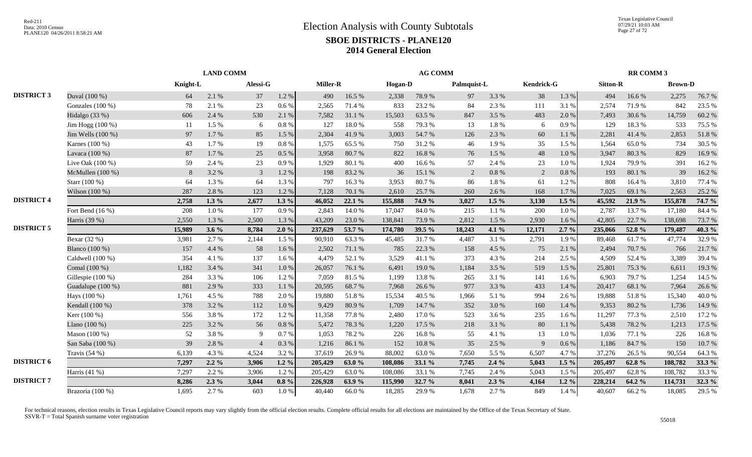|                   |                       | <b>LAND COMM</b> |         |                |           |                 |        |                | <b>AG COMM</b> |             |           |                   |           |                 | <b>RR COMM 3</b> |                |        |
|-------------------|-----------------------|------------------|---------|----------------|-----------|-----------------|--------|----------------|----------------|-------------|-----------|-------------------|-----------|-----------------|------------------|----------------|--------|
|                   |                       | Knight-L         |         | Alessi-G       |           | <b>Miller-R</b> |        | <b>Hogan-D</b> |                | Palmquist-L |           | <b>Kendrick-G</b> |           | <b>Sitton-R</b> |                  | <b>Brown-D</b> |        |
| <b>DISTRICT 3</b> | Duval (100 %)         | 64               | 2.1 %   | 37             | 1.2 %     | 490             | 16.5 % | 2,338          | 78.9%          | 97          | 3.3 %     | 38                | 1.3 %     | 494             | 16.6%            | 2,275          | 76.7%  |
|                   | Gonzales $(100\%)$    | 78               | 2.1 %   | 23             | 0.6 %     | 2,565           | 71.4 % | 833            | 23.2 %         | 84          | 2.3 %     | 111               | 3.1 %     | 2,574           | 71.9%            | 842            | 23.5 % |
|                   | Hidalgo $(33%)$       | 606              | 2.4 %   | 530            | 2.1 %     | 7,582           | 31.1 % | 15,503         | 63.5 %         | 847         | 3.5 %     | 483               | 2.0 %     | 7,493           | 30.6%            | 14,759         | 60.2%  |
|                   | Jim Hogg (100 %)      | 11               | 1.5 %   | 6              | $0.8~\%$  | 127             | 18.0%  | 558            | 79.3%          | 13          | $1.8~\%$  | 6                 | $0.9\ \%$ | 129             | 18.3%            | 533            | 75.5 % |
|                   | Jim Wells (100 %)     | 97               | 1.7%    | 85             | 1.5 %     | 2,304           | 41.9%  | 3,003          | 54.7%          | 126         | 2.3 %     | 60                | 1.1%      | 2,281           | 41.4%            | 2,853          | 51.8%  |
|                   | Karnes (100 %)        | 43               | 1.7%    | 19             | $0.8~\%$  | 1.575           | 65.5 % | 750            | 31.2 %         | 46          | 1.9%      | 35                | 1.5 %     | 1.564           | 65.0%            | 734            | 30.5 % |
|                   | Lavaca (100 %)        | 87               | 1.7%    | 25             | $0.5\ \%$ | 3,958           | 80.7%  | 822            | 16.8%          | 76          | 1.5 %     | 48                | $1.0\ \%$ | 3,947           | 80.3%            | 829            | 16.9%  |
|                   | Live Oak $(100\%)$    | 59               | 2.4 %   | 23             | 0.9%      | 1,929           | 80.1%  | 400            | 16.6%          | 57          | 2.4 %     | 23                | 1.0%      | 1,924           | 79.9%            | 391            | 16.2%  |
|                   | McMullen (100 %)      | 8                | 3.2 %   | 3              | 1.2%      | 198             | 83.2%  | 36             | 15.1 %         | 2           | $0.8\ \%$ | 2                 | 0.8%      | 193             | 80.1%            | 39             | 16.2%  |
|                   | Starr (100 %)         | 64               | 1.3%    | 64             | 1.3 %     | 797             | 16.3%  | 3,953          | 80.7%          | 86          | 1.8 %     | 61                | 1.2%      | 808             | 16.4%            | 3,810          | 77.4 % |
|                   | Wilson $(100\%)$      | 287              | 2.8%    | 123            | 1.2%      | 7,128           | 70.1 % | 2,610          | 25.7 %         | 260         | 2.6 %     | 168               | 1.7 %     | 7,025           | 69.1 %           | 2,563          | 25.2 % |
| <b>DISTRICT 4</b> |                       | 2,758            | $1.3\%$ | 2,677          | $1.3\%$   | 46,052          | 22.1%  | 155,888        | 74.9 %         | 3,027       | $1.5\%$   | 3,130             | $1.5\%$   | 45,592          | 21.9 %           | 155,878        | 74.7 % |
|                   | Fort Bend $(16\%)$    | 208              | 1.0%    | 177            | 0.9%      | 2,843           | 14.0%  | 17,047         | 84.0%          | 215         | 1.1%      | 200               | 1.0%      | 2,787           | 13.7 %           | 17,180         | 84.4 % |
|                   | Harris (39 %)         | 2,550            | 1.3%    | 2,500          | 1.3 %     | 43,209          | 23.0%  | 138,841        | 73.9%          | 2,812       | 1.5 %     | 2,930             | 1.6%      | 42,805          | 22.7 %           | 138,698        | 73.7%  |
| <b>DISTRICT 5</b> |                       | 15,989           | $3.6\%$ | 8,784          | 2.0%      | 237,629         | 53.7 % | 174,780        | 39.5 %         | 18,243      | 4.1 $%$   | 12,171            | $2.7\%$   | 235,066         | 52.8 %           | 179,487        | 40.3 % |
|                   | Bexar $(32%)$         | 3,981            | 2.7%    | 2,144          | 1.5 %     | 90,910          | 63.3%  | 45,485         | 31.7%          | 4,487       | 3.1 %     | 2,791             | 1.9%      | 89,468          | 61.7%            | 47,774         | 32.9%  |
|                   | <b>Blanco</b> (100 %) | 157              | 4.4 %   | 58             | 1.6 %     | 2,502           | 71.1 % | 785            | 22.3 %         | 158         | 4.5 %     | 75                | 2.1 %     | 2,494           | 70.7 %           | 766            | 21.7%  |
|                   | Caldwell (100 %)      | 354              | 4.1 %   | 137            | 1.6 %     | 4,479           | 52.1 % | 3,529          | 41.1%          | 373         | 4.3 %     | 214               | 2.5 %     | 4.509           | 52.4 %           | 3,389          | 39.4 % |
|                   | Comal (100 %)         | 1,182            | 3.4 %   | 341            | $1.0\ \%$ | 26,057          | 76.1 % | 6,491          | 19.0%          | 1,184       | 3.5 %     | 519               | 1.5 %     | 25,801          | 75.3 %           | 6,611          | 19.3%  |
|                   | Gillespie (100 %)     | 284              | 3.3 %   | 106            | 1.2%      | 7,059           | 81.5%  | 1,199          | 13.8%          | 265         | 3.1 %     | 141               | 1.6 %     | 6,903           | 79.7%            | 1,254          | 14.5 % |
|                   | Guadalupe (100 %)     | 881              | 2.9 %   | 333            | $1.1~\%$  | 20,595          | 68.7%  | 7,968          | 26.6 %         | 977         | 3.3 %     | 433               | 1.4%      | 20,417          | 68.1%            | 7,964          | 26.6%  |
|                   | Hays (100 %)          | 1,761            | 4.5 %   | 788            | 2.0%      | 19,880          | 51.8%  | 15,534         | 40.5 %         | 1,966       | 5.1 %     | 994               | 2.6 %     | 19,888          | 51.8%            | 15,340         | 40.0%  |
|                   | Kendall (100 %)       | 378              | 3.2 %   | 112            | $1.0\ \%$ | 9,429           | 80.9%  | 1,709          | 14.7 %         | 352         | 3.0%      | 160               | 1.4 %     | 9,353           | 80.2%            | 1,736          | 14.9%  |
|                   | Kerr (100 %)          | 556              | 3.8%    | 172            | 1.2%      | 11,358          | 77.8%  | 2,480          | 17.0%          | 523         | 3.6 %     | 235               | 1.6%      | 11,297          | 77.3 %           | 2,510          | 17.2 % |
|                   | Llano $(100\%)$       | 225              | 3.2 %   | 56             | $0.8~\%$  | 5,472           | 78.3%  | 1,220          | 17.5 %         | 218         | 3.1 %     | 80                | 1.1 %     | 5,438           | 78.2%            | 1,213          | 17.5 % |
|                   | Mason $(100\%)$       | 52               | 3.8%    | 9              | 0.7%      | 1.053           | 78.2 % | 226            | 16.8%          | 55          | 4.1 %     | 13                | 1.0%      | 1,036           | 77.1 %           | 226            | 16.8%  |
|                   | San Saba (100 %)      | 39               | 2.8%    | $\overline{4}$ | $0.3~\%$  | 1,216           | 86.1%  | 152            | $10.8~\%$      | 35          | 2.5 %     | 9                 | $0.6\,\%$ | 1,186           | 84.7%            | 150            | 10.7%  |
|                   | Travis $(54%)$        | 6,139            | 4.3 %   | 4,524          | 3.2 %     | 37,619          | 26.9%  | 88,002         | 63.0%          | 7,650       | 5.5 %     | 6,507             | 4.7%      | 37,276          | 26.5 %           | 90,554         | 64.3%  |
| <b>DISTRICT 6</b> |                       | 7,297            | $2.2\%$ | 3,906          | $1.2\%$   | 205,429         | 63.0%  | 108,086        | 33.1 %         | 7,745       | $2.4\%$   | 5,043             | 1.5 $%$   | 205,497         | 62.8%            | 108,782        | 33.3 % |
|                   | Harris $(41 \%)$      | 7,297            | 2.2 %   | 3,906          | 1.2%      | 205,429         | 63.0%  | 108,086        | 33.1 %         | 7,745       | 2.4 %     | 5,043             | 1.5 %     | 205,497         | 62.8%            | 108,782        | 33.3%  |
| <b>DISTRICT 7</b> |                       | 8,286            | $2.3\%$ | 3,044          | $0.8\ \%$ | 226,928         | 63.9%  | 115,990        | 32.7 %         | 8,041       | $2.3\%$   | 4,164             | $1.2 \%$  | 228,214         | 64.2 %           | 114,731        | 32.3 % |
|                   | Brazoria (100 %)      | 1,695            | 2.7%    | 603            | $1.0\ \%$ | 40,440          | 66.0%  | 18,285         | 29.9%          | 1,678       | 2.7 %     | 849               | 1.4 %     | 40,607          | 66.2%            | 18,085         | 29.5 % |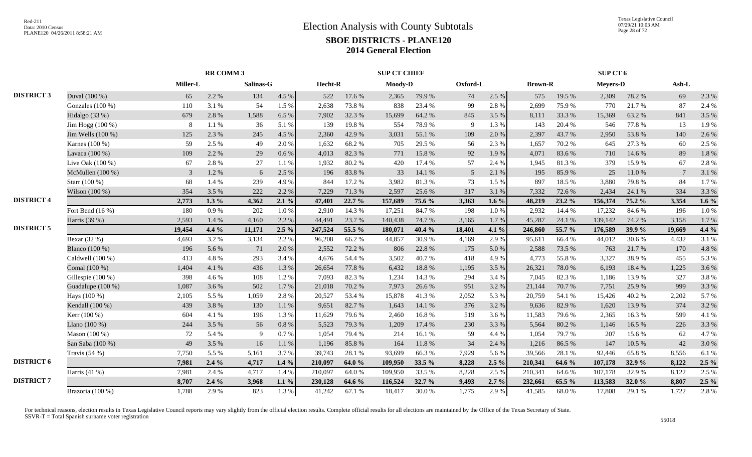|                   |                    |                 | RR COMM 3 |           |          |         |        | <b>SUP CT CHIEF</b> |        |                 |         |                |            | SUP CT 6        |        |                 |         |
|-------------------|--------------------|-----------------|-----------|-----------|----------|---------|--------|---------------------|--------|-----------------|---------|----------------|------------|-----------------|--------|-----------------|---------|
|                   |                    | <b>Miller-L</b> |           | Salinas-G |          | Hecht-R |        | Moody-D             |        | Oxford-L        |         | <b>Brown-R</b> |            | <b>Meyers-D</b> |        | Ash-L           |         |
| <b>DISTRICT 3</b> | Duval (100 %)      | 65              | 2.2 %     | 134       | 4.5 %    | 522     | 17.6 % | 2,365               | 79.9%  | 74              | 2.5 %   | 575            | 19.5 %     | 2,309           | 78.2 % | 69              | 2.3 %   |
|                   | Gonzales $(100\%)$ | 110             | 3.1 %     | 54        | 1.5 %    | 2,638   | 73.8%  | 838                 | 23.4 % | -99             | 2.8%    | 2,699          | 75.9%      | 770             | 21.7%  | 87              | 2.4 %   |
|                   | Hidalgo (33 %)     | 679             | 2.8%      | 1,588     | 6.5%     | 7,902   | 32.3 % | 15,699              | 64.2%  | 845             | 3.5 %   | 8,111          | 33.3 %     | 15,369          | 63.2%  | 841             | 3.5 %   |
|                   | Jim Hogg $(100\%)$ | 8               | 1.1 %     | 36        | 5.1 %    | 139     | 19.8%  | 554                 | 78.9%  | 9               | 1.3%    | 143            | 20.4 %     | 546             | 77.8%  | 13              | 1.9%    |
|                   | Jim Wells (100 %)  | 125             | 2.3 %     | 245       | 4.5 %    | 2,360   | 42.9%  | 3,031               | 55.1 % | 109             | 2.0%    | 2,397          | 43.7%      | 2,950           | 53.8%  | 140             | 2.6%    |
|                   | Karnes (100 %)     | 59              | 2.5 %     | 49        | 2.0%     | 1,632   | 68.2%  | 705                 | 29.5 % | 56              | 2.3 %   | 1,657          | 70.2%      | 645             | 27.3 % | 60              | 2.5 %   |
|                   | Lavaca (100 %)     | 109             | 2.2 %     | 29        | 0.6 %    | 4.013   | 82.3%  | 771                 | 15.8%  | 92              | 1.9%    | 4,071          | 83.6%      | 710             | 14.6 % | 89              | 1.8%    |
|                   | Live Oak (100 %)   | 67              | 2.8%      | 27        | 1.1%     | 1,932   | 80.2%  | 420                 | 17.4 % | 57              | 2.4 %   | 1,945          | 81.3%      | 379             | 15.9%  | 67              | 2.8%    |
|                   | McMullen (100 %)   | 3               | 1.2 %     | 6         | 2.5 %    | 196     | 83.8%  | 33                  | 14.1 % | $5\overline{)}$ | 2.1 %   | 195            | 85.9%      | 25              | 11.0%  | $7\phantom{.0}$ | 3.1%    |
|                   | Starr (100 %)      | 68              | 1.4 %     | 239       | 4.9%     | 844     | 17.2 % | 3,982               | 81.3%  | 73              | 1.5 %   | 897            | 18.5 %     | 3,880           | 79.8%  | 84              | 1.7%    |
|                   | Wilson (100 %)     | 354             | 3.5%      | 222       | 2.2 %    | 7,229   | 71.3%  | 2,597               | 25.6 % | 317             | 3.1 %   | 7,332          | 72.6%      | 2,434           | 24.1 % | 334             | 3.3 %   |
| <b>DISTRICT 4</b> |                    | 2,773           | $1.3\%$   | 4,362     | 2.1%     | 47,401  | 22.7 % | 157,689             | 75.6 % | 3,363           | 1.6 $%$ | 48,219         | 23.2 %     | 156,374         | 75.2 % | 3,354           | 1.6 $%$ |
|                   | Fort Bend $(16\%)$ | 180             | 0.9%      | 202       | 1.0%     | 2.910   | 14.3 % | 17,251              | 84.7%  | 198             | 1.0%    | 2.932          | 14.4 %     | 17,232          | 84.6%  | 196             | 1.0%    |
|                   | Harris (39 %)      | 2,593           | 1.4%      | 4,160     | 2.2 %    | 44,491  | 23.7%  | 140,438             | 74.7%  | 3,165           | 1.7%    | 45,287         | 24.1 %     | 139,142         | 74.2 % | 3,158           | 1.7%    |
| <b>DISTRICT 5</b> |                    | 19,454          | 4.4 %     | 11,171    | $2.5\%$  | 247,524 | 55.5 % | 180,071             | 40.4 % | 18,401          | 4.1 %   | 246,860        | 55.7 %     | 176,589         | 39.9%  | 19,669          | $4.4\%$ |
|                   | Bexar (32 %)       | 4,693           | 3.2 %     | 3,134     | 2.2 %    | 96,208  | 66.2%  | 44,857              | 30.9%  | 4,169           | 2.9%    | 95,611         | 66.4%      | 44,012          | 30.6%  | 4,432           | 3.1%    |
|                   | Blanco (100 %)     | 196             | 5.6 %     | 71        | 2.0 %    | 2,552   | 72.2 % | 806                 | 22.8 % | 175             | 5.0%    | 2,588          | 73.5 %     | 763             | 21.7%  | 170             | 4.8%    |
|                   | Caldwell (100 %)   | 413             | 4.8 %     | 293       | 3.4 %    | 4,676   | 54.4 % | 3,502               | 40.7%  | 418             | 4.9%    | 4,773          | 55.8%      | 3,327           | 38.9%  | 455             | 5.3 %   |
|                   | Comal (100 %)      | 1,404           | 4.1 %     | 436       | 1.3 %    | 26,654  | 77.8%  | 6,432               | 18.8%  | 1,195           | 3.5%    | 26,321         | 78.0%      | 6,193           | 18.4 % | 1,225           | 3.6%    |
|                   | Gillespie (100 %)  | 398             | 4.6 %     | 108       | 1.2%     | 7,093   | 82.3%  | 1,234               | 14.3 % | 294             | 3.4 %   | 7,045          | 82.3%      | 1,186           | 13.9%  | 327             | 3.8%    |
|                   | Guadalupe (100 %)  | 1,087           | 3.6%      | 502       | 1.7%     | 21,018  | 70.2 % | 7,973               | 26.6%  | 951             | 3.2%    | 21,144         | 70.7%      | 7,751           | 25.9%  | 999             | 3.3 %   |
|                   | Hays (100 %)       | 2,105           | 5.5 %     | 1,059     | 2.8%     | 20,527  | 53.4 % | 15,878              | 41.3%  | 2,052           | 5.3 %   | 20,759         | 54.1 %     | 15,426          | 40.2%  | 2,202           | 5.7%    |
|                   | Kendall (100 %)    | 439             | 3.8%      | 130       | $1.1~\%$ | 9,651   | 82.7%  | 1,643               | 14.1 % | 376             | 3.2%    | 9,636          | 82.9%      | 1,620           | 13.9%  | 374             | 3.2%    |
|                   | Kerr (100 %)       | 604             | 4.1%      | 196       | 1.3 %    | 11,629  | 79.6%  | 2,460               | 16.8%  | 519             | 3.6%    | 11,583         | 79.6%      | 2,365           | 16.3%  | 599             | 4.1 %   |
|                   | Llano (100 %)      | 244             | 3.5 %     | 56        | 0.8%     | 5.523   | 79.3%  | 1,209               | 17.4 % | 230             | 3.3%    | 5,564          | 80.2%      | 1,146           | 16.5 % | 226             | 3.3 %   |
|                   | Mason (100 %)      | 72              | 5.4 %     | 9         | 0.7%     | 1,054   | 79.4%  | 214                 | 16.1%  | 59              | 4.4 %   | 1,054          | 79.7%      | 207             | 15.6%  | 62              | 4.7%    |
|                   | San Saba (100 %)   | 49              | 3.5 %     | 16        | $1.1~\%$ | 1,196   | 85.8%  | 164                 | 11.8%  | 34              | 2.4 %   | 1,216          | 86.5%      | 147             | 10.5 % | 42              | 3.0%    |
|                   | Travis $(54%)$     | 7,750           | 5.5 %     | 5,161     | 3.7%     | 39,743  | 28.1 % | 93,699              | 66.3%  | 7,929           | 5.6%    | 39,566         | 28.1 %     | 92,446          | 65.8%  | 8,556           | 6.1%    |
| <b>DISTRICT 6</b> |                    | 7,981           | $2.4\%$   | 4,717     | $1.4\%$  | 210,097 | 64.0 % | 109,950             | 33.5 % | 8,228           | $2.5\%$ | 210,341        | 64.6 %     | 107,178         | 32.9 % | 8,122           | $2.5\%$ |
|                   | Harris (41 %)      | 7,981           | 2.4 %     | 4,717     | 1.4 %    | 210,097 | 64.0%  | 109,950             | 33.5 % | 8,228           | 2.5 %   | 210,341        | 64.6%      | 107,178         | 32.9%  | 8,122           | 2.5 %   |
| <b>DISTRICT 7</b> |                    | 8,707           | $2.4\%$   | 3,968     | $1.1\%$  | 230,128 | 64.6 % | 116,524             | 32.7 % | 9,493           | $2.7\%$ | 232,661        | 65.5 %     | 113,583         | 32.0 % | 8,807           | $2.5\%$ |
|                   | Brazoria (100 %)   | 1,788           | 2.9%      | 823       | 1.3 %    | 41,242  | 67.1 % | 18,417              | 30.0%  | 1,775           | 2.9%    | 41,585         | $68.0\ \%$ | 17,808          | 29.1 % | 1,722           | 2.8%    |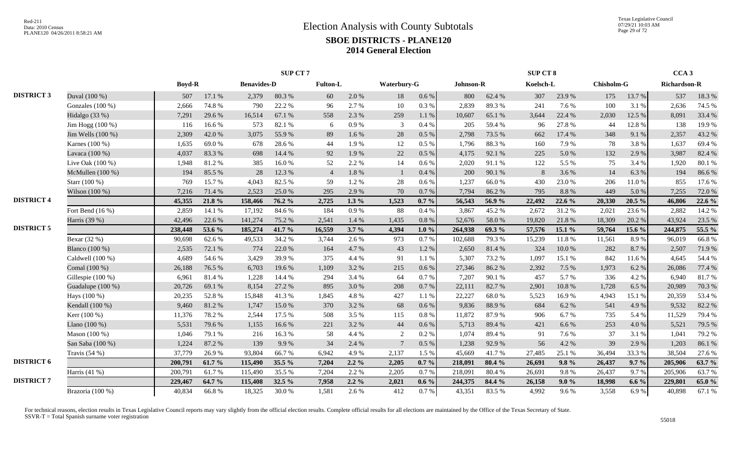|                   |                    |               |        |                    | <b>SUP CT 7</b> |                 |          |                 |           |           |        | <b>SUP CT 8</b> |        |                   |         | CCA <sub>3</sub>    |        |
|-------------------|--------------------|---------------|--------|--------------------|-----------------|-----------------|----------|-----------------|-----------|-----------|--------|-----------------|--------|-------------------|---------|---------------------|--------|
|                   |                    | <b>Boyd-R</b> |        | <b>Benavides-D</b> |                 | <b>Fulton-L</b> |          | Waterbury-G     |           | Johnson-R |        | Koelsch-L       |        | <b>Chisholm-G</b> |         | <b>Richardson-R</b> |        |
| <b>DISTRICT 3</b> | Duval (100 %)      | 507           | 17.1 % | 2,379              | 80.3%           | 60              | 2.0%     | 18              | 0.6 %     | 800       | 62.4%  | 307             | 23.9%  | 175               | 13.7 %  | 537                 | 18.3%  |
|                   | Gonzales (100 %)   | 2,666         | 74.8%  | 790                | 22.2 %          | 96              | 2.7 %    | 10              | $0.3\ \%$ | 2,839     | 89.3%  | 241             | 7.6 %  | 100               | 3.1 %   | 2,636               | 74.5 % |
|                   | Hidalgo (33 %)     | 7,291         | 29.6%  | 16,514             | 67.1 %          | 558             | 2.3 %    | 259             | 1.1%      | 10,607    | 65.1%  | 3,644           | 22.4 % | 2,030             | 12.5 %  | 8,091               | 33.4 % |
|                   | Jim Hogg $(100\%)$ | 116           | 16.6%  | 573                | 82.1 %          | -6              | 0.9%     | 3               | 0.4%      | 205       | 59.4%  | 96              | 27.8%  | 44                | 12.8%   | 138                 | 19.9%  |
|                   | Jim Wells (100 %)  | 2,309         | 42.0%  | 3,075              | 55.9%           | 89              | 1.6 %    | $28\,$          | 0.5 %     | 2,798     | 73.5 % | 662             | 17.4 % | 348               | 9.1%    | 2,357               | 43.2 % |
|                   | Karnes (100 %)     | 1,635         | 69.0%  | 678                | 28.6%           | 44              | 1.9%     | 12              | $0.5\%$   | 1,796     | 88.3%  | 160             | 7.9%   | 78                | 3.8%    | 1,637               | 69.4%  |
|                   | Lavaca (100 %)     | 4,037         | 83.3%  | 698                | 14.4 %          | 92              | 1.9%     | 22              | $0.5\%$   | 4,175     | 92.1 % | 225             | 5.0%   | 132               | 2.9 %   | 3,987               | 82.4 % |
|                   | Live Oak (100 %)   | 1,948         | 81.2%  | 385                | $16.0\ \%$      | 52              | 2.2 %    | 14              | $0.6\%$   | 2,020     | 91.1%  | 122             | 5.5 %  | 75                | 3.4%    | 1,920               | 80.1%  |
|                   | McMullen (100 %)   | 194           | 85.5%  | 28                 | 12.3 %          | $\overline{4}$  | $1.8~\%$ | $\mathbf{1}$    | 0.4%      | 200       | 90.1%  | $\mathbf{8}$    | 3.6%   | 14                | 6.3%    | 194                 | 86.6%  |
|                   | Starr (100 %)      | 769           | 15.7%  | 4,043              | 82.5 %          | .59             | 1.2 %    | 28              | 0.6 %     | 1,237     | 66.0%  | 430             | 23.0%  | 206               | 11.0 %  | 855                 | 17.6 % |
|                   | Wilson (100 %)     | 7,216         | 71.4 % | 2.523              | 25.0%           | 295             | 2.9%     | 70              | 0.7%      | 7,794     | 86.2%  | 795             | 8.8%   | 449               | 5.0%    | 7,255               | 72.0%  |
| <b>DISTRICT 4</b> |                    | 45,355        | 21.8%  | 158,466            | 76.2 %          | 2,725           | 1.3 $%$  | 1,523           | $0.7 \%$  | 56,543    | 56.9%  | 22,492          | 22.6 % | 20,330            | 20.5 %  | 46,806              | 22.6%  |
|                   | Fort Bend $(16\%)$ | 2,859         | 14.1 % | 17,192             | 84.6 %          | 184             | 0.9 %    | 88              | 0.4%      | 3,867     | 45.2%  | 2,672           | 31.2%  | 2,021             | 23.6 %  | 2,882               | 14.2 % |
|                   | Harris (39 %)      | 42,496        | 22.6 % | 141,274            | 75.2 %          | 2,541           | 1.4 %    | 1,435           | 0.8 %     | 52,676    | 58.0%  | 19,820          | 21.8%  | 18,309            | 20.2 %  | 43,924              | 23.5 % |
| <b>DISTRICT 5</b> |                    | 238,448       | 53.6 % | 185,274            | 41.7%           | 16,559          | $3.7\%$  | 4,394           | $1.0 \%$  | 264,938   | 69.3 % | 57,576          | 15.1 % | 59,764            | 15.6 %  | 244,875             | 55.5 % |
|                   | Bexar $(32%)$      | 90,698        | 62.6%  | 49,533             | 34.2 %          | 3,744           | 2.6 %    | 973             | 0.7%      | 102,688   | 79.3%  | 15,239          | 11.8%  | 11,561            | 8.9%    | 96,019              | 66.8%  |
|                   | Blanco (100 %)     | 2,535         | 72.1 % | 774                | 22.0%           | 164             | 4.7 %    | 43              | 1.2%      | 2,650     | 81.4%  | 324             | 10.0%  | 282               | 8.7%    | 2,507               | 71.9%  |
|                   | Caldwell (100 %)   | 4,689         | 54.6%  | 3,429              | 39.9%           | 375             | 4.4 %    | 91              | 1.1 %     | 5,307     | 73.2 % | 1,097           | 15.1 % | 842               | 11.6 %  | 4,645               | 54.4 % |
|                   | Comal (100 %)      | 26,188        | 76.5 % | 6,703              | 19.6%           | 1,109           | 3.2 %    | 215             | $0.6\,\%$ | 27,346    | 86.2%  | 2,392           | 7.5 %  | 1,973             | 6.2%    | 26,086              | 77.4 % |
|                   | Gillespie (100 %)  | 6,961         | 81.4%  | 1,228              | 14.4 %          | 294             | 3.4 %    | 64              | 0.7 %     | 7,207     | 90.1%  | 457             | 5.7%   | 336               | 4.2%    | 6,940               | 81.7%  |
|                   | Guadalupe (100 %)  | 20,726        | 69.1 % | 8,154              | 27.2 %          | 895             | 3.0%     | 208             | 0.7%      | 22,111    | 82.7%  | 2,901           | 10.8%  | 1,728             | 6.5%    | 20,989              | 70.3%  |
|                   | Hays (100 %)       | 20,235        | 52.8%  | 15,848             | 41.3%           | 1,845           | 4.8%     | 427             | $1.1~\%$  | 22,227    | 68.0%  | 5,523           | 16.9%  | 4,943             | 15.1 %  | 20,359              | 53.4 % |
|                   | Kendall (100 %)    | 9,460         | 81.2%  | 1,747              | 15.0%           | 370             | 3.2 %    | 68              | 0.6 %     | 9,836     | 88.9%  | 684             | 6.2 %  | 541               | 4.9%    | 9,532               | 82.2%  |
|                   | Kerr $(100\%)$     | 11,376        | 78.2%  | 2,544              | 17.5 %          | 508             | 3.5 %    | 115             | 0.8%      | 11,872    | 87.9%  | 906             | 6.7%   | 735               | 5.4 %   | 11,529              | 79.4 % |
|                   | Llano (100 %)      | 5,531         | 79.6%  | 1,155              | 16.6%           | 221             | 3.2 %    | 44              | $0.6\,\%$ | 5,713     | 89.4%  | 421             | 6.6%   | 253               | 4.0%    | 5,521               | 79.5 % |
|                   | Mason (100 %)      | 1,046         | 79.1 % | 216                | 16.3%           | 58              | 4.4 %    | 2               | 0.2%      | 1,074     | 89.4%  | 91              | 7.6%   | 37                | 3.1%    | 1,041               | 79.2 % |
|                   | San Saba (100 %)   | 1,224         | 87.2%  | 139                | 9.9%            | 34              | 2.4 %    | $7\phantom{.0}$ | $0.5\%$   | 1,238     | 92.9%  | 56              | 4.2 %  | 39                | 2.9%    | 1,203               | 86.1%  |
|                   | Travis $(54%)$     | 37,779        | 26.9%  | 93,804             | 66.7%           | 6,942           | 4.9%     | 2,137           | 1.5 %     | 45,669    | 41.7%  | 27,485          | 25.1 % | 36,494            | 33.3 %  | 38,504              | 27.6 % |
| <b>DISTRICT 6</b> |                    | 200,791       | 61.7%  | 115,490            | 35.5 %          | 7,204           | $2.2\%$  | 2,205           | $0.7 \%$  | 218,091   | 80.4 % | 26,691          | 9.8%   | 26,437            | 9.7%    | 205,906             | 63.7 % |
|                   | Harris $(41\%)$    | 200,791       | 61.7%  | 115,490            | 35.5 %          | 7.204           | 2.2 %    | 2,205           | $0.7\%$   | 218,091   | 80.4%  | 26,691          | 9.8%   | 26.437            | 9.7%    | 205,906             | 63.7%  |
| <b>DISTRICT 7</b> |                    | 229,467       | 64.7 % | 115,408            | 32.5 %          | 7,958           | $2.2\%$  | 2,021           | $0.6\%$   | 244,375   | 84.4 % | 26,158          | 9.0%   | 18,998            | 6.6 $%$ | 229,801             | 65.0%  |
|                   | Brazoria (100 %)   | 40,834        | 66.8%  | 18,325             | 30.0%           | 1,581           | 2.6 %    | 412             | 0.7 %     | 43,351    | 83.5%  | 4,992           | 9.6%   | 3,558             | 6.9%    | 40,898              | 67.1 % |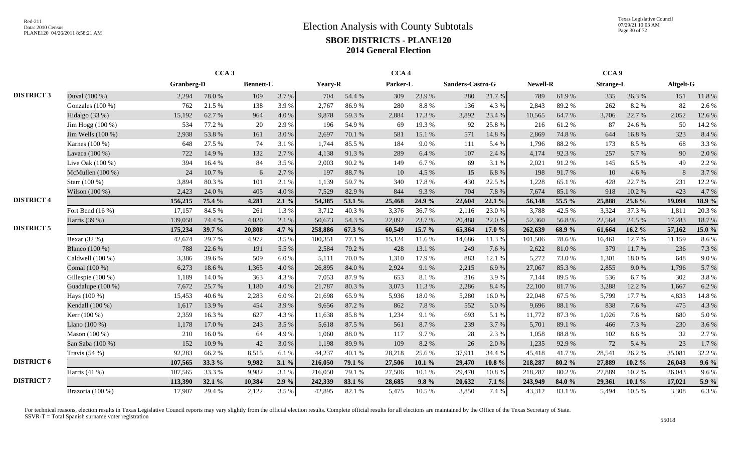Texas Legislative Council 07/29/21 10:03 AM Page 30 of 72

|                   |                       |                   | CCA <sub>3</sub> |                  |         |         | CCA <sub>4</sub> |          |        |                  |           |          | CCA <sub>9</sub> |                  |           |           |         |
|-------------------|-----------------------|-------------------|------------------|------------------|---------|---------|------------------|----------|--------|------------------|-----------|----------|------------------|------------------|-----------|-----------|---------|
|                   |                       | <b>Granberg-D</b> |                  | <b>Bennett-L</b> |         | Yeary-R |                  | Parker-L |        | Sanders-Castro-G |           | Newell-R |                  | <b>Strange-L</b> |           | Altgelt-G |         |
| <b>DISTRICT 3</b> | Duval (100 %)         | 2,294             | 78.0%            | 109              | 3.7%    | 704     | 54.4 %           | 309      | 23.9%  | 280              | 21.7 %    | 789      | 61.9%            | 335              | 26.3%     | 151       | 11.8%   |
|                   | Gonzales (100 %)      | 762               | 21.5 %           | 138              | 3.9%    | 2,767   | 86.9%            | 280      | 8.8%   | 136              | 4.3 %     | 2,843    | 89.2%            | 262              | 8.2%      | 82        | 2.6 %   |
|                   | Hidalgo (33 %)        | 15,192            | 62.7%            | 964              | 4.0%    | 9,878   | 59.3%            | 2,884    | 17.3 % | 3,892            | 23.4 %    | 10,565   | 64.7%            | 3,706            | 22.7 %    | 2,052     | 12.6%   |
|                   | Jim Hogg (100 %)      | 534               | 77.2 %           | 20               | 2.9 %   | 196     | 54.9%            | 69       | 19.3 % | 92               | 25.8%     | 216      | 61.2%            | 87               | 24.6 %    | 50        | 14.2 %  |
|                   | Jim Wells $(100\%)$   | 2,938             | 53.8%            | 161              | 3.0%    | 2.697   | 70.1 %           | 581      | 15.1 % | 571              | 14.8 %    | 2,869    | 74.8%            | 644              | 16.8%     | 323       | 8.4%    |
|                   | Karnes (100 %)        | 648               | 27.5 %           | 74               | 3.1%    | 1.744   | 85.5%            | 184      | 9.0%   | 111              | 5.4 %     | 1,796    | 88.2%            | 173              | 8.5 %     | 68        | 3.3 %   |
|                   | Lavaca (100 %)        | 722               | 14.9%            | 132              | 2.7%    | 4,138   | 91.3%            | 289      | 6.4 %  | 107              | 2.4 %     | 4,174    | 92.3 %           | 257              | 5.7 %     | 90        | 2.0%    |
|                   | Live Oak $(100\%)$    | 394               | 16.4%            | 84               | 3.5%    | 2.003   | 90.2%            | 149      | 6.7%   | 69               | 3.1%      | 2,021    | 91.2%            | 145              | 6.5 %     | 49        | 2.2 %   |
|                   | McMullen (100 %)      | 24                | 10.7%            | 6                | 2.7%    | 197     | 88.7%            | 10       | 4.5 %  | 15               | 6.8%      | 198      | 91.7%            | 10               | 4.6 %     | 8         | 3.7%    |
|                   | Starr (100 %)         | 3,894             | 80.3%            | 101              | 2.1 %   | 1,139   | 59.7%            | 340      | 17.8 % | 430              | 22.5 %    | 1,228    | 65.1%            | 428              | 22.7 %    | 231       | 12.2 %  |
|                   | Wilson (100 %)        | 2,423             | 24.0 %           | 405              | 4.0%    | 7,529   | 82.9%            | 844      | 9.3%   | 704              | 7.8%      | 7,674    | 85.1%            | 918              | 10.2%     | 423       | 4.7%    |
| <b>DISTRICT 4</b> |                       | 156,215           | 75.4 %           | 4,281            | $2.1\%$ | 54,385  | 53.1 %           | 25,468   | 24.9 % | 22,604           | 22.1 %    | 56,148   | 55.5 %           | 25,888           | 25.6 %    | 19,094    | 18.9 %  |
|                   | Fort Bend $(16\%)$    | 17,157            | 84.5 %           | 261              | 1.3%    | 3,712   | 40.3%            | 3,376    | 36.7%  | 2,116            | 23.0%     | 3,788    | 42.5 %           | 3,324            | 37.3 %    | 1,811     | 20.3 %  |
|                   | Harris (39 %)         | 139,058           | 74.4 %           | 4,020            | 2.1 %   | 50,673  | 54.3 %           | 22,092   | 23.7 % | 20,488           | 22.0%     | 52,360   | 56.8%            | 22,564           | 24.5 %    | 17,283    | 18.7%   |
| <b>DISTRICT 5</b> |                       | 175,234           | 39.7 %           | 20,808           | 4.7 $%$ | 258,886 | 67.3%            | 60,549   | 15.7 % | 65,364           | 17.0 %    | 262,639  | 68.9%            | 61,664           | $16.2 \%$ | 57,162    | 15.0 %  |
|                   | Bexar (32 %)          | 42,674            | 29.7%            | 4,972            | 3.5 %   | 100,351 | 77.1 %           | 15,124   | 11.6 % | 14,686           | 11.3%     | 101,506  | 78.6%            | 16,461           | 12.7 %    | 11,159    | 8.6%    |
|                   | <b>Blanco</b> (100 %) | 788               | 22.6 %           | 191              | 5.5 %   | 2,584   | 79.2 %           | 428      | 13.1 % | 249              | 7.6 %     | 2,622    | 81.0%            | 379              | 11.7 %    | 236       | 7.3 %   |
|                   | Caldwell (100 %)      | 3,386             | 39.6%            | 509              | 6.0%    | 5,111   | 70.0%            | 1,310    | 17.9%  | 883              | 12.1 %    | 5,272    | 73.0 %           | 1,301            | 18.0%     | 648       | 9.0%    |
|                   | Comal (100 %)         | 6,273             | 18.6%            | 1,365            | 4.0%    | 26,895  | 84.0%            | 2,924    | 9.1%   | 2,215            | 6.9%      | 27,067   | 85.3%            | 2,855            | 9.0%      | 1,796     | 5.7%    |
|                   | Gillespie (100 %)     | 1,189             | 14.0%            | 363              | 4.3 %   | 7,053   | 87.9%            | 653      | 8.1%   | 316              | 3.9%      | 7,144    | 89.5%            | 536              | 6.7%      | 302       | 3.8%    |
|                   | Guadalupe (100 %)     | 7,672             | 25.7%            | 1,180            | 4.0%    | 21,787  | 80.3%            | 3,073    | 11.3 % | 2,286            | 8.4%      | 22,100   | 81.7%            | 3,288            | 12.2 %    | 1,667     | 6.2%    |
|                   | Hays (100 %)          | 15,453            | 40.6%            | 2,283            | 6.0%    | 21,698  | 65.9%            | 5,936    | 18.0%  | 5,280            | 16.0%     | 22,048   | 67.5 %           | 5,799            | 17.7 %    | 4,833     | 14.8%   |
|                   | Kendall (100 %)       | 1,617             | 13.9%            | 454              | 3.9%    | 9,656   | 87.2%            | 862      | 7.8%   | 552              | 5.0%      | 9,696    | 88.1%            | 838              | 7.6 %     | 475       | 4.3 %   |
|                   | Kerr (100 %)          | 2,359             | 16.3%            | 627              | 4.3 %   | 11,638  | 85.8%            | 1,234    | 9.1%   | 693              | 5.1 %     | 11,772   | 87.3%            | 1,026            | 7.6%      | 680       | 5.0%    |
|                   | Llano $(100\%)$       | 1,178             | 17.0%            | 243              | 3.5%    | 5,618   | 87.5 %           | 561      | 8.7%   | 239              | 3.7%      | 5,701    | 89.1 %           | 466              | 7.3 %     | 230       | 3.6%    |
|                   | Mason (100 %)         | 210               | 16.0%            | 64               | 4.9%    | 1.060   | 88.0%            | 117      | 9.7%   | 28               | 2.3%      | 1,058    | 88.8%            | 102              | 8.6%      | 32        | 2.7%    |
|                   | San Saba (100 %)      | 152               | 10.9%            | 42               | 3.0%    | 1,198   | 89.9%            | 109      | 8.2%   | 26               | 2.0%      | 1,235    | 92.9%            | 72               | 5.4 %     | 23        | 1.7 %   |
|                   | Travis $(54\%)$       | 92,283            | 66.2%            | 8,515            | 6.1 %   | 44,237  | 40.1%            | 28,218   | 25.6%  | 37,911           | 34.4 %    | 45,418   | 41.7%            | 28,541           | 26.2%     | 35,081    | 32.2 %  |
| <b>DISTRICT 6</b> |                       | 107,565           | 33.3 %           | 9,982            | $3.1\%$ | 216,050 | 79.1 %           | 27,506   | 10.1%  | 29,470           | $10.8 \%$ | 218,287  | 80.2%            | 27,889           | $10.2 \%$ | 26,043    | $9.6\%$ |
|                   | Harris (41 %)         | 107,565           | 33.3 %           | 9,982            | 3.1%    | 216,050 | 79.1 %           | 27,506   | 10.1 % | 29,470           | $10.8~\%$ | 218,287  | 80.2%            | 27,889           | 10.2%     | 26,043    | 9.6%    |
| <b>DISTRICT 7</b> |                       | 113,390           | 32.1 %           | 10,384           | 2.9%    | 242,339 | 83.1 %           | 28,685   | 9.8%   | 20,632           | $7.1\%$   | 243,949  | 84.0%            | 29,361           | 10.1%     | 17,021    | 5.9 %   |
|                   | Brazoria (100 %)      | 17,907            | 29.4 %           | 2,122            | 3.5%    | 42,895  | 82.1 %           | 5,475    | 10.5 % | 3,850            | 7.4 %     | 43,312   | 83.1%            | 5,494            | 10.5 %    | 3,308     | 6.3%    |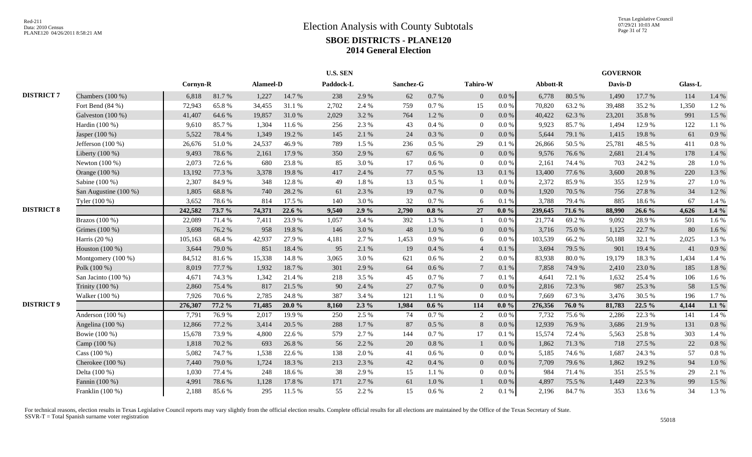|                   |                       |          |        |           | <b>U.S. SEN</b> |           |         |           |           |                |           |          | <b>GOVERNOR</b> |         |        |         |           |
|-------------------|-----------------------|----------|--------|-----------|-----------------|-----------|---------|-----------|-----------|----------------|-----------|----------|-----------------|---------|--------|---------|-----------|
|                   |                       | Cornyn-R |        | Alameel-D |                 | Paddock-L |         | Sanchez-G |           | Tahiro-W       |           | Abbott-R |                 | Davis-D |        | Glass-L |           |
| <b>DISTRICT 7</b> | Chambers (100 %)      | 6,818    | 81.7%  | 1,227     | 14.7 %          | 238       | 2.9%    | 62        | 0.7 %     | $\overline{0}$ | $0.0\,\%$ | 6,778    | 80.5 %          | 1,490   | 17.7 % | 114     | 1.4 %     |
|                   | Fort Bend (84 %)      | 72,943   | 65.8%  | 34,455    | 31.1 %          | 2,702     | 2.4 %   | 759       | 0.7%      | 15             | $0.0\,\%$ | 70,820   | 63.2%           | 39,488  | 35.2%  | 1,350   | 1.2%      |
|                   | Galveston (100 %)     | 41,407   | 64.6%  | 19,857    | 31.0%           | 2,029     | 3.2 %   | 764       | 1.2%      | $\Omega$       | $0.0\,\%$ | 40,422   | 62.3%           | 23,201  | 35.8%  | 991     | 1.5 %     |
|                   | Hardin (100 %)        | 9,610    | 85.7%  | 1,304     | 11.6 %          | 256       | 2.3%    | 43        | 0.4%      | $\overline{0}$ | $0.0\,\%$ | 9,923    | 85.7%           | 1,494   | 12.9%  | 122     | 1.1 %     |
|                   | Jasper (100 %)        | 5,522    | 78.4%  | 1,349     | 19.2 %          | 145       | 2.1 %   | 24        | 0.3%      | $\overline{0}$ | 0.0 %     | 5,644    | 79.1 %          | 1,415   | 19.8%  | 61      | 0.9%      |
|                   | Jefferson $(100\%)$   | 26,676   | 51.0%  | 24,537    | 46.9%           | 789       | 1.5%    | 236       | 0.5 %     | 29             | 0.1 %     | 26,866   | 50.5 %          | 25,781  | 48.5 % | 411     | 0.8%      |
|                   | Liberty (100 %)       | 9,493    | 78.6%  | 2,161     | 17.9 %          | 350       | 2.9 %   | 67        | 0.6 %     | $\overline{0}$ | 0.0 %     | 9,576    | 76.6%           | 2,681   | 21.4 % | 178     | 1.4 %     |
|                   | Newton $(100\%)$      | 2,073    | 72.6 % | 680       | 23.8%           | 85        | 3.0%    | 17        | 0.6 %     | $\Omega$       | $0.0\%$   | 2,161    | 74.4 %          | 703     | 24.2 % | 28      | 1.0%      |
|                   | Orange (100 %)        | 13,192   | 77.3 % | 3,378     | 19.8%           | 417       | 2.4 %   | 77        | 0.5 %     | 13             | $0.1\ \%$ | 13,400   | 77.6 %          | 3,600   | 20.8%  | 220     | 1.3%      |
|                   | Sabine (100 %)        | 2,307    | 84.9%  | 348       | 12.8%           | 49        | 1.8%    | 13        | 0.5%      |                | 0.0 %     | 2,372    | 85.9%           | 355     | 12.9 % | 27      | 1.0%      |
|                   | San Augustine (100 %) | 1,805    | 68.8%  | 740       | 28.2%           | 61        | 2.3%    | 19        | 0.7%      | $\Omega$       | 0.0 %     | 1,920    | 70.5 %          | 756     | 27.8%  | 34      | 1.2%      |
|                   | Tyler (100 %)         | 3,652    | 78.6%  | 814       | 17.5 %          | 140       | 3.0%    | 32        | 0.7%      | 6              | 0.1%      | 3,788    | 79.4 %          | 885     | 18.6%  | 67      | 1.4 %     |
| <b>DISTRICT 8</b> |                       | 242,582  | 73.7 % | 74,371    | 22.6 %          | 9.540     | 2.9%    | 2,790     | $0.8 \%$  | 27             | $0.0 \%$  | 239,645  | 71.6 %          | 88,990  | 26.6 % | 4,626   | $1.4\%$   |
|                   | Brazos (100 %)        | 22,089   | 71.4 % | 7,411     | 23.9%           | 1.057     | 3.4 %   | 392       | 1.3%      |                | $0.0\%$   | 21,774   | 69.2%           | 9,092   | 28.9%  | 501     | 1.6%      |
|                   | Grimes (100 %)        | 3,698    | 76.2 % | 958       | 19.8%           | 146       | 3.0%    | 48        | $1.0\ \%$ | $\overline{0}$ | $0.0\,\%$ | 3,716    | 75.0%           | 1,125   | 22.7 % | $80\,$  | 1.6%      |
|                   | Harris $(20\%)$       | 105,163  | 68.4%  | 42,937    | 27.9 %          | 4,181     | 2.7%    | 1,453     | 0.9%      | 6              | 0.0 %     | 103,539  | 66.2%           | 50,188  | 32.1 % | 2,025   | 1.3%      |
|                   | Houston (100 %)       | 3,644    | 79.0%  | 851       | 18.4 %          | 95        | 2.1%    | 19        | 0.4 %     | $\overline{4}$ | 0.1 %     | 3,694    | 79.5 %          | 901     | 19.4 % | 41      | 0.9%      |
|                   | Montgomery (100 %)    | 84,512   | 81.6%  | 15,338    | 14.8 %          | 3,065     | 3.0%    | 621       | 0.6 %     | 2              | $0.0\,\%$ | 83,938   | 80.0%           | 19,179  | 18.3%  | 1,434   | 1.4 %     |
|                   | Polk (100 %)          | 8,019    | 77.7 % | 1,932     | 18.7%           | 301       | 2.9%    | 64        | 0.6 %     | $\tau$         | 0.1%      | 7,858    | 74.9%           | 2,410   | 23.0%  | 185     | $1.8\ \%$ |
|                   | San Jacinto (100 %)   | 4,671    | 74.3 % | 1,342     | 21.4 %          | 218       | 3.5%    | 45        | 0.7%      | $\tau$         | 0.1%      | 4,641    | 72.1 %          | 1,632   | 25.4 % | 106     | 1.6%      |
|                   | Trinity (100 %)       | 2,860    | 75.4 % | 817       | 21.5 %          | 90        | 2.4 %   | 27        | 0.7 %     | $\Omega$       | 0.0 %     | 2,816    | 72.3 %          | 987     | 25.3 % | 58      | 1.5 %     |
|                   | Walker (100 %)        | 7,926    | 70.6%  | 2,785     | 24.8%           | 387       | 3.4 %   | 121       | 1.1%      |                | $0.0\%$   | 7,669    | 67.3 %          | 3,476   | 30.5 % | 196     | 1.7%      |
| <b>DISTRICT 9</b> |                       | 276,307  | 77.2 % | 71,485    | $20.0 \%$       | 8,160     | $2.3\%$ | 1,984     | $0.6\%$   | 114            | $0.0 \%$  | 276,356  | 76.0%           | 81,783  | 22.5 % | 4,144   | $1.1\%$   |
|                   | Anderson $(100\%)$    | 7,791    | 76.9%  | 2,017     | 19.9%           | 250       | 2.5 %   | 74        | 0.7%      | 2              | $0.0\%$   | 7,732    | 75.6 %          | 2,286   | 22.3 % | 141     | 1.4 %     |
|                   | Angelina (100 %)      | 12,866   | 77.2 % | 3,414     | 20.5 %          | 288       | 1.7%    | 87        | $0.5\%$   | 8              | 0.0 %     | 12,939   | 76.9%           | 3,686   | 21.9%  | 131     | 0.8%      |
|                   | Bowie (100 %)         | 15,678   | 73.9%  | 4,800     | 22.6 %          | 579       | 2.7%    | 144       | 0.7%      | 17             | 0.1%      | 15,574   | 72.4 %          | 5,563   | 25.8%  | 303     | 1.4 %     |
|                   | Camp (100 %)          | 1,818    | 70.2%  | 693       | 26.8%           | 56        | 2.2 %   | 20        | 0.8%      |                | 0.0 %     | 1,862    | 71.3 %          | 718     | 27.5 % | 22      | 0.8%      |
|                   | Cass $(100\%)$        | 5,082    | 74.7%  | 1,538     | 22.6 %          | 138       | 2.0%    | 41        | 0.6 %     | $\Omega$       | 0.0 %     | 5,185    | 74.6 %          | 1.687   | 24.3 % | 57      | 0.8%      |
|                   | Cherokee $(100\%)$    | 7,440    | 79.0%  | 1,724     | 18.3%           | 213       | 2.3%    | 42        | 0.4%      | $\overline{0}$ | $0.0\,\%$ | 7,709    | 79.6%           | 1,862   | 19.2 % | 94      | 1.0%      |
|                   | Delta (100 %)         | 1,030    | 77.4 % | 248       | 18.6%           | 38        | 2.9%    | 15        | 1.1 %     | $\theta$       | 0.0 %     | 984      | 71.4 %          | 351     | 25.5 % | 29      | 2.1 %     |
|                   | Fannin (100 %)        | 4,991    | 78.6%  | 1,128     | 17.8 %          | 171       | 2.7%    | 61        | $1.0\ \%$ |                | $0.0\,\%$ | 4,897    | 75.5 %          | 1,449   | 22.3 % | 99      | 1.5 %     |
|                   | Franklin $(100\%)$    | 2,188    | 85.6%  | 295       | 11.5 %          | 55        | 2.2%    | 15        | 0.6 %     | 2              | 0.1%      | 2,196    | 84.7%           | 353     | 13.6 % | 34      | 1.3%      |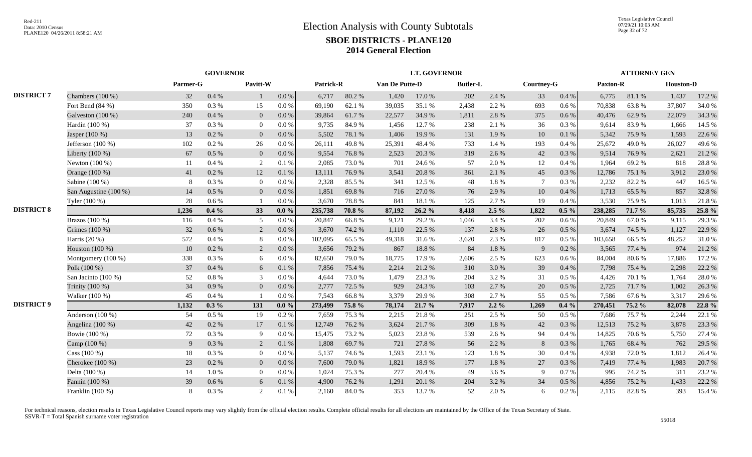|                   |                       |          | <b>GOVERNOR</b> |                |           |           |        |                | <b>LT. GOVERNOR</b> |                 |           |                |         |          | <b>ATTORNEY GEN</b> |                  |        |
|-------------------|-----------------------|----------|-----------------|----------------|-----------|-----------|--------|----------------|---------------------|-----------------|-----------|----------------|---------|----------|---------------------|------------------|--------|
|                   |                       | Parmer-G |                 | Pavitt-W       |           | Patrick-R |        | Van De Putte-D |                     | <b>Butler-L</b> |           | Courtney-G     |         | Paxton-R |                     | <b>Houston-D</b> |        |
| <b>DISTRICT 7</b> | Chambers (100 %)      | 32       | 0.4 %           |                | $0.0\ \%$ | 6,717     | 80.2%  | 1,420          | 17.0%               | 202             | 2.4 %     | 33             | 0.4 %   | 6,775    | 81.1%               | 1,437            | 17.2 % |
|                   | Fort Bend (84 %)      | 350      | 0.3%            | 15             | 0.0 %     | 69,190    | 62.1 % | 39,035         | 35.1 %              | 2,438           | 2.2 %     | 693            | $0.6\%$ | 70,838   | 63.8%               | 37,807           | 34.0 % |
|                   | Galveston (100 %)     | 240      | 0.4%            | $\mathbf{0}$   | $0.0\ \%$ | 39,864    | 61.7%  | 22,577         | 34.9%               | 1,811           | 2.8%      | 375            | 0.6 %   | 40,476   | 62.9%               | 22,079           | 34.3 % |
|                   | Hardin (100 %)        | 37       | 0.3 %           | $\overline{0}$ | 0.0 %     | 9,735     | 84.9%  | 1,456          | 12.7 %              | 238             | 2.1 %     | 36             | 0.3%    | 9,614    | 83.9%               | 1,666            | 14.5 % |
|                   | Jasper (100 %)        | 13       | $0.2\%$         | $\mathbf{0}$   | 0.0 %     | 5,502     | 78.1 % | 1,406          | 19.9%               | 131             | 1.9%      | 10             | 0.1%    | 5,342    | 75.9%               | 1,593            | 22.6 % |
|                   | Jefferson $(100\%)$   | 102      | $0.2 \%$        | 26             | 0.0 %     | 26,111    | 49.8%  | 25,391         | 48.4%               | 733             | 1.4 %     | 193            | 0.4%    | 25,672   | 49.0%               | 26,027           | 49.6%  |
|                   | Liberty $(100\%)$     | 67       | $0.5\%$         | $\mathbf{0}$   | 0.0 %     | 9.554     | 76.8%  | 2,523          | 20.3%               | 319             | 2.6 %     | 42             | 0.3%    | 9.514    | 76.9%               | 2,621            | 21.2%  |
|                   | Newton $(100\%)$      | 11       | $0.4\%$         | 2              | 0.1%      | 2.085     | 73.0%  | 701            | 24.6 %              | 57              | 2.0%      | 12             | 0.4%    | 1.964    | 69.2%               | 818              | 28.8%  |
|                   | Orange (100 %)        | 41       | 0.2 %           | 12             | 0.1%      | 13,111    | 76.9%  | 3,541          | 20.8%               | 361             | 2.1 %     | 45             | 0.3%    | 12,786   | 75.1 %              | 3,912            | 23.0 % |
|                   | Sabine (100 %)        | 8        | 0.3%            | $\overline{0}$ | 0.0 %     | 2,328     | 85.5%  | 341            | 12.5 %              | 48              | $1.8\ \%$ | $\overline{7}$ | 0.3%    | 2,232    | 82.2%               | 447              | 16.5 % |
|                   | San Augustine (100 %) | 14       | $0.5\%$         | $\overline{0}$ | $0.0\ \%$ | 1,851     | 69.8%  | 716            | 27.0%               | 76              | 2.9%      | 10             | 0.4%    | 1,713    | 65.5%               | 857              | 32.8%  |
|                   | Tyler (100 %)         | 28       | $0.6\%$         |                | 0.0 %     | 3,670     | 78.8%  | 841            | 18.1%               | 125             | 2.7%      | 19             | 0.4 %   | 3,530    | 75.9%               | 1,013            | 21.8%  |
| <b>DISTRICT 8</b> |                       | 1,236    | $0.4\%$         | 33             | $0.0\%$   | 235,738   | 70.8%  | 87,192         | 26.2%               | 8,418           | $2.5\%$   | 1,822          | $0.5\%$ | 238,285  | 71.7 %              | 85,735           | 25.8 % |
|                   | Brazos (100 %)        | 116      | 0.4 %           | 5              | $0.0\ \%$ | 20,847    | 66.8%  | 9,121          | 29.2%               | 1,046           | 3.4 %     | 202            | $0.6\%$ | 20,849   | 67.0%               | 9,115            | 29.3 % |
|                   | Grimes (100 %)        | 32       | 0.6 %           | 2              | 0.0 %     | 3,670     | 74.2 % | 1,110          | 22.5 %              | 137             | 2.8%      | 26             | 0.5 %   | 3,674    | 74.5 %              | 1,127            | 22.9 % |
|                   | Harris $(20\%)$       | 572      | 0.4%            | 8              | 0.0 %     | 102,095   | 65.5 % | 49,318         | 31.6%               | 3,620           | 2.3 %     | 817            | 0.5 %   | 103,658  | 66.5%               | 48,252           | 31.0%  |
|                   | Houston $(100\%)$     | 10       | $0.2 \%$        | 2              | 0.0 %     | 3,656     | 79.2 % | 867            | 18.8%               | 84              | 1.8%      | 9              | 0.2 %   | 3,565    | 77.4 %              | 974              | 21.2%  |
|                   | Montgomery $(100\%)$  | 338      | 0.3 %           | 6              | 0.0 %     | 82,650    | 79.0%  | 18,775         | 17.9%               | 2,606           | 2.5 %     | 623            | 0.6 %   | 84,004   | 80.6%               | 17,886           | 17.2 % |
|                   | Polk (100 %)          | 37       | $0.4\%$         | 6              | 0.1%      | 7.856     | 75.4 % | 2,214          | 21.2%               | 310             | 3.0 %     | 39             | 0.4%    | 7,798    | 75.4 %              | 2,298            | 22.2 % |
|                   | San Jacinto (100 %)   | 52       | $0.8~\%$        | 3              | 0.0 %     | 4,644     | 73.0%  | 1,479          | 23.3 %              | 204             | 3.2%      | 31             | 0.5%    | 4,426    | 70.1 %              | 1,764            | 28.0%  |
|                   | Trinity (100 %)       | 34       | 0.9%            | $\overline{0}$ | 0.0 %     | 2,777     | 72.5 % | 929            | 24.3 %              | 103             | 2.7%      | 20             | 0.5 %   | 2,725    | 71.7%               | 1,002            | 26.3 % |
|                   | Walker (100 %)        | 45       | 0.4 %           |                | 0.0 %     | 7,543     | 66.8%  | 3,379          | 29.9%               | 308             | 2.7%      | 55             | 0.5 %   | 7,586    | 67.6%               | 3,317            | 29.6%  |
| <b>DISTRICT 9</b> |                       | 1,132    | $0.3\%$         | 131            | $0.0\%$   | 273,499   | 75.8 % | 78,174         | 21.7 %              | 7,917           | $2.2\%$   | 1,269          | $0.4\%$ | 270,451  | 75.2 %              | 82,078           | 22.8 % |
|                   | Anderson $(100\%)$    | 54       | $0.5\%$         | 19             | 0.2%      | 7,659     | 75.3 % | 2,215          | 21.8%               | 251             | 2.5 %     | 50             | 0.5%    | 7,686    | 75.7%               | 2,244            | 22.1 % |
|                   | Angelina $(100\%)$    | 42       | $0.2 \%$        | 17             | $0.1~\%$  | 12,749    | 76.2%  | 3,624          | 21.7%               | 309             | 1.8%      | 42             | 0.3%    | 12,513   | 75.2 %              | 3,878            | 23.3 % |
|                   | Bowie (100 %)         | 72       | 0.3 %           | 9              | 0.0 %     | 15,475    | 73.2 % | 5,023          | 23.8%               | 539             | 2.6 %     | 94             | 0.4 %   | 14,825   | 70.6%               | 5,750            | 27.4 % |
|                   | Camp (100 %)          | 9        | 0.3%            | 2              | 0.1%      | 1,808     | 69.7%  | 721            | 27.8%               | 56              | 2.2 %     | 8              | 0.3%    | 1,765    | 68.4%               | 762              | 29.5 % |
|                   | Cass $(100\%)$        | 18       | 0.3 %           | $\overline{0}$ | 0.0 %     | 5,137     | 74.6 % | 1,593          | 23.1 %              | 123             | 1.8%      | 30             | 0.4%    | 4.938    | 72.0%               | 1,812            | 26.4 % |
|                   | Cherokee $(100\%)$    | 23       | $0.2 \%$        | $\mathbf{0}$   | 0.0 %     | 7.600     | 79.0%  | 1,821          | 18.9%               | 177             | 1.8%      | 27             | 0.3 %   | 7,419    | 77.4 %              | 1,983            | 20.7 % |
|                   | Delta (100 %)         | 14       | $1.0 \%$        | $\overline{0}$ | 0.0 %     | 1,024     | 75.3 % | 277            | 20.4 %              | 49              | 3.6 %     | 9              | 0.7%    | 995      | 74.2 %              | 311              | 23.2 % |
|                   | Fannin (100 %)        | 39       | $0.6\,\%$       | 6              | $0.1~\%$  | 4,900     | 76.2%  | 1,291          | 20.1 %              | 204             | 3.2 %     | 34             | 0.5 %   | 4,856    | 75.2 %              | 1,433            | 22.2 % |
|                   | Franklin $(100\%)$    | 8        | 0.3%            | 2              | 0.1%      | 2,160     | 84.0%  | 353            | 13.7 %              | 52              | 2.0%      | 6              | 0.2 %   | 2,115    | 82.8%               | 393              | 15.4 % |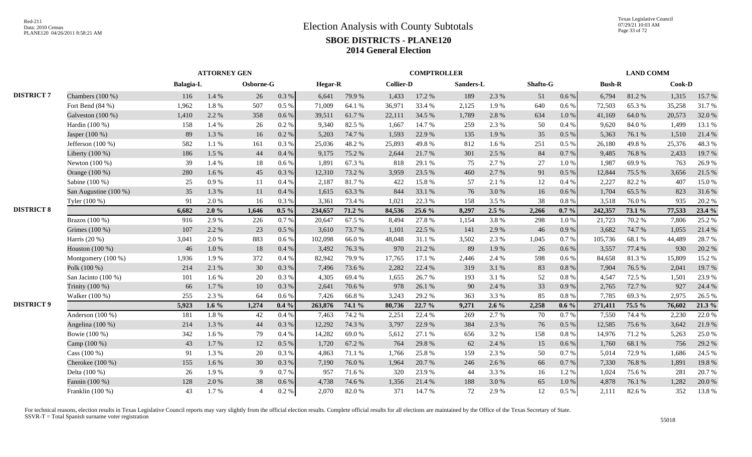|                   |                       |                  | <b>ATTORNEY GEN</b> |                |         |                |        | <b>COMPTROLLER</b> |        |           |         |          |           | <b>LAND COMM</b> |        |        |        |
|-------------------|-----------------------|------------------|---------------------|----------------|---------|----------------|--------|--------------------|--------|-----------|---------|----------|-----------|------------------|--------|--------|--------|
|                   |                       | <b>Balagia-L</b> |                     | Osborne-G      |         | <b>Hegar-R</b> |        | <b>Collier-D</b>   |        | Sanders-L |         | Shafto-G |           | <b>Bush-R</b>    |        | Cook-D |        |
| <b>DISTRICT 7</b> | Chambers (100 %)      | 116              | 1.4 %               | 26             | 0.3 %   | 6,641          | 79.9%  | 1,433              | 17.2 % | 189       | 2.3 %   | 51       | $0.6\,\%$ | 6,794            | 81.2%  | 1,315  | 15.7 % |
|                   | Fort Bend (84 %)      | 1,962            | 1.8%                | 507            | 0.5 %   | 71,009         | 64.1 % | 36,971             | 33.4 % | 2,125     | 1.9%    | 640      | 0.6 %     | 72,503           | 65.3%  | 35,258 | 31.7%  |
|                   | Galveston (100 %)     | 1,410            | 2.2 %               | 358            | 0.6%    | 39,511         | 61.7%  | 22,111             | 34.5 % | 1,789     | 2.8%    | 634      | 1.0%      | 41,169           | 64.0%  | 20,573 | 32.0 % |
|                   | Hardin (100 %)        | 158              | 1.4 %               | 26             | 0.2%    | 9,340          | 82.5 % | 1,667              | 14.7 % | 259       | 2.3 %   | 50       | 0.4%      | 9,620            | 84.0%  | 1,499  | 13.1 % |
|                   | Jasper (100 %)        | 89               | 1.3%                | 16             | 0.2 %   | 5,203          | 74.7%  | 1,593              | 22.9 % | 135       | 1.9%    | 35       | 0.5%      | 5,363            | 76.1 % | 1,510  | 21.4%  |
|                   | Jefferson $(100\%)$   | 582              | 1.1%                | 161            | 0.3%    | 25,036         | 48.2%  | 25,893             | 49.8%  | 812       | 1.6%    | 251      | 0.5 %     | 26,180           | 49.8%  | 25,376 | 48.3%  |
|                   | Liberty $(100\%)$     | 186              | 1.5 %               | 44             | 0.4%    | 9,175          | 75.2 % | 2,644              | 21.7%  | 301       | 2.5 %   | 84       | 0.7%      | 9.485            | 76.8%  | 2,433  | 19.7%  |
|                   | Newton $(100\%)$      | 39               | 1.4 %               | 18             | 0.6%    | 1,891          | 67.3%  | 818                | 29.1 % | 75        | 2.7%    | 27       | 1.0%      | 1,987            | 69.9%  | 763    | 26.9%  |
|                   | Orange (100 %)        | 280              | 1.6%                | 45             | 0.3 %   | 12,310         | 73.2 % | 3,959              | 23.5 % | 460       | 2.7%    | 91       | 0.5 %     | 12,844           | 75.5 % | 3,656  | 21.5 % |
|                   | Sabine (100 %)        | 25               | 0.9%                | 11             | 0.4%    | 2,187          | 81.7%  | 422                | 15.8%  | 57        | 2.1 %   | 12       | 0.4%      | 2,227            | 82.2%  | 407    | 15.0%  |
|                   | San Augustine (100 %) | 35               | 1.3 %               | 11             | 0.4 %   | 1,615          | 63.3%  | 844                | 33.1 % | 76        | 3.0%    | 16       | 0.6 %     | 1,704            | 65.5 % | 823    | 31.6%  |
|                   | Tyler (100 %)         | 91               | 2.0 %               | 16             | 0.3%    | 3,361          | 73.4 % | 1,021              | 22.3 % | 158       | 3.5 %   | 38       | 0.8%      | 3,518            | 76.0%  | 935    | 20.2 % |
| <b>DISTRICT 8</b> |                       | 6,682            | 2.0%                | 1,646          | $0.5\%$ | 234,657        | 71.2 % | 84,536             | 25.6 % | 8,297     | $2.5\%$ | 2,266    | $0.7 \%$  | 242,357          | 73.1 % | 77,533 | 23.4 % |
|                   | Brazos (100 %)        | 916              | 2.9%                | 226            | 0.7%    | 20,647         | 67.5 % | 8,494              | 27.8%  | 1,154     | 3.8%    | 298      | 1.0%      | 21,723           | 70.2%  | 7,806  | 25.2 % |
|                   | Grimes (100 %)        | 107              | 2.2 %               | 23             | 0.5 %   | 3,610          | 73.7%  | 1,101              | 22.5 % | 141       | 2.9 %   | 46       | 0.9%      | 3,682            | 74.7%  | 1,055  | 21.4 % |
|                   | Harris $(20\%)$       | 3,041            | 2.0 %               | 883            | 0.6%    | 102,098        | 66.0%  | 48,048             | 31.1 % | 3,502     | 2.3 %   | 1,045    | 0.7%      | 105,736          | 68.1 % | 44,489 | 28.7%  |
|                   | Houston (100 %)       | 46               | 1.0 %               | 18             | 0.4%    | 3,492          | 76.3%  | 970                | 21.2%  | 89        | 1.9%    | 26       | 0.6 %     | 3,557            | 77.4 % | 930    | 20.2 % |
|                   | Montgomery (100 %)    | 1,936            | 1.9%                | 372            | 0.4%    | 82,942         | 79.9%  | 17,765             | 17.1 % | 2,446     | 2.4 %   | 598      | 0.6 %     | 84,658           | 81.3%  | 15,809 | 15.2 % |
|                   | Polk (100 %)          | 214              | 2.1 %               | 30             | 0.3 %   | 7,496          | 73.6 % | 2,282              | 22.4 % | 319       | 3.1 %   | 83       | 0.8%      | 7,904            | 76.5 % | 2,041  | 19.7%  |
|                   | San Jacinto (100 %)   | 101              | 1.6 %               | 20             | 0.3%    | 4,305          | 69.4%  | 1,655              | 26.7%  | 193       | 3.1 %   | 52       | 0.8%      | 4,547            | 72.5 % | 1,501  | 23.9%  |
|                   | Trinity (100 %)       | 66               | 1.7%                | 10             | 0.3%    | 2.641          | 70.6%  | 978                | 26.1%  | 90        | 2.4 %   | 33       | 0.9%      | 2,765            | 72.7 % | 927    | 24.4 % |
|                   | Walker (100 %)        | 255              | 2.3 %               | 64             | 0.6 %   | 7,426          | 66.8%  | 3,243              | 29.2 % | 363       | 3.3%    | 85       | $0.8~\%$  | 7,785            | 69.3%  | 2,975  | 26.5 % |
| <b>DISTRICT 9</b> |                       | 5,923            | 1.6 $%$             | 1,274          | $0.4\%$ | 263,876        | 74.1 % | 80,736             | 22.7 % | 9,271     | $2.6\%$ | 2,258    | $0.6\%$   | 271,411          | 75.5 % | 76,602 | 21.3 % |
|                   | Anderson $(100\%)$    | 181              | $1.8~\%$            | 42             | 0.4%    | 7,463          | 74.2 % | 2,251              | 22.4 % | 269       | 2.7 %   | 70       | 0.7%      | 7,550            | 74.4 % | 2,230  | 22.0 % |
|                   | Angelina $(100\%)$    | 214              | 1.3%                | 44             | 0.3%    | 12,292         | 74.3 % | 3,797              | 22.9%  | 384       | 2.3 %   | 76       | 0.5 %     | 12,585           | 75.6%  | 3,642  | 21.9%  |
|                   | Bowie (100 %)         | 342              | 1.6 %               | 79             | 0.4%    | 14,282         | 69.0%  | 5,612              | 27.1 % | 656       | 3.2%    | 158      | 0.8%      | 14,976           | 71.2%  | 5,263  | 25.0%  |
|                   | Camp (100 %)          | 43               | 1.7%                | 12             | 0.5 %   | 1,720          | 67.2%  | 764                | 29.8%  | 62        | 2.4 %   | 15       | 0.6 %     | 1,760            | 68.1 % | 756    | 29.2 % |
|                   | Cass $(100\%)$        | 91               | 1.3 %               | 20             | 0.3%    | 4,863          | 71.1 % | 1,766              | 25.8%  | 159       | 2.3 %   | 50       | 0.7%      | 5,014            | 72.9 % | 1,686  | 24.5 % |
|                   | Cherokee $(100\%)$    | 155              | 1.6 %               | 30             | 0.3 %   | 7,190          | 76.0%  | 1,964              | 20.7%  | 246       | 2.6 %   | 66       | 0.7 %     | 7,330            | 76.8%  | 1,891  | 19.8%  |
|                   | Delta (100 %)         | 26               | 1.9%                | -9             | 0.7%    | 957            | 71.6 % | 320                | 23.9%  | 44        | 3.3 %   | 16       | 1.2%      | 1.024            | 75.6 % | 281    | 20.7%  |
|                   | Fannin (100 %)        | 128              | 2.0%                | 38             | 0.6%    | 4,738          | 74.6 % | 1,356              | 21.4 % | 188       | 3.0%    | 65       | 1.0%      | 4,878            | 76.1 % | 1,282  | 20.0%  |
|                   | Franklin $(100\%)$    | 43               | 1.7%                | $\overline{4}$ | 0.2%    | 2,070          | 82.0%  | 371                | 14.7 % | 72        | 2.9%    | 12       | 0.5%      | 2,111            | 82.6%  | 352    | 13.8%  |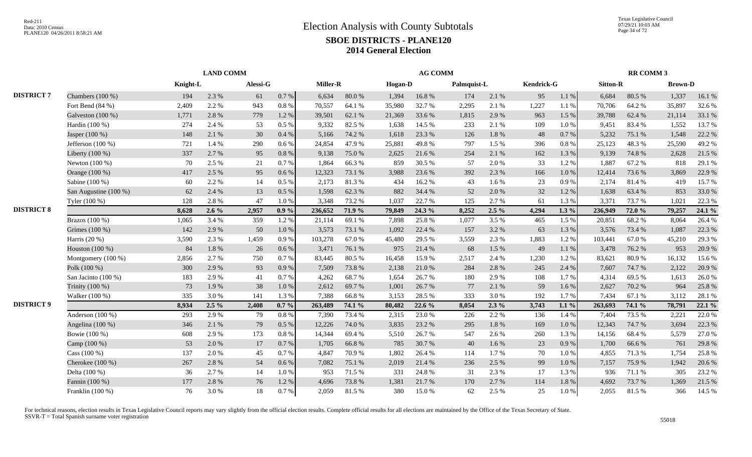|                   |                       |          | <b>LAND COMM</b> |          |           |                 |        |         | <b>AG COMM</b> |             |         |            |           |                 | <b>RR COMM 3</b> |                |        |
|-------------------|-----------------------|----------|------------------|----------|-----------|-----------------|--------|---------|----------------|-------------|---------|------------|-----------|-----------------|------------------|----------------|--------|
|                   |                       | Knight-L |                  | Alessi-G |           | <b>Miller-R</b> |        | Hogan-D |                | Palmquist-L |         | Kendrick-G |           | <b>Sitton-R</b> |                  | <b>Brown-D</b> |        |
| <b>DISTRICT 7</b> | Chambers (100 %)      | 194      | 2.3 %            | 61       | 0.7 %     | 6,634           | 80.0%  | 1,394   | 16.8%          | 174         | 2.1%    | 95         | 1.1%      | 6,684           | 80.5%            | 1,337          | 16.1%  |
|                   | Fort Bend $(84\%)$    | 2,409    | 2.2 %            | 943      | 0.8%      | 70,557          | 64.1 % | 35,980  | 32.7%          | 2,295       | 2.1%    | 1,227      | 1.1%      | 70,706          | 64.2 %           | 35,897         | 32.6 % |
|                   | Galveston (100 %)     | 1,771    | 2.8%             | 779      | 1.2%      | 39,501          | 62.1 % | 21,369  | 33.6%          | 1,815       | 2.9 %   | 963        | 1.5 %     | 39,788          | 62.4 %           | 21,114         | 33.1 % |
|                   | Hardin (100 %)        | 274      | 2.4 %            | 53       | 0.5%      | 9,332           | 82.5 % | 1,638   | 14.5 %         | 233         | 2.1 %   | 109        | 1.0%      | 9,451           | 83.4 %           | 1,552          | 13.7%  |
|                   | Jasper (100 %)        | 148      | 2.1 %            | 30       | 0.4%      | 5,166           | 74.2 % | 1,618   | 23.3 %         | 126         | 1.8%    | 48         | 0.7 %     | 5,232           | 75.1 %           | 1,548          | 22.2 % |
|                   | Jefferson $(100\%)$   | 721      | 1.4 %            | 290      | $0.6\%$   | 24,854          | 47.9%  | 25,881  | 49.8%          | 797         | 1.5 %   | 396        | 0.8%      | 25,123          | 48.3%            | 25,590         | 49.2%  |
|                   | Liberty $(100\%)$     | 337      | 2.7 %            | 95       | 0.8%      | 9,138           | 75.0%  | 2,625   | 21.6%          | 254         | 2.1%    | 162        | 1.3%      | 9,139           | 74.8%            | 2,628          | 21.5 % |
|                   | Newton $(100\%)$      | 70       | 2.5 %            | 21       | 0.7%      | 1,864           | 66.3%  | 859     | 30.5 %         | 57          | 2.0%    | 33         | 1.2%      | 1,887           | 67.2 %           | 818            | 29.1 % |
|                   | Orange (100 %)        | 417      | 2.5 %            | 95       | $0.6\,\%$ | 12,323          | 73.1 % | 3,988   | 23.6 %         | 392         | 2.3 %   | 166        | $1.0\ \%$ | 12,414          | 73.6%            | 3,869          | 22.9 % |
|                   | Sabine (100 %)        | 60       | 2.2 %            | 14       | 0.5%      | 2,173           | 81.3%  | 434     | 16.2%          | 43          | 1.6%    | 23         | 0.9 %     | 2,174           | 81.4%            | 419            | 15.7%  |
|                   | San Augustine (100 %) | 62       | 2.4 %            | 13       | 0.5 %     | 1,598           | 62.3%  | 882     | 34.4 %         | 52          | 2.0%    | 32         | 1.2%      | 1,638           | 63.4%            | 853            | 33.0%  |
|                   | Tyler (100 %)         | 128      | 2.8%             | 47       | 1.0%      | 3,348           | 73.2 % | 1,037   | 22.7 %         | 125         | 2.7%    | 61         | 1.3%      | 3,371           | 73.7%            | 1,021          | 22.3 % |
| <b>DISTRICT 8</b> |                       | 8,628    | $2.6\%$          | 2,957    | $0.9\%$   | 236,652         | 71.9 % | 79,849  | 24.3 %         | 8,252       | $2.5\%$ | 4,294      | $1.3\%$   | 236,949         | 72.0 %           | 79,257         | 24.1 % |
|                   | Brazos (100 %)        | 1,065    | 3.4 %            | 359      | 1.2%      | 21,114          | 69.1%  | 7,898   | 25.8%          | 1,077       | 3.5 %   | 465        | 1.5 %     | 20,851          | 68.2%            | 8,064          | 26.4%  |
|                   | Grimes (100 %)        | 142      | 2.9%             | 50       | 1.0 %     | 3,573           | 73.1 % | 1,092   | 22.4 %         | 157         | 3.2%    | 63         | 1.3 %     | 3,576           | 73.4 %           | 1,087          | 22.3 % |
|                   | Harris (20 %)         | 3,590    | 2.3 %            | 1,459    | 0.9%      | 103,278         | 67.0%  | 45,480  | 29.5 %         | 3,559       | 2.3 %   | 1,883      | 1.2%      | 103,441         | 67.0%            | 45,210         | 29.3 % |
|                   | Houston (100 %)       | 84       | $1.8\ \%$        | 26       | $0.6\,\%$ | 3,471           | 76.1 % | 975     | 21.4%          | 68          | 1.5 %   | 49         | $1.1\ \%$ | 3,478           | 76.2%            | 953            | 20.9%  |
|                   | Montgomery (100 %)    | 2,856    | 2.7 %            | 750      | 0.7%      | 83,445          | 80.5%  | 16,458  | 15.9%          | 2,517       | 2.4 %   | 1,230      | 1.2%      | 83,621          | 80.9%            | 16,132         | 15.6%  |
|                   | Polk (100 %)          | 300      | 2.9 %            | 93       | 0.9%      | 7,509           | 73.8%  | 2,138   | 21.0%          | 284         | 2.8%    | 245        | 2.4 %     | 7,607           | 74.7 %           | 2,122          | 20.9%  |
|                   | San Jacinto (100 %)   | 183      | 2.9 %            | 41       | 0.7%      | 4,262           | 68.7%  | 1,654   | 26.7%          | 180         | 2.9%    | 108        | 1.7 %     | 4,314           | 69.5%            | 1,613          | 26.0%  |
|                   | Trinity (100 %)       | 73       | 1.9%             | 38       | 1.0%      | 2,612           | 69.7%  | 1,001   | 26.7%          | 77          | 2.1 %   | 59         | 1.6 %     | 2,627           | 70.2%            | 964            | 25.8%  |
|                   | Walker (100 %)        | 335      | 3.0%             | 141      | 1.3%      | 7,388           | 66.8%  | 3,153   | 28.5 %         | 333         | 3.0%    | 192        | 1.7%      | 7,434           | 67.1 %           | 3,112          | 28.1 % |
| <b>DISTRICT 9</b> |                       | 8,934    | $2.5\%$          | 2,408    | $0.7\%$   | 263,489         | 74.1 % | 80,482  | 22.6 %         | 8,054       | $2.3\%$ | 3,743      | 1.1 $\%$  | 263,693         | 74.1 %           | 78,791         | 22.1 % |
|                   | Anderson (100 %)      | 293      | 2.9%             | 79       | 0.8%      | 7,390           | 73.4 % | 2,315   | 23.0%          | 226         | 2.2 %   | 136        | 1.4 %     | 7,404           | 73.5 %           | 2,221          | 22.0%  |
|                   | Angelina (100 %)      | 346      | 2.1 %            | 79       | 0.5 %     | 12,226          | 74.0 % | 3,835   | 23.2 %         | 295         | 1.8%    | 169        | $1.0\ \%$ | 12,343          | 74.7 %           | 3,694          | 22.3 % |
|                   | Bowie (100 %)         | 608      | 2.9%             | 173      | 0.8%      | 14,344          | 69.4%  | 5,510   | 26.7%          | 547         | 2.6%    | 260        | 1.3 %     | 14,156          | 68.4%            | 5,579          | 27.0%  |
|                   | Camp (100 %)          | 53       | 2.0%             | 17       | 0.7%      | 1,705           | 66.8%  | 785     | 30.7%          | 40          | 1.6 %   | 23         | 0.9%      | 1,700           | 66.6%            | 761            | 29.8%  |
|                   | Cass $(100\%)$        | 137      | 2.0 %            | 45       | 0.7%      | 4,847           | 70.9%  | 1,802   | 26.4%          | 114         | 1.7%    | 70         | 1.0%      | 4,855           | 71.3 %           | 1,754          | 25.8%  |
|                   | Cherokee $(100\%)$    | 267      | 2.8%             | 54       | 0.6%      | 7,082           | 75.1 % | 2,019   | 21.4 %         | 236         | 2.5 %   | 99         | 1.0 %     | 7,157           | 75.9%            | 1,942          | 20.6%  |
|                   | Delta (100 %)         | 36       | 2.7 %            | 14       | 1.0%      | 953             | 71.5 % | 331     | 24.8%          | 31          | 2.3 %   | 17         | 1.3 %     | 936             | 71.1 %           | 305            | 23.2 % |
|                   | Fannin (100 %)        | 177      | 2.8%             | 76       | 1.2%      | 4,696           | 73.8%  | 1,381   | 21.7%          | 170         | 2.7%    | 114        | $1.8\ \%$ | 4,692           | 73.7%            | 1,369          | 21.5 % |
|                   | Franklin $(100\%)$    | 76       | 3.0%             | 18       | 0.7%      | 2,059           | 81.5%  | 380     | 15.0%          | 62          | 2.5 %   | 25         | 1.0%      | 2,055           | 81.5%            | 366            | 14.5 % |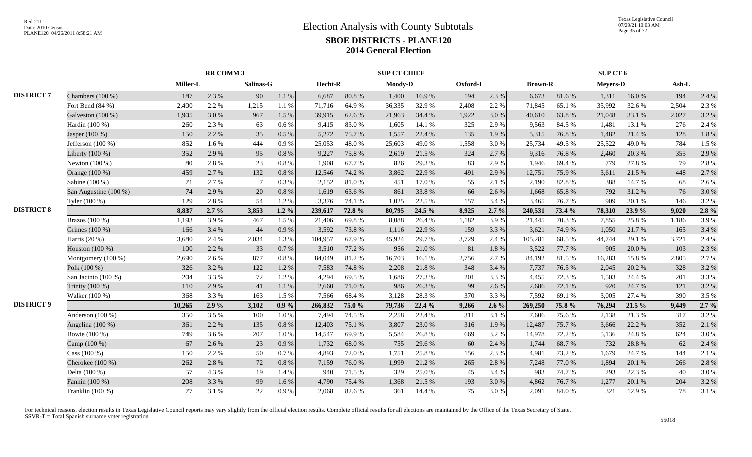|                   |                       |          | <b>RR COMM 3</b> |           |          |         |        | <b>SUP CT CHIEF</b> |        |          |         |                |        | SUP CT 6        |        |       |           |
|-------------------|-----------------------|----------|------------------|-----------|----------|---------|--------|---------------------|--------|----------|---------|----------------|--------|-----------------|--------|-------|-----------|
|                   |                       | Miller-L |                  | Salinas-G |          | Hecht-R |        | Moody-D             |        | Oxford-L |         | <b>Brown-R</b> |        | <b>Meyers-D</b> |        | Ash-L |           |
| <b>DISTRICT 7</b> | Chambers (100 %)      | 187      | 2.3 %            | 90        | $1.1~\%$ | 6,687   | 80.8%  | 1,400               | 16.9%  | 194      | 2.3 %   | 6,673          | 81.6%  | 1,311           | 16.0%  | 194   | 2.4 %     |
|                   | Fort Bend $(84\%)$    | 2,400    | 2.2 %            | 1,215     | 1.1 %    | 71,716  | 64.9%  | 36,335              | 32.9%  | 2,408    | 2.2 %   | 71,845         | 65.1 % | 35,992          | 32.6 % | 2,504 | 2.3 %     |
|                   | Galveston (100 %)     | 1,905    | 3.0%             | 967       | 1.5 %    | 39,915  | 62.6 % | 21,963              | 34.4 % | 1,922    | 3.0%    | 40,610         | 63.8%  | 21,048          | 33.1 % | 2,027 | 3.2 %     |
|                   | Hardin $(100\%)$      | 260      | 2.3 %            | 63        | 0.6%     | 9.415   | 83.0%  | 1,605               | 14.1 % | 325      | 2.9%    | 9,563          | 84.5 % | 1,481           | 13.1 % | 276   | 2.4 %     |
|                   | Jasper (100 %)        | 150      | 2.2 %            | 35        | 0.5 %    | 5,272   | 75.7%  | 1,557               | 22.4 % | 135      | 1.9%    | 5,315          | 76.8%  | 1,482           | 21.4%  | 128   | $1.8\ \%$ |
|                   | Jefferson $(100\%)$   | 852      | 1.6%             | 444       | 0.9%     | 25,053  | 48.0%  | 25,603              | 49.0%  | 1,558    | 3.0%    | 25,734         | 49.5 % | 25,522          | 49.0%  | 784   | 1.5 %     |
|                   | Liberty (100 %)       | 352      | 2.9%             | 95        | $0.8~\%$ | 9,227   | 75.8%  | 2,619               | 21.5 % | 324      | 2.7%    | 9,316          | 76.8%  | 2,460           | 20.3 % | 355   | 2.9%      |
|                   | Newton $(100\%)$      | 80       | 2.8%             | 23        | 0.8%     | 1,908   | 67.7%  | 826                 | 29.3 % | 83       | 2.9%    | 1,946          | 69.4%  | 779             | 27.8%  | 79    | 2.8%      |
|                   | Orange (100 %)        | 459      | 2.7%             | 132       | 0.8%     | 12,546  | 74.2 % | 3,862               | 22.9%  | 491      | 2.9 %   | 12,751         | 75.9%  | 3,611           | 21.5 % | 448   | 2.7%      |
|                   | Sabine (100 %)        | 71       | 2.7%             | -7        | 0.3%     | 2,152   | 81.0%  | 451                 | 17.0%  | 55       | 2.1%    | 2,190          | 82.8%  | 388             | 14.7 % | 68    | 2.6 %     |
|                   | San Augustine (100 %) | 74       | 2.9%             | 20        | $0.8~\%$ | 1,619   | 63.6%  | 861                 | 33.8%  | 66       | 2.6%    | 1,668          | 65.8%  | 792             | 31.2%  | 76    | 3.0%      |
|                   | Tyler (100 %)         | 129      | 2.8%             | 54        | 1.2%     | 3,376   | 74.1 % | 1,025               | 22.5 % | 157      | 3.4 %   | 3,465          | 76.7%  | 909             | 20.1 % | 146   | 3.2%      |
| <b>DISTRICT 8</b> |                       | 8,837    | $2.7\%$          | 3,853     | $1.2\%$  | 239,617 | 72.8%  | 80,795              | 24.5 % | 8,925    | $2.7\%$ | 240,531        | 73.4 % | 78,310          | 23.9 % | 9,020 | $2.8 \%$  |
|                   | Brazos (100 %)        | 1,193    | 3.9%             | 467       | 1.5%     | 21,406  | 69.8%  | 8,088               | 26.4%  | 1,182    | 3.9%    | 21,445         | 70.3%  | 7,855           | 25.8%  | 1,186 | 3.9%      |
|                   | Grimes (100 %)        | 166      | 3.4 %            | 44        | 0.9%     | 3,592   | 73.8%  | 1,116               | 22.9%  | 159      | 3.3 %   | 3,621          | 74.9%  | 1,050           | 21.7 % | 165   | 3.4 %     |
|                   | Harris $(20\%)$       | 3,680    | 2.4 %            | 2,034     | 1.3%     | 104,957 | 67.9%  | 45,924              | 29.7%  | 3,729    | 2.4 %   | 105,281        | 68.5%  | 44,744          | 29.1 % | 3,721 | 2.4 %     |
|                   | Houston (100 %)       | 100      | 2.2 %            | 33        | 0.7 %    | 3,510   | 77.2 % | 956                 | 21.0%  | 81       | 1.8%    | 3,522          | 77.7 % | 905             | 20.0%  | 103   | 2.3 %     |
|                   | Montgomery $(100\%)$  | 2,690    | 2.6 %            | 877       | 0.8%     | 84,049  | 81.2%  | 16,703              | 16.1 % | 2,756    | 2.7 %   | 84,192         | 81.5 % | 16,283          | 15.8%  | 2,805 | 2.7%      |
|                   | Polk (100 %)          | 326      | 3.2 %            | 122       | 1.2%     | 7,583   | 74.8%  | 2,208               | 21.8%  | 348      | 3.4 %   | 7,737          | 76.5 % | 2,045           | 20.2 % | 328   | 3.2%      |
|                   | San Jacinto (100 %)   | 204      | 3.3%             | 72        | 1.2%     | 4,294   | 69.5%  | 1,686               | 27.3 % | 201      | 3.3 %   | 4,455          | 72.3 % | 1,503           | 24.4 % | 201   | 3.3 %     |
|                   | Trinity (100 %)       | 110      | 2.9%             | 41        | 1.1 %    | 2,660   | 71.0%  | 986                 | 26.3%  | 99       | 2.6 %   | 2,686          | 72.1 % | 920             | 24.7 % | 121   | 3.2%      |
|                   | Walker (100 %)        | 368      | 3.3%             | 163       | 1.5 %    | 7,566   | 68.4%  | 3,128               | 28.3 % | 370      | 3.3 %   | 7,592          | 69.1%  | 3,005           | 27.4 % | 390   | 3.5 %     |
| <b>DISTRICT 9</b> |                       | 10,265   | 2.9%             | 3,102     | $0.9\%$  | 266,832 | 75.0 % | 79,736              | 22.4 % | 9,266    | $2.6\%$ | 269,250        | 75.8 % | 76,294          | 21.5 % | 9,449 | $2.7\%$   |
|                   | Anderson $(100\%)$    | 350      | 3.5%             | 100       | 1.0%     | 7,494   | 74.5 % | 2,258               | 22.4 % | 311      | 3.1 %   | 7,606          | 75.6 % | 2,138           | 21.3%  | 317   | 3.2%      |
|                   | Angelina (100 %)      | 361      | 2.2 %            | 135       | 0.8%     | 12,403  | 75.1 % | 3,807               | 23.0%  | 316      | 1.9%    | 12,487         | 75.7%  | 3,666           | 22.2 % | 352   | 2.1%      |
|                   | Bowie (100 %)         | 749      | 3.6%             | 207       | 1.0%     | 14,547  | 69.9%  | 5,584               | 26.8%  | 669      | 3.2%    | 14,978         | 72.2 % | 5,136           | 24.8%  | 624   | 3.0%      |
|                   | Camp (100 %)          | 67       | 2.6 %            | 23        | 0.9%     | 1,732   | 68.0%  | 755                 | 29.6%  | 60       | 2.4 %   | 1,744          | 68.7%  | 732             | 28.8%  | 62    | 2.4 %     |
|                   | Cass (100 %)          | 150      | 2.2 %            | 50        | 0.7%     | 4,893   | 72.0%  | 1,751               | 25.8%  | 156      | 2.3 %   | 4,981          | 73.2 % | 1,679           | 24.7 % | 144   | 2.1 %     |
|                   | Cherokee (100 %)      | 262      | 2.8%             | 72        | 0.8%     | 7,159   | 76.0%  | 1,999               | 21.2%  | 265      | 2.8%    | 7,248          | 77.0%  | 1,894           | 20.1 % | 266   | 2.8%      |
|                   | Delta (100 %)         | 57       | 4.3 %            | 19        | 1.4 %    | 940     | 71.5 % | 329                 | 25.0%  | 45       | 3.4 %   | 983            | 74.7 % | 293             | 22.3 % | 40    | 3.0%      |
|                   | Fannin (100 %)        | 208      | 3.3 %            | 99        | 1.6%     | 4,790   | 75.4 % | 1,368               | 21.5 % | 193      | 3.0%    | 4,862          | 76.7%  | 1,277           | 20.1 % | 204   | 3.2%      |
|                   | Franklin $(100\%)$    | 77       | 3.1 %            | 22        | 0.9%     | 2,068   | 82.6%  | 361                 | 14.4 % | 75       | 3.0%    | 2,091          | 84.0%  | 321             | 12.9%  | 78    | 3.1 %     |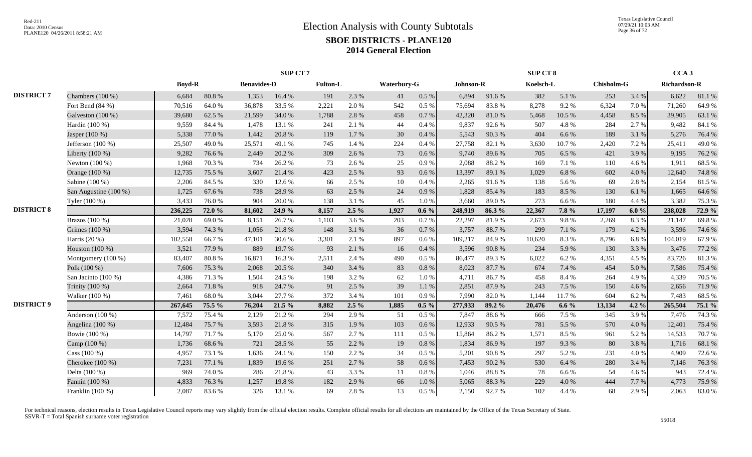|                   |                       |               |        |                    | SUP CT 7 |          |         |             |           |           |        | <b>SUP CT 8</b> |         |                   |         | CCA <sub>3</sub>    |        |
|-------------------|-----------------------|---------------|--------|--------------------|----------|----------|---------|-------------|-----------|-----------|--------|-----------------|---------|-------------------|---------|---------------------|--------|
|                   |                       | <b>Boyd-R</b> |        | <b>Benavides-D</b> |          | Fulton-L |         | Waterbury-G |           | Johnson-R |        | Koelsch-L       |         | <b>Chisholm-G</b> |         | <b>Richardson-R</b> |        |
| <b>DISTRICT 7</b> | Chambers $(100\%)$    | 6,684         | 80.8%  | 1,353              | 16.4 %   | 191      | 2.3 %   | 41          | 0.5 %     | 6,894     | 91.6%  | 382             | 5.1 %   | 253               | 3.4 %   | 6,622               | 81.1%  |
|                   | Fort Bend (84 %)      | 70,516        | 64.0%  | 36,878             | 33.5 %   | 2,221    | 2.0 %   | 542         | 0.5 %     | 75,694    | 83.8%  | 8,278           | 9.2%    | 6,324             | 7.0%    | 71,260              | 64.9%  |
|                   | Galveston (100 %)     | 39,680        | 62.5 % | 21,599             | 34.0%    | 1,788    | 2.8%    | 458         | 0.7%      | 42,320    | 81.0%  | 5,468           | 10.5 %  | 4,458             | 8.5 %   | 39,905              | 63.1 % |
|                   | Hardin (100 %)        | 9,559         | 84.4 % | 1,478              | 13.1 %   | 241      | 2.1 %   | 44          | 0.4%      | 9,837     | 92.6%  | 507             | 4.8%    | 284               | 2.7 %   | 9,482               | 84.1 % |
|                   | Jasper (100 %)        | 5,338         | 77.0 % | 1,442              | 20.8%    | 119      | 1.7%    | 30          | 0.4%      | 5,543     | 90.3%  | 404             | 6.6 %   | 189               | 3.1 %   | 5,276               | 76.4 % |
|                   | Jefferson (100 %)     | 25,507        | 49.0%  | 25,571             | 49.1 %   | 745      | 1.4 %   | 224         | 0.4%      | 27,758    | 82.1 % | 3,630           | 10.7%   | 2,420             | 7.2 %   | 25,411              | 49.0%  |
|                   | Liberty (100 %)       | 9,282         | 76.6%  | 2,449              | 20.2 %   | 309      | 2.6%    | 73          | 0.6 %     | 9,740     | 89.6%  | 705             | 6.5 %   | 421               | 3.9%    | 9,195               | 76.2 % |
|                   | Newton (100 %)        | 1,968         | 70.3%  | 734                | 26.2%    | 73       | 2.6 %   | 25          | 0.9%      | 2,088     | 88.2%  | 169             | 7.1 %   | 110               | 4.6 %   | 1,911               | 68.5 % |
|                   | Orange (100 %)        | 12,735        | 75.5 % | 3,607              | 21.4 %   | 423      | 2.5 %   | 93          | 0.6%      | 13,397    | 89.1 % | 1,029           | 6.8%    | 602               | 4.0 %   | 12,640              | 74.8%  |
|                   | Sabine (100 %)        | 2,206         | 84.5 % | 330                | 12.6 %   | 66       | 2.5 %   | 10          | 0.4%      | 2,265     | 91.6%  | 138             | 5.6%    | 69                | 2.8%    | 2,154               | 81.5%  |
|                   | San Augustine (100 %) | 1,725         | 67.6%  | 738                | 28.9%    | 63       | 2.5 %   | 24          | 0.9%      | 1,828     | 85.4%  | 183             | 8.5%    | 130               | 6.1%    | 1,665               | 64.6%  |
|                   | Tyler (100 %)         | 3,433         | 76.0%  | 904                | 20.0%    | 138      | 3.1 %   | 45          | 1.0%      | 3.660     | 89.0%  | 273             | 6.6 %   | 180               | 4.4 %   | 3,382               | 75.3 % |
| <b>DISTRICT 8</b> |                       | 236,225       | 72.0 % | 81,602             | 24.9 %   | 8,157    | $2.5\%$ | 1,927       | $0.6\%$   | 248,919   | 86.3%  | 22,367          | 7.8 %   | 17,197            | 6.0%    | 238,028             | 72.9 % |
|                   | Brazos (100 %)        | 21,028        | 69.0%  | 8,151              | 26.7%    | 1,103    | 3.6 %   | 203         | 0.7%      | 22,297    | 81.9%  | 2,673           | 9.8%    | 2,269             | 8.3%    | 21,147              | 69.8%  |
|                   | Grimes (100 %)        | 3,594         | 74.3 % | 1,056              | 21.8%    | 148      | 3.1 %   | 36          | 0.7%      | 3,757     | 88.7%  | 299             | 7.1 %   | 179               | 4.2 %   | 3,596               | 74.6 % |
|                   | Harris (20 %)         | 102,558       | 66.7%  | 47,101             | 30.6%    | 3,301    | 2.1 %   | 897         | 0.6%      | 109,217   | 84.9%  | 10,620          | 8.3%    | 8,796             | 6.8%    | 104,019             | 67.9%  |
|                   | Houston (100 %)       | 3,521         | 77.9%  | 889                | 19.7%    | 93       | 2.1 %   | 16          | 0.4%      | 3,596     | 90.8%  | 234             | 5.9%    | 130               | 3.3 %   | 3,476               | 77.2 % |
|                   | Montgomery (100 %)    | 83,407        | 80.8%  | 16,871             | 16.3%    | 2,511    | 2.4 %   | 490         | $0.5\%$   | 86,477    | 89.3%  | 6,022           | 6.2%    | 4,351             | 4.5 %   | 83,726              | 81.3%  |
|                   | Polk (100 %)          | 7,606         | 75.3 % | 2,068              | 20.5 %   | 340      | 3.4 %   | 83          | 0.8%      | 8,023     | 87.7%  | 674             | 7.4 %   | 454               | 5.0%    | 7,586               | 75.4 % |
|                   | San Jacinto (100 %)   | 4,386         | 71.3%  | 1,504              | 24.5 %   | 198      | 3.2 %   | 62          | 1.0%      | 4,711     | 86.7%  | 458             | 8.4 %   | 264               | 4.9%    | 4,339               | 70.5 % |
|                   | Trinity (100 %)       | 2,664         | 71.8%  | 918                | 24.7 %   | 91       | 2.5 %   | 39          | 1.1 %     | 2,851     | 87.9%  | 243             | 7.5 %   | 150               | 4.6%    | 2,656               | 71.9%  |
|                   | Walker (100 %)        | 7,461         | 68.0%  | 3,044              | 27.7 %   | 372      | 3.4 %   | 101         | 0.9%      | 7,990     | 82.0%  | 1,144           | 11.7%   | 604               | 6.2 %   | 7,483               | 68.5 % |
| <b>DISTRICT 9</b> |                       | 267,645       | 75.5 % | 76,204             | 21.5 %   | 8.882    | $2.5\%$ | 1,885       | $0.5 \%$  | 277,933   | 89.2 % | 20,476          | 6.6 $%$ | 13,134            | 4.2 $%$ | 265,504             | 75.1 % |
|                   | Anderson (100 %)      | 7,572         | 75.4 % | 2,129              | 21.2%    | 294      | 2.9%    | 51          | 0.5 %     | 7,847     | 88.6%  | 666             | 7.5 %   | 345               | 3.9 %   | 7,476               | 74.3 % |
|                   | Angelina (100 %)      | 12,484        | 75.7%  | 3,593              | 21.8 %   | 315      | 1.9%    | 103         | $0.6\%$   | 12,933    | 90.5 % | 781             | 5.5 %   | 570               | 4.0%    | 12,401              | 75.4 % |
|                   | Bowie (100 %)         | 14,797        | 71.7%  | 5,170              | 25.0%    | 567      | 2.7 %   | 111         | 0.5 %     | 15,864    | 86.2%  | 1,571           | 8.5 %   | 961               | 5.2 %   | 14,533              | 70.7%  |
|                   | Camp (100 %)          | 1,736         | 68.6%  | 721                | 28.5 %   | 55       | 2.2 %   | 19          | 0.8%      | 1,834     | 86.9%  | 197             | 9.3%    | 80                | 3.8%    | 1,716               | 68.1 % |
|                   | Cass (100 %)          | 4,957         | 73.1 % | 1,636              | 24.1 %   | 150      | 2.2 %   | 34          | 0.5%      | 5,201     | 90.8%  | 297             | 5.2%    | 231               | 4.0%    | 4,909               | 72.6 % |
|                   | Cherokee (100 %)      | 7,231         | 77.1 % | 1,839              | 19.6%    | 251      | 2.7 %   | 58          | 0.6 %     | 7,453     | 90.2%  | 530             | 6.4 %   | 280               | 3.4 %   | 7,146               | 76.3%  |
|                   | Delta (100 %)         | 969           | 74.0%  | 286                | 21.8%    | 43       | 3.3 %   | 11          | 0.8%      | 1,046     | 88.8%  | 78              | 6.6 %   | 54                | 4.6 %   | 943                 | 72.4 % |
|                   | Fannin (100 %)        | 4,833         | 76.3%  | 1,257              | 19.8%    | 182      | 2.9%    | 66          | $1.0\ \%$ | 5,065     | 88.3%  | 229             | 4.0%    | 444               | 7.7 %   | 4,773               | 75.9%  |
|                   | Franklin (100 %)      | 2,087         | 83.6%  | 326                | 13.1 %   | 69       | 2.8 %   | 13          | $0.5\%$   | 2,150     | 92.7%  | 102             | 4.4 %   | 68                | 2.9%    | 2,063               | 83.0%  |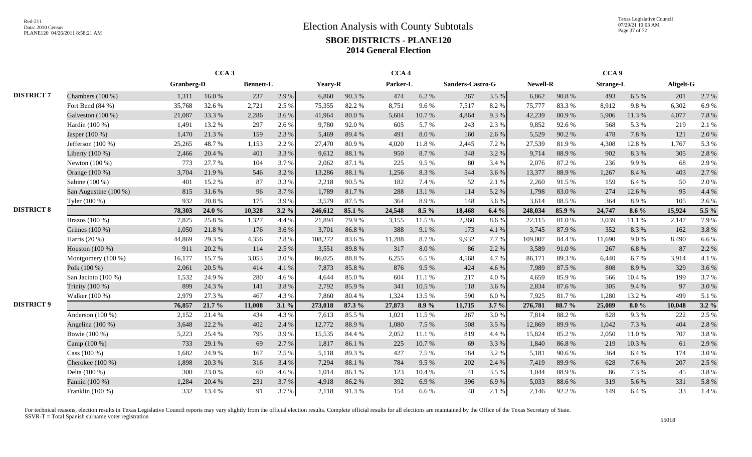Texas Legislative Council 07/29/21 10:03 AM Page 37 of 72

|                   |                       |            | CCA <sub>3</sub> |                  |         |         |        | CCA <sub>4</sub> |         |                  |       |          |        | CCA <sub>9</sub> |         |           |         |
|-------------------|-----------------------|------------|------------------|------------------|---------|---------|--------|------------------|---------|------------------|-------|----------|--------|------------------|---------|-----------|---------|
|                   |                       | Granberg-D |                  | <b>Bennett-L</b> |         | Yeary-R |        | Parker-L         |         | Sanders-Castro-G |       | Newell-R |        | <b>Strange-L</b> |         | Altgelt-G |         |
| <b>DISTRICT 7</b> | Chambers $(100\%)$    | 1,311      | 16.0%            | 237              | 2.9 %   | 6,860   | 90.3%  | 474              | 6.2%    | 267              | 3.5 % | 6,862    | 90.8%  | 493              | 6.5 %   | 201       | 2.7%    |
|                   | Fort Bend (84 %)      | 35,768     | 32.6 %           | 2,721            | 2.5 %   | 75,355  | 82.2%  | 8,751            | 9.6%    | 7,517            | 8.2%  | 75,777   | 83.3%  | 8,912            | 9.8%    | 6,302     | 6.9%    |
|                   | Galveston $(100\%)$   | 21,087     | 33.3 %           | 2,286            | 3.6%    | 41.964  | 80.0%  | 5,604            | 10.7%   | 4,864            | 9.3%  | 42,239   | 80.9%  | 5,906            | 11.3 %  | 4,077     | 7.8 %   |
|                   | Hardin (100 %)        | 1,491      | 13.2 %           | 297              | 2.6 %   | 9,780   | 92.0%  | 605              | 5.7 %   | 243              | 2.3 % | 9,852    | 92.6%  | 568              | 5.3 %   | 219       | 2.1 %   |
|                   | Jasper (100 %)        | 1,470      | 21.3%            | 159              | 2.3 %   | 5,469   | 89.4 % | 491              | 8.0%    | 160              | 2.6 % | 5,529    | 90.2%  | 478              | 7.8%    | 121       | 2.0%    |
|                   | Jefferson $(100\%)$   | 25,265     | 48.7%            | 1,153            | 2.2 %   | 27,470  | 80.9%  | 4,020            | 11.8%   | 2,445            | 7.2 % | 27,539   | 81.9%  | 4,308            | 12.8%   | 1,767     | 5.3%    |
|                   | Liberty (100 %)       | 2,466      | 20.4 %           | 401              | 3.3%    | 9,612   | 88.1 % | 950              | 8.7%    | 348              | 3.2%  | 9,714    | 88.9%  | 902              | 8.3%    | 305       | 2.8%    |
|                   | Newton $(100\%)$      | 773        | 27.7 %           | 104              | 3.7%    | 2,062   | 87.1 % | 225              | 9.5 %   | 80               | 3.4 % | 2,076    | 87.2%  | 236              | 9.9%    | 68        | 2.9%    |
|                   | Orange (100 %)        | 3,704      | 21.9%            | 546              | 3.2 %   | 13,286  | 88.1 % | 1,256            | 8.3%    | 544              | 3.6%  | 13,377   | 88.9%  | 1,267            | 8.4%    | 403       | 2.7%    |
|                   | Sabine (100 %)        | 401        | 15.2 %           | 87               | 3.3 %   | 2,218   | 90.5%  | 182              | 7.4 %   | 52               | 2.1 % | 2,260    | 91.5%  | 159              | 6.4 %   | 50        | 2.0%    |
|                   | San Augustine (100 %) | 815        | 31.6%            | 96               | 3.7%    | 1,789   | 81.7%  | 288              | 13.1 %  | 114              | 5.2%  | 1,798    | 83.0%  | 274              | 12.6 %  | 95        | 4.4 %   |
|                   | Tyler (100 %)         | 932        | 20.8 %           | 175              | 3.9%    | 3,579   | 87.5 % | 364              | 8.9%    | 148              | 3.6%  | 3,614    | 88.5 % | 364              | 8.9%    | 105       | 2.6%    |
| <b>DISTRICT 8</b> |                       | 78,303     | 24.0 %           | 10,328           | $3.2\%$ | 246,612 | 85.1 % | 24,548           | $8.5\%$ | 18,468           | 6.4%  | 248,034  | 85.9%  | 24,747           | $8.6\%$ | 15,924    | 5.5 %   |
|                   | Brazos (100 %)        | 7,825      | 25.8%            | 1,327            | 4.4 %   | 21,894  | 79.9%  | 3,155            | 11.5 %  | 2,360            | 8.6%  | 22,115   | 81.0%  | 3,039            | 11.1 %  | 2,147     | 7.9%    |
|                   | Grimes (100 %)        | 1,050      | 21.8%            | 176              | 3.6%    | 3,701   | 86.8%  | 388              | 9.1 %   | 173              | 4.1 % | 3,745    | 87.9%  | 352              | 8.3%    | 162       | 3.8%    |
|                   | Harris $(20\%)$       | 44,869     | 29.3%            | 4,356            | 2.8%    | 108,272 | 83.6%  | 11,288           | 8.7%    | 9,932            | 7.7%  | 109,007  | 84.4 % | 11,690           | 9.0%    | 8,490     | 6.6 %   |
|                   | Houston (100 %)       | 911        | 20.2 %           | 114              | 2.5 %   | 3,551   | 89.8%  | 317              | 8.0%    | 86               | 2.2 % | 3,589    | 91.0%  | 267              | 6.8 %   | 87        | 2.2 %   |
|                   | Montgomery $(100\%)$  | 16,177     | 15.7%            | 3,053            | 3.0 %   | 86,025  | 88.8%  | 6,255            | 6.5%    | 4,568            | 4.7 % | 86,171   | 89.3%  | 6,440            | 6.7 %   | 3,914     | 4.1 %   |
|                   | Polk (100 %)          | 2,061      | 20.5 %           | 414              | 4.1 %   | 7,873   | 85.8%  | 876              | 9.5 %   | 424              | 4.6 % | 7,989    | 87.5 % | 808              | 8.9%    | 329       | 3.6%    |
|                   | San Jacinto (100 %)   | 1,532      | 24.9%            | 280              | 4.6 %   | 4.644   | 85.0%  | 604              | 11.1 %  | 217              | 4.0%  | 4,659    | 85.9%  | 566              | 10.4 %  | 199       | 3.7 %   |
|                   | Trinity (100 %)       | 899        | 24.3 %           | 141              | 3.8%    | 2,792   | 85.9%  | 341              | 10.5 %  | 118              | 3.6 % | 2,834    | 87.6 % | 305              | 9.4 %   | 97        | 3.0%    |
|                   | Walker (100 %)        | 2,979      | 27.3 %           | 467              | 4.3 %   | 7,860   | 80.4%  | 1,324            | 13.5 %  | 590              | 6.0%  | 7,925    | 81.7%  | 1,280            | 13.2 %  | 499       | 5.1%    |
| <b>DISTRICT 9</b> |                       | 76,857     | 21.7 %           | 11,008           | $3.1\%$ | 273,018 | 87.3 % | 27,873           | 8.9%    | 11,715           | 3.7%  | 276,781  | 88.7 % | 25,089           | 8.0%    | 10,048    | $3.2\%$ |
|                   | Anderson $(100\%)$    | 2,152      | 21.4 %           | 434              | 4.3 %   | 7,613   | 85.5%  | 1,021            | 11.5 %  | 267              | 3.0%  | 7,814    | 88.2%  | 828              | 9.3%    | 222       | 2.5 %   |
|                   | Angelina (100 %)      | 3,648      | 22.2 %           | 402              | 2.4 %   | 12,772  | 88.9%  | 1,080            | 7.5 %   | 508              | 3.5 % | 12,869   | 89.9%  | 1.042            | 7.3 %   | 404       | 2.8%    |
|                   | Bowie (100 %)         | 5,223      | 25.4 %           | 795              | 3.9%    | 15,535  | 84.4 % | 2,052            | 11.1 %  | 819              | 4.4 % | 15,824   | 85.2%  | 2,050            | 11.0%   | 707       | 3.8%    |
|                   | Camp (100 %)          | 733        | 29.1 %           | 69               | 2.7 %   | 1,817   | 86.1%  | 225              | 10.7%   | 69               | 3.3 % | 1,840    | 86.8%  | 219              | 10.3%   | 61        | 2.9%    |
|                   | Cass $(100\%)$        | 1,682      | 24.9%            | 167              | 2.5 %   | 5,118   | 89.3%  | 427              | 7.5 %   | 184              | 3.2%  | 5,181    | 90.6%  | 364              | 6.4 %   | 174       | 3.0%    |
|                   | Cherokee (100 %)      | 1,898      | 20.3 %           | 316              | 3.4 %   | 7,294   | 88.1 % | 784              | 9.5 %   | 202              | 2.4 % | 7,419    | 89.9%  | 628              | 7.6%    | 207       | 2.5 %   |
|                   | Delta (100 %)         | 300        | 23.0%            | 60               | 4.6%    | 1,014   | 86.1%  | 123              | 10.4 %  | 41               | 3.5 % | 1,044    | 88.9%  | 86               | 7.3 %   | 45        | 3.8%    |
|                   | Fannin (100 %)        | 1,284      | 20.4 %           | 231              | 3.7%    | 4,918   | 86.2%  | 392              | 6.9%    | 396              | 6.9%  | 5,033    | 88.6%  | 319              | 5.6%    | 331       | 5.8%    |
|                   | Franklin (100 %)      | 332        | 13.4 %           | 91               | 3.7 %   | 2,118   | 91.3%  | 154              | 6.6%    | 48               | 2.1 % | 2,146    | 92.2 % | 149              | 6.4 %   | 33        | 1.4 %   |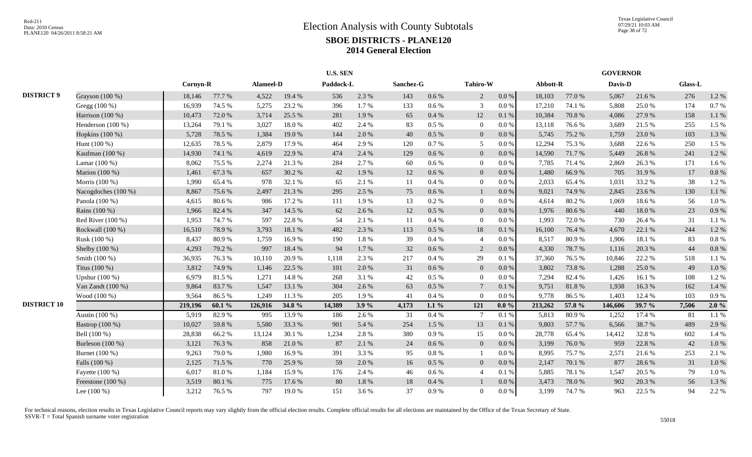|                    |                     |          |        |           |        |           | <b>U.S. SEN</b> |               |           |                 |           |          |        | <b>GOVERNOR</b> |        |         |       |
|--------------------|---------------------|----------|--------|-----------|--------|-----------|-----------------|---------------|-----------|-----------------|-----------|----------|--------|-----------------|--------|---------|-------|
|                    |                     | Cornyn-R |        | Alameel-D |        | Paddock-L |                 | Sanchez-G     |           | Tahiro-W        |           | Abbott-R |        | Davis-D         |        | Glass-L |       |
| <b>DISTRICT 9</b>  | Grayson (100 %)     | 18,146   | 77.7 % | 4,522     | 19.4 % | 536       | 2.3 %           | 143           | 0.6 %     | $\overline{2}$  | $0.0\%$   | 18,103   | 77.0 % | 5,067           | 21.6%  | 276     | 1.2%  |
|                    | Gregg (100 %)       | 16,939   | 74.5 % | 5,275     | 23.2 % | 396       | 1.7%            | 133           | 0.6 %     | 3               | $0.0\%$   | 17,210   | 74.1 % | 5,808           | 25.0%  | 174     | 0.7%  |
|                    | Harrison (100 %)    | 10,473   | 72.0%  | 3,714     | 25.5 % | 281       | 1.9%            | 65            | 0.4%      | 12              | 0.1%      | 10,384   | 70.8%  | 4,086           | 27.9%  | 158     | 1.1%  |
|                    | Henderson $(100\%)$ | 13,264   | 79.1 % | 3,027     | 18.0%  | 402       | 2.4 %           | 83            | 0.5 %     | $\overline{0}$  | 0.0 %     | 13,118   | 76.6%  | 3,689           | 21.5 % | 255     | 1.5 % |
|                    | Hopkins (100 %)     | 5,728    | 78.5 % | 1,384     | 19.0%  | 144       | 2.0%            | 40            | 0.5 %     | $\overline{0}$  | 0.0 %     | 5,745    | 75.2 % | 1,759           | 23.0%  | 103     | 1.3%  |
|                    | Hunt $(100\%)$      | 12,635   | 78.5 % | 2,879     | 17.9%  | 464       | 2.9%            | 120           | 0.7%      | 5               | 0.0 %     | 12,294   | 75.3 % | 3,688           | 22.6 % | 250     | 1.5 % |
|                    | Kaufman (100 %)     | 14,930   | 74.1 % | 4,619     | 22.9 % | 474       | 2.4 %           | 129           | 0.6%      | $\overline{0}$  | 0.0 %     | 14,590   | 71.7%  | 5,449           | 26.8%  | 241     | 1.2%  |
|                    | Lamar $(100\%)$     | 8,062    | 75.5 % | 2,274     | 21.3%  | 284       | 2.7 %           | 60            | 0.6%      | $\Omega$        | $0.0\%$   | 7,785    | 71.4 % | 2,869           | 26.3%  | 171     | 1.6%  |
|                    | Marion (100 %)      | 1,461    | 67.3%  | 657       | 30.2 % | 42        | 1.9%            | 12            | 0.6 %     | $\overline{0}$  | 0.0 %     | 1,480    | 66.9%  | 705             | 31.9%  | 17      | 0.8 % |
|                    | Morris (100 %)      | 1,990    | 65.4%  | 978       | 32.1 % | 65        | 2.1 %           | 11            | 0.4 %     | $\overline{0}$  | 0.0 %     | 2,033    | 65.4%  | 1,031           | 33.2 % | 38      | 1.2%  |
|                    | Nacogdoches (100 %) | 8,867    | 75.6%  | 2,497     | 21.3%  | 295       | 2.5 %           | 75            | 0.6 %     |                 | 0.0 %     | 9,021    | 74.9%  | 2,845           | 23.6 % | 130     | 1.1 % |
|                    | Panola (100 %)      | 4,615    | 80.6%  | 986       | 17.2 % | 111       | 1.9%            | 13            | 0.2%      | $\overline{0}$  | 0.0 %     | 4,614    | 80.2%  | 1,069           | 18.6%  | 56      | 1.0%  |
|                    | Rains (100 %)       | 1,966    | 82.4%  | 347       | 14.5 % | 62        | 2.6%            | 12            | 0.5 %     | $\overline{0}$  | $0.0\%$   | 1,976    | 80.6%  | 440             | 18.0%  | 23      | 0.9%  |
|                    | Red River $(100\%)$ | 1,953    | 74.7%  | 597       | 22.8%  | 54        | 2.1 %           | <sup>11</sup> | 0.4%      | $\overline{0}$  | 0.0 %     | 1,993    | 72.0%  | 730             | 26.4 % | 31      | 1.1 % |
|                    | Rockwall $(100\%)$  | 16,510   | 78.9%  | 3,793     | 18.1 % | 482       | 2.3 %           | 113           | 0.5%      | 18              | 0.1%      | 16,100   | 76.4 % | 4,670           | 22.1 % | 244     | 1.2%  |
|                    | Rusk (100 %)        | 8,437    | 80.9%  | 1,759     | 16.9%  | 190       | 1.8%            | 39            | 0.4%      | $\overline{4}$  | $0.0\%$   | 8,517    | 80.9%  | 1,906           | 18.1 % | 83      | 0.8%  |
|                    | Shelby (100 %)      | 4,293    | 79.2 % | 997       | 18.4 % | 94        | 1.7 %           | 32            | 0.6%      | 2               | 0.0 %     | 4,330    | 78.7%  | 1,116           | 20.3 % | 44      | 0.8%  |
|                    | Smith (100 %)       | 36,935   | 76.3%  | 10,110    | 20.9%  | 1,118     | 2.3 %           | 217           | 0.4%      | 29              | 0.1%      | 37,360   | 76.5 % | 10,846          | 22.2 % | 518     | 1.1%  |
|                    | Titus (100 %)       | 3,812    | 74.9%  | 1,146     | 22.5 % | 101       | 2.0%            | 31            | 0.6%      | $\overline{0}$  | $0.0\%$   | 3,802    | 73.8%  | 1,288           | 25.0%  | 49      | 1.0%  |
|                    | Upshur (100 %)      | 6,979    | 81.5%  | 1,271     | 14.8 % | 268       | 3.1 %           | 42            | 0.5 %     | $\overline{0}$  | 0.0 %     | 7,294    | 82.4 % | 1,426           | 16.1%  | 108     | 1.2%  |
|                    | Van Zandt (100 %)   | 9,864    | 83.7%  | 1,547     | 13.1 % | 304       | 2.6%            | 63            | 0.5 %     | $7\phantom{.0}$ | 0.1%      | 9,751    | 81.8%  | 1,938           | 16.3%  | 162     | 1.4 % |
|                    | Wood (100 %)        | 9,564    | 86.5%  | 1,249     | 11.3 % | 205       | 1.9%            | 41            | 0.4%      | $\Omega$        | 0.0 %     | 9,778    | 86.5%  | 1,403           | 12.4 % | 103     | 0.9%  |
| <b>DISTRICT 10</b> |                     | 219,196  | 60.1%  | 126,916   | 34.8 % | 14,389    | 3.9%            | 4,173         | $1.1\%$   | 121             | $0.0\%$   | 213,262  | 57.8 % | 146,606         | 39.7 % | 7,506   | 2.0%  |
|                    | Austin (100 %)      | 5,919    | 82.9%  | 995       | 13.9%  | 186       | 2.6 %           | 31            | 0.4 %     | $7\phantom{.0}$ | 0.1%      | 5,813    | 80.9%  | 1,252           | 17.4 % | 81      | 1.1%  |
|                    | Bastrop (100 %)     | 10,027   | 59.8%  | 5,580     | 33.3 % | 901       | 5.4 %           | 254           | 1.5 %     | 13              | 0.1%      | 9,803    | 57.7 % | 6,566           | 38.7%  | 489     | 2.9%  |
|                    | Bell (100 %)        | 28,838   | 66.2%  | 13,124    | 30.1 % | 1,234     | 2.8%            | 380           | 0.9%      | 15              | 0.0 %     | 28,778   | 65.4 % | 14,412          | 32.8%  | 602     | 1.4 % |
|                    | Burleson $(100\%)$  | 3,121    | 76.3%  | 858       | 21.0%  | 87        | 2.1 %           | 24            | $0.6\%$   | $\overline{0}$  | 0.0 %     | 3,199    | 76.0%  | 959             | 22.8%  | 42      | 1.0%  |
|                    | Burnet (100 %)      | 9,263    | 79.0%  | 1,980     | 16.9%  | 391       | 3.3 %           | 95            | 0.8%      |                 | $0.0\%$   | 8,995    | 75.7%  | 2,571           | 21.6 % | 253     | 2.1 % |
|                    | Falls (100 %)       | 2,125    | 71.5 % | 770       | 25.9%  | 59        | 2.0%            | 16            | 0.5%      | $\overline{0}$  | 0.0 %     | 2,147    | 70.1 % | 877             | 28.6%  | 31      | 1.0%  |
|                    | Fayette (100 %)     | 6,017    | 81.0%  | 1,184     | 15.9%  | 176       | 2.4 %           | 46            | $0.6\,\%$ | $\overline{4}$  | 0.1%      | 5,885    | 78.1 % | 1,547           | 20.5 % | 79      | 1.0%  |
|                    | Freestone (100 %)   | 3,519    | 80.1%  | 775       | 17.6 % | 80        | $1.8\ \%$       | 18            | 0.4 %     |                 | 0.0 %     | 3,473    | 78.0%  | 902             | 20.3 % | 56      | 1.3%  |
|                    | Lee $(100\%)$       | 3,212    | 76.5 % | 797       | 19.0%  | 151       | 3.6 %           | 37            | 0.9%      | $\overline{0}$  | $0.0\,\%$ | 3,199    | 74.7%  | 963             | 22.5 % | 94      | 2.2 % |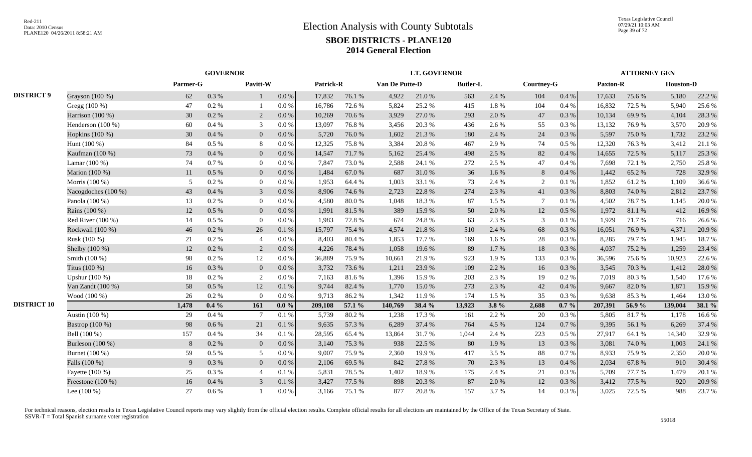|                    |                     |          | <b>GOVERNOR</b> |                 |           |           |        |                | <b>LT. GOVERNOR</b> |                 |           |            |           |                 | <b>ATTORNEY GEN</b> |                  |        |
|--------------------|---------------------|----------|-----------------|-----------------|-----------|-----------|--------|----------------|---------------------|-----------------|-----------|------------|-----------|-----------------|---------------------|------------------|--------|
|                    |                     | Parmer-G |                 | Pavitt-W        |           | Patrick-R |        | Van De Putte-D |                     | <b>Butler-L</b> |           | Courtney-G |           | <b>Paxton-R</b> |                     | <b>Houston-D</b> |        |
| <b>DISTRICT 9</b>  | Grayson (100 %)     | 62       | 0.3 %           |                 | $0.0\ \%$ | 17,832    | 76.1 % | 4,922          | 21.0%               | 563             | 2.4 %     | 104        | 0.4 %     | 17,633          | 75.6%               | 5,180            | 22.2 % |
|                    | Gregg (100 %)       | 47       | 0.2 %           |                 | 0.0 %     | 16,786    | 72.6%  | 5,824          | 25.2 %              | 415             | $1.8\ \%$ | 104        | $0.4~\%$  | 16,832          | 72.5 %              | 5,940            | 25.6%  |
|                    | Harrison (100 %)    | 30       | $0.2\%$         | 2               | 0.0 %     | 10,269    | 70.6 % | 3,929          | 27.0 %              | 293             | 2.0 %     | 47         | $0.3~\%$  | 10,134          | 69.9%               | 4,104            | 28.3%  |
|                    | Henderson (100 %)   | 60       | 0.4%            | 3               | 0.0 %     | 13,097    | 76.8%  | 3,456          | 20.3%               | 436             | 2.6 %     | 55         | $0.3~\%$  | 13,132          | 76.9%               | 3,570            | 20.9%  |
|                    | Hopkins $(100\%)$   | 30       | 0.4%            | $\overline{0}$  | 0.0 %     | 5,720     | 76.0%  | 1,602          | 21.3%               | 180             | 2.4 %     | 24         | 0.3%      | 5,597           | 75.0%               | 1,732            | 23.2 % |
|                    | Hunt $(100\%)$      | 84       | $0.5\%$         | 8               | 0.0 %     | 12,325    | 75.8%  | 3,384          | 20.8%               | 467             | 2.9 %     | 74         | 0.5%      | 12,320          | 76.3%               | 3,412            | 21.1 % |
|                    | Kaufman (100 %)     | 73       | 0.4%            | $\mathbf{0}$    | $0.0\,\%$ | 14,547    | 71.7%  | 5,162          | 25.4 %              | 498             | 2.5 %     | 82         | $0.4~\%$  | 14,655          | 72.5 %              | 5,117            | 25.3 % |
|                    | Lamar (100 %)       | 74       | 0.7%            | $\mathbf{0}$    | 0.0 %     | 7,847     | 73.0%  | 2,588          | 24.1 %              | 272             | 2.5 %     | 47         | 0.4%      | 7,698           | 72.1 %              | 2,750            | 25.8%  |
|                    | Marion (100 %)      | 11       | $0.5\%$         | $\mathbf{0}$    | 0.0 %     | 1,484     | 67.0%  | 687            | 31.0%               | 36              | 1.6%      | $8\,$      | 0.4%      | 1,442           | 65.2%               | 728              | 32.9%  |
|                    | Morris (100 %)      | 5        | $0.2\%$         | $\overline{0}$  | 0.0 %     | 1,953     | 64.4%  | 1,003          | 33.1 %              | 73              | 2.4 %     | 2          | 0.1%      | 1,852           | 61.2%               | 1,109            | 36.6%  |
|                    | Nacogdoches (100 %) | 43       | 0.4%            | 3               | 0.0 %     | 8,906     | 74.6 % | 2,723          | 22.8%               | 274             | 2.3 %     | 41         | 0.3%      | 8,803           | 74.0 %              | 2,812            | 23.7 % |
|                    | Panola (100 %)      | 13       | 0.2 %           | $\overline{0}$  | 0.0 %     | 4,580     | 80.0%  | 1,048          | 18.3%               | 87              | 1.5 %     | 7          | $0.1~\%$  | 4.502           | 78.7%               | 1,145            | 20.0%  |
|                    | Rains (100 %)       | 12       | 0.5 %           | $\overline{0}$  | 0.0 %     | 1,991     | 81.5%  | 389            | 15.9%               | 50              | 2.0%      | 12         | $0.5\ \%$ | 1,972           | 81.1 %              | 412              | 16.9%  |
|                    | Red River (100 %)   | 14       | $0.5\%$         | $\overline{0}$  | 0.0 %     | 1,983     | 72.8%  | 674            | 24.8%               | 63              | 2.3 %     | 3          | $0.1\ \%$ | 1.929           | 71.7 %              | 716              | 26.6 % |
|                    | Rockwall (100 %)    | 46       | 0.2 %           | 26              | $0.1\ \%$ | 15,797    | 75.4 % | 4,574          | 21.8%               | 510             | 2.4 %     | 68         | 0.3 %     | 16,051          | 76.9%               | 4,371            | 20.9%  |
|                    | Rusk (100 %)        | 21       | 0.2 %           | $\overline{4}$  | 0.0 %     | 8,403     | 80.4%  | 1,853          | 17.7 %              | 169             | 1.6%      | $28\,$     | $0.3~\%$  | 8,285           | 79.7%               | 1,945            | 18.7%  |
|                    | Shelby (100 %)      | 12       | 0.2 %           | $\overline{2}$  | 0.0 %     | 4,226     | 78.4%  | 1,058          | 19.6%               | 89              | 1.7%      | 18         | 0.3%      | 4,037           | 75.2 %              | 1,259            | 23.4 % |
|                    | Smith (100 %)       | 98       | 0.2 %           | 12              | 0.0 %     | 36,889    | 75.9%  | 10,661         | 21.9%               | 923             | 1.9%      | 133        | 0.3%      | 36,596          | 75.6 %              | 10,923           | 22.6 % |
|                    | Titus (100 %)       | 16       | 0.3%            | $\overline{0}$  | 0.0 %     | 3,732     | 73.6 % | 1,211          | 23.9%               | 109             | 2.2 %     | 16         | 0.3 %     | 3,545           | 70.3%               | 1,412            | 28.0%  |
|                    | Upshur $(100\%)$    | 18       | 0.2 %           | 2               | 0.0 %     | 7.163     | 81.6%  | 1,396          | 15.9%               | 203             | 2.3 %     | 19         | 0.2 %     | 7.019           | 80.3%               | 1,540            | 17.6 % |
|                    | Van Zandt $(100\%)$ | 58       | 0.5%            | 12              | 0.1%      | 9,744     | 82.4 % | 1,770          | 15.0%               | 273             | 2.3 %     | 42         | 0.4%      | 9.667           | 82.0%               | 1,871            | 15.9%  |
|                    | Wood (100 %)        | 26       | $0.2\%$         | $\Omega$        | 0.0 %     | 9,713     | 86.2%  | 1,342          | 11.9%               | 174             | 1.5 %     | 35         | 0.3%      | 9,638           | 85.3%               | 1,464            | 13.0%  |
| <b>DISTRICT 10</b> |                     | 1,478    | $0.4\%$         | 161             | $0.0\%$   | 209,108   | 57.1 % | 140,769        | 38.4 %              | 13,923          | 3.8%      | 2,688      | $0.7 \%$  | 207,391         | 56.9%               | 139,004          | 38.1 % |
|                    | Austin (100 %)      | 29       | 0.4%            | $7\phantom{.0}$ | 0.1%      | 5,739     | 80.2%  | 1,238          | 17.3 %              | 161             | 2.2 %     | 20         | 0.3%      | 5,805           | 81.7%               | 1,178            | 16.6%  |
|                    | Bastrop (100 %)     | 98       | 0.6 %           | 21              | 0.1 %     | 9,635     | 57.3 % | 6,289          | 37.4 %              | 764             | 4.5 %     | 124        | 0.7 %     | 9,395           | 56.1 %              | 6,269            | 37.4 % |
|                    | Bell (100 %)        | 157      | 0.4%            | 34              | 0.1%      | 28,595    | 65.4 % | 13,864         | 31.7%               | 1,044           | 2.4 %     | 223        | 0.5 %     | 27,917          | 64.1 %              | 14,340           | 32.9%  |
|                    | Burleson (100 %)    | 8        | $0.2\%$         | $\mathbf{0}$    | 0.0 %     | 3,140     | 75.3 % | 938            | 22.5 %              | 80              | 1.9%      | 13         | 0.3%      | 3,081           | 74.0%               | 1,003            | 24.1 % |
|                    | Burnet (100 %)      | 59       | $0.5\%$         | 5               | 0.0 %     | 9,007     | 75.9%  | 2,360          | 19.9%               | 417             | 3.5 %     | 88         | 0.7%      | 8,933           | 75.9%               | 2,350            | 20.0%  |
|                    | Falls (100 %)       | 9        | 0.3%            | $\overline{0}$  | 0.0 %     | 2,106     | 69.5 % | 842            | 27.8%               | 70              | 2.3 %     | 13         | 0.4%      | 2,034           | 67.8%               | 910              | 30.4 % |
|                    | Fayette (100 %)     | 25       | 0.3%            | $\overline{4}$  | 0.1%      | 5,831     | 78.5%  | 1,402          | 18.9%               | 175             | 2.4 %     | 21         | $0.3~\%$  | 5,709           | 77.7 %              | 1,479            | 20.1 % |
|                    | Freestone (100 %)   | 16       | 0.4%            | 3               | $0.1\ \%$ | 3,427     | 77.5 % | 898            | 20.3 %              | 87              | 2.0%      | 12         | 0.3 %     | 3,412           | 77.5 %              | 920              | 20.9%  |
|                    | Lee $(100\%)$       | 27       | $0.6\%$         |                 | $0.0\%$   | 3,166     | 75.1 % | 877            | 20.8%               | 157             | 3.7 %     | 14         | 0.3 %     | 3,025           | 72.5 %              | 988              | 23.7%  |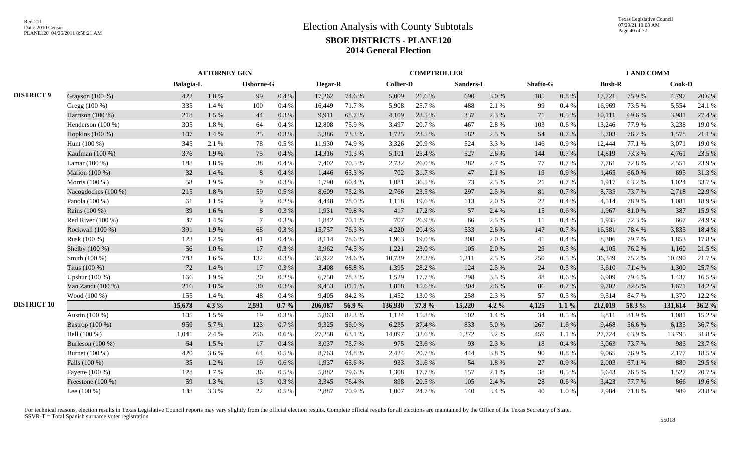|                    |                       |           | <b>ATTORNEY GEN</b> |                 |          |                |        |                  | <b>COMPTROLLER</b> |           |          |          |           |               | <b>LAND COMM</b> |         |        |
|--------------------|-----------------------|-----------|---------------------|-----------------|----------|----------------|--------|------------------|--------------------|-----------|----------|----------|-----------|---------------|------------------|---------|--------|
|                    |                       | Balagia-L |                     | Osborne-G       |          | <b>Hegar-R</b> |        | <b>Collier-D</b> |                    | Sanders-L |          | Shafto-G |           | <b>Bush-R</b> |                  | Cook-D  |        |
| <b>DISTRICT 9</b>  | Grayson (100 %)       | 422       | $1.8\ \%$           | 99              | $0.4~\%$ | 17,262         | 74.6%  | 5,009            | 21.6 %             | 690       | 3.0%     | 185      | $0.8\ \%$ | 17,721        | 75.9%            | 4,797   | 20.6 % |
|                    | Gregg $(100\%)$       | 335       | 1.4 %               | 100             | 0.4%     | 16,449         | 71.7 % | 5,908            | 25.7 %             | 488       | 2.1 %    | 99       | 0.4 %     | 16,969        | 73.5 %           | 5,554   | 24.1 % |
|                    | Harrison $(100\%)$    | 218       | 1.5 %               | 44              | 0.3%     | 9,911          | 68.7%  | 4,109            | 28.5 %             | 337       | 2.3 %    | 71       | 0.5%      | 10,111        | 69.6%            | 3,981   | 27.4 % |
|                    | Henderson (100 %)     | 305       | 1.8%                | 64              | 0.4%     | 12,808         | 75.9%  | 3,497            | 20.7%              | 467       | 2.8%     | 103      | 0.6 %     | 13,246        | 77.9%            | 3,238   | 19.0%  |
|                    | Hopkins $(100\%)$     | 107       | 1.4 %               | 25              | 0.3%     | 5,386          | 73.3 % | 1,725            | 23.5 %             | 182       | 2.5 %    | 54       | 0.7%      | 5,703         | 76.2%            | 1,578   | 21.1 % |
|                    | Hunt (100 %)          | 345       | 2.1 %               | 78              | 0.5 %    | 11,930         | 74.9%  | 3,326            | 20.9%              | 524       | 3.3 %    | 146      | 0.9%      | 12,444        | 77.1 %           | 3,071   | 19.0%  |
|                    | Kaufman (100 %)       | 376       | 1.9%                | 75              | 0.4%     | 14,316         | 71.3%  | 5,101            | 25.4 %             | 527       | 2.6 %    | 144      | 0.7 %     | 14,819        | 73.3 %           | 4,761   | 23.5 % |
|                    | Lamar $(100\%)$       | 188       | 1.8 %               | 38              | 0.4%     | 7,402          | 70.5 % | 2,732            | 26.0%              | 282       | 2.7%     | 77       | 0.7%      | 7,761         | 72.8%            | 2,551   | 23.9%  |
|                    | Marion (100 %)        | 32        | 1.4 %               | 8               | 0.4%     | 1,446          | 65.3%  | 702              | 31.7%              | 47        | 2.1 %    | 19       | 0.9%      | 1,465         | 66.0%            | 695     | 31.3%  |
|                    | Morris (100 %)        | 58        | 1.9%                | 9               | 0.3%     | 1,790          | 60.4%  | 1,081            | 36.5 %             | 73        | 2.5 %    | 21       | 0.7%      | 1,917         | 63.2%            | 1,024   | 33.7 % |
|                    | Nacogdoches $(100\%)$ | 215       | 1.8%                | 59              | $0.5\%$  | 8,609          | 73.2 % | 2,766            | 23.5 %             | 297       | 2.5 %    | 81       | 0.7%      | 8,735         | 73.7%            | 2,718   | 22.9 % |
|                    | Panola (100 %)        | 61        | 1.1 %               | 9               | 0.2%     | 4,448          | 78.0%  | 1,118            | 19.6%              | 113       | 2.0 %    | 22       | 0.4%      | 4,514         | 78.9%            | 1,081   | 18.9%  |
|                    | Rains (100 %)         | 39        | 1.6%                | 8               | 0.3%     | 1,931          | 79.8%  | 417              | 17.2 %             | 57        | 2.4 %    | 15       | 0.6 %     | 1,967         | 81.0%            | 387     | 15.9%  |
|                    | Red River (100 %)     | 37        | 1.4 %               | $7\phantom{.0}$ | 0.3%     | 1,842          | 70.1 % | 707              | 26.9%              | 66        | 2.5 %    | 11       | 0.4%      | 1,935         | 72.3 %           | 667     | 24.9%  |
|                    | Rockwall (100 %)      | 391       | 1.9%                | 68              | 0.3 %    | 15,757         | 76.3%  | 4,220            | 20.4 %             | 533       | 2.6 %    | 147      | 0.7%      | 16,381        | 78.4%            | 3,835   | 18.4 % |
|                    | Rusk (100 %)          | 123       | 1.2%                | 41              | 0.4%     | 8,114          | 78.6%  | 1,963            | 19.0%              | 208       | 2.0%     | 41       | 0.4%      | 8,306         | 79.7%            | 1,853   | 17.8 % |
|                    | Shelby (100 %)        | 56        | 1.0%                | 17              | 0.3%     | 3,962          | 74.5 % | 1,221            | 23.0%              | 105       | 2.0 %    | 29       | 0.5 %     | 4,105         | 76.2%            | 1,160   | 21.5 % |
|                    | Smith (100 %)         | 783       | 1.6 %               | 132             | 0.3%     | 35,922         | 74.6%  | 10,739           | 22.3 %             | 1,211     | 2.5 %    | 250      | 0.5 %     | 36,349        | 75.2 %           | 10,490  | 21.7%  |
|                    | Titus (100 %)         | 72        | 1.4 %               | 17              | 0.3%     | 3,408          | 68.8%  | 1,395            | 28.2 %             | 124       | 2.5 %    | 24       | 0.5 %     | 3,610         | 71.4%            | 1,300   | 25.7%  |
|                    | Upshur (100 %)        | 166       | 1.9%                | 20              | 0.2 %    | 6,750          | 78.3%  | 1,529            | 17.7 %             | 298       | 3.5 %    | 48       | 0.6%      | 6,909         | 79.4 %           | 1,437   | 16.5 % |
|                    | Van Zandt (100 %)     | 216       | 1.8%                | 30              | 0.3%     | 9,453          | 81.1 % | 1,818            | 15.6 %             | 304       | 2.6 %    | 86       | 0.7%      | 9,702         | 82.5 %           | 1,671   | 14.2 % |
|                    | Wood (100 %)          | 155       | 1.4 %               | 48              | 0.4%     | 9,405          | 84.2 % | 1,452            | 13.0%              | 258       | 2.3 %    | 57       | 0.5%      | 9,514         | 84.7%            | 1,370   | 12.2 % |
| <b>DISTRICT 10</b> |                       | 15,678    | 4.3 %               | 2,591           | $0.7 \%$ | 206,087        | 56.9%  | 136,930          | 37.8%              | 15,220    | 4.2 $%$  | 4,125    | $1.1\%$   | 212,019       | 58.3 %           | 131,614 | 36.2%  |
|                    | Austin (100 %)        | 105       | 1.5 %               | 19              | 0.3 %    | 5,863          | 82.3%  | 1,124            | 15.8%              | 102       | 1.4 %    | 34       | 0.5 %     | 5,811         | 81.9%            | 1,081   | 15.2 % |
|                    | Bastrop (100 %)       | 959       | 5.7%                | 123             | 0.7%     | 9,325          | 56.0%  | 6,235            | 37.4 %             | 833       | 5.0%     | 267      | 1.6%      | 9,468         | 56.6%            | 6,135   | 36.7%  |
|                    | Bell (100 %)          | 1,041     | 2.4 %               | 256             | 0.6 %    | 27,258         | 63.1%  | 14,097           | 32.6%              | 1,372     | 3.2 %    | 459      | 1.1 %     | 27,724        | 63.9%            | 13,795  | 31.8%  |
|                    | Burleson (100 %)      | 64        | 1.5 %               | 17              | 0.4%     | 3,037          | 73.7%  | 975              | 23.6 %             | 93        | 2.3 %    | 18       | 0.4%      | 3,063         | 73.7 %           | 983     | 23.7 % |
|                    | Burnet (100 %)        | 420       | 3.6 %               | 64              | $0.5\%$  | 8,763          | 74.8%  | 2,424            | 20.7%              | 444       | 3.8%     | 90       | 0.8%      | 9,065         | 76.9%            | 2,177   | 18.5 % |
|                    | Falls (100 %)         | 35        | 1.2%                | 19              | 0.6 %    | 1,937          | 65.6%  | 933              | 31.6%              | 54        | $1.8~\%$ | 27       | 0.9%      | 2,003         | 67.1 %           | 880     | 29.5 % |
|                    | Fayette (100 %)       | 128       | 1.7 %               | 36              | $0.5\%$  | 5,882          | 79.6%  | 1,308            | 17.7 %             | 157       | 2.1 %    | 38       | 0.5 %     | 5.643         | 76.5%            | 1,527   | 20.7 % |
|                    | Freestone (100 %)     | 59        | 1.3 %               | 13              | 0.3 %    | 3,345          | 76.4%  | 898              | 20.5 %             | 105       | 2.4 %    | 28       | 0.6 %     | 3,423         | 77.7 %           | 866     | 19.6%  |
|                    | Lee $(100\%)$         | 138       | 3.3 %               | 22              | $0.5\%$  | 2,887          | 70.9%  | 1,007            | 24.7 %             | 140       | 3.4 %    | 40       | 1.0%      | 2,984         | 71.8%            | 989     | 23.8%  |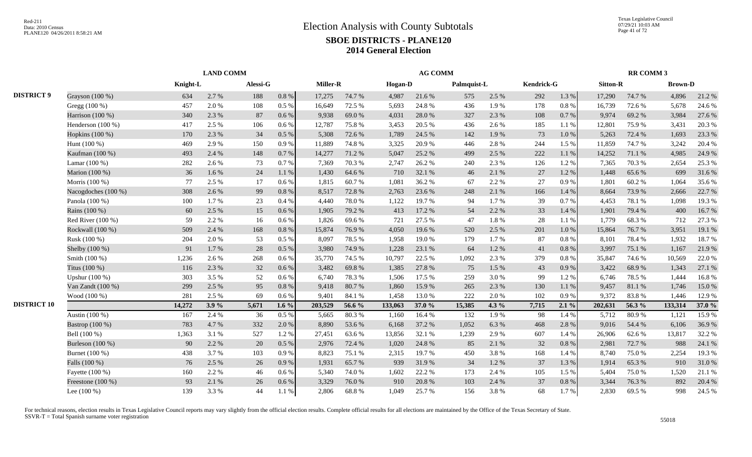|                    |                     |          | <b>LAND COMM</b> |          |           |                 |        | <b>AG COMM</b> |        |             |       |            |           | <b>RR COMM 3</b> |        |                |        |
|--------------------|---------------------|----------|------------------|----------|-----------|-----------------|--------|----------------|--------|-------------|-------|------------|-----------|------------------|--------|----------------|--------|
|                    |                     | Knight-L |                  | Alessi-G |           | <b>Miller-R</b> |        | <b>Hogan-D</b> |        | Palmquist-L |       | Kendrick-G |           | <b>Sitton-R</b>  |        | <b>Brown-D</b> |        |
| <b>DISTRICT 9</b>  | Grayson (100 %)     | 634      | 2.7 %            | 188      | $0.8\ \%$ | 17,275          | 74.7%  | 4,987          | 21.6%  | 575         | 2.5 % | 292        | 1.3 %     | 17,290           | 74.7%  | 4,896          | 21.2%  |
|                    | Gregg (100 %)       | 457      | 2.0%             | 108      | $0.5\%$   | 16,649          | 72.5 % | 5,693          | 24.8%  | 436         | 1.9%  | 178        | $0.8~\%$  | 16,739           | 72.6%  | 5,678          | 24.6 % |
|                    | Harrison $(100\%)$  | 340      | 2.3 %            | 87       | $0.6\%$   | 9,938           | 69.0%  | 4,031          | 28.0%  | 327         | 2.3 % | 108        | 0.7 %     | 9,974            | 69.2%  | 3,984          | 27.6 % |
|                    | Henderson (100 %)   | 417      | 2.5 %            | 106      | $0.6\%$   | 12,787          | 75.8%  | 3,453          | 20.5 % | 436         | 2.6 % | 185        | 1.1 %     | 12,801           | 75.9%  | 3,431          | 20.3 % |
|                    | Hopkins (100 %)     | 170      | 2.3 %            | 34       | 0.5%      | 5,308           | 72.6 % | 1,789          | 24.5 % | 142         | 1.9%  | 73         | 1.0%      | 5,263            | 72.4 % | 1,693          | 23.3 % |
|                    | Hunt (100 %)        | 469      | 2.9 %            | 150      | $0.9\%$   | 11,889          | 74.8%  | 3,325          | 20.9%  | 446         | 2.8%  | 244        | 1.5 %     | 11,859           | 74.7%  | 3,242          | 20.4 % |
|                    | Kaufman (100 %)     | 493      | 2.4 %            | 148      | 0.7%      | 14,277          | 71.2%  | 5,047          | 25.2 % | 499         | 2.5 % | 222        | $1.1~\%$  | 14,252           | 71.1 % | 4,985          | 24.9 % |
|                    | Lamar (100 %)       | 282      | 2.6 %            | 73       | 0.7%      | 7,369           | 70.3%  | 2,747          | 26.2%  | 240         | 2.3 % | 126        | 1.2%      | 7,365            | 70.3%  | 2,654          | 25.3 % |
|                    | Marion (100 %)      | 36       | 1.6%             | 24       | 1.1%      | 1,430           | 64.6 % | 710            | 32.1 % | 46          | 2.1 % | 27         | 1.2%      | 1,448            | 65.6%  | 699            | 31.6%  |
|                    | Morris (100 %)      | 77       | 2.5 %            | 17       | $0.6\%$   | 1,815           | 60.7%  | 1,081          | 36.2%  | 67          | 2.2 % | 27         | 0.9%      | 1,801            | 60.2%  | 1,064          | 35.6%  |
|                    | Nacogdoches (100 %) | 308      | 2.6 %            | 99       | $0.8\%$   | 8,517           | 72.8%  | 2,763          | 23.6 % | 248         | 2.1 % | 166        | 1.4 %     | 8,664            | 73.9%  | 2,666          | 22.7 % |
|                    | Panola (100 %)      | 100      | 1.7 %            | 23       | 0.4%      | 4.440           | 78.0%  | 1,122          | 19.7%  | 94          | 1.7 % | 39         | 0.7%      | 4,453            | 78.1 % | 1,098          | 19.3 % |
|                    | Rains (100 %)       | 60       | 2.5 %            | 15       | 0.6 %     | 1,905           | 79.2 % | 413            | 17.2 % | 54          | 2.2 % | 33         | 1.4 %     | 1,901            | 79.4 % | 400            | 16.7%  |
|                    | Red River $(100\%)$ | 59       | 2.2 %            | 16       | $0.6\%$   | 1,826           | 69.6%  | 721            | 27.5 % | 47          | 1.8%  | 28         | 1.1 %     | 1.779            | 68.3%  | 712            | 27.3 % |
|                    | Rockwall (100 %)    | 509      | 2.4 %            | 168      | 0.8 %     | 15,874          | 76.9%  | 4,050          | 19.6%  | 520         | 2.5 % | 201        | $1.0\ \%$ | 15,864           | 76.7%  | 3,951          | 19.1 % |
|                    | Rusk (100 %)        | 204      | 2.0%             | 53       | $0.5\%$   | 8,097           | 78.5%  | 1,958          | 19.0%  | 179         | 1.7%  | 87         | $0.8~\%$  | 8,101            | 78.4%  | 1,932          | 18.7%  |
|                    | Shelby (100 %)      | 91       | 1.7%             | 28       | 0.5%      | 3,980           | 74.9%  | 1,228          | 23.1 % | 64          | 1.2%  | 41         | 0.8%      | 3,997            | 75.1 % | 1,167          | 21.9%  |
|                    | Smith (100 %)       | 1,236    | 2.6 %            | 268      | $0.6\%$   | 35,770          | 74.5 % | 10,797         | 22.5 % | 1,092       | 2.3 % | 379        | 0.8%      | 35,847           | 74.6%  | 10,569         | 22.0 % |
|                    | Titus (100 %)       | 116      | 2.3 %            | 32       | $0.6\%$   | 3,482           | 69.8%  | 1,385          | 27.8%  | 75          | 1.5 % | 43         | 0.9%      | 3,422            | 68.9%  | 1,343          | 27.1 % |
|                    | Upshur $(100\%)$    | 303      | 3.5 %            | 52       | $0.6\%$   | 6.740           | 78.3%  | 1,506          | 17.5 % | 259         | 3.0%  | 99         | 1.2%      | 6.746            | 78.5 % | 1,444          | 16.8%  |
|                    | Van Zandt (100 %)   | 299      | 2.5 %            | 95       | 0.8%      | 9,418           | 80.7%  | 1,860          | 15.9%  | 265         | 2.3 % | 130        | 1.1 %     | 9,457            | 81.1%  | 1,746          | 15.0%  |
|                    | Wood (100 %)        | 281      | 2.5 %            | 69       | $0.6\%$   | 9,401           | 84.1 % | 1,458          | 13.0%  | 222         | 2.0%  | 102        | 0.9%      | 9,372            | 83.8%  | 1,446          | 12.9 % |
| <b>DISTRICT 10</b> |                     | 14,272   | 3.9%             | 5,671    | 1.6 $%$   | 203,529         | 56.6 % | 133,063        | 37.0 % | 15,385      | 4.3 % | 7,715      | 2.1%      | 202,631          | 56.3 % | 133,314        | 37.0 % |
|                    | Austin (100 %)      | 167      | 2.4 %            | 36       | 0.5 %     | 5,665           | 80.3%  | 1,160          | 16.4%  | 132         | 1.9%  | 98         | 1.4 %     | 5,712            | 80.9%  | 1,121          | 15.9%  |
|                    | Bastrop (100 %)     | 783      | 4.7%             | 332      | 2.0 %     | 8,890           | 53.6%  | 6,168          | 37.2 % | 1,052       | 6.3%  | 468        | 2.8%      | 9,016            | 54.4 % | 6,106          | 36.9%  |
|                    | Bell (100 %)        | 1,363    | 3.1 %            | 527      | 1.2%      | 27,451          | 63.6 % | 13,856         | 32.1 % | 1,239       | 2.9%  | 607        | 1.4 %     | 26,906           | 62.6%  | 13,817         | 32.2 % |
|                    | Burleson $(100\%)$  | 90       | 2.2 %            | 20       | $0.5\%$   | 2,976           | 72.4 % | 1,020          | 24.8%  | 85          | 2.1 % | 32         | 0.8%      | 2,981            | 72.7 % | 988            | 24.1 % |
|                    | Burnet (100 %)      | 438      | 3.7 %            | 103      | 0.9%      | 8,823           | 75.1 % | 2,315          | 19.7%  | 450         | 3.8%  | 168        | 1.4 %     | 8,740            | 75.0%  | 2,254          | 19.3 % |
|                    | Falls (100 %)       | 76       | 2.5 %            | 26       | 0.9%      | 1,931           | 65.7%  | 939            | 31.9%  | 34          | 1.2 % | 37         | 1.3%      | 1,914            | 65.3%  | 910            | 31.0%  |
|                    | Fayette (100 %)     | 160      | 2.2 %            | 46       | $0.6\%$   | 5,340           | 74.0%  | 1,602          | 22.2 % | 173         | 2.4 % | 105        | 1.5 %     | 5,404            | 75.0%  | 1,520          | 21.1 % |
|                    | Freestone (100 %)   | 93       | 2.1 %            | 26       | $0.6\%$   | 3,329           | 76.0%  | 910            | 20.8%  | 103         | 2.4 % | 37         | $0.8\ \%$ | 3,344            | 76.3%  | 892            | 20.4 % |
|                    | Lee $(100\%)$       | 139      | 3.3 %            | 44       | 1.1%      | 2,806           | 68.8%  | 1,049          | 25.7 % | 156         | 3.8%  | 68         | 1.7%      | 2,830            | 69.5 % | 998            | 24.5 % |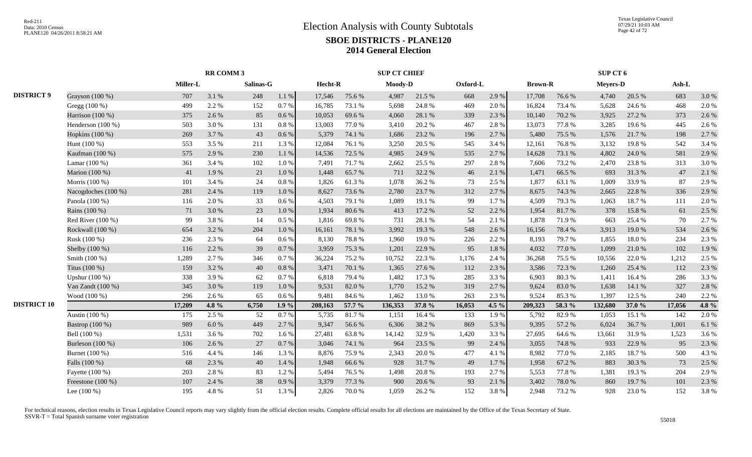|                    |                     |          | RR COMM 3 |           |           |         |        | <b>SUP CT CHIEF</b> |        |          |         |                |        | SUP CT 6 |        |        |       |
|--------------------|---------------------|----------|-----------|-----------|-----------|---------|--------|---------------------|--------|----------|---------|----------------|--------|----------|--------|--------|-------|
|                    |                     | Miller-L |           | Salinas-G |           | Hecht-R |        | Moody-D             |        | Oxford-L |         | <b>Brown-R</b> |        | Meyers-D |        | Ash-L  |       |
| <b>DISTRICT 9</b>  | Grayson (100 %)     | 707      | 3.1 %     | 248       | 1.1%      | 17,546  | 75.6%  | 4,987               | 21.5 % | 668      | 2.9%    | 17,708         | 76.6%  | 4,740    | 20.5 % | 683    | 3.0%  |
|                    | Gregg $(100\%)$     | 499      | 2.2 %     | 152       | 0.7%      | 16.785  | 73.1 % | 5,698               | 24.8%  | 469      | 2.0 %   | 16,824         | 73.4 % | 5.628    | 24.6 % | 468    | 2.0%  |
|                    | Harrison (100 %)    | 375      | 2.6 %     | 85        | $0.6\,\%$ | 10,053  | 69.6%  | 4,060               | 28.1 % | 339      | 2.3 %   | 10,140         | 70.2%  | 3,925    | 27.2 % | 373    | 2.6 % |
|                    | Henderson (100 %)   | 503      | 3.0%      | 131       | 0.8%      | 13,003  | 77.0%  | 3,410               | 20.2 % | 467      | 2.8%    | 13,073         | 77.8 % | 3,285    | 19.6%  | 445    | 2.6%  |
|                    | Hopkins (100 %)     | 269      | 3.7 %     | 43        | 0.6 %     | 5,379   | 74.1 % | 1,686               | 23.2 % | 196      | 2.7 %   | 5,480          | 75.5 % | 1,576    | 21.7 % | 198    | 2.7%  |
|                    | Hunt (100 %)        | 553      | 3.5 %     | 211       | 1.3%      | 12,084  | 76.1 % | 3,250               | 20.5 % | 545      | 3.4 %   | 12,161         | 76.8%  | 3,132    | 19.8%  | 542    | 3.4 % |
|                    | Kaufman (100 %)     | 575      | 2.9%      | 230       | 1.1 %     | 14,536  | 72.5 % | 4,985               | 24.9 % | 535      | 2.7 %   | 14,628         | 73.1 % | 4,802    | 24.0%  | 581    | 2.9%  |
|                    | Lamar (100 %)       | 361      | 3.4 %     | 102       | 1.0%      | 7,491   | 71.7%  | 2,662               | 25.5 % | 297      | 2.8%    | 7,606          | 73.2 % | 2,470    | 23.8%  | 313    | 3.0%  |
|                    | Marion (100 %)      | 41       | 1.9%      | 21        | 1.0%      | 1,448   | 65.7%  | 711                 | 32.2 % | 46       | 2.1 %   | 1,471          | 66.5%  | 693      | 31.3%  | 47     | 2.1 % |
|                    | Morris (100 %)      | 101      | 3.4 %     | 24        | 0.8 %     | 1,826   | 61.3%  | 1,078               | 36.2 % | 73       | 2.5 %   | 1,877          | 63.1 % | 1,009    | 33.9%  | 87     | 2.9%  |
|                    | Nacogdoches (100 %) | 281      | 2.4 %     | 119       | 1.0%      | 8,627   | 73.6%  | 2,780               | 23.7 % | 312      | 2.7 %   | 8,675          | 74.3 % | 2,665    | 22.8 % | 336    | 2.9%  |
|                    | Panola (100 %)      | 116      | 2.0 %     | 33        | 0.6 %     | 4,503   | 79.1 % | 1,089               | 19.1 % | 99       | 1.7%    | 4,509          | 79.3%  | 1,063    | 18.7%  | 111    | 2.0%  |
|                    | Rains (100 %)       | 71       | 3.0%      | 23        | 1.0%      | 1,934   | 80.6%  | 413                 | 17.2 % | 52       | 2.2 %   | 1,954          | 81.7%  | 378      | 15.8%  | 61     | 2.5 % |
|                    | Red River (100 %)   | 99       | 3.8%      | 14        | $0.5\%$   | 1,816   | 69.8%  | 731                 | 28.1 % | 54       | 2.1 %   | 1,878          | 71.9%  | 663      | 25.4 % | 70     | 2.7%  |
|                    | Rockwall (100 %)    | 654      | 3.2 %     | 204       | $1.0\ \%$ | 16,161  | 78.1 % | 3,992               | 19.3 % | 548      | 2.6 %   | 16,156         | 78.4%  | 3,913    | 19.0%  | 534    | 2.6%  |
|                    | Rusk (100 %)        | 236      | 2.3 %     | 64        | $0.6\%$   | 8,130   | 78.8%  | 1,960               | 19.0%  | 226      | 2.2 %   | 8,193          | 79.7%  | 1,855    | 18.0%  | 234    | 2.3 % |
|                    | Shelby (100 %)      | 116      | 2.2 %     | 39        | 0.7%      | 3,959   | 75.3 % | 1,201               | 22.9 % | 95       | 1.8%    | 4,032          | 77.0%  | 1,099    | 21.0%  | 102    | 1.9%  |
|                    | Smith (100 %)       | 1,289    | 2.7 %     | 346       | 0.7%      | 36,224  | 75.2 % | 10,752              | 22.3 % | 1,176    | 2.4 %   | 36,268         | 75.5 % | 10,556   | 22.0%  | 1,212  | 2.5 % |
|                    | Titus (100 %)       | 159      | 3.2 %     | 40        | $0.8~\%$  | 3,471   | 70.1 % | 1,365               | 27.6 % | 112      | 2.3 %   | 3,586          | 72.3 % | 1,260    | 25.4 % | 112    | 2.3 % |
|                    | Upshur (100 %)      | 338      | 3.9%      | 62        | 0.7%      | 6,818   | 79.4%  | 1,482               | 17.3 % | 285      | 3.3%    | 6,903          | 80.3%  | 1,411    | 16.4%  | 286    | 3.3%  |
|                    | Van Zandt (100 %)   | 345      | 3.0%      | 119       | 1.0%      | 9,531   | 82.0%  | 1,770               | 15.2%  | 319      | 2.7 %   | 9,624          | 83.0%  | 1,638    | 14.1 % | 327    | 2.8%  |
|                    | Wood (100 %)        | 296      | 2.6 %     | 65        | $0.6\%$   | 9,481   | 84.6%  | 1,462               | 13.0%  | 263      | 2.3 %   | 9,524          | 85.3%  | 1,397    | 12.5 % | 240    | 2.2 % |
| <b>DISTRICT 10</b> |                     | 17,209   | 4.8%      | 6,750     | $1.9\%$   | 208,163 | 57.7 % | 136,353             | 37.8 % | 16,053   | 4.5 $%$ | 209,323        | 58.3%  | 132,680  | 37.0 % | 17,056 | 4.8%  |
|                    | Austin (100 %)      | 175      | 2.5 %     | 52        | 0.7%      | 5,735   | 81.7%  | 1,151               | 16.4%  | 133      | 1.9%    | 5,792          | 82.9%  | 1,053    | 15.1 % | 142    | 2.0%  |
|                    | Bastrop (100 %)     | 989      | $6.0\ \%$ | 449       | 2.7 %     | 9,347   | 56.6%  | 6,306               | 38.2%  | 869      | 5.3 %   | 9,395          | 57.2 % | 6,024    | 36.7%  | 1,001  | 6.1%  |
|                    | Bell (100 %)        | 1,531    | 3.6 %     | 702       | 1.6 %     | 27,481  | 63.8%  | 14,142              | 32.9%  | 1,420    | 3.3 %   | 27,695         | 64.6%  | 13,661   | 31.9%  | 1,523  | 3.6%  |
|                    | Burleson (100 %)    | 106      | 2.6 %     | 27        | 0.7%      | 3,046   | 74.1 % | 964                 | 23.5 % | 99       | 2.4 %   | 3,055          | 74.8%  | 933      | 22.9 % | 95     | 2.3 % |
|                    | Burnet (100 %)      | 516      | 4.4 %     | 146       | 1.3%      | 8,876   | 75.9%  | 2,343               | 20.0%  | 477      | 4.1 %   | 8,982          | 77.0%  | 2,185    | 18.7%  | 500    | 4.3 % |
|                    | Falls (100 %)       | 68       | 2.3 %     | 40        | 1.4 %     | 1,948   | 66.6%  | 928                 | 31.7%  | 49       | 1.7%    | 1,958          | 67.2%  | 883      | 30.3%  | 73     | 2.5 % |
|                    | Fayette (100 %)     | 203      | 2.8%      | 83        | 1.2%      | 5,494   | 76.5 % | 1,498               | 20.8%  | 193      | 2.7%    | 5,553          | 77.8%  | 1,381    | 19.3%  | 204    | 2.9%  |
|                    | Freestone $(100\%)$ | 107      | 2.4 %     | 38        | 0.9%      | 3,379   | 77.3 % | 900                 | 20.6 % | 93       | 2.1 %   | 3,402          | 78.0%  | 860      | 19.7%  | 101    | 2.3 % |
|                    | Lee $(100\%)$       | 195      | 4.8%      | 51        | 1.3 %     | 2,826   | 70.0%  | 1,059               | 26.2 % | 152      | 3.8%    | 2,948          | 73.2 % | 928      | 23.0%  | 152    | 3.8%  |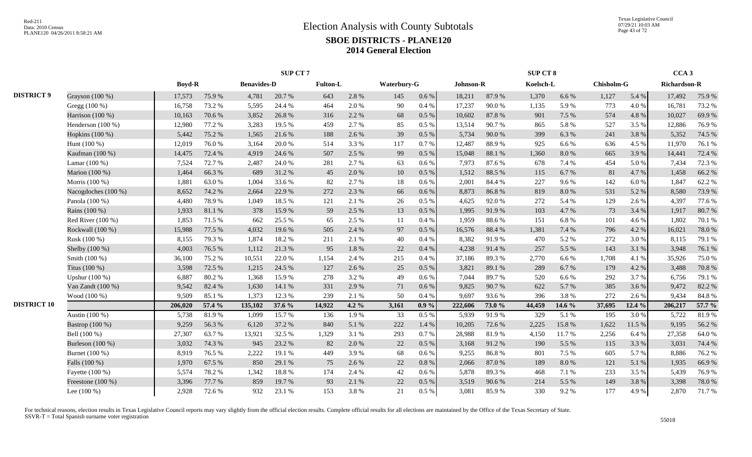|                    |                     |               |        |                    | <b>SUP CT7</b> |                 |         |             |           |           |        | SUP CT 8  |           |                   |        | CCA <sub>3</sub>    |        |
|--------------------|---------------------|---------------|--------|--------------------|----------------|-----------------|---------|-------------|-----------|-----------|--------|-----------|-----------|-------------------|--------|---------------------|--------|
|                    |                     | <b>Boyd-R</b> |        | <b>Benavides-D</b> |                | <b>Fulton-L</b> |         | Waterbury-G |           | Johnson-R |        | Koelsch-L |           | <b>Chisholm-G</b> |        | <b>Richardson-R</b> |        |
| <b>DISTRICT 9</b>  | Grayson (100 %)     | 17,573        | 75.9%  | 4,781              | 20.7%          | 643             | 2.8%    | 145         | $0.6\,\%$ | 18,211    | 87.9%  | 1,370     | 6.6 %     | 1,127             | 5.4 %  | 17,492              | 75.9%  |
|                    | Gregg (100 %)       | 16,758        | 73.2 % | 5,595              | 24.4 %         | 464             | 2.0%    | 90          | 0.4%      | 17,237    | 90.0%  | 1,135     | 5.9%      | 773               | 4.0%   | 16,781              | 73.2 % |
|                    | Harrison (100 %)    | 10,163        | 70.6%  | 3,852              | 26.8%          | 316             | 2.2 %   | 68          | 0.5 %     | 10,602    | 87.8%  | 901       | 7.5 %     | 574               | 4.8%   | 10,027              | 69.9%  |
|                    | Henderson (100 %)   | 12,980        | 77.2 % | 3,283              | 19.5 %         | 459             | 2.7%    | 85          | 0.5 %     | 13,514    | 90.7%  | 865       | 5.8%      | 527               | 3.5 %  | 12,886              | 76.9%  |
|                    | Hopkins (100 %)     | 5,442         | 75.2 % | 1,565              | 21.6%          | 188             | 2.6 %   | 39          | 0.5 %     | 5,734     | 90.0%  | 399       | 6.3%      | 241               | 3.8%   | 5,352               | 74.5 % |
|                    | Hunt (100 %)        | 12,019        | 76.0%  | 3,164              | 20.0%          | 514             | 3.3 %   | 117         | 0.7%      | 12,487    | 88.9%  | 925       | 6.6 %     | 636               | 4.5 %  | 11,970              | 76.1 % |
|                    | Kaufman (100 %)     | 14,475        | 72.4 % | 4,919              | 24.6 %         | 507             | 2.5 %   | 99          | 0.5 %     | 15,048    | 88.1%  | 1,360     | $8.0\ \%$ | 665               | 3.9%   | 14,441              | 72.4 % |
|                    | Lamar (100 %)       | 7,524         | 72.7%  | 2,487              | 24.0 %         | 281             | 2.7%    | 63          | 0.6 %     | 7,973     | 87.6%  | 678       | 7.4 %     | 454               | 5.0%   | 7,434               | 72.3 % |
|                    | Marion (100 %)      | 1,464         | 66.3%  | 689                | 31.2%          | 45              | 2.0%    | 10          | 0.5%      | 1,512     | 88.5%  | 115       | 6.7 %     | 81                | 4.7%   | 1,458               | 66.2%  |
|                    | Morris (100 %)      | 1,881         | 63.0%  | 1,004              | 33.6%          | 82              | 2.7 %   | 18          | $0.6\%$   | 2,001     | 84.4 % | 227       | 9.6%      | 142               | 6.0%   | 1,847               | 62.2%  |
|                    | Nacogdoches (100 %) | 8,652         | 74.2 % | 2,664              | 22.9 %         | 272             | 2.3 %   | 66          | $0.6\,\%$ | 8,873     | 86.8%  | 819       | $8.0\ \%$ | 531               | 5.2%   | 8,580               | 73.9%  |
|                    | Panola (100 %)      | 4,480         | 78.9%  | 1,049              | 18.5 %         | 121             | 2.1 %   | 26          | $0.5\%$   | 4,625     | 92.0%  | 272       | 5.4 %     | 129               | 2.6 %  | 4,397               | 77.6%  |
|                    | Rains (100 %)       | 1,933         | 81.1%  | 378                | 15.9%          | 59              | 2.5 %   | 13          | 0.5%      | 1,995     | 91.9%  | 103       | 4.7%      | 73                | 3.4 %  | 1,917               | 80.7%  |
|                    | Red River $(100\%)$ | 1,853         | 71.5 % | 662                | 25.5 %         | 65              | 2.5 %   | 11          | 0.4%      | 1,959     | 88.6%  | 151       | 6.8%      | 101               | 4.6 %  | 1,802               | 70.1 % |
|                    | Rockwall (100 %)    | 15,988        | 77.5 % | 4,032              | 19.6%          | 505             | 2.4 %   | 97          | 0.5 %     | 16,576    | 88.4%  | 1,381     | 7.4 %     | 796               | 4.2 %  | 16,021              | 78.0%  |
|                    | Rusk (100 %)        | 8,155         | 79.3%  | 1,874              | 18.2%          | 211             | 2.1%    | 40          | 0.4 %     | 8,382     | 91.9%  | 470       | 5.2 %     | 272               | 3.0%   | 8,115               | 79.1 % |
|                    | Shelby (100 %)      | 4,003         | 76.5 % | 1,112              | 21.3%          | 95              | 1.8%    | 22          | 0.4%      | 4,238     | 91.4%  | 257       | 5.5 %     | 143               | 3.1 %  | 3,948               | 76.1 % |
|                    | Smith (100 %)       | 36,100        | 75.2 % | 10,551             | 22.0 %         | 1,154           | 2.4 %   | 215         | 0.4%      | 37,186    | 89.3%  | 2,770     | 6.6 %     | 1,708             | 4.1 %  | 35,926              | 75.0%  |
|                    | Titus (100 %)       | 3,598         | 72.5 % | 1,215              | 24.5 %         | 127             | 2.6%    | 25          | 0.5 %     | 3,821     | 89.1 % | 289       | 6.7%      | 179               | 4.2 %  | 3,488               | 70.8%  |
|                    | Upshur (100 %)      | 6,887         | 80.2%  | 1,368              | 15.9%          | 278             | 3.2 %   | 49          | $0.6\%$   | 7,044     | 89.7%  | 520       | 6.6%      | 292               | 3.7%   | 6,756               | 79.1 % |
|                    | Van Zandt $(100\%)$ | 9,542         | 82.4 % | 1,630              | 14.1 %         | 331             | 2.9 %   | 71          | 0.6 %     | 9,825     | 90.7%  | 622       | 5.7 %     | 385               | 3.6 %  | 9,472               | 82.2%  |
|                    | Wood (100 %)        | 9,509         | 85.1 % | 1,373              | 12.3 %         | 239             | 2.1 %   | 50          | 0.4%      | 9.697     | 93.6%  | 396       | 3.8%      | 272               | 2.6 %  | 9,434               | 84.8%  |
| <b>DISTRICT 10</b> |                     | 206,020       | 57.4 % | 135,102            | 37.6 %         | 14,922          | 4.2 $%$ | 3,161       | $0.9\%$   | 222,606   | 73.0 % | 44,459    | 14.6 %    | 37,695            | 12.4 % | 206,217             | 57.7 % |
|                    | Austin (100 %)      | 5,738         | 81.9%  | 1,099              | 15.7%          | 136             | 1.9%    | 33          | 0.5%      | 5,939     | 91.9%  | 329       | 5.1 %     | 195               | 3.0%   | 5,722               | 81.9%  |
|                    | Bastrop (100 %)     | 9,259         | 56.3%  | 6,120              | 37.2 %         | 840             | 5.1 %   | 222         | 1.4 %     | 10,205    | 72.6%  | 2,225     | 15.8 %    | 1,622             | 11.5 % | 9,195               | 56.2%  |
|                    | Bell (100 %)        | 27,307        | 63.7%  | 13,921             | 32.5 %         | 1,329           | 3.1%    | 293         | 0.7%      | 28,988    | 81.9%  | 4,150     | 11.7 %    | 2,256             | 6.4 %  | 27,358              | 64.0%  |
|                    | Burleson (100 %)    | 3,032         | 74.3 % | 945                | 23.2 %         | 82              | 2.0%    | 22          | 0.5 %     | 3,168     | 91.2%  | 190       | 5.5 %     | 115               | 3.3 %  | 3,031               | 74.4 % |
|                    | Burnet (100 %)      | 8,919         | 76.5 % | 2,222              | 19.1 %         | 449             | 3.9%    | 68          | $0.6\%$   | 9,255     | 86.8%  | 801       | 7.5 %     | 605               | 5.7%   | 8,886               | 76.2%  |
|                    | Falls (100 %)       | 1,970         | 67.5 % | 850                | 29.1 %         | 75              | 2.6 %   | 22          | 0.8%      | 2,066     | 87.0%  | 189       | $8.0\ \%$ | 121               | 5.1 %  | 1,935               | 66.9%  |
|                    | Fayette (100 %)     | 5,574         | 78.2%  | 1,342              | 18.8%          | 174             | 2.4 %   | 42          | 0.6 %     | 5,878     | 89.3%  | 468       | 7.1 %     | 233               | 3.5 %  | 5,439               | 76.9%  |
|                    | Freestone (100 %)   | 3,396         | 77.7 % | 859                | 19.7%          | 93              | 2.1%    | 22          | 0.5 %     | 3,519     | 90.6%  | 214       | 5.5 %     | 149               | 3.8%   | 3,398               | 78.0%  |
|                    | Lee $(100\%)$       | 2,928         | 72.6%  | 932                | 23.1 %         | 153             | 3.8%    | 21          | $0.5\ \%$ | 3,081     | 85.9%  | 330       | 9.2%      | 177               | 4.9%   | 2,870               | 71.7%  |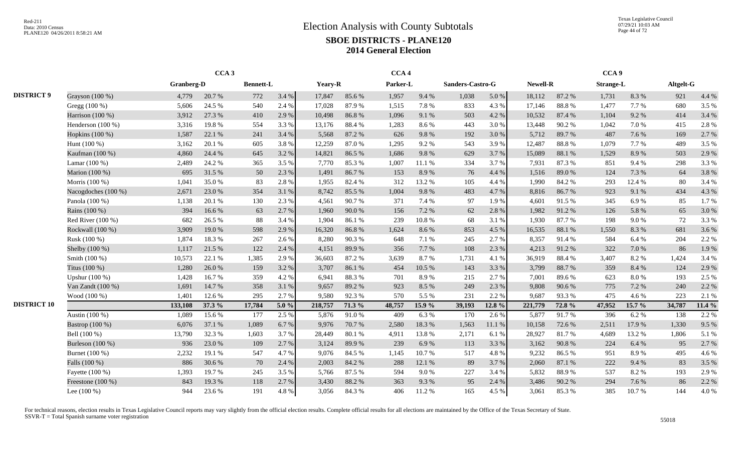Texas Legislative Council 07/29/21 10:03 AM Page 44 of 72

|                    |                     |            | CCA <sub>3</sub> |                  |         |                |        | CCA <sub>4</sub> |        |                  |        |                 |        | CCA <sub>9</sub> |        |           |        |
|--------------------|---------------------|------------|------------------|------------------|---------|----------------|--------|------------------|--------|------------------|--------|-----------------|--------|------------------|--------|-----------|--------|
|                    |                     | Granberg-D |                  | <b>Bennett-L</b> |         | <b>Yeary-R</b> |        | Parker-L         |        | Sanders-Castro-G |        | <b>Newell-R</b> |        | <b>Strange-L</b> |        | Altgelt-G |        |
| <b>DISTRICT 9</b>  | Grayson (100 %)     | 4,779      | 20.7%            | 772              | 3.4 %   | 17,847         | 85.6%  | 1,957            | 9.4 %  | 1,038            | 5.0%   | 18,112          | 87.2%  | 1,731            | 8.3%   | 921       | 4.4 %  |
|                    | Gregg $(100\%)$     | 5,606      | 24.5 %           | 540              | 2.4 %   | 17,028         | 87.9%  | 1,515            | 7.8%   | 833              | 4.3 %  | 17,146          | 88.8%  | 1,477            | 7.7 %  | 680       | 3.5 %  |
|                    | Harrison $(100\%)$  | 3,912      | 27.3 %           | 410              | 2.9 %   | 10,498         | 86.8%  | 1,096            | 9.1 %  | 503              | 4.2 %  | 10,532          | 87.4 % | 1,104            | 9.2%   | 414       | 3.4 %  |
|                    | Henderson $(100\%)$ | 3,316      | 19.8%            | 554              | 3.3 %   | 13,176         | 88.4%  | 1,283            | 8.6%   | 443              | 3.0 %  | 13,448          | 90.2%  | 1,042            | 7.0 %  | 415       | 2.8%   |
|                    | Hopkins $(100\%)$   | 1,587      | 22.1 %           | 241              | 3.4 %   | 5,568          | 87.2%  | 626              | 9.8%   | 192              | 3.0 %  | 5,712           | 89.7%  | 487              | 7.6 %  | 169       | 2.7 %  |
|                    | Hunt (100 %)        | 3,162      | 20.1 %           | 605              | 3.8%    | 12,259         | 87.0%  | 1,295            | 9.2%   | 543              | 3.9%   | 12,487          | 88.8%  | 1,079            | 7.7 %  | 489       | 3.5 %  |
|                    | Kaufman (100 %)     | 4,860      | 24.4 %           | 645              | 3.2 %   | 14,821         | 86.5%  | 1.686            | 9.8%   | 629              | 3.7%   | 15,089          | 88.1%  | 1,529            | 8.9%   | 503       | 2.9%   |
|                    | Lamar (100 %)       | 2,489      | 24.2 %           | 365              | 3.5 %   | 7,770          | 85.3 % | 1,007            | 11.1 % | 334              | 3.7 %  | 7,931           | 87.3%  | 851              | 9.4 %  | 298       | 3.3 %  |
|                    | Marion (100 %)      | 695        | 31.5 %           | 50               | 2.3 %   | 1,491          | 86.7%  | 153              | 8.9%   | 76               | 4.4 %  | 1,516           | 89.0%  | 124              | 7.3 %  | 64        | 3.8%   |
|                    | Morris (100 %)      | 1,041      | 35.0%            | 83               | 2.8%    | 1,955          | 82.4%  | 312              | 13.2 % | 105              | 4.4 %  | 1,990           | 84.2%  | 293              | 12.4 % | 80        | 3.4 %  |
|                    | Nacogdoches (100 %) | 2,671      | 23.0%            | 354              | 3.1 %   | 8,742          | 85.5%  | 1,004            | 9.8%   | 483              | 4.7 %  | 8,816           | 86.7%  | 923              | 9.1 %  | 434       | 4.3 %  |
|                    | Panola (100 %)      | 1,138      | 20.1 %           | 130              | 2.3 %   | 4,561          | 90.7%  | 371              | 7.4 %  | 97               | 1.9%   | 4,601           | 91.5%  | 345              | 6.9%   | 85        | 1.7%   |
|                    | Rains (100 %)       | 394        | 16.6 %           | 63               | 2.7 %   | 1,960          | 90.0%  | 156              | 7.2 %  | 62               | 2.8%   | 1,982           | 91.2%  | 126              | 5.8%   | 65        | 3.0%   |
|                    | Red River (100 %)   | 682        | 26.5 %           | 88               | 3.4 %   | 1,904          | 86.1%  | 239              | 10.8%  | 68               | 3.1 %  | 1,930           | 87.7 % | 198              | 9.0%   | 72        | 3.3 %  |
|                    | Rockwall (100 %)    | 3,909      | 19.0%            | 598              | 2.9%    | 16,320         | 86.8%  | 1,624            | 8.6 %  | 853              | 4.5 %  | 16,535          | 88.1%  | 1,550            | 8.3%   | 681       | 3.6 %  |
|                    | Rusk (100 %)        | 1,874      | 18.3%            | 267              | 2.6%    | 8,280          | 90.3%  | 648              | 7.1 %  | 245              | 2.7%   | 8,357           | 91.4%  | 584              | 6.4 %  | 204       | 2.2 %  |
|                    | Shelby (100 %)      | 1,117      | 21.5 %           | 122              | 2.4 %   | 4,151          | 89.9%  | 356              | 7.7 %  | 108              | 2.3 %  | 4,213           | 91.2%  | 322              | 7.0%   | 86        | 1.9%   |
|                    | Smith (100 %)       | 10,573     | 22.1 %           | 1,385            | 2.9%    | 36,603         | 87.2%  | 3,639            | 8.7%   | 1,731            | 4.1 %  | 36,919          | 88.4%  | 3,407            | 8.2%   | 1,424     | 3.4 %  |
|                    | Titus (100 %)       | 1,280      | 26.0%            | 159              | 3.2 %   | 3,707          | 86.1%  | 454              | 10.5 % | 143              | 3.3 %  | 3,799           | 88.7 % | 359              | 8.4 %  | 124       | 2.9%   |
|                    | Upshur (100 %)      | 1,428      | 16.7%            | 359              | 4.2 %   | 6.941          | 88.3%  | 701              | 8.9%   | 215              | 2.7 %  | 7,001           | 89.6%  | 623              | 8.0%   | 193       | 2.5 %  |
|                    | Van Zandt (100 %)   | 1,691      | 14.7 %           | 358              | 3.1 %   | 9,657          | 89.2%  | 923              | 8.5 %  | 249              | 2.3 %  | 9,808           | 90.6%  | 775              | 7.2 %  | 240       | 2.2 %  |
|                    | Wood (100 %)        | 1,401      | 12.6 %           | 295              | 2.7%    | 9,580          | 92.3%  | 570              | 5.5 %  | 231              | 2.2 %  | 9,687           | 93.3%  | 475              | 4.6 %  | 223       | 2.1 %  |
| <b>DISTRICT 10</b> |                     | 133,108    | 37.3 %           | 17,784           | 5.0 $%$ | 218,757        | 71.3 % | 48,757           | 15.9%  | 39,193           | 12.8 % | 221,779         | 72.8 % | 47,952           | 15.7 % | 34,787    | 11.4 % |
|                    | Austin (100 %)      | 1,089      | 15.6 %           | 177              | 2.5 %   | 5,876          | 91.0 % | 409              | 6.3%   | 170              | 2.6 %  | 5,877           | 91.7%  | 396              | 6.2%   | 138       | 2.2 %  |
|                    | Bastrop (100 %)     | 6,076      | 37.1 %           | 1,089            | 6.7 %   | 9,976          | 70.7 % | 2.580            | 18.3%  | 1,563            | 11.1 % | 10,158          | 72.6 % | 2,511            | 17.9 % | 1,330     | 9.5 %  |
|                    | Bell (100 %)        | 13,790     | 32.3 %           | 1,603            | 3.7%    | 28,449         | 80.1%  | 4,911            | 13.8%  | 2,171            | 6.1%   | 28,927          | 81.7%  | 4,689            | 13.2 % | 1,806     | 5.1 %  |
|                    | Burleson (100 %)    | 936        | 23.0%            | 109              | 2.7 %   | 3,124          | 89.9%  | 239              | 6.9%   | 113              | 3.3 %  | 3,162           | 90.8%  | 224              | 6.4 %  | 95        | 2.7 %  |
|                    | Burnet (100 %)      | 2,232      | 19.1 %           | 547              | 4.7%    | 9,076          | 84.5 % | 1,145            | 10.7%  | 517              | 4.8%   | 9,232           | 86.5%  | 951              | 8.9%   | 495       | 4.6 %  |
|                    | Falls (100 %)       | 886        | 30.6%            | 70               | 2.4 %   | 2,003          | 84.2 % | 288              | 12.1 % | 89               | 3.7 %  | 2,060           | 87.1 % | 222              | 9.4 %  | 83        | 3.5 %  |
|                    | Fayette (100 %)     | 1,393      | 19.7 %           | 245              | 3.5 %   | 5,766          | 87.5 % | 594              | 9.0%   | 227              | 3.4 %  | 5,832           | 88.9%  | 537              | 8.2%   | 193       | 2.9%   |
|                    | Freestone (100 %)   | 843        | 19.3%            | 118              | 2.7%    | 3,430          | 88.2%  | 363              | 9.3%   | 95               | 2.4 %  | 3,486           | 90.2%  | 294              | 7.6 %  | 86        | 2.2 %  |
|                    | Lee $(100\%)$       | 944        | 23.6 %           | 191              | 4.8%    | 3,056          | 84.3 % | 406              | 11.2%  | 165              | 4.5 %  | 3,061           | 85.3%  | 385              | 10.7%  | 144       | 4.0%   |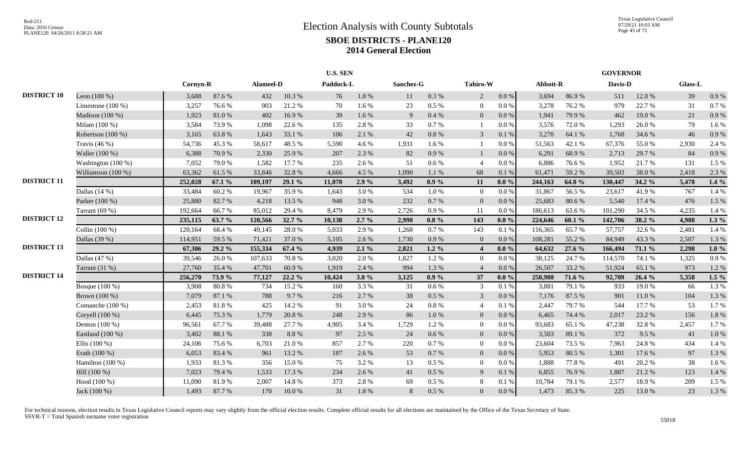|                    |                     |          |        |           |          | <b>U.S. SEN</b> |           |           |           |                |           |          |        | <b>GOVERNOR</b> |        |         |          |
|--------------------|---------------------|----------|--------|-----------|----------|-----------------|-----------|-----------|-----------|----------------|-----------|----------|--------|-----------------|--------|---------|----------|
|                    |                     | Cornyn-R |        | Alameel-D |          | Paddock-L       |           | Sanchez-G |           | Tahiro-W       |           | Abbott-R |        | Davis-D         |        | Glass-L |          |
| <b>DISTRICT 10</b> | Leon $(100\%)$      | 3,688    | 87.6%  | 432       | 10.3%    | 76              | $1.8\ \%$ | 11        | 0.3%      | 2              | $0.0\,\%$ | 3,694    | 86.9%  | 511             | 12.0%  | 39      | 0.9%     |
|                    | Limestone $(100\%)$ | 3,257    | 76.6%  | 903       | 21.2%    | 70              | 1.6%      | 23        | $0.5~\%$  | $\overline{0}$ | $0.0\%$   | 3,278    | 76.2%  | 979             | 22.7 % | 31      | 0.7%     |
|                    | Madison (100 %)     | 1,923    | 81.0%  | 402       | 16.9%    | 39              | 1.6%      | 9         | $0.4~\%$  | $\overline{0}$ | 0.0 %     | 1,941    | 79.9%  | 462             | 19.0%  | 21      | 0.9%     |
|                    | Milam (100 %)       | 3,584    | 73.9%  | 1,098     | 22.6 %   | 135             | 2.8%      | 33        | 0.7%      |                | $0.0\,\%$ | 3,576    | 72.0%  | 1,293           | 26.0%  | 79      | 1.6%     |
|                    | Robertson (100 %)   | 3,165    | 63.8%  | 1,643     | 33.1 %   | 106             | 2.1 %     | 42        | $0.8~\%$  | $\overline{3}$ | 0.1 %     | 3,270    | 64.1 % | 1,768           | 34.6 % | 46      | 0.9%     |
|                    | Travis $(46\%)$     | 54,736   | 45.3%  | 58,617    | 48.5 %   | 5,590           | 4.6%      | 1,931     | 1.6%      |                | 0.0 %     | 51,563   | 42.1 % | 67,376          | 55.0%  | 2,930   | 2.4 %    |
|                    | Waller (100 %)      | 6,388    | 70.9%  | 2,330     | 25.9%    | 207             | 2.3%      | 82        | 0.9%      |                | 0.0 %     | 6,291    | 68.9%  | 2,713           | 29.7 % | 84      | 0.9%     |
|                    | Washington (100 %)  | 7,052    | 79.0%  | 1,582     | 17.7 %   | 235             | 2.6 %     | 51        | 0.6 %     | $\overline{4}$ | $0.0\%$   | 6,886    | 76.6%  | 1,952           | 21.7%  | 131     | 1.5 %    |
|                    | Williamson (100 %)  | 63,362   | 61.5%  | 33,846    | 32.8%    | 4,666           | 4.5 %     | 1,090     | 1.1 %     | 68             | 0.1%      | 61,471   | 59.2%  | 39,503          | 38.0%  | 2,418   | 2.3 %    |
| <b>DISTRICT 11</b> |                     | 252,028  | 67.1 % | 109,197   | 29.1 %   | 11,070          | 2.9%      | 3,492     | $0.9\%$   | 11             | $0.0 \%$  | 244,163  | 64.0 % | 130,447         | 34.2 % | 5,478   | $1.4\%$  |
|                    | Dallas (14 %)       | 33,484   | 60.2%  | 19,967    | 35.9%    | 1,643           | 3.0%      | 534       | $1.0\ \%$ | $\overline{0}$ | $0.0\%$   | 31,867   | 56.5%  | 23,617          | 41.9%  | 767     | 1.4 %    |
|                    | Parker (100 %)      | 25,880   | 82.7%  | 4,218     | 13.5 %   | 948             | 3.0%      | 232       | 0.7 %     | $\overline{0}$ | $0.0\,\%$ | 25,683   | 80.6%  | 5,540           | 17.4 % | 476     | 1.5 %    |
|                    | Tarrant $(69%)$     | 192,664  | 66.7%  | 85,012    | 29.4 %   | 8,479           | 2.9 %     | 2,726     | 0.9%      | 11             | 0.0 %     | 186,613  | 63.6%  | 101,290         | 34.5 % | 4,235   | 1.4 %    |
| <b>DISTRICT 12</b> |                     | 235,115  | 63.7 % | 120,566   | 32.7 %   | 10,138          | $2.7\%$   | 2,998     | $0.8 \%$  | 143            | $0.0 \%$  | 224,646  | 60.1%  | 142,706         | 38.2 % | 4,988   | $1.3\%$  |
|                    | Collin (100 %)      | 120,164  | 68.4%  | 49,145    | 28.0%    | 5,033           | 2.9%      | 1,268     | 0.7%      | 143            | 0.1%      | 116,365  | 65.7%  | 57,757          | 32.6 % | 2,481   | 1.4 %    |
|                    | Dallas (39 %)       | 114,951  | 59.5 % | 71,421    | 37.0 %   | 5,105           | 2.6 %     | 1,730     | 0.9%      | $\Omega$       | 0.0 %     | 108,281  | 55.2%  | 84,949          | 43.3%  | 2,507   | 1.3%     |
| <b>DISTRICT 13</b> |                     | 67,306   | 29.2 % | 155,334   | 67.4 %   | 4,939           | 2.1%      | 2,821     | $1.2\%$   |                | $0.0\%$   | 64,632   | 27.6 % | 166,494         | 71.1 % | 2,298   | $1.0 \%$ |
|                    | Dallas $(47%)$      | 39,546   | 26.0%  | 107,633   | 70.8%    | 3,020           | 2.0%      | 1,827     | 1.2%      | $\Omega$       | $0.0\%$   | 38,125   | 24.7 % | 114,570         | 74.1 % | 1,325   | 0.9%     |
|                    | Tarrant $(31%)$     | 27,760   | 35.4 % | 47,701    | 60.9%    | 1,919           | 2.4 %     | 994       | 1.3 %     | $\overline{4}$ | $0.0\%$   | 26,507   | 33.2 % | 51,924          | 65.1 % | 973     | 1.2%     |
| <b>DISTRICT 14</b> |                     | 256,270  | 73.9%  | 77,127    | $22.2\%$ | 10,424          | 3.0%      | 3,125     | $0.9\%$   | 37             | $0.0\%$   | 250,980  | 71.6 % | 92,709          | 26.4 % | 5,358   | $1.5\%$  |
|                    | Bosque (100 %)      | 3,908    | 80.8%  | 734       | 15.2 %   | 160             | 3.3%      | 31        | 0.6 %     | 3              | 0.1%      | 3,881    | 79.1 % | 933             | 19.0%  | 66      | 1.3%     |
|                    | Brown (100 %)       | 7,079    | 87.1 % | 788       | 9.7 %    | 216             | 2.7 %     | 38        | 0.5%      | 3              | 0.0 %     | 7,176    | 87.5 % | 901             | 11.0%  | 104     | 1.3%     |
|                    | Comanche (100 %)    | 2,453    | 81.8%  | 425       | 14.2 %   | 91              | 3.0%      | 24        | $0.8\%$   |                | 0.1%      | 2,447    | 79.7%  | 544             | 17.7 % | 53      | 1.7%     |
|                    | Coryell (100 %)     | 6,445    | 75.3 % | 1,779     | 20.8%    | 248             | 2.9%      | 86        | 1.0%      | $\Omega$       | 0.0 %     | 6,465    | 74.4 % | 2.017           | 23.2 % | 156     | 1.8%     |
|                    | Denton (100 %)      | 96,561   | 67.7%  | 39,488    | 27.7 %   | 4.905           | 3.4 %     | 1.729     | 1.2%      | $\Omega$       | $0.0\%$   | 93,683   | 65.1 % | 47,238          | 32.8%  | 2,457   | 1.7%     |
|                    | Eastland (100 %)    | 3,402    | 88.1%  | 338       | 8.8%     | 97              | 2.5 %     | 24        | 0.6 %     | $\overline{0}$ | 0.0 %     | 3,503    | 89.1 % | 372             | 9.5 %  | 41      | 1.0%     |
|                    | Ellis $(100\%)$     | 24,106   | 75.6%  | 6,703     | 21.0%    | 857             | 2.7%      | 220       | 0.7%      | $\overline{0}$ | 0.0 %     | 23,604   | 73.5 % | 7,963           | 24.8%  | 434     | 1.4 %    |
|                    | Erath (100 %)       | 6,053    | 83.4%  | 961       | 13.2 %   | 187             | 2.6%      | 53        | 0.7 %     | $\overline{0}$ | $0.0\,\%$ | 5,953    | 80.5 % | 1,301           | 17.6 % | 97      | 1.3%     |
|                    | Hamilton (100 %)    | 1,933    | 81.3%  | 356       | 15.0%    | 75              | 3.2%      | 13        | 0.5%      | $\overline{0}$ | 0.0 %     | 1,888    | 77.8%  | 491             | 20.2 % | 38      | 1.6%     |
|                    | Hill (100 %)        | 7,023    | 79.4 % | 1,533     | 17.3 %   | 234             | 2.6 %     | 41        | 0.5 %     | $\mathbf{Q}$   | 0.1 %     | 6,855    | 76.9%  | 1,887           | 21.2%  | 123     | 1.4 %    |
|                    | Hood (100 %)        | 11,090   | 81.9%  | 2,007     | 14.8 %   | 373             | 2.8%      | 69        | $0.5\ \%$ | 8              | 0.1 %     | 10,784   | 79.1 % | 2,577           | 18.9%  | 209     | 1.5 %    |
|                    | Jack (100 %)        | 1,493    | 87.7%  | 170       | 10.0%    | 31              | 1.8%      | 8         | 0.5 %     | $\Omega$       | $0.0\,\%$ | 1,473    | 85.3%  | 225             | 13.0%  | 23      | 1.3%     |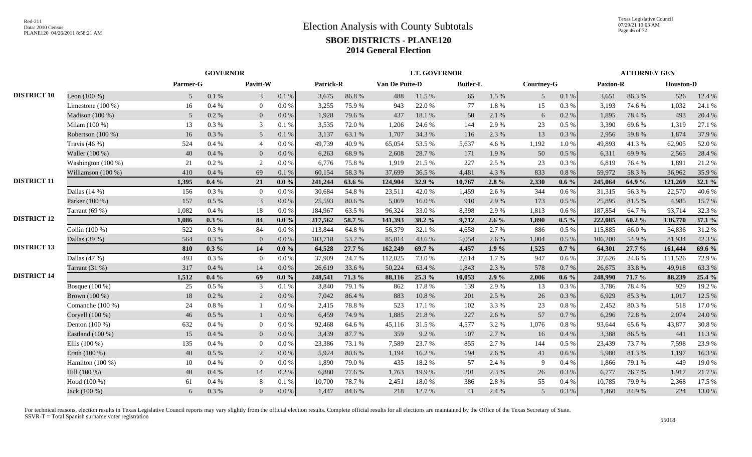|                    |                      |                | <b>GOVERNOR</b> |                 |           |           |        |                | <b>LT. GOVERNOR</b> |                 |         |                   |          |          | <b>ATTORNEY GEN</b> |                  |        |
|--------------------|----------------------|----------------|-----------------|-----------------|-----------|-----------|--------|----------------|---------------------|-----------------|---------|-------------------|----------|----------|---------------------|------------------|--------|
|                    |                      | Parmer-G       |                 | Pavitt-W        |           | Patrick-R |        | Van De Putte-D |                     | <b>Butler-L</b> |         | <b>Courtney-G</b> |          | Paxton-R |                     | <b>Houston-D</b> |        |
| <b>DISTRICT 10</b> | Leon $(100\%)$       | 5 <sup>5</sup> | $0.1\ \%$       | $\mathbf{3}$    | 0.1%      | 3,675     | 86.8%  | 488            | 11.5 %              | 65              | 1.5 %   | 5 <sup>5</sup>    | 0.1 %    | 3,651    | 86.3%               | 526              | 12.4 % |
|                    | Limestone $(100\%)$  | 16             | 0.4%            | $\overline{0}$  | $0.0\ \%$ | 3,255     | 75.9%  | 943            | 22.0%               | 77              | 1.8%    | 15                | 0.3 %    | 3,193    | 74.6 %              | 1,032            | 24.1 % |
|                    | Madison (100 %)      | 5              | 0.2 %           | $\overline{0}$  | $0.0\%$   | 1,928     | 79.6%  | 437            | 18.1 %              | 50              | 2.1%    | 6                 | 0.2 %    | 1,895    | 78.4%               | 493              | 20.4 % |
|                    | Milam (100 %)        | 13             | 0.3%            | 3               | 0.1 %     | 3,535     | 72.0%  | 1,206          | 24.6 %              | 144             | 2.9%    | 23                | 0.5 %    | 3,390    | 69.6%               | 1,319            | 27.1 % |
|                    | Robertson (100 %)    | 16             | 0.3%            | $5\overline{)}$ | 0.1%      | 3,137     | 63.1 % | 1,707          | 34.3 %              | 116             | 2.3 %   | 13                | 0.3%     | 2,956    | 59.8%               | 1,874            | 37.9 % |
|                    | Travis $(46\%)$      | 524            | 0.4%            | $\overline{4}$  | $0.0\%$   | 49,739    | 40.9%  | 65,054         | 53.5%               | 5,637           | 4.6%    | 1,192             | 1.0%     | 49,893   | 41.3%               | 62,905           | 52.0%  |
|                    | Waller (100 %)       | 40             | 0.4%            | $\overline{0}$  | 0.0 %     | 6,263     | 68.9%  | 2,608          | 28.7%               | 171             | 1.9%    | 50                | 0.5 %    | 6,311    | 69.9%               | 2,565            | 28.4 % |
|                    | Washington $(100\%)$ | 21             | 0.2 %           | 2               | $0.0\%$   | 6,776     | 75.8%  | 1,919          | 21.5 %              | 227             | 2.5 %   | 23                | 0.3%     | 6,819    | 76.4%               | 1,891            | 21.2%  |
|                    | Williamson $(100\%)$ | 410            | 0.4%            | 69              | 0.1%      | 60,154    | 58.3%  | 37,699         | 36.5 %              | 4,481           | 4.3 %   | 833               | 0.8%     | 59,972   | 58.3%               | 36,962           | 35.9%  |
| <b>DISTRICT 11</b> |                      | 1,395          | $0.4\%$         | 21              | $0.0\%$   | 241,244   | 63.6 % | 124,904        | 32.9%               | 10,767          | 2.8%    | 2,330             | $0.6\%$  | 245,064  | 64.9 %              | 121,269          | 32.1 % |
|                    | Dallas $(14%)$       | 156            | 0.3%            | $\overline{0}$  | 0.0 %     | 30,684    | 54.8%  | 23,511         | 42.0%               | 1,459           | 2.6 %   | 344               | 0.6 %    | 31,315   | 56.3%               | 22,570           | 40.6%  |
|                    | Parker (100 %)       | 157            | 0.5 %           | 3               | $0.0\,\%$ | 25,593    | 80.6%  | 5,069          | 16.0%               | 910             | 2.9 %   | 173               | 0.5 %    | 25,895   | 81.5%               | 4,985            | 15.7 % |
|                    | Tarrant $(69%)$      | 1,082          | 0.4%            | 18              | 0.0 %     | 184,967   | 63.5 % | 96,324         | 33.0%               | 8,398           | 2.9%    | 1,813             | 0.6 %    | 187,854  | 64.7%               | 93,714           | 32.3 % |
| <b>DISTRICT 12</b> |                      | 1.086          | $0.3\%$         | 84              | $0.0 \%$  | 217,562   | 58.7 % | 141,393        | 38.2 %              | 9,712           | $2.6\%$ | 1,890             | $0.5\%$  | 222,085  | 60.2%               | 136,770          | 37.1 % |
|                    | Collin (100 %)       | 522            | 0.3%            | 84              | $0.0\ \%$ | 113,844   | 64.8%  | 56,379         | 32.1 %              | 4,658           | 2.7 %   | 886               | 0.5 %    | 115,885  | 66.0%               | 54,836           | 31.2%  |
|                    | Dallas (39 %)        | 564            | 0.3%            | $\mathbf{0}$    | 0.0 %     | 103,718   | 53.2%  | 85,014         | 43.6%               | 5,054           | 2.6 %   | 1,004             | 0.5 %    | 106,200  | 54.9%               | 81,934           | 42.3 % |
| <b>DISTRICT 13</b> |                      | 810            | $0.3\%$         | 14              | $0.0 \%$  | 64,528    | 27.7 % | 162,249        | 69.7 %              | 4,457           | 1.9%    | 1,525             | $0.7\%$  | 64,301   | 27.7 %              | 161,444          | 69.6 % |
|                    | Dallas $(47%)$       | 493            | 0.3%            | $\overline{0}$  | 0.0 %     | 37,909    | 24.7%  | 112,025        | 73.0%               | 2,614           | 1.7 %   | 947               | 0.6 %    | 37,626   | 24.6 %              | 111,526          | 72.9 % |
|                    | Tarrant (31 %)       | 317            | 0.4%            | 14              | $0.0\ \%$ | 26,619    | 33.6 % | 50,224         | 63.4%               | 1,843           | 2.3 %   | 578               | 0.7 %    | 26,675   | 33.8%               | 49,918           | 63.3%  |
| <b>DISTRICT 14</b> |                      | 1,512          | $0.4\%$         | 69              | $0.0 \%$  | 248,541   | 71.3 % | 88,116         | 25.3 %              | 10,053          | 2.9%    | 2,006             | $0.6\%$  | 248,990  | 71.7 %              | 88,239           | 25.4 % |
|                    | Bosque (100 %)       | 25             | $0.5\%$         | $\mathfrak{Z}$  | 0.1%      | 3,840     | 79.1 % | 862            | 17.8%               | 139             | 2.9%    | 13                | 0.3%     | 3,786    | 78.4%               | 929              | 19.2 % |
|                    | Brown (100 %)        | 18             | 0.2 %           | 2               | 0.0 %     | 7.042     | 86.4%  | 883            | 10.8 %              | 201             | 2.5 %   | 26                | 0.3%     | 6,929    | 85.3%               | 1,017            | 12.5 % |
|                    | Comanche (100 %)     | 24             | $0.8\%$         | $\overline{1}$  | 0.0 %     | 2,415     | 78.8%  | 523            | 17.1 %              | 102             | 3.3 %   | 23                | 0.8%     | 2,452    | 80.3%               | 518              | 17.0 % |
|                    | Coryell (100 %)      | 46             | 0.5%            | -1              | 0.0 %     | 6,459     | 74.9 % | 1,885          | 21.8%               | 227             | 2.6 %   | 57                | 0.7%     | 6,296    | 72.8%               | 2,074            | 24.0 % |
|                    | Denton (100 %)       | 632            | 0.4%            | $\overline{0}$  | 0.0 %     | 92,468    | 64.6 % | 45,116         | 31.5 %              | 4,577           | 3.2 %   | 1,076             | 0.8%     | 93,644   | 65.6%               | 43,877           | 30.8%  |
|                    | Eastland (100 %)     | 15             | 0.4%            | $\overline{0}$  | 0.0 %     | 3,439     | 87.7%  | 359            | 9.2%                | 107             | 2.7 %   | 16                | 0.4%     | 3,388    | 86.5%               | 441              | 11.3 % |
|                    | Ellis $(100\%)$      | 135            | 0.4%            | $\overline{0}$  | $0.0\%$   | 23,386    | 73.1 % | 7,589          | 23.7 %              | 855             | 2.7 %   | 144               | 0.5 %    | 23,439   | 73.7 %              | 7,598            | 23.9%  |
|                    | Erath (100 %)        | 40             | 0.5%            | 2               | $0.0\%$   | 5,924     | 80.6%  | 1,194          | 16.2%               | 194             | 2.6 %   | 41                | 0.6 %    | 5,980    | 81.3%               | 1,197            | 16.3%  |
|                    | Hamilton $(100\%)$   | 10             | 0.4 %           | $\overline{0}$  | $0.0\%$   | 1,890     | 79.0%  | 435            | 18.2%               | 57              | 2.4 %   | 9                 | 0.4%     | 1,866    | 79.1 %              | 449              | 19.0%  |
|                    | Hill (100 %)         | 40             | 0.4%            | 14              | 0.2 %     | 6,880     | 77.6 % | 1,763          | 19.9%               | 201             | 2.3 %   | 26                | 0.3 %    | 6,777    | 76.7%               | 1,917            | 21.7%  |
|                    | Hood (100 %)         | 61             | 0.4%            | 8               | 0.1 %     | 10,700    | 78.7%  | 2,451          | 18.0%               | 386             | 2.8%    | 55                | $0.4~\%$ | 10,785   | 79.9%               | 2,368            | 17.5 % |
|                    | Jack (100 %)         | 6              | 0.3%            | $\overline{0}$  | $0.0\ \%$ | 1,447     | 84.6 % | 218            | 12.7 %              | 41              | 2.4 %   | $5\overline{)}$   | 0.3%     | 1,460    | 84.9%               | 224              | 13.0%  |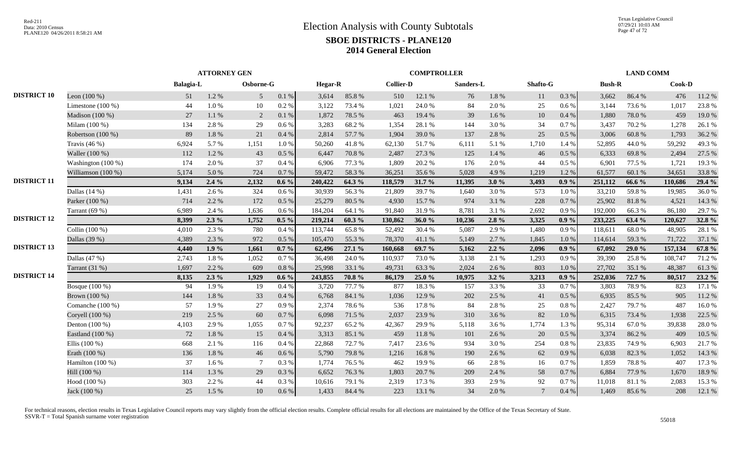|                    |                     |                  | <b>ATTORNEY GEN</b> |                 |           |                |        |                  | <b>COMPTROLLER</b> |           |           |                 |           |               | <b>LAND COMM</b> |         |        |
|--------------------|---------------------|------------------|---------------------|-----------------|-----------|----------------|--------|------------------|--------------------|-----------|-----------|-----------------|-----------|---------------|------------------|---------|--------|
|                    |                     | <b>Balagia-L</b> |                     | Osborne-G       |           | <b>Hegar-R</b> |        | <b>Collier-D</b> |                    | Sanders-L |           | Shafto-G        |           | <b>Bush-R</b> |                  | Cook-D  |        |
| <b>DISTRICT 10</b> | Leon $(100\%)$      | 51               | 1.2 %               | $5\overline{)}$ | 0.1 %     | 3,614          | 85.8%  | 510              | 12.1 %             | 76        | $1.8\ \%$ | 11              | 0.3 %     | 3,662         | 86.4%            | 476     | 11.2%  |
|                    | Limestone $(100\%)$ | 44               | 1.0%                | 10              | 0.2 %     | 3,122          | 73.4 % | 1,021            | 24.0%              | 84        | 2.0%      | 25              | 0.6 %     | 3,144         | 73.6 %           | 1,017   | 23.8%  |
|                    | Madison $(100\%)$   | 27               | 1.1 %               | 2               | 0.1%      | 1,872          | 78.5 % | 463              | 19.4 %             | 39        | 1.6%      | 10              | 0.4%      | 1,880         | 78.0%            | 459     | 19.0%  |
|                    | Milam (100 %)       | 134              | 2.8%                | 29              | 0.6 %     | 3,283          | 68.2%  | 1,354            | 28.1 %             | 144       | 3.0%      | 34              | 0.7%      | 3,437         | 70.2%            | 1,278   | 26.1 % |
|                    | Robertson (100 %)   | 89               | 1.8%                | 21              | 0.4%      | 2,814          | 57.7 % | 1,904            | 39.0%              | 137       | 2.8%      | 25              | 0.5%      | 3,006         | 60.8%            | 1,793   | 36.2%  |
|                    | Travis $(46\%)$     | 6,924            | 5.7%                | 1,151           | 1.0%      | 50,260         | 41.8%  | 62,130           | 51.7%              | 6,111     | 5.1 %     | 1,710           | 1.4 %     | 52,895        | 44.0%            | 59,292  | 49.3 % |
|                    | Waller (100 %)      | 112              | 1.2%                | 43              | $0.5\%$   | 6.447          | 70.8%  | 2,487            | 27.3 %             | 125       | 1.4 %     | 46              | $0.5\ \%$ | 6,333         | 69.8%            | 2,494   | 27.5 % |
|                    | Washington (100 %)  | 174              | 2.0 %               | 37              | 0.4%      | 6,906          | 77.3 % | 1,809            | 20.2 %             | 176       | 2.0 %     | 44              | 0.5%      | 6,901         | 77.5 %           | 1,721   | 19.3 % |
|                    | Williamson (100 %)  | 5,174            | 5.0 %               | 724             | 0.7%      | 59,472         | 58.3%  | 36,251           | 35.6%              | 5,028     | 4.9%      | 1,219           | 1.2%      | 61,577        | 60.1%            | 34,651  | 33.8%  |
| <b>DISTRICT 11</b> |                     | 9,134            | $2.4\%$             | 2,132           | $0.6\%$   | 240,422        | 64.3 % | 118,579          | 31.7 %             | 11,395    | 3.0%      | 3,493           | $0.9\%$   | 251,112       | 66.6 %           | 110,686 | 29.4 % |
|                    | Dallas $(14%)$      | 1,431            | 2.6%                | 324             | $0.6\%$   | 30,939         | 56.3%  | 21,809           | 39.7%              | 1,640     | 3.0%      | 573             | $1.0\ \%$ | 33,210        | 59.8%            | 19,985  | 36.0%  |
|                    | Parker (100 %)      | 714              | 2.2 %               | 172             | $0.5\ \%$ | 25,279         | 80.5%  | 4,930            | 15.7%              | 974       | 3.1%      | 228             | 0.7 %     | 25,902        | 81.8%            | 4,521   | 14.3 % |
|                    | Tarrant $(69%)$     | 6,989            | 2.4 %               | 1,636           | 0.6 %     | 184,204        | 64.1 % | 91,840           | 31.9%              | 8,781     | 3.1 %     | 2,692           | 0.9%      | 192,000       | 66.3%            | 86,180  | 29.7 % |
| <b>DISTRICT 12</b> |                     | 8.399            | $2.3\%$             | 1,752           | $0.5\%$   | 219,214        | 60.3%  | 130,862          | 36.0%              | 10,236    | 2.8%      | 3,325           | $0.9\%$   | 233,225       | 63.4 %           | 120,627 | 32.8 % |
|                    | Collin (100 %)      | 4,010            | 2.3 %               | 780             | 0.4%      | 113,744        | 65.8%  | 52,492           | 30.4 %             | 5,087     | 2.9%      | 1,480           | 0.9%      | 118,611       | 68.0%            | 48,905  | 28.1 % |
|                    | Dallas (39 %)       | 4,389            | 2.3 %               | 972             | $0.5\%$   | 105,470        | 55.3%  | 78,370           | 41.1%              | 5,149     | 2.7 %     | 1,845           | 1.0%      | 114,614       | 59.3%            | 71,722  | 37.1 % |
| <b>DISTRICT 13</b> |                     | 4,440            | $1.9\%$             | 1,661           | $0.7\%$   | 62,496         | 27.1 % | 160,668          | 69.7 %             | 5,162     | $2.2\%$   | 2,096           | $0.9\%$   | 67,092        | 29.0 %           | 157,134 | 67.8 % |
|                    | Dallas $(47%)$      | 2,743            | 1.8%                | 1,052           | 0.7%      | 36,498         | 24.0%  | 110,937          | 73.0%              | 3,138     | 2.1 %     | 1,293           | 0.9%      | 39,390        | 25.8%            | 108,747 | 71.2%  |
|                    | Tarrant (31 %)      | 1.697            | 2.2 %               | 609             | 0.8%      | 25,998         | 33.1 % | 49,731           | 63.3%              | 2,024     | 2.6 %     | 803             | 1.0%      | 27,702        | 35.1 %           | 48,387  | 61.3%  |
| <b>DISTRICT 14</b> |                     | 8,135            | $2.3\%$             | 1,929           | $0.6\%$   | 243,855        | 70.8%  | 86,179           | 25.0 %             | 10,975    | $3.2\%$   | 3,213           | $0.9\%$   | 252,036       | 72.7 %           | 80,517  | 23.2 % |
|                    | Bosque (100 %)      | 94               | 1.9%                | 19              | 0.4%      | 3,720          | 77.7 % | 877              | 18.3%              | 157       | 3.3 %     | 33              | $0.7~\%$  | 3,803         | 78.9%            | 823     | 17.1 % |
|                    | Brown (100 %)       | 144              | 1.8%                | 33              | 0.4%      | 6,768          | 84.1 % | 1,036            | 12.9%              | 202       | 2.5 %     | 41              | 0.5%      | 6,935         | 85.5%            | 905     | 11.2%  |
|                    | Comanche $(100\%)$  | 57               | 1.9%                | 27              | 0.9%      | 2,374          | 78.6%  | 536              | 17.8%              | 84        | 2.8%      | 25              | $0.8\%$   | 2,427         | 79.7%            | 487     | 16.0%  |
|                    | Coryell (100 %)     | 219              | 2.5 %               | 60              | $0.7\ \%$ | 6,098          | 71.5 % | 2,037            | 23.9%              | 310       | 3.6%      | 82              | 1.0%      | 6,315         | 73.4 %           | 1,938   | 22.5 % |
|                    | Denton $(100\%)$    | 4,103            | 2.9 %               | 1,055           | 0.7%      | 92,237         | 65.2%  | 42,367           | 29.9%              | 5,118     | 3.6 %     | 1,774           | 1.3%      | 95,314        | 67.0%            | 39,838  | 28.0%  |
|                    | Eastland (100 %)    | 72               | $1.8\ \%$           | 15              | $0.4~\%$  | 3,313          | 85.1 % | 459              | 11.8%              | 101       | 2.6 %     | 20              | 0.5 %     | 3,374         | 86.2%            | 409     | 10.5 % |
|                    | Ellis $(100\%)$     | 668              | 2.1 %               | 116             | 0.4%      | 22,868         | 72.7%  | 7,417            | 23.6%              | 934       | 3.0%      | 254             | 0.8 %     | 23,835        | 74.9%            | 6,903   | 21.7%  |
|                    | Erath (100 %)       | 136              | 1.8%                | 46              | 0.6 %     | 5,790          | 79.8%  | 1,216            | 16.8%              | 190       | 2.6%      | 62              | 0.9%      | 6,038         | 82.3%            | 1,052   | 14.3 % |
|                    | Hamilton $(100\%)$  | 37               | 1.6%                | 7               | 0.3%      | 1.774          | 76.5 % | 462              | 19.9%              | 66        | 2.8%      | 16              | 0.7%      | 1,859         | 78.8%            | 407     | 17.3 % |
|                    | Hill (100 %)        | 114              | 1.3 %               | 29              | 0.3 %     | 6.652          | 76.3%  | 1.803            | 20.7%              | 209       | 2.4 %     | 58              | 0.7 %     | 6,884         | 77.9 %           | 1,670   | 18.9%  |
|                    | Hood (100 %)        | 303              | 2.2 %               | 44              | 0.3%      | 10,616         | 79.1 % | 2,319            | 17.3 %             | 393       | 2.9%      | 92              | $0.7~\%$  | 11,018        | 81.1%            | 2,083   | 15.3 % |
|                    | Jack (100 %)        | 25               | 1.5 %               | 10              | 0.6 %     | 1,433          | 84.4 % | 223              | 13.1 %             | 34        | 2.0%      | $7\phantom{.0}$ | 0.4 %     | 1,469         | 85.6%            | 208     | 12.1 % |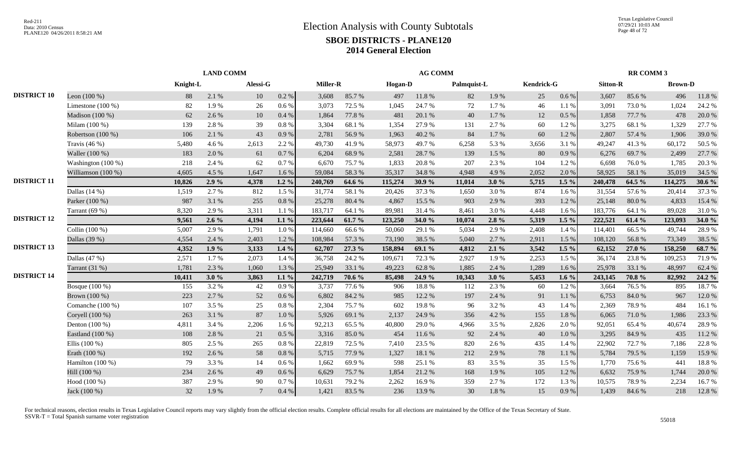|                    |                     |          | <b>LAND COMM</b> |                 |           |          |        |                | <b>AG COMM</b> |             |         |            |           |                 | RR COMM 3  |                |        |
|--------------------|---------------------|----------|------------------|-----------------|-----------|----------|--------|----------------|----------------|-------------|---------|------------|-----------|-----------------|------------|----------------|--------|
|                    |                     | Knight-L |                  | Alessi-G        |           | Miller-R |        | <b>Hogan-D</b> |                | Palmquist-L |         | Kendrick-G |           | <b>Sitton-R</b> |            | <b>Brown-D</b> |        |
| <b>DISTRICT 10</b> | Leon $(100\%)$      | 88       | 2.1%             | 10              | $0.2~\%$  | 3,608    | 85.7%  | 497            | 11.8 %         | 82          | 1.9%    | 25         | $0.6\%$   | 3,607           | 85.6%      | 496            | 11.8%  |
|                    | Limestone $(100\%)$ | 82       | 1.9%             | 26              | $0.6\,\%$ | 3,073    | 72.5 % | 1,045          | 24.7%          | 72          | 1.7%    | 46         | 1.1%      | 3,091           | 73.0 %     | 1,024          | 24.2 % |
|                    | Madison (100 %)     | 62       | 2.6%             | 10              | 0.4 %     | 1,864    | 77.8 % | 481            | 20.1 %         | 40          | 1.7 %   | 12         | $0.5\%$   | 1,858           | 77.7 %     | 478            | 20.0%  |
|                    | Milam (100 %)       | 139      | 2.8%             | 39              | 0.8%      | 3,304    | 68.1%  | 1,354          | 27.9%          | 131         | 2.7 %   | 60         | 1.2%      | 3,275           | 68.1 %     | 1,329          | 27.7 % |
|                    | Robertson (100 %)   | 106      | 2.1 %            | 43              | 0.9%      | 2,781    | 56.9%  | 1,963          | 40.2%          | 84          | 1.7 %   | 60         | 1.2 %     | 2,807           | 57.4 %     | 1,906          | 39.0%  |
|                    | Travis $(46\%)$     | 5,480    | 4.6%             | 2,613           | 2.2 %     | 49,730   | 41.9%  | 58,973         | 49.7%          | 6,258       | 5.3 %   | 3,656      | 3.1 %     | 49,247          | 41.3%      | 60,172         | 50.5%  |
|                    | Waller (100 %)      | 183      | 2.0%             | 61              | 0.7 %     | 6,204    | 68.9%  | 2,581          | 28.7%          | 139         | 1.5 %   | 80         | 0.9 %     | 6,276           | 69.7%      | 2,499          | 27.7 % |
|                    | Washington (100 %)  | 218      | 2.4 %            | 62              | 0.7%      | 6,670    | 75.7%  | 1,833          | 20.8%          | 207         | 2.3 %   | 104        | 1.2%      | 6,698           | 76.0%      | 1,785          | 20.3 % |
|                    | Williamson (100 %)  | 4,605    | 4.5 %            | 1,647           | 1.6%      | 59,084   | 58.3%  | 35,317         | 34.8%          | 4,948       | 4.9%    | 2,052      | 2.0%      | 58,925          | 58.1 %     | 35,019         | 34.5 % |
| <b>DISTRICT 11</b> |                     | 10,826   | 2.9%             | 4,378           | $1.2\%$   | 240,769  | 64.6 % | 115,274        | 30.9 $%$       | 11,014      | 3.0%    | 5,715      | $1.5\%$   | 240,478         | 64.5 %     | 114,275        | 30.6 % |
|                    | Dallas $(14%)$      | 1,519    | 2.7 %            | 812             | 1.5 %     | 31,774   | 58.1 % | 20,426         | 37.3 %         | 1,650       | 3.0%    | 874        | $1.6\%$   | 31,554          | 57.6 %     | 20,414         | 37.3 % |
|                    | Parker (100 %)      | 987      | 3.1%             | 255             | $0.8~\%$  | 25,278   | 80.4%  | 4,867          | 15.5 %         | 903         | 2.9 %   | 393        | 1.2%      | 25,148          | 80.0%      | 4,833          | 15.4 % |
|                    | Tarrant $(69%)$     | 8,320    | 2.9 %            | 3,311           | 1.1 %     | 183,717  | 64.1 % | 89,981         | 31.4%          | 8,461       | 3.0%    | 4,448      | 1.6 %     | 183,776         | 64.1 %     | 89,028         | 31.0%  |
| <b>DISTRICT 12</b> |                     | 9,561    | $2.6\%$          | 4,194           | $1.1\%$   | 223,644  | 61.7%  | 123,250        | 34.0 %         | 10,074      | $2.8\%$ | 5,319      | $1.5\%$   | 222,521         | 61.4 %     | 123,093        | 34.0 % |
|                    | Collin (100 %)      | 5,007    | 2.9 %            | 1,791           | $1.0\ \%$ | 114,660  | 66.6%  | 50,060         | 29.1 %         | 5,034       | 2.9%    | 2,408      | 1.4 %     | 114,401         | 66.5%      | 49,744         | 28.9%  |
|                    | Dallas (39 %)       | 4,554    | 2.4 %            | 2,403           | 1.2%      | 108,984  | 57.3 % | 73,190         | 38.5%          | 5,040       | 2.7 %   | 2,911      | 1.5 %     | 108,120         | 56.8%      | 73,349         | 38.5 % |
| <b>DISTRICT 13</b> |                     | 4,352    | 1.9%             | 3,133           | $1.4\%$   | 62,707   | 27.3 % | 158,894        | 69.1 $%$       | 4,812       | $2.1\%$ | 3,542      | $1.5\%$   | 62,152          | 27.0 %     | 158,250        | 68.7 % |
|                    | Dallas $(47%)$      | 2,571    | 1.7%             | 2,073           | 1.4 %     | 36,758   | 24.2 % | 109,671        | 72.3 %         | 2,927       | 1.9%    | 2,253      | 1.5 %     | 36,174          | 23.8%      | 109,253        | 71.9%  |
|                    | Tarrant $(31 \%)$   | 1,781    | 2.3 %            | 1,060           | 1.3 %     | 25,949   | 33.1 % | 49,223         | 62.8%          | 1,885       | 2.4 %   | 1,289      | 1.6 %     | 25,978          | 33.1 %     | 48,997         | 62.4 % |
| <b>DISTRICT 14</b> |                     | 10,411   | 3.0%             | 3,863           | $1.1\%$   | 242,719  | 70.6 % | 85,498         | 24.9 %         | 10,343      | 3.0%    | 5,453      | 1.6 $%$   | 243,145         | 70.8%      | 82,992         | 24.2 % |
|                    | Bosque (100 %)      | 155      | 3.2 %            | 42              | 0.9%      | 3,737    | 77.6 % | 906            | 18.8%          | 112         | 2.3 %   | 60         | 1.2%      | 3,664           | 76.5 %     | 895            | 18.7%  |
|                    | Brown (100 %)       | 223      | 2.7%             | 52              | 0.6 %     | 6.802    | 84.2 % | 985            | 12.2 %         | 197         | 2.4 %   | 91         | 1.1%      | 6,753           | 84.0%      | 967            | 12.0%  |
|                    | Comanche (100 %)    | 107      | 3.5 %            | 25              | $0.8~\%$  | 2,304    | 75.7%  | 602            | 19.8%          | 96          | 3.2 %   | 43         | 1.4 %     | 2,369           | 78.9%      | 484            | 16.1%  |
|                    | Coryell (100 %)     | 263      | 3.1%             | 87              | $1.0\ \%$ | 5,926    | 69.1 % | 2,137          | 24.9%          | 356         | 4.2 %   | 155        | $1.8~\%$  | 6,065           | $71.0\,\%$ | 1,986          | 23.3 % |
|                    | Denton (100 %)      | 4,811    | 3.4 %            | 2,206           | 1.6 %     | 92,213   | 65.5%  | 40,800         | 29.0%          | 4,966       | 3.5 %   | 2,826      | 2.0%      | 92,051          | 65.4 %     | 40,674         | 28.9%  |
|                    | Eastland (100 %)    | 108      | 2.8%             | 21              | 0.5 %     | 3,316    | 85.0%  | 454            | 11.6%          | 92          | 2.4 %   | 40         | $1.0\ \%$ | 3,295           | 84.9%      | 435            | 11.2%  |
|                    | Ellis $(100\%)$     | 805      | 2.5 %            | 265             | 0.8%      | 22,819   | 72.5 % | 7,410          | 23.5 %         | 820         | 2.6 %   | 435        | 1.4 %     | 22,902          | 72.7 %     | 7,186          | 22.8%  |
|                    | Erath (100 %)       | 192      | 2.6%             | 58              | 0.8%      | 5,715    | 77.9%  | 1,327          | 18.1 %         | 212         | 2.9 %   | 78         | 1.1%      | 5,784           | 79.5 %     | 1,159          | 15.9%  |
|                    | Hamilton $(100\%)$  | 79       | 3.3%             | 14              | 0.6 %     | 1.662    | 69.9%  | 598            | 25.1 %         | 83          | 3.5 %   | 35         | 1.5 %     | 1.770           | 75.6%      | 441            | 18.8%  |
|                    | Hill (100 %)        | 234      | 2.6 %            | 49              | 0.6 %     | 6.629    | 75.7%  | 1,854          | 21.2%          | 168         | 1.9%    | 105        | 1.2 %     | 6.632           | 75.9%      | 1.744          | 20.0%  |
|                    | Hood (100 %)        | 387      | 2.9%             | 90              | 0.7%      | 10,631   | 79.2 % | 2,262          | 16.9%          | 359         | 2.7 %   | 172        | 1.3%      | 10,575          | 78.9%      | 2,234          | 16.7%  |
|                    | Jack (100 %)        | 32       | 1.9%             | $7\overline{ }$ | 0.4 %     | 1,421    | 83.5%  | 236            | 13.9%          | 30          | 1.8%    | 15         | 0.9%      | 1,439           | 84.6%      | 218            | 12.8%  |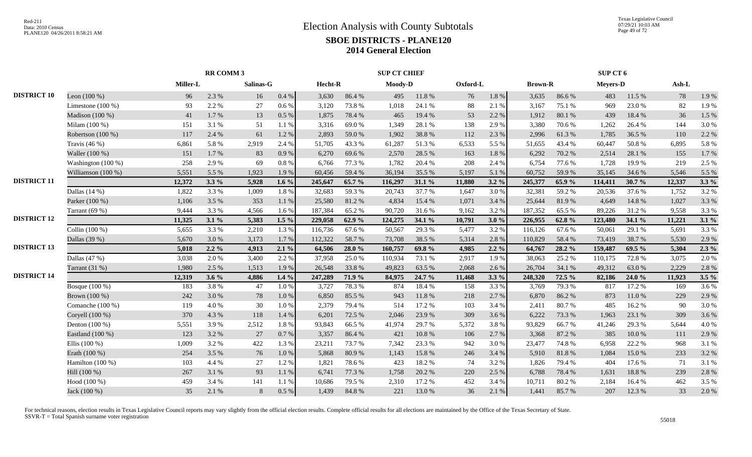|                    |                     |          |         |           | <b>SUP CT CHIEF</b> |         |        |         |           |          | SUP CT 6  |                |        |                 |        |        |         |
|--------------------|---------------------|----------|---------|-----------|---------------------|---------|--------|---------|-----------|----------|-----------|----------------|--------|-----------------|--------|--------|---------|
|                    |                     | Miller-L |         | Salinas-G |                     | Hecht-R |        | Moody-D |           | Oxford-L |           | <b>Brown-R</b> |        | <b>Meyers-D</b> |        | Ash-L  |         |
| <b>DISTRICT 10</b> | Leon $(100\%)$      | 96       | 2.3 %   | 16        | $0.4~\%$            | 3,630   | 86.4%  | 495     | 11.8%     | 76       | $1.8\ \%$ | 3,635          | 86.6%  | 483             | 11.5 % | 78     | 1.9%    |
|                    | Limestone $(100\%)$ | 93       | 2.2 %   | 27        | 0.6 %               | 3,120   | 73.8%  | 1,018   | 24.1 %    | 88       | 2.1 %     | 3,167          | 75.1 % | 969             | 23.0%  | 82     | 1.9%    |
|                    | Madison (100 %)     | 41       | 1.7%    | 13        | 0.5 %               | 1,875   | 78.4%  | 465     | 19.4 %    | 53       | 2.2 %     | 1,912          | 80.1 % | 439             | 18.4 % | 36     | 1.5 %   |
|                    | Milam $(100\%)$     | 151      | 3.1 %   | 51        | 1.1 %               | 3,316   | 69.0%  | 1,349   | 28.1 %    | 138      | 2.9 %     | 3,380          | 70.6%  | 1,262           | 26.4 % | 144    | 3.0%    |
|                    | Robertson (100 %)   | 117      | 2.4 %   | 61        | 1.2%                | 2,893   | 59.0%  | 1,902   | 38.8%     | 112      | 2.3 %     | 2,996          | 61.3%  | 1,785           | 36.5 % | 110    | 2.2 %   |
|                    | Travis $(46\%)$     | 6,861    | 5.8%    | 2,919     | 2.4 %               | 51,705  | 43.3%  | 61,287  | 51.3%     | 6,533    | 5.5 %     | 51,655         | 43.4 % | 60,447          | 50.8%  | 6,895  | 5.8 %   |
|                    | Waller (100 %)      | 151      | 1.7%    | 83        | 0.9%                | 6,270   | 69.6%  | 2,570   | 28.5 %    | 163      | 1.8%      | 6,292          | 70.2 % | 2,514           | 28.1 % | 155    | 1.7%    |
|                    | Washington (100 %)  | 258      | 2.9 %   | 69        | $0.8 \%$            | 6.766   | 77.3 % | 1,782   | 20.4 %    | 208      | 2.4 %     | 6,754          | 77.6 % | 1.728           | 19.9%  | 219    | 2.5 %   |
|                    | Williamson (100 %)  | 5,551    | 5.5 %   | 1,923     | 1.9%                | 60,456  | 59.4%  | 36,194  | 35.5 %    | 5,197    | 5.1%      | 60,752         | 59.9%  | 35,145          | 34.6 % | 5,546  | 5.5 %   |
| <b>DISTRICT 11</b> |                     | 12,372   | $3.3\%$ | 5,928     | $1.6\%$             | 245,647 | 65.7 % | 116,297 | 31.1 %    | 11,880   | $3.2\%$   | 245,377        | 65.9%  | 114,411         | 30.7%  | 12,337 | $3.3\%$ |
|                    | Dallas $(14%)$      | 1,822    | 3.3%    | 1,009     | 1.8%                | 32,683  | 59.3%  | 20,743  | 37.7 %    | 1,647    | 3.0%      | 32,381         | 59.2%  | 20,536          | 37.6 % | 1,752  | 3.2%    |
|                    | Parker (100 %)      | 1,106    | 3.5 %   | 353       | $1.1~\%$            | 25,580  | 81.2%  | 4,834   | 15.4 %    | 1,071    | 3.4 %     | 25,644         | 81.9%  | 4,649           | 14.8 % | 1,027  | 3.3 %   |
|                    | Tarrant $(69%)$     | 9,444    | 3.3%    | 4,566     | 1.6%                | 187,384 | 65.2%  | 90,720  | 31.6%     | 9,162    | 3.2%      | 187,352        | 65.5%  | 89,226          | 31.2%  | 9,558  | 3.3 %   |
| <b>DISTRICT 12</b> |                     | 11,325   | 3.1%    | 5,383     | $1.5\%$             | 229,058 | 62.9%  | 124,275 | 34.1 %    | 10,791   | 3.0%      | 226,955        | 62.8%  | 123,480         | 34.1 % | 11,221 | 3.1%    |
|                    | Collin (100 %)      | 5,655    | 3.3%    | 2,210     | 1.3%                | 116,736 | 67.6%  | 50,567  | 29.3 %    | 5,477    | 3.2%      | 116,126        | 67.6%  | 50,061          | 29.1 % | 5,691  | 3.3 %   |
|                    | Dallas (39 %)       | 5,670    | 3.0%    | 3,173     | 1.7%                | 112,322 | 58.7%  | 73,708  | 38.5 %    | 5,314    | 2.8%      | 110,829        | 58.4 % | 73,419          | 38.7%  | 5,530  | 2.9 %   |
| <b>DISTRICT 13</b> |                     | 5,018    | $2.2\%$ | 4,913     | 2.1%                | 64,506  | 28.0 % | 160,757 | 69.8%     | 4,985    | $2.2\%$   | 64,767         | 28.2 % | 159,487         | 69.5 % | 5,304  | $2.3\%$ |
|                    | Dallas $(47%)$      | 3,038    | 2.0%    | 3,400     | 2.2 %               | 37,958  | 25.0%  | 110,934 | 73.1 %    | 2,917    | 1.9%      | 38,063         | 25.2 % | 110,175         | 72.8%  | 3,075  | 2.0%    |
|                    | Tarrant (31 %)      | 1,980    | 2.5 %   | 1,513     | 1.9%                | 26,548  | 33.8%  | 49,823  | 63.5 %    | 2,068    | 2.6%      | 26,704         | 34.1 % | 49,312          | 63.0%  | 2,229  | 2.8%    |
| <b>DISTRICT 14</b> |                     | 12,319   | $3.6\%$ | 4,886     | $1.4\%$             | 247,289 | 71.9 % | 84,975  | 24.7 %    | 11,468   | $3.3\%$   | 248,320        | 72.5 % | 82,186          | 24.0 % | 11,923 | $3.5\%$ |
|                    | Bosque $(100\%)$    | 183      | 3.8%    | 47        | 1.0%                | 3,727   | 78.3%  | 874     | 18.4%     | 158      | 3.3 %     | 3,769          | 79.3%  | 817             | 17.2 % | 169    | 3.6%    |
|                    | Brown (100 %)       | 242      | 3.0%    | 78        | 1.0%                | 6,850   | 85.5%  | 943     | 11.8 %    | 218      | 2.7 %     | 6,870          | 86.2%  | 873             | 11.0%  | 229    | 2.9 %   |
|                    | Comanche (100 %)    | 119      | 4.0%    | 30        | $1.0\ \%$           | 2,379   | 79.4 % | 514     | 17.2 %    | 103      | 3.4 %     | 2,411          | 80.7%  | 485             | 16.2%  | 90     | 3.0%    |
|                    | Coryell (100 %)     | 370      | 4.3 %   | 118       | 1.4 %               | 6,201   | 72.5 % | 2,046   | 23.9%     | 309      | 3.6%      | 6,222          | 73.3 % | 1,963           | 23.1 % | 309    | 3.6 %   |
|                    | Denton (100 %)      | 5,551    | 3.9%    | 2,512     | 1.8 %               | 93,843  | 66.5%  | 41,974  | 29.7%     | 5,372    | 3.8%      | 93,829         | 66.7%  | 41,246          | 29.3 % | 5,644  | 4.0%    |
|                    | Eastland (100 %)    | 123      | 3.2 %   | $27\,$    | 0.7%                | 3,357   | 86.4%  | 421     | $10.8~\%$ | 106      | 2.7 %     | 3,368          | 87.2 % | 385             | 10.0%  | 111    | 2.9 %   |
|                    | Ellis $(100\%)$     | 1,009    | 3.2 %   | 422       | 1.3%                | 23,211  | 73.7%  | 7,342   | 23.3 %    | 942      | 3.0%      | 23,477         | 74.8%  | 6,958           | 22.2 % | 968    | 3.1 %   |
|                    | Erath (100 %)       | 254      | 3.5 %   | 76        | 1.0%                | 5,868   | 80.9%  | 1,143   | 15.8%     | 246      | 3.4 %     | 5,910          | 81.8%  | 1,084           | 15.0%  | 233    | 3.2 %   |
|                    | Hamilton (100 %)    | 103      | 4.4 %   | 27        | 1.2%                | 1,821   | 78.6%  | 423     | 18.2%     | 74       | 3.2%      | 1,826          | 79.4 % | 404             | 17.6 % | 71     | 3.1 %   |
|                    | Hill (100 %)        | 267      | 3.1 %   | 93        | 1.1%                | 6,741   | 77.3 % | 1,758   | 20.2 %    | 220      | 2.5 %     | 6,788          | 78.4%  | 1,631           | 18.8%  | 239    | 2.8%    |
|                    | Hood (100 %)        | 459      | 3.4 %   | 141       | 1.1%                | 10,686  | 79.5 % | 2,310   | 17.2 %    | 452      | 3.4 %     | 10,711         | 80.2%  | 2,184           | 16.4%  | 462    | 3.5 %   |
|                    | Jack (100 %)        | 35       | 2.1 %   | 8         | $0.5\ \%$           | 1,439   | 84.8%  | 221     | 13.0%     | 36       | $2.1~\%$  | 1,441          | 85.7%  | 207             | 12.3 % | 33     | 2.0%    |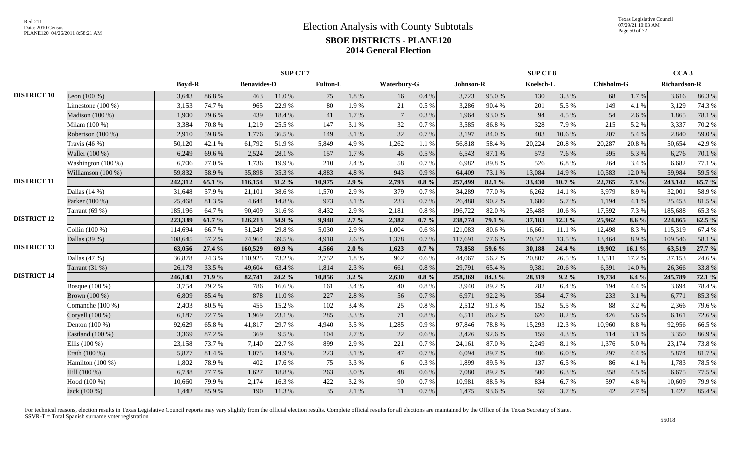|                    |                     |               |        |                    | <b>SUP CT 7</b> |                 |         |                    |          |           |        | <b>SUP CT 8</b> |        |            |         | CCA <sub>3</sub>    |        |
|--------------------|---------------------|---------------|--------|--------------------|-----------------|-----------------|---------|--------------------|----------|-----------|--------|-----------------|--------|------------|---------|---------------------|--------|
|                    |                     | <b>Boyd-R</b> |        | <b>Benavides-D</b> |                 | <b>Fulton-L</b> |         | <b>Waterbury-G</b> |          | Johnson-R |        | Koelsch-L       |        | Chisholm-G |         | <b>Richardson-R</b> |        |
| <b>DISTRICT 10</b> | Leon $(100\%)$      | 3,643         | 86.8%  | 463                | 11.0%           | 75              | 1.8%    | 16                 | $0.4\%$  | 3,723     | 95.0%  | 130             | 3.3 %  | 68         | 1.7%    | 3,616               | 86.3%  |
|                    | Limestone $(100\%)$ | 3,153         | 74.7%  | 965                | 22.9%           | 80              | 1.9%    | 21                 | 0.5 %    | 3,286     | 90.4%  | 201             | 5.5 %  | 149        | 4.1 %   | 3,129               | 74.3 % |
|                    | Madison (100 %)     | 1,900         | 79.6%  | 439                | 18.4 %          | 41              | 1.7 %   | $7\phantom{.0}$    | 0.3%     | 1,964     | 93.0%  | 94              | 4.5 %  | 54         | 2.6 %   | 1,865               | 78.1 % |
|                    | Milam (100 %)       | 3,384         | 70.8%  | 1,219              | 25.5 %          | 147             | 3.1 %   | 32                 | 0.7%     | 3,585     | 86.8%  | 328             | 7.9%   | 215        | 5.2%    | 3,337               | 70.2 % |
|                    | Robertson (100 %)   | 2,910         | 59.8%  | 1,776              | 36.5 %          | 149             | 3.1%    | 32                 | 0.7%     | 3,197     | 84.0%  | 403             | 10.6%  | 207        | 5.4 %   | 2,840               | 59.0%  |
|                    | Travis $(46\%)$     | 50,120        | 42.1 % | 61,792             | 51.9%           | 5,849           | 4.9%    | 1,262              | 1.1 %    | 56,818    | 58.4%  | 20,224          | 20.8%  | 20,287     | 20.8%   | 50,654              | 42.9%  |
|                    | Waller (100 %)      | 6,249         | 69.6%  | 2,524              | 28.1 %          | 157             | 1.7 %   | 45                 | $0.5\%$  | 6,543     | 87.1 % | 573             | 7.6 %  | 395        | 5.3 %   | 6,276               | 70.1 % |
|                    | Washington (100 %)  | 6,706         | 77.0 % | 1,736              | 19.9%           | 210             | 2.4 %   | 58                 | 0.7%     | 6,982     | 89.8%  | 526             | 6.8%   | 264        | 3.4 %   | 6,682               | 77.1 % |
|                    | Williamson (100 %)  | 59,832        | 58.9%  | 35,898             | 35.3%           | 4,883           | 4.8%    | 943                | 0.9%     | 64,409    | 73.1 % | 13,084          | 14.9%  | 10,583     | 12.0%   | 59,984              | 59.5 % |
| <b>DISTRICT 11</b> |                     | 242,312       | 65.1 % | 116,154            | 31.2%           | 10,975          | $2.9\%$ | 2,793              | $0.8 \%$ | 257,499   | 82.1 % | 33,430          | 10.7 % | 22,765     | $7.3\%$ | 243,142             | 65.7 % |
|                    | Dallas $(14%)$      | 31,648        | 57.9%  | 21,101             | 38.6%           | 1.570           | 2.9%    | 379                | 0.7%     | 34,289    | 77.0 % | 6,262           | 14.1 % | 3,979      | 8.9%    | 32,001              | 58.9%  |
|                    | Parker (100 %)      | 25,468        | 81.3%  | 4,644              | 14.8%           | 973             | 3.1 %   | 233                | 0.7%     | 26,488    | 90.2%  | 1,680           | 5.7 %  | 1,194      | 4.1 %   | 25,453              | 81.5%  |
|                    | Tarrant $(69%)$     | 185,196       | 64.7%  | 90,409             | 31.6%           | 8,432           | 2.9%    | 2,181              | 0.8%     | 196,722   | 82.0%  | 25,488          | 10.6%  | 17,592     | 7.3 %   | 185,688             | 65.3 % |
| <b>DISTRICT 12</b> |                     | 223,339       | 61.7%  | 126,213            | 34.9 %          | 9,948           | $2.7\%$ | 2,382              | $0.7\%$  | 238,774   | 79.1 % | 37,183          | 12.3 % | 25,962     | $8.6\%$ | 224,865             | 62.5 % |
|                    | Collin (100 %)      | 114,694       | 66.7%  | 51,249             | 29.8%           | 5.030           | 2.9%    | 1,004              | 0.6 %    | 121,083   | 80.6%  | 16,661          | 11.1 % | 12,498     | 8.3%    | 115,319             | 67.4 % |
|                    | Dallas (39 %)       | 108,645       | 57.2 % | 74,964             | 39.5 %          | 4.918           | 2.6 %   | 1,378              | 0.7%     | 117,691   | 77.6 % | 20,522          | 13.5 % | 13,464     | 8.9%    | 109,546             | 58.1 % |
| <b>DISTRICT 13</b> |                     | 63,056        | 27.4 % | 160,529            | 69.9%           | 4,566           | $2.0\%$ | 1,623              | $0.7\%$  | 73,858    | 59.6 % | 30,188          | 24.4 % | 19,902     | 16.1%   | 63,519              | 27.7 % |
|                    | Dallas $(47%)$      | 36,878        | 24.3 % | 110,925            | 73.2 %          | 2,752           | 1.8%    | 962                | 0.6 %    | 44,067    | 56.2%  | 20,807          | 26.5%  | 13,511     | 17.2 %  | 37,153              | 24.6 % |
|                    | Tarrant (31 %)      | 26,178        | 33.5 % | 49,604             | 63.4%           | 1,814           | 2.3 %   | 661                | 0.8%     | 29,791    | 65.4%  | 9,381           | 20.6%  | 6,391      | 14.0%   | 26,366              | 33.8%  |
| <b>DISTRICT 14</b> |                     | 246,143       | 71.9 % | 82,741             | 24.2 %          | 10,856          | $3.2\%$ | 2,630              | $0.8 \%$ | 258,369   | 84.3 % | 28,319          | 9.2%   | 19,734     | 6.4%    | 245,789             | 72.1 % |
|                    | Bosque (100 %)      | 3,754         | 79.2 % | 786                | 16.6 %          | 161             | 3.4 %   | 40                 | 0.8%     | 3,940     | 89.2%  | 282             | 6.4 %  | 194        | 4.4 %   | 3,694               | 78.4%  |
|                    | Brown (100 %)       | 6,809         | 85.4%  | 878                | $11.0\ \%$      | 227             | 2.8 %   | 56                 | 0.7%     | 6,971     | 92.2%  | 354             | 4.7%   | 233        | 3.1 %   | 6,771               | 85.3%  |
|                    | Comanche (100 %)    | 2,403         | 80.5%  | 455                | 15.2%           | 102             | 3.4 %   | 25                 | 0.8 %    | 2,512     | 91.3%  | 152             | 5.5 %  | 88         | 3.2%    | 2,366               | 79.6%  |
|                    | Coryell (100 %)     | 6,187         | 72.7 % | 1,969              | 23.1 %          | 285             | 3.3 %   | 71                 | 0.8%     | 6,511     | 86.2%  | 620             | 8.2%   | 426        | 5.6 %   | 6,161               | 72.6 % |
|                    | Denton (100 %)      | 92,629        | 65.8%  | 41,817             | 29.7 %          | 4,940           | 3.5 %   | 1,285              | 0.9%     | 97,846    | 78.8%  | 15,293          | 12.3 % | 10,960     | 8.8%    | 92,956              | 66.5%  |
|                    | Eastland (100 %)    | 3,369         | 87.2%  | 369                | 9.5 %           | 104             | 2.7 %   | 22                 | 0.6 %    | 3,426     | 92.6%  | 159             | 4.3 %  | 114        | 3.1 %   | 3,350               | 86.9%  |
|                    | Ellis $(100\%)$     | 23,158        | 73.7%  | 7,140              | 22.7 %          | 899             | 2.9%    | 221                | 0.7%     | 24,161    | 87.0%  | 2,249           | 8.1%   | 1,376      | 5.0%    | 23,174              | 73.8%  |
|                    | Erath (100 %)       | 5,877         | 81.4%  | 1,075              | 14.9%           | 223             | 3.1%    | 47                 | 0.7%     | 6,094     | 89.7%  | 406             | 6.0 %  | 297        | 4.4 %   | 5,874               | 81.7%  |
|                    | Hamilton $(100\%)$  | 1,802         | 78.9%  | 402                | 17.6 %          | 75              | 3.3 %   | 6                  | 0.3%     | 1,899     | 89.5 % | 137             | 6.5 %  | 86         | 4.1 %   | 1,783               | 78.5 % |
|                    | Hill (100 %)        | 6,738         | 77.7 % | 1,627              | 18.8%           | 263             | 3.0%    | 48                 | 0.6 %    | 7,080     | 89.2%  | 500             | 6.3%   | 358        | 4.5 %   | 6,675               | 77.5 % |
|                    | Hood (100 %)        | 10,660        | 79.9%  | 2,174              | 16.3%           | 422             | 3.2 %   | 90                 | 0.7%     | 10,981    | 88.5%  | 834             | 6.7%   | 597        | 4.8%    | 10,609              | 79.9%  |
|                    | Jack (100 %)        | 1,442         | 85.9%  | 190                | 11.3 %          | 35              | 2.1 %   | 11                 | $0.7~\%$ | 1,475     | 93.6%  | 59              | 3.7%   | 42         | 2.7 %   | 1,427               | 85.4 % |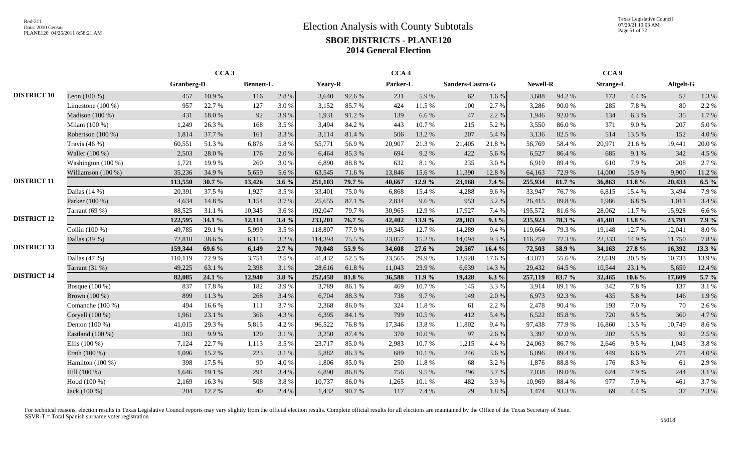Texas Legislative Council 07/29/21 10:03 AM Page 51 of 72

|                    |                     |            | CCA <sub>3</sub> |                  |         |         |        | CCA <sub>4</sub> |        |                  |           |          |        | CCA <sub>9</sub> |           |           |         |
|--------------------|---------------------|------------|------------------|------------------|---------|---------|--------|------------------|--------|------------------|-----------|----------|--------|------------------|-----------|-----------|---------|
|                    |                     | Granberg-D |                  | <b>Bennett-L</b> |         | Yeary-R |        | Parker-L         |        | Sanders-Castro-G |           | Newell-R |        | <b>Strange-L</b> |           | Altgelt-G |         |
| <b>DISTRICT 10</b> | Leon $(100\%)$      | 457        | 10.9%            | 116              | 2.8%    | 3,640   | 92.6%  | 231              | 5.9%   | 62               | $1.6\,\%$ | 3,688    | 94.2%  | 173              | 4.4 %     | 52        | 1.3 %   |
|                    | Limestone $(100\%)$ | 957        | 22.7 %           | 127              | 3.0%    | 3,152   | 85.7%  | 424              | 11.5 % | 100              | 2.7%      | 3,286    | 90.0%  | 285              | 7.8%      | 80        | 2.2 %   |
|                    | Madison (100 %)     | 431        | 18.0%            | 92               | 3.9%    | 1,931   | 91.2%  | 139              | 6.6 %  | 47               | 2.2 %     | 1,946    | 92.0%  | 134              | 6.3 %     | 35        | 1.7%    |
|                    | Milam (100 %)       | 1,249      | 26.3%            | 168              | 3.5 %   | 3,494   | 84.2 % | 443              | 10.7%  | 215              | 5.2%      | 3,550    | 86.0%  | 371              | 9.0%      | 207       | 5.0%    |
|                    | Robertson (100 %)   | 1,814      | 37.7 %           | 161              | 3.3 %   | 3,114   | 81.4%  | 506              | 13.2 % | 207              | 5.4 %     | 3,136    | 82.5 % | 514              | 13.5 %    | 152       | 4.0%    |
|                    | Travis $(46%)$      | 60,551     | 51.3%            | 6,876            | 5.8%    | 55,771  | 56.9%  | 20,907           | 21.3%  | 21,405           | 21.8%     | 56,769   | 58.4%  | 20,971           | 21.6%     | 19,441    | 20.0%   |
|                    | Waller (100 %)      | 2,503      | 28.0%            | 176              | 2.0%    | 6,464   | 85.3%  | 694              | 9.2 %  | 422              | 5.6 %     | 6,527    | 86.4%  | 685              | 9.1%      | 342       | 4.5 %   |
|                    | Washington (100 %)  | 1,721      | 19.9%            | 260              | 3.0%    | 6,890   | 88.8%  | 632              | 8.1 %  | 235              | 3.0%      | 6,919    | 89.4%  | 610              | 7.9 %     | 208       | 2.7 %   |
|                    | Williamson (100 %)  | 35,236     | 34.9%            | 5,659            | 5.6%    | 63,545  | 71.6 % | 13,846           | 15.6%  | 11,390           | 12.8%     | 64,163   | 72.9%  | 14,000           | 15.9%     | 9,900     | 11.2 %  |
| <b>DISTRICT 11</b> |                     | 113,550    | 30.7 %           | 13,426           | $3.6\%$ | 251,103 | 79.7 % | 40.667           | 12.9%  | 23,168           | 7.4 %     | 255,934  | 81.7 % | 36,863           | 11.8%     | 20,433    | 6.5 $%$ |
|                    | Dallas $(14%)$      | 20,391     | 37.5 %           | 1,927            | 3.5 %   | 33,401  | 75.0%  | 6,868            | 15.4 % | 4,288            | 9.6%      | 33,947   | 76.7%  | 6,815            | 15.4 %    | 3,494     | 7.9 %   |
|                    | Parker (100 %)      | 4,634      | 14.8 %           | 1,154            | 3.7%    | 25,655  | 87.1 % | 2,834            | 9.6 %  | 953              | 3.2 %     | 26,415   | 89.8%  | 1,986            | 6.8%      | 1,011     | 3.4 %   |
|                    | Tarrant (69 %)      | 88,525     | 31.1 %           | 10,345           | 3.6 %   | 192,047 | 79.7 % | 30,965           | 12.9 % | 17,927           | 7.4 %     | 195,572  | 81.6%  | 28,062           | 11.7 %    | 15,928    | 6.6%    |
| <b>DISTRICT 12</b> |                     | 122,595    | 34.1 %           | 12,114           | 3.4%    | 233,201 | 76.7%  | 42,402           | 13.9 % | 28,383           | $9.3\%$   | 235,923  | 78.3 % | 41,481           | 13.8%     | 23,791    | 7.9 %   |
|                    | Collin (100 %)      | 49,785     | 29.1 %           | 5,999            | 3.5 %   | 118,807 | 77.9 % | 19,345           | 12.7 % | 14,289           | 9.4 %     | 119,664  | 79.3 % | 19,148           | 12.7 %    | 12,041    | 8.0%    |
|                    | Dallas (39 %)       | 72,810     | 38.6%            | 6,115            | 3.2 %   | 114,394 | 75.5 % | 23,057           | 15.2 % | 14,094           | 9.3%      | 116,259  | 77.3 % | 22,333           | 14.9 %    | 11,750    | 7.8 %   |
| <b>DISTRICT 13</b> |                     | 159,344    | 69.6 %           | 6,149            | $2.7\%$ | 70,048  | 55.9%  | 34,608           | 27.6 % | 20,567           | 16.4%     | 72,503   | 58.9%  | 34,163           | 27.8 %    | 16,392    | 13.3 %  |
|                    | Dallas $(47%)$      | 110,119    | 72.9%            | 3,751            | 2.5 %   | 41,432  | 52.5 % | 23,565           | 29.9%  | 13,928           | 17.6 %    | 43,071   | 55.6%  | 23,619           | 30.5 %    | 10,733    | 13.9%   |
|                    | Tarrant (31 %)      | 49,225     | 63.1 %           | 2,398            | 3.1 %   | 28,616  | 61.8%  | 11,043           | 23.9%  | 6,639            | 14.3 %    | 29,432   | 64.5 % | 10,544           | 23.1 %    | 5,659     | 12.4 %  |
| <b>DISTRICT 14</b> |                     | 82,085     | 24.1 %           | 12,940           | $3.8\%$ | 252,458 | 81.8%  | 36,588           | 11.9 % | 19,428           | $6.3\%$   | 257,119  | 83.7 % | 32,465           | $10.6 \%$ | 17,609    | 5.7 %   |
|                    | Bosque (100 %)      | 837        | 17.8 %           | 182              | 3.9%    | 3,789   | 86.1%  | 469              | 10.7%  | 145              | 3.3 %     | 3,914    | 89.1%  | 342              | 7.8%      | 137       | 3.1 %   |
|                    | Brown (100 %)       | 899        | 11.3 %           | 268              | 3.4 %   | 6,704   | 88.3%  | 738              | 9.7%   | 149              | 2.0%      | 6,973    | 92.3%  | 435              | 5.8%      | 146       | 1.9%    |
|                    | Comanche $(100\%)$  | 494        | 16.6%            | 111              | 3.7%    | 2,368   | 86.0%  | 324              | 11.8%  | 61               | 2.2 %     | 2,478    | 90.4%  | 193              | 7.0 %     | 70        | 2.6 %   |
|                    | Coryell (100 %)     | 1,961      | 23.1 %           | 366              | 4.3 %   | 6,395   | 84.1 % | 799              | 10.5 % | 412              | 5.4 %     | 6,522    | 85.8%  | 720              | 9.5 %     | 360       | 4.7%    |
|                    | Denton $(100\%)$    | 41,015     | 29.3%            | 5,815            | 4.2%    | 96,522  | 76.8%  | 17,346           | 13.8%  | 11,802           | 9.4%      | 97,438   | 77.9%  | 16,860           | 13.5 %    | 10,749    | 8.6%    |
|                    | Eastland $(100\%)$  | 383        | 9.9%             | 120              | 3.1 %   | 3,250   | 87.4 % | 370              | 10.0%  | 97               | 2.6 %     | 3,397    | 92.0%  | 202              | 5.5 %     | 92        | 2.5 %   |
|                    | Ellis $(100\%)$     | 7,124      | 22.7 %           | 1,113            | 3.5 %   | 23,717  | 85.0%  | 2,983            | 10.7%  | 1,215            | 4.4 %     | 24,063   | 86.7%  | 2,646            | 9.5 %     | 1,043     | 3.8%    |
|                    | Erath (100 %)       | 1,096      | 15.2 %           | 223              | 3.1 %   | 5,882   | 86.3%  | 689              | 10.1 % | 246              | 3.6%      | 6,096    | 89.4%  | 449              | 6.6 %     | 271       | 4.0%    |
|                    | Hamilton $(100\%)$  | 398        | 17.5 %           | 90               | 4.0%    | 1,806   | 85.0%  | 250              | 11.8%  | 68               | 3.2 %     | 1,876    | 88.8%  | 176              | 8.3%      | 61        | 2.9 %   |
|                    | Hill (100 %)        | 1,646      | 19.1 %           | 294              | 3.4 %   | 6,890   | 86.8%  | 756              | 9.5%   | 296              | 3.7%      | 7,038    | 89.0%  | 624              | 7.9%      | 244       | 3.1 %   |
|                    | Hood (100 %)        | 2,169      | 16.3%            | 508              | 3.8%    | 10,737  | 86.0%  | 1,265            | 10.1 % | 482              | 3.9%      | 10,969   | 88.4%  | 977              | 7.9%      | 461       | 3.7%    |
|                    | Jack (100 %)        | 204        | 12.2 %           | 40               | 2.4 %   | 1,432   | 90.7%  | 117              | 7.4 %  | 29               | 1.8%      | 1,474    | 93.3%  | 69               | 4.4 %     | 37        | 2.3 %   |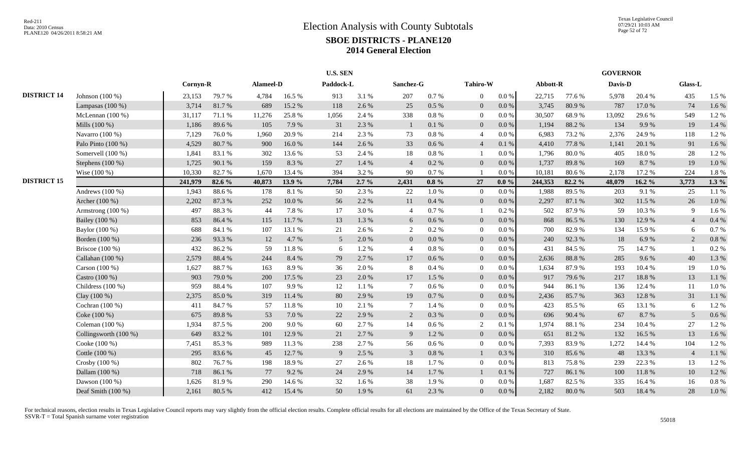|                    |                       |          |        |           |            | <b>U.S. SEN</b> |         |                 |           |                |           |          |        | <b>GOVERNOR</b> |           |                |          |
|--------------------|-----------------------|----------|--------|-----------|------------|-----------------|---------|-----------------|-----------|----------------|-----------|----------|--------|-----------------|-----------|----------------|----------|
|                    |                       | Cornyn-R |        | Alameel-D |            | Paddock-L       |         | Sanchez-G       |           | Tahiro-W       |           | Abbott-R |        | Davis-D         |           | Glass-L        |          |
| <b>DISTRICT 14</b> | Johnson $(100\%)$     | 23,153   | 79.7 % | 4,784     | 16.5 %     | 913             | 3.1 %   | 207             | $0.7\%$   | $\Omega$       | $0.0\%$   | 22,715   | 77.6 % | 5,978           | 20.4 %    | 435            | 1.5 %    |
|                    | Lampasas $(100\%)$    | 3,714    | 81.7%  | 689       | 15.2 %     | 118             | 2.6%    | 25              | 0.5 %     | $\bf{0}$       | 0.0 %     | 3,745    | 80.9%  | 787             | 17.0%     | 74             | 1.6%     |
|                    | McLennan $(100\%)$    | 31,117   | 71.1 % | 11,276    | 25.8%      | 1,056           | 2.4 %   | 338             | $0.8\ \%$ | $\bf{0}$       | 0.0 %     | 30,507   | 68.9%  | 13,092          | 29.6%     | 549            | 1.2%     |
|                    | Mills (100 %)         | 1,186    | 89.6%  | 105       | 7.9 %      | 31              | 2.3 %   | $\mathbf{1}$    | 0.1 %     | $\overline{0}$ | 0.0 %     | 1,194    | 88.2%  | 134             | 9.9%      | 19             | 1.4 %    |
|                    | Navarro $(100\%)$     | 7,129    | 76.0%  | 1,960     | 20.9%      | 214             | 2.3 %   | 73              | $0.8~\%$  | $\overline{4}$ | 0.0 %     | 6,983    | 73.2 % | 2,376           | 24.9%     | 118            | 1.2%     |
|                    | Palo Pinto (100 %)    | 4,529    | 80.7%  | 900       | 16.0%      | 144             | 2.6%    | 33              | 0.6 %     | $\overline{4}$ | 0.1%      | 4,410    | 77.8 % | 1,141           | 20.1 %    | 91             | 1.6%     |
|                    | Somervell (100 %)     | 1,841    | 83.1 % | 302       | 13.6 %     | 53              | 2.4 %   | 18              | $0.8\%$   |                | $0.0\%$   | 1,796    | 80.0%  | 405             | 18.0%     | 28             | 1.2%     |
|                    | Stephens (100 %)      | 1,725    | 90.1 % | 159       | 8.3%       | 27              | 1.4 %   | $\overline{4}$  | $0.2~\%$  | $\overline{0}$ | 0.0 %     | 1,737    | 89.8%  | 169             | 8.7%      | 19             | 1.0 %    |
|                    | Wise (100 %)          | 10,330   | 82.7%  | 1,670     | 13.4 %     | 394             | 3.2 %   | 90              | 0.7 %     |                | $0.0\%$   | 10,181   | 80.6%  | 2,178           | 17.2 %    | 224            | 1.8%     |
| <b>DISTRICT 15</b> |                       | 241,979  | 82.6 % | 40,873    | 13.9 %     | 7,784           | $2.7\%$ | 2,431           | $0.8 \%$  | 27             | $0.0\%$   | 244,353  | 82.2%  | 48,079          | $16.2 \%$ | 3,773          | $1.3\%$  |
|                    | Andrews $(100\%)$     | 1,943    | 88.6%  | 178       | 8.1%       | 50              | 2.3 %   | 22              | $1.0\ \%$ | $\overline{0}$ | 0.0 %     | 1,988    | 89.5%  | 203             | 9.1 %     | 25             | 1.1 %    |
|                    | Archer (100 %)        | 2,202    | 87.3%  | 252       | $10.0\ \%$ | 56              | 2.2%    | 11              | 0.4 %     | $\overline{0}$ | 0.0 %     | 2,297    | 87.1 % | 302             | 11.5 %    | 26             | 1.0 %    |
|                    | Armstrong (100 %)     | 497      | 88.3%  | 44        | 7.8%       | 17              | 3.0%    | $\overline{4}$  | 0.7 %     |                | 0.2 %     | 502      | 87.9%  | 59              | 10.3%     | 9              | 1.6%     |
|                    | Bailey (100 %)        | 853      | 86.4%  | 115       | 11.7%      | 13              | 1.3%    | 6               | 0.6 %     | $\mathbf{0}$   | 0.0 %     | 868      | 86.5%  | 130             | 12.9%     | $\overline{4}$ | 0.4%     |
|                    | Baylor (100 %)        | 688      | 84.1%  | 107       | 13.1 %     | 21              | 2.6%    | 2               | $0.2~\%$  | $\overline{0}$ | 0.0 %     | 700      | 82.9%  | 134             | 15.9%     | 6              | 0.7%     |
|                    | Borden (100 %)        | 236      | 93.3%  | 12        | 4.7%       | 5               | 2.0%    | $\overline{0}$  | 0.0 %     | $\overline{0}$ | 0.0 %     | 240      | 92.3%  | 18              | 6.9%      | 2              | 0.8%     |
|                    | Briscoe $(100\%)$     | 432      | 86.2%  | 59        | 11.8%      | -6              | 1.2%    | $\overline{4}$  | 0.8%      | $\overline{0}$ | $0.0\%$   | 431      | 84.5 % | 75              | 14.7%     |                | 0.2 %    |
|                    | Callahan (100 %)      | 2,579    | 88.4%  | 244       | 8.4 %      | 79              | 2.7%    | 17              | 0.6 %     | $\overline{0}$ | 0.0%      | 2,636    | 88.8%  | 285             | 9.6%      | 40             | 1.3%     |
|                    | Carson $(100\%)$      | 1,627    | 88.7%  | 163       | 8.9%       | 36              | 2.0%    | 8               | 0.4%      | $\overline{0}$ | $0.0\%$   | 1,634    | 87.9%  | 193             | 10.4 %    | 19             | 1.0%     |
|                    | Castro (100 %)        | 903      | 79.0%  | 200       | 17.5 %     | 23              | 2.0%    | 17              | 1.5 %     | $\overline{0}$ | 0.0 %     | 917      | 79.6%  | 217             | 18.8%     | 13             | 1.1%     |
|                    | Childress $(100\%)$   | 959      | 88.4%  | 107       | 9.9%       | 12              | 1.1%    | $7\phantom{.0}$ | 0.6 %     | $\overline{0}$ | $0.0\%$   | 944      | 86.1%  | 136             | 12.4 %    | 11             | 1.0%     |
|                    | Clay $(100\%)$        | 2,375    | 85.0%  | 319       | 11.4 %     | 80              | 2.9%    | 19              | 0.7 %     | $\overline{0}$ | 0.0 %     | 2,436    | 85.7%  | 363             | 12.8%     | 31             | 1.1%     |
|                    | Cochran (100 %)       | 411      | 84.7%  | 57        | 11.8%      | 10              | 2.1%    | $7\phantom{.0}$ | 1.4 %     | $\bf{0}$       | $0.0\%$   | 423      | 85.5 % | 65              | 13.1 %    | 6              | 1.2%     |
|                    | Coke (100 %)          | 675      | 89.8%  | 53        | 7.0%       | 22              | 2.9%    | 2               | 0.3 %     | $\overline{0}$ | 0.0 %     | 696      | 90.4%  | 67              | 8.7%      | 5              | 0.6 %    |
|                    | Coleman $(100\%)$     | 1,934    | 87.5 % | 200       | 9.0%       | 60              | 2.7 %   | 14              | $0.6\,\%$ | 2              | 0.1%      | 1,974    | 88.1 % | 234             | 10.4 %    | 27             | 1.2%     |
|                    | Collingsworth (100 %) | 649      | 83.2%  | 101       | 12.9%      | 21              | 2.7 %   | 9               | 1.2%      | $\overline{0}$ | 0.0 %     | 651      | 81.2%  | 132             | 16.5 %    | 13             | 1.6%     |
|                    | Cooke (100 %)         | 7,451    | 85.3%  | 989       | 11.3 %     | 238             | 2.7 %   | 56              | $0.6\%$   | $\overline{0}$ | 0.0 %     | 7,393    | 83.9%  | 1,272           | 14.4 %    | 104            | 1.2%     |
|                    | Cottle (100 %)        | 295      | 83.6%  | 45        | 12.7 %     | 9               | 2.5 %   | $\overline{3}$  | $0.8\ \%$ |                | 0.3%      | 310      | 85.6%  | 48              | 13.3 %    | $\overline{4}$ | 1.1 %    |
|                    | Crosby (100 %)        | 802      | 76.7%  | 198       | 18.9%      | 27              | 2.6 %   | 18              | 1.7%      | $\overline{0}$ | 0.0 %     | 813      | 75.8%  | 239             | 22.3 %    | 13             | 1.2%     |
|                    | Dallam (100 %)        | 718      | 86.1%  | 77        | 9.2 %      | 24              | 2.9%    | 14              | 1.7%      |                | 0.1 %     | 727      | 86.1 % | 100             | 11.8 %    | 10             | 1.2%     |
|                    | Dawson (100 %)        | 1,626    | 81.9%  | 290       | 14.6 %     | 32              | 1.6%    | 38              | 1.9%      | $\theta$       | $0.0\,\%$ | 1,687    | 82.5 % | 335             | 16.4%     | 16             | $0.8~\%$ |
|                    | Deaf Smith (100 %)    | 2,161    | 80.5%  | 412       | 15.4 %     | 50              | 1.9%    | 61              | 2.3 %     | $\Omega$       | $0.0\,\%$ | 2,182    | 80.0%  | 503             | 18.4%     | 28             | 1.0%     |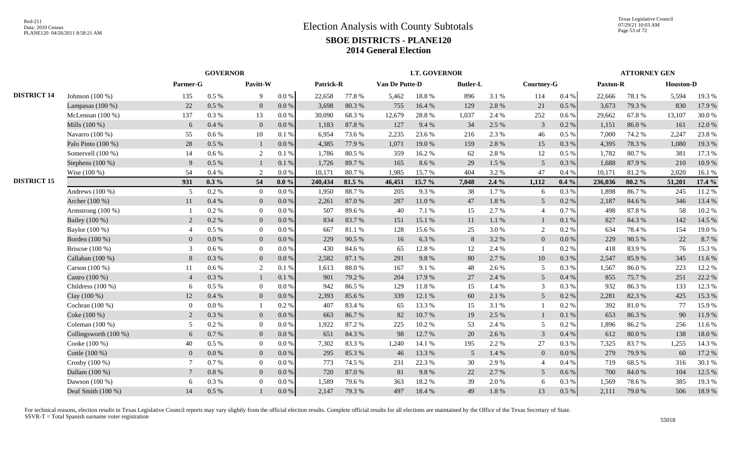|                    |                         |                | <b>GOVERNOR</b> |                |           |           |        |                | <b>LT. GOVERNOR</b> |                 |           |                 |           |                 | <b>ATTORNEY GEN</b> |                  |        |
|--------------------|-------------------------|----------------|-----------------|----------------|-----------|-----------|--------|----------------|---------------------|-----------------|-----------|-----------------|-----------|-----------------|---------------------|------------------|--------|
|                    |                         | Parmer-G       |                 | Pavitt-W       |           | Patrick-R |        | Van De Putte-D |                     | <b>Butler-L</b> |           | Courtney-G      |           | <b>Paxton-R</b> |                     | <b>Houston-D</b> |        |
| <b>DISTRICT 14</b> | Johnson (100 %)         | 135            | $0.5~\%$        | 9              | $0.0\ \%$ | 22,658    | 77.8 % | 5,462          | 18.8 %              | 896             | 3.1 %     | 114             | 0.4 %     | 22,666          | 78.1 %              | 5,594            | 19.3 % |
|                    | Lampasas $(100\%)$      | 22             | 0.5 %           | $\overline{0}$ | $0.0\,\%$ | 3,698     | 80.3%  | 755            | 16.4 %              | 129             | 2.8%      | 21              | $0.5\ \%$ | 3,673           | 79.3 %              | 830              | 17.9 % |
|                    | McLennan (100 %)        | 137            | 0.3 %           | 13             | $0.0\ \%$ | 30,090    | 68.3%  | 12,679         | 28.8%               | 1,037           | 2.4 %     | 252             | 0.6 %     | 29,662          | 67.8%               | 13,107           | 30.0%  |
|                    | Mills $(100\%)$         | 6              | 0.4%            | $\mathbf{0}$   | 0.0 %     | 1,183     | 87.8%  | 127            | 9.4%                | 34              | 2.5 %     | $\mathfrak{Z}$  | 0.2 %     | 1,151           | 86.0%               | 161              | 12.0%  |
|                    | Navarro (100 %)         | 55             | 0.6 %           | 10             | 0.1%      | 6,954     | 73.6 % | 2,235          | 23.6 %              | 216             | 2.3 %     | 46              | $0.5\%$   | 7,000           | 74.2 %              | 2,247            | 23.8%  |
|                    | Palo Pinto (100 %)      | 28             | 0.5 %           | 1              | 0.0 %     | 4,385     | 77.9 % | 1,071          | 19.0%               | 159             | 2.8%      | 15              | $0.3~\%$  | 4,395           | 78.3%               | 1,080            | 19.3 % |
|                    | Somervell $(100\%)$     | 14             | $0.6\%$         | 2              | 0.1%      | 1.786     | 80.5 % | 359            | 16.2%               | 62              | 2.8%      | 12              | $0.5\%$   | 1.782           | 80.7%               | 381              | 17.3 % |
|                    | Stephens (100 %)        | $\mathbf{Q}$   | 0.5%            |                | 0.1 %     | 1,726     | 89.7%  | 165            | 8.6%                | 29              | 1.5 %     | $\overline{5}$  | 0.3%      | 1,688           | 87.9%               | 210              | 10.9%  |
|                    | Wise $(100\%)$          | 54             | 0.4%            | 2              | 0.0 %     | 10,171    | 80.7%  | 1,985          | 15.7%               | 404             | 3.2%      | 47              | 0.4%      | 10,171          | 81.2%               | 2,020            | 16.1%  |
| <b>DISTRICT 15</b> |                         | 931            | $0.3\%$         | 54             | $0.0\%$   | 240,434   | 81.5 % | 46,451         | 15.7 %              | 7,048           | $2.4\%$   | 1,112           | $0.4\%$   | 236,036         | 80.2%               | 51,201           | 17.4 % |
|                    | Andrews (100 %)         | 5              | $0.2~\%$        | $\bf{0}$       | $0.0\%$   | 1,950     | 88.7%  | 205            | 9.3%                | 38              | 1.7%      | 6               | $0.3~\%$  | 1,898           | 86.7%               | 245              | 11.2%  |
|                    | Archer (100 %)          | 11             | $0.4~\%$        | $\overline{0}$ | $0.0\,\%$ | 2,261     | 87.0%  | 287            | 11.0%               | 47              | $1.8\ \%$ | 5 <sup>5</sup>  | $0.2~\%$  | 2,187           | 84.6%               | 346              | 13.4 % |
|                    | Armstrong (100 %)       |                | 0.2 %           | $\overline{0}$ | 0.0 %     | 507       | 89.6%  | 40             | 7.1 %               | 15              | 2.7%      | $\overline{4}$  | 0.7%      | 498             | 87.8%               | 58               | 10.2%  |
|                    | Bailey (100 %)          | $\overline{2}$ | 0.2 %           | $\overline{0}$ | 0.0 %     | 834       | 83.7%  | 151            | 15.1 %              | 11              | $1.1\ \%$ | $\mathbf{1}$    | 0.1 %     | 827             | 84.3%               | 142              | 14.5 % |
|                    | Baylor (100 %)          | $\overline{4}$ | $0.5\%$         | $\overline{0}$ | 0.0 %     | 667       | 81.1 % | 128            | 15.6%               | 25              | 3.0%      | $\overline{2}$  | $0.2\%$   | 634             | 78.4%               | 154              | 19.0%  |
|                    | Borden (100 %)          | $\overline{0}$ | 0.0 %           | $\overline{0}$ | 0.0 %     | 229       | 90.5 % | 16             | 6.3%                | 8               | 3.2 %     | $\overline{0}$  | 0.0 %     | 229             | 90.5 %              | 22               | 8.7%   |
|                    | Briscoe $(100\%)$       | 3              | $0.6\%$         | $\overline{0}$ | $0.0\%$   | 430       | 84.6 % | 65             | 12.8%               | 12              | 2.4 %     | -1              | 0.2 %     | 418             | 83.9%               | 76               | 15.3 % |
|                    | Callahan (100 %)        | 8              | 0.3%            | $\overline{0}$ | $0.0\%$   | 2.582     | 87.1 % | 291            | 9.8%                | 80              | 2.7%      | 10              | 0.3%      | 2.547           | 85.9%               | 345              | 11.6 % |
|                    | Carson $(100\%)$        | 11             | $0.6\%$         | 2              | 0.1%      | 1.613     | 88.0%  | 167            | 9.1 %               | 48              | 2.6 %     | 5               | 0.3%      | 1.567           | 86.0%               | 223              | 12.2 % |
|                    | Castro (100 %)          | $\overline{4}$ | 0.3 %           |                | 0.1%      | 901       | 79.2 % | 204            | 17.9%               | 27              | 2.4 %     | $5\overline{)}$ | 0.4%      | 855             | 75.7 %              | 251              | 22.2 % |
|                    | Childress $(100\%)$     | 6              | 0.5 %           | $\mathbf{0}$   | 0.0 %     | 942       | 86.5%  | 129            | 11.8 %              | 15              | 1.4 %     | 3               | 0.3%      | 932             | 86.3%               | 133              | 12.3 % |
|                    | Clay (100 %)            | 12             | $0.4~\%$        | $\overline{0}$ | $0.0\,\%$ | 2,393     | 85.6%  | 339            | 12.1 %              | 60              | 2.1 %     | $5\overline{)}$ | $0.2~\%$  | 2,281           | 82.3 %              | 425              | 15.3 % |
|                    | Cochran $(100\%)$       | $\overline{0}$ | $0.0\ \%$       | $\mathbf{1}$   | 0.2 %     | 407       | 83.4%  | 65             | 13.3 %              | 15              | 3.1%      | $\mathbf{1}$    | 0.2%      | 392             | 81.0%               | 77               | 15.9%  |
|                    | Coke (100 %)            | 2              | 0.3 %           | $\overline{0}$ | 0.0 %     | 663       | 86.7%  | 82             | 10.7 %              | 19              | 2.5 %     | $\mathbf{1}$    | 0.1 %     | 653             | 86.3%               | 90               | 11.9%  |
|                    | Coleman $(100\%)$       |                | 0.2 %           | $\overline{0}$ | 0.0 %     | 1,922     | 87.2%  | 225            | 10.2%               | 53              | 2.4 %     | 5               | 0.2%      | 1,896           | 86.2%               | 256              | 11.6 % |
|                    | Collingsworth $(100\%)$ | 6              | 0.7 %           | $\overline{0}$ | 0.0 %     | 651       | 84.3 % | 98             | 12.7 %              | 20              | 2.6%      | 3               | 0.4%      | 612             | 80.0%               | 138              | 18.0%  |
|                    | Cooke (100 %)           | 40             | $0.5\%$         | $\overline{0}$ | $0.0\%$   | 7.302     | 83.3%  | 1,240          | 14.1 %              | 195             | 2.2 %     | $27\,$          | 0.3%      | 7,325           | 83.7%               | 1,255            | 14.3 % |
|                    | Cottle (100 %)          | $\Omega$       | $0.0\ \%$       | $\overline{0}$ | 0.0 %     | 295       | 85.3%  | 46             | 13.3 %              | 5               | 1.4 %     | $\overline{0}$  | 0.0 %     | 279             | 79.9%               | 60               | 17.2 % |
|                    | Crosby $(100\%)$        |                | 0.7%            | $\overline{0}$ | $0.0\%$   | 773       | 74.5 % | 231            | 22.3 %              | 30              | 2.9%      | $\overline{4}$  | 0.4%      | 719             | 68.5%               | 316              | 30.1 % |
|                    | Dallam (100 %)          |                | $0.8\ \%$       | $\overline{0}$ | 0.0 %     | 720       | 87.0%  | 81             | 9.8%                | 22              | 2.7 %     | 5 <sup>5</sup>  | 0.6 %     | 700             | 84.0%               | 104              | 12.5 % |
|                    | Dawson (100 %)          | 6              | 0.3 %           | $\mathbf{0}$   | 0.0 %     | 1,589     | 79.6%  | 363            | 18.2%               | 39              | 2.0%      | 6               | $0.3~\%$  | 1,569           | 78.6%               | 385              | 19.3 % |
|                    | Deaf Smith (100 %)      | 14             | 0.5%            |                | $0.0\%$   | 2,147     | 79.3%  | 497            | 18.4%               | 49              | 1.8%      | 13              | 0.5 %     | 2,111           | 79.0%               | 506              | 18.9%  |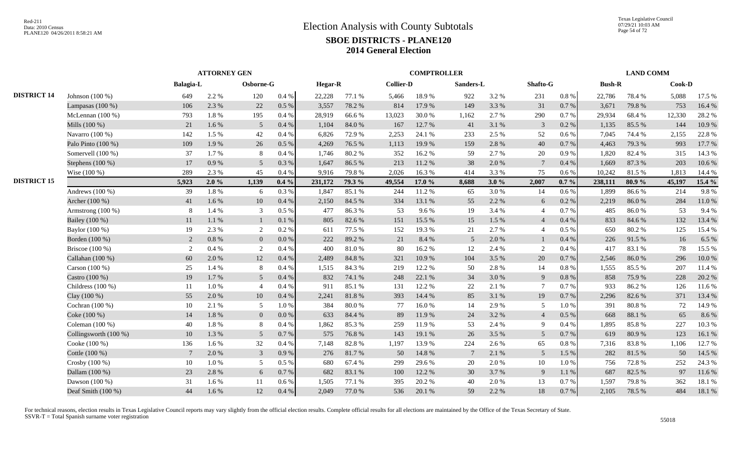|                    |                         |                | <b>ATTORNEY GEN</b> |                 |           |                |        |                  | <b>COMPTROLLER</b> |                |       |                 |           |               | <b>LAND COMM</b> |        |        |
|--------------------|-------------------------|----------------|---------------------|-----------------|-----------|----------------|--------|------------------|--------------------|----------------|-------|-----------------|-----------|---------------|------------------|--------|--------|
|                    |                         | Balagia-L      |                     | Osborne-G       |           | <b>Hegar-R</b> |        | <b>Collier-D</b> |                    | Sanders-L      |       | Shafto-G        |           | <b>Bush-R</b> |                  | Cook-D |        |
| <b>DISTRICT 14</b> | Johnson $(100\%)$       | 649            | 2.2 %               | 120             | 0.4 %     | 22,228         | 77.1 % | 5,466            | 18.9%              | 922            | 3.2 % | 231             | $0.8\ \%$ | 22,786        | 78.4%            | 5,088  | 17.5 % |
|                    | Lampasas $(100\%)$      | 106            | 2.3 %               | 22              | 0.5 %     | 3,557          | 78.2 % | 814              | 17.9%              | 149            | 3.3 % | 31              | $0.7\ \%$ | 3,671         | 79.8%            | 753    | 16.4%  |
|                    | McLennan $(100\%)$      | 793            | 1.8%                | 195             | 0.4%      | 28,919         | 66.6%  | 13,023           | 30.0%              | 1,162          | 2.7 % | 290             | 0.7%      | 29,934        | 68.4%            | 12,330 | 28.2%  |
|                    | Mills (100 %)           | 21             | 1.6%                | $5\overline{)}$ | 0.4%      | 1,104          | 84.0%  | 167              | 12.7 %             | 41             | 3.1 % | 3               | $0.2~\%$  | 1,135         | 85.5%            | 144    | 10.9%  |
|                    | Navarro (100 %)         | 142            | 1.5 %               | 42              | 0.4%      | 6,826          | 72.9%  | 2,253            | 24.1 %             | 233            | 2.5 % | 52              | 0.6%      | 7,045         | 74.4 %           | 2,155  | 22.8%  |
|                    | Palo Pinto (100 %)      | 109            | 1.9%                | 26              | 0.5%      | 4,269          | 76.5 % | 1,113            | 19.9%              | 159            | 2.8%  | 40              | 0.7 %     | 4,463         | 79.3 %           | 993    | 17.7 % |
|                    | Somervell (100 %)       | 37             | 1.7%                | 8               | 0.4%      | 1.746          | 80.2%  | 352              | 16.2%              | 59             | 2.7 % | 20              | 0.9%      | 1.820         | 82.4 %           | 315    | 14.3 % |
|                    | Stephens $(100\%)$      | 17             | 0.9%                | 5               | 0.3%      | 1,647          | 86.5%  | 213              | 11.2%              | 38             | 2.0%  | $7\phantom{.0}$ | $0.4~\%$  | 1,669         | 87.3%            | 203    | 10.6%  |
|                    | Wise (100 %)            | 289            | 2.3 %               | 45              | 0.4%      | 9,916          | 79.8%  | 2,026            | 16.3%              | 414            | 3.3 % | 75              | $0.6\%$   | 10,242        | 81.5%            | 1,813  | 14.4 % |
| <b>DISTRICT 15</b> |                         | 5,923          | 2.0%                | 1,139           | $0.4\%$   | 231,172        | 79.3 % | 49,554           | 17.0 $%$           | 8,688          | 3.0%  | 2,007           | $0.7\%$   | 238,111       | 80.9%            | 45,197 | 15.4 % |
|                    | Andrews $(100\%)$       | 39             | 1.8%                | 6               | 0.3%      | 1,847          | 85.1 % | 244              | 11.2 %             | 65             | 3.0%  | 14              | 0.6%      | 1.899         | 86.6%            | 214    | 9.8%   |
|                    | Archer (100 %)          | 41             | 1.6%                | 10              | 0.4%      | 2,150          | 84.5 % | 334              | 13.1 %             | 55             | 2.2 % | 6               | 0.2 %     | 2,219         | 86.0%            | 284    | 11.0%  |
|                    | Armstrong $(100\%)$     | 8              | 1.4 %               | 3               | 0.5 %     | 477            | 86.3%  | 53               | 9.6%               | 19             | 3.4 % | $\overline{4}$  | 0.7%      | 485           | 86.0%            | 53     | 9.4%   |
|                    | Bailey (100 %)          | 11             | 1.1%                | 1               | 0.1 %     | 805            | 82.6%  | 151              | 15.5 %             | 15             | 1.5 % | $\overline{4}$  | $0.4\ \%$ | 833           | 84.6 %           | 132    | 13.4 % |
|                    | Baylor (100 %)          | 19             | 2.3 %               | 2               | 0.2%      | 611            | 77.5 % | 152              | 19.3 %             | 21             | 2.7%  | $\overline{4}$  | 0.5%      | 650           | 80.2%            | 125    | 15.4 % |
|                    | Borden (100 %)          | 2              | 0.8 %               | $\overline{0}$  | $0.0\%$   | 222            | 89.2%  | 21               | 8.4 %              | 5              | 2.0%  |                 | 0.4%      | 226           | 91.5 %           | 16     | 6.5 %  |
|                    | Briscoe (100 %)         | 2              | 0.4%                | 2               | $0.4\%$   | 400            | 81.0%  | 80               | 16.2%              | 12             | 2.4 % | 2               | $0.4\%$   | 417           | 83.1 %           | 78     | 15.5 % |
|                    | Callahan (100 %)        | 60             | 2.0%                | 12              | 0.4 %     | 2,489          | 84.8%  | 321              | 10.9%              | 104            | 3.5 % | $20\,$          | $0.7\ \%$ | 2,546         | 86.0%            | 296    | 10.0%  |
|                    | Carson (100 %)          | 25             | 1.4 %               | 8               | 0.4%      | 1,515          | 84.3%  | 219              | 12.2 %             | 50             | 2.8%  | 14              | 0.8%      | 1,555         | 85.5%            | 207    | 11.4 % |
|                    | Castro (100 %)          | 19             | 1.7 %               | 5 <sup>5</sup>  | 0.4%      | 832            | 74.1 % | 248              | 22.1 %             | 34             | 3.0%  | 9               | 0.8%      | 858           | 75.9%            | 228    | 20.2 % |
|                    | Childress (100 %)       | 11             | 1.0%                | $\overline{4}$  | 0.4%      | 911            | 85.1%  | 131              | 12.2 %             | 22             | 2.1%  | $\tau$          | 0.7%      | 933           | 86.2%            | 126    | 11.6 % |
|                    | Clay (100 %)            | 55             | 2.0%                | 10              | 0.4%      | 2,241          | 81.8%  | 393              | 14.4 %             | 85             | 3.1 % | 19              | 0.7%      | 2,296         | 82.6%            | 371    | 13.4 % |
|                    | Cochran (100 %)         | 10             | 2.1 %               | $\overline{5}$  | 1.0%      | 384            | 80.0%  | 77               | 16.0%              | 14             | 2.9%  | 5               | 1.0%      | 391           | 80.8%            | 72     | 14.9%  |
|                    | Coke (100 %)            | 14             | 1.8%                | $\mathbf{0}$    | $0.0\ \%$ | 633            | 84.4 % | 89               | 11.9%              | 24             | 3.2 % | $\overline{4}$  | $0.5\ \%$ | 668           | 88.1%            | 65     | 8.6%   |
|                    | Coleman (100 %)         | 40             | 1.8%                | 8               | 0.4%      | 1,862          | 85.3%  | 259              | 11.9 %             | 53             | 2.4 % | 9               | 0.4%      | 1,895         | 85.8%            | 227    | 10.3%  |
|                    | Collingsworth $(100\%)$ | 10             | 1.3%                | $5\overline{)}$ | 0.7%      | 575            | 76.8%  | 143              | 19.1 %             | 26             | 3.5 % | $5\overline{)}$ | 0.7%      | 619           | 80.9%            | 123    | 16.1%  |
|                    | Cooke (100 %)           | 136            | 1.6%                | 32              | 0.4%      | 7,148          | 82.8%  | 1,197            | 13.9%              | 224            | 2.6 % | 65              | 0.8%      | 7,316         | 83.8%            | 1,106  | 12.7%  |
|                    | Cottle (100 %)          | $\overline{7}$ | 2.0%                | $\mathfrak{Z}$  | 0.9%      | 276            | 81.7%  | 50               | 14.8 %             | $\overline{7}$ | 2.1%  | $5\overline{)}$ | 1.5 %     | 282           | 81.5%            | 50     | 14.5 % |
|                    | Crosby (100 %)          | 10             | 1.0%                | 5               | 0.5%      | 680            | 67.4 % | 299              | 29.6%              | 20             | 2.0%  | 10              | 1.0%      | 756           | 72.8%            | 252    | 24.3 % |
|                    | Dallam (100 %)          | 23             | 2.8%                | 6               | 0.7 %     | 682            | 83.1 % | 100              | 12.2 %             | 30             | 3.7%  | 9               | 1.1 %     | 687           | 82.5 %           | 97     | 11.6 % |
|                    | Dawson (100 %)          | 31             | 1.6 %               | 11              | 0.6 %     | 1,505          | 77.1 % | 395              | 20.2 %             | 40             | 2.0%  | 13              | 0.7 %     | 1,597         | 79.8%            | 362    | 18.1%  |
|                    | Deaf Smith (100 %)      | 44             | 1.6%                | 12              | $0.4~\%$  | 2,049          | 77.0 % | 536              | 20.1 %             | 59             | 2.2 % | 18              | $0.7\%$   | 2,105         | 78.5 %           | 484    | 18.1%  |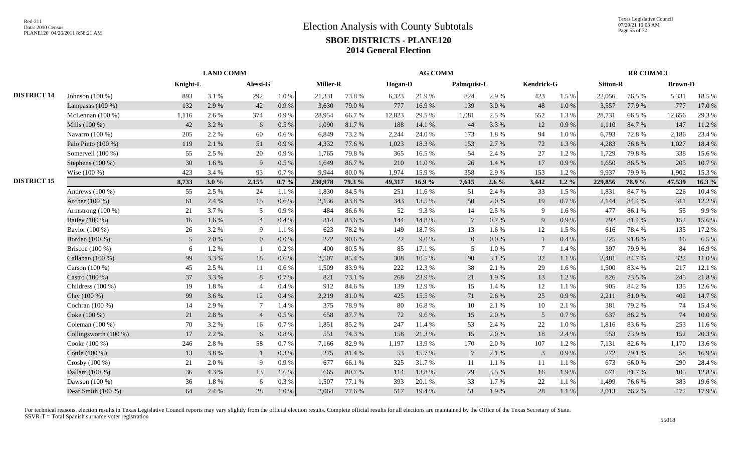|                    |                       | <b>LAND COMM</b> |         |                |           |          |            | <b>AG COMM</b> |        |                 |           |                |           | <b>RR COMM 3</b> |            |                |        |
|--------------------|-----------------------|------------------|---------|----------------|-----------|----------|------------|----------------|--------|-----------------|-----------|----------------|-----------|------------------|------------|----------------|--------|
|                    |                       | Knight-L         |         | Alessi-G       |           | Miller-R |            | Hogan-D        |        | Palmquist-L     |           | Kendrick-G     |           | <b>Sitton-R</b>  |            | <b>Brown-D</b> |        |
| <b>DISTRICT 14</b> | Johnson (100 %)       | 893              | 3.1 %   | 292            | $1.0\ \%$ | 21,331   | 73.8%      | 6,323          | 21.9%  | 824             | 2.9%      | 423            | 1.5 %     | 22,056           | 76.5 %     | 5,331          | 18.5%  |
|                    | Lampasas (100 %)      | 132              | 2.9 %   | 42             | 0.9%      | 3,630    | 79.0%      | 777            | 16.9%  | 139             | 3.0%      | 48             | $1.0\ \%$ | 3,557            | 77.9 %     | 777            | 17.0%  |
|                    | McLennan $(100\%)$    | 1,116            | 2.6%    | 374            | 0.9%      | 28,954   | 66.7%      | 12,823         | 29.5 % | 1,081           | 2.5 %     | 552            | 1.3 %     | 28,731           | 66.5%      | 12,656         | 29.3%  |
|                    | Mills (100 %)         | 42               | 3.2 %   | 6              | 0.5%      | 1.090    | 81.7%      | 188            | 14.1 % | 44              | 3.3 %     | 12             | 0.9%      | 1.110            | 84.7%      | 147            | 11.2 % |
|                    | Navarro (100 %)       | 205              | 2.2 %   | 60             | 0.6 %     | 6,849    | 73.2 %     | 2,244          | 24.0 % | 173             | $1.8~\%$  | 94             | $1.0 \%$  | 6,793            | 72.8%      | 2,186          | 23.4 % |
|                    | Palo Pinto (100 %)    | 119              | 2.1%    | 51             | 0.9%      | 4,332    | 77.6 %     | 1,023          | 18.3%  | 153             | 2.7 %     | 72             | 1.3%      | 4,283            | 76.8%      | 1,027          | 18.4%  |
|                    | Somervell (100 %)     | 55               | 2.5 %   | 20             | 0.9%      | 1,765    | 79.8%      | 365            | 16.5%  | -54             | 2.4 %     | 27             | 1.2 %     | 1,729            | 79.8%      | 338            | 15.6%  |
|                    | Stephens $(100\%)$    | 30               | $1.6\%$ | 9              | 0.5 %     | 1.649    | 86.7%      | 210            | 11.0%  | 26              | 1.4 %     | 17             | 0.9%      | 1,650            | 86.5%      | 205            | 10.7%  |
|                    | Wise (100 %)          | 423              | 3.4 %   | 93             | 0.7%      | 9.944    | 80.0%      | 1,974          | 15.9%  | 358             | 2.9%      | 153            | 1.2%      | 9.937            | 79.9%      | 1,902          | 15.3%  |
| <b>DISTRICT 15</b> |                       | 8,733            | 3.0%    | 2,155          | $0.7 \%$  | 230,978  | 79.3 %     | 49,317         | 16.9%  | 7,615           | $2.6\%$   | 3,442          | $1.2 \%$  | 229,856          | 78.9%      | 47,539         | 16.3 % |
|                    | Andrews $(100\%)$     | 55               | 2.5 %   | 24             | 1.1%      | 1,830    | 84.5 %     | 251            | 11.6 % | 51              | 2.4 %     | 33             | 1.5 %     | 1,831            | 84.7%      | 226            | 10.4%  |
|                    | Archer (100 %)        | 61               | 2.4 %   | 15             | $0.6\,\%$ | 2,136    | 83.8%      | 343            | 13.5 % | 50              | 2.0 %     | 19             | 0.7 %     | 2,144            | 84.4 %     | 311            | 12.2 % |
|                    | Armstrong $(100\%)$   | 21               | 3.7 %   | 5              | 0.9%      | 484      | 86.6%      | 52             | 9.3%   | 14              | 2.5 %     | 9              | 1.6 %     | 477              | 86.1%      | 55             | 9.9%   |
|                    | Bailey (100 %)        | 16               | 1.6%    | $\overline{4}$ | 0.4%      | 814      | 83.6%      | 144            | 14.8%  | $7\phantom{.0}$ | 0.7 %     | 9              | 0.9%      | 792              | 81.4%      | 152            | 15.6%  |
|                    | Baylor (100 %)        | 26               | 3.2%    | 9              | 1.1 %     | 623      | 78.2%      | 149            | 18.7%  | 13              | 1.6%      | 12             | 1.5 %     | 616              | 78.4%      | 135            | 17.2 % |
|                    | Borden (100 %)        | $5\overline{)}$  | 2.0%    | $\mathbf{0}$   | 0.0 %     | 222      | 90.6%      | 22             | 9.0%   | $\overline{0}$  | $0.0\ \%$ | $\mathbf{1}$   | 0.4%      | 225              | 91.8%      | 16             | 6.5 %  |
|                    | Briscoe (100 %)       | 6                | 1.2%    | $\overline{1}$ | 0.2%      | 400      | 80.5%      | 85             | 17.1 % | 5               | $1.0\ \%$ | $\tau$         | 1.4 %     | 397              | 79.9%      | 84             | 16.9%  |
|                    | Callahan $(100\%)$    | 99               | 3.3%    | 18             | 0.6 %     | 2,507    | 85.4 %     | 308            | 10.5 % | 90              | 3.1 %     | 32             | 1.1%      | 2,481            | 84.7%      | 322            | 11.0%  |
|                    | Carson $(100\%)$      | 45               | 2.5 %   | 11             | $0.6\%$   | 1.509    | 83.9%      | 222            | 12.3 % | 38              | 2.1 %     | 29             | 1.6 %     | 1.500            | 83.4 %     | 217            | 12.1 % |
|                    | Castro (100 %)        | 37               | 3.3%    | 8              | 0.7%      | 821      | 73.1 %     | 268            | 23.9%  | 21              | 1.9%      | 13             | 1.2%      | 826              | 73.5 %     | 245            | 21.8%  |
|                    | Childress $(100\%)$   | 19               | 1.8%    | $\overline{4}$ | 0.4%      | 912      | 84.6%      | 139            | 12.9%  | 15              | 1.4 %     | 12             | 1.1%      | 905              | 84.2%      | 135            | 12.6 % |
|                    | Clay (100 %)          | 99               | 3.6%    | 12             | 0.4%      | 2,219    | $81.0\ \%$ | 425            | 15.5 % | 71              | 2.6 %     | 25             | 0.9%      | 2,211            | $81.0\ \%$ | 402            | 14.7%  |
|                    | Cochran (100 %)       | 14               | 2.9%    | $\overline{7}$ | 1.4 %     | 375      | 78.9%      | 80             | 16.8%  | 10              | 2.1 %     | 10             | 2.1 %     | 381              | 79.2%      | 74             | 15.4 % |
|                    | Coke (100 %)          | 21               | 2.8 %   | $\overline{4}$ | 0.5%      | 658      | 87.7%      | 72             | 9.6%   | 15              | 2.0 %     | 5              | $0.7\ \%$ | 637              | 86.2 %     | 74             | 10.0 % |
|                    | Coleman (100 %)       | 70               | 3.2%    | 16             | 0.7%      | 1,851    | 85.2%      | 247            | 11.4 % | 53              | 2.4 %     | 22             | $1.0\%$   | 1,816            | 83.6%      | 253            | 11.6 % |
|                    | Collingsworth (100 %) | 17               | 2.2 %   | 6              | $0.8~\%$  | 551      | 74.3 %     | 158            | 21.3%  | 15              | 2.0%      | 18             | 2.4 %     | 553              | 73.9%      | 152            | 20.3 % |
|                    | Cooke (100 %)         | 246              | 2.8%    | 58             | 0.7%      | 7,166    | 82.9%      | 1,197          | 13.9%  | 170             | 2.0 %     | 107            | 1.2%      | 7,131            | 82.6%      | 1,170          | 13.6 % |
|                    | Cottle (100 %)        | 13               | 3.8%    | $\mathbf{1}$   | 0.3%      | 275      | 81.4%      | 53             | 15.7%  |                 | 2.1 %     | $\mathfrak{Z}$ | 0.9 %     | 272              | 79.1 %     | 58             | 16.9%  |
|                    | Crosby (100 %)        | 21               | 2.0%    | 9              | 0.9%      | 677      | 66.1%      | 325            | 31.7%  | -11             | 1.1%      | 11             | 1.1%      | 673              | 66.0%      | 290            | 28.4%  |
|                    | Dallam (100 %)        | 36               | 4.3 %   | 13             | 1.6 %     | 665      | 80.7%      | 114            | 13.8%  | 29              | 3.5 %     | 16             | 1.9%      | 671              | 81.7%      | 105            | 12.8%  |
|                    | Dawson $(100\%)$      | 36               | 1.8%    | 6              | 0.3%      | 1,507    | 77.1 %     | 393            | 20.1 % | 33              | 1.7 %     | 22             | 1.1%      | 1,499            | 76.6%      | 383            | 19.6%  |
|                    | Deaf Smith (100 %)    | 64               | 2.4 %   | 28             | 1.0 %     | 2,064    | 77.6 %     | 517            | 19.4 % | 51              | 1.9%      | 28             | 1.1%      | 2,013            | 76.2 %     | 472            | 17.9%  |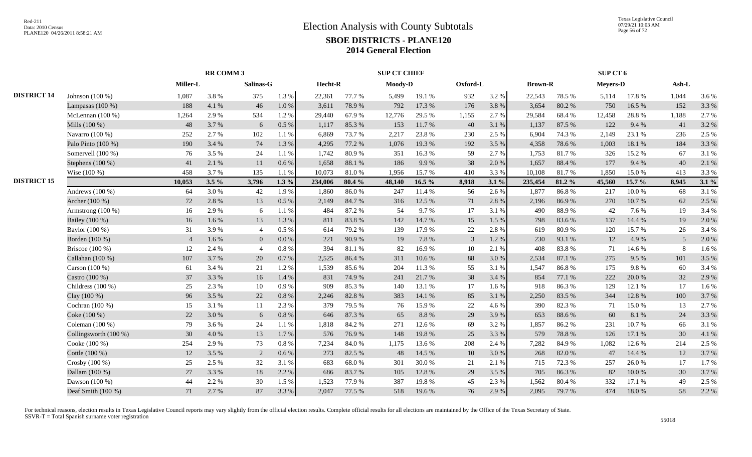|                    |                         | <b>RR COMM 3</b> |         |                |           |         | <b>SUP CT CHIEF</b> |         |          |                |         |                | SUP CT 6 |                 |        |       |         |
|--------------------|-------------------------|------------------|---------|----------------|-----------|---------|---------------------|---------|----------|----------------|---------|----------------|----------|-----------------|--------|-------|---------|
|                    |                         | Miller-L         |         | Salinas-G      |           | Hecht-R |                     | Moody-D |          | Oxford-L       |         | <b>Brown-R</b> |          | <b>Meyers-D</b> |        | Ash-L |         |
| <b>DISTRICT 14</b> | Johnson $(100\%)$       | 1,087            | 3.8%    | 375            | 1.3 %     | 22,361  | 77.7 %              | 5,499   | 19.1 %   | 932            | 3.2%    | 22,543         | 78.5 %   | 5,114           | 17.8%  | 1,044 | 3.6 %   |
|                    | Lampasas $(100\%)$      | 188              | 4.1%    | 46             | $1.0\ \%$ | 3,611   | 78.9%               | 792     | 17.3 %   | 176            | 3.8%    | 3,654          | 80.2%    | 750             | 16.5 % | 152   | 3.3 %   |
|                    | McLennan $(100\%)$      | 1,264            | 2.9%    | 534            | 1.2%      | 29,440  | 67.9%               | 12,776  | 29.5 %   | 1,155          | 2.7%    | 29,584         | 68.4%    | 12,458          | 28.8%  | 1,188 | 2.7%    |
|                    | Mills (100 %)           | 48               | 3.7 %   | 6              | 0.5%      | 1,117   | 85.3%               | 153     | 11.7 %   | 40             | 3.1 %   | 1,137          | 87.5 %   | 122             | 9.4 %  | 41    | 3.2%    |
|                    | Navarro (100 %)         | 252              | 2.7 %   | 102            | 1.1%      | 6,869   | 73.7%               | 2,217   | 23.8%    | 230            | 2.5 %   | 6,904          | 74.3 %   | 2,149           | 23.1 % | 236   | 2.5 %   |
|                    | Palo Pinto (100 %)      | 190              | 3.4 %   | 74             | 1.3%      | 4.295   | 77.2 %              | 1,076   | 19.3%    | 192            | 3.5 %   | 4,358          | 78.6%    | 1.003           | 18.1 % | 184   | 3.3 %   |
|                    | Somervell (100 %)       | 76               | 3.5%    | 24             | $1.1\ \%$ | 1,742   | 80.9%               | 351     | 16.3%    | 59             | 2.7 %   | 1,753          | 81.7%    | 326             | 15.2%  | 67    | 3.1%    |
|                    | Stephens (100 %)        | 41               | 2.1%    | 11             | 0.6 %     | 1,658   | 88.1 %              | 186     | 9.9%     | 38             | 2.0%    | 1,657          | 88.4%    | 177             | 9.4%   | 40    | 2.1%    |
|                    | Wise (100 %)            | 458              | 3.7 %   | 135            | 1.1 %     | 10.073  | 81.0%               | 1.956   | 15.7%    | 410            | 3.3%    | 10,108         | 81.7%    | 1,850           | 15.0%  | 413   | 3.3%    |
| <b>DISTRICT 15</b> |                         | 10,053           | $3.5\%$ | 3,796          | $1.3\%$   | 234,006 | 80.4 %              | 48,140  | 16.5 $%$ | 8,918          | $3.1\%$ | 235,454        | 81.2%    | 45,560          | 15.7 % | 8,945 | $3.1\%$ |
|                    | Andrews $(100\%)$       | 64               | 3.0%    | 42             | 1.9%      | 1,860   | 86.0%               | 247     | 11.4 %   | 56             | 2.6%    | 1,877          | 86.8%    | 217             | 10.0%  | 68    | 3.1%    |
|                    | Archer (100 %)          | 72               | 2.8%    | 13             | 0.5 %     | 2,149   | 84.7%               | 316     | 12.5 %   | 71             | 2.8%    | 2,196          | 86.9%    | 270             | 10.7%  | 62    | 2.5 %   |
|                    | Armstrong $(100\%)$     | 16               | 2.9%    | 6              | 1.1 %     | 484     | 87.2 %              | 54      | 9.7%     | 17             | 3.1 %   | 490            | 88.9%    | 42              | 7.6 %  | 19    | 3.4 %   |
|                    | Bailey (100 %)          | 16               | 1.6%    | 13             | 1.3%      | 811     | 83.8%               | 142     | 14.7%    | 15             | 1.5 %   | 798            | 83.6%    | 137             | 14.4 % | 19    | 2.0%    |
|                    | Baylor (100 %)          | 31               | 3.9%    | $\overline{4}$ | 0.5%      | 614     | 79.2 %              | 139     | 17.9%    | 22             | 2.8%    | 619            | 80.9%    | 120             | 15.7%  | 26    | 3.4 %   |
|                    | Borden (100 %)          | $\overline{4}$   | 1.6%    | $\overline{0}$ | 0.0 %     | 221     | 90.9%               | 19      | 7.8%     | $\overline{3}$ | 1.2%    | 230            | 93.1 %   | 12              | 4.9%   | 5     | 2.0%    |
|                    | Briscoe $(100\%)$       | 12               | 2.4 %   | $\overline{4}$ | 0.8%      | 394     | 81.1%               | 82      | 16.9%    | 10             | 2.1 %   | 408            | 83.8%    | 71              | 14.6 % | 8     | 1.6%    |
|                    | Callahan (100 %)        | 107              | 3.7%    | 20             | $0.7~\%$  | 2,525   | 86.4%               | 311     | 10.6%    | 88             | 3.0%    | 2,534          | 87.1 %   | 275             | 9.5%   | 101   | 3.5 %   |
|                    | Carson $(100\%)$        | 61               | 3.4 %   | 21             | 1.2%      | 1,539   | 85.6%               | 204     | 11.3 %   | 55             | 3.1%    | 1,547          | 86.8%    | 175             | 9.8%   | 60    | 3.4 %   |
|                    | Castro (100 %)          | 37               | 3.3 %   | 16             | 1.4 %     | 831     | 74.9%               | 241     | 21.7%    | 38             | 3.4 %   | 854            | 77.1 %   | 222             | 20.0%  | 32    | 2.9%    |
|                    | Childress $(100\%)$     | 25               | 2.3 %   | 10             | 0.9%      | 909     | 85.3%               | 140     | 13.1 %   | 17             | 1.6%    | 918            | 86.3%    | 129             | 12.1 % | 17    | 1.6%    |
|                    | Clay (100 %)            | 96               | 3.5 %   | 22             | 0.8%      | 2,246   | 82.8%               | 383     | 14.1 %   | 85             | 3.1 %   | 2,250          | 83.5%    | 344             | 12.8%  | 100   | 3.7%    |
|                    | Cochran $(100\%)$       | 15               | 3.1 %   | 11             | 2.3 %     | 379     | 79.5 %              | 76      | 15.9%    | 22             | 4.6%    | 390            | 82.3%    | 71              | 15.0%  | 13    | 2.7%    |
|                    | Coke (100 %)            | 22               | 3.0%    | 6              | 0.8 %     | 646     | 87.3%               | 65      | $8.8~\%$ | 29             | 3.9%    | 653            | 88.6%    | 60              | 8.1%   | 24    | 3.3 %   |
|                    | Coleman $(100\%)$       | 79               | 3.6 %   | 24             | 1.1 %     | 1,818   | 84.2 %              | 271     | 12.6 %   | 69             | 3.2%    | 1,857          | 86.2%    | 231             | 10.7%  | 66    | 3.1%    |
|                    | Collingsworth $(100\%)$ | 30               | 4.0%    | 13             | 1.7 %     | 576     | 76.9%               | 148     | 19.8%    | 25             | 3.3 %   | 579            | 78.8%    | 126             | 17.1 % | 30    | 4.1%    |
|                    | Cooke (100 %)           | 254              | 2.9%    | 73             | 0.8%      | 7,234   | 84.0%               | 1,175   | 13.6 %   | 208            | 2.4 %   | 7,282          | 84.9%    | 1,082           | 12.6%  | 214   | 2.5 %   |
|                    | Cottle (100 %)          | 12               | 3.5 %   | 2              | 0.6%      | 273     | 82.5 %              | 48      | 14.5 %   | 10             | 3.0%    | 268            | 82.0%    | 47              | 14.4 % | 12    | 3.7%    |
|                    | Crosby (100 %)          | 25               | 2.5 %   | 32             | 3.1%      | 683     | 68.0%               | 301     | 30.0%    | 21             | 2.1 %   | 715            | 72.3 %   | 257             | 26.0%  | 17    | 1.7%    |
|                    | Dallam (100 %)          | 27               | 3.3%    | 18             | 2.2 %     | 686     | 83.7%               | 105     | 12.8 %   | 29             | 3.5 %   | 705            | 86.3%    | 82              | 10.0%  | 30    | 3.7%    |
|                    | Dawson $(100\%)$        | 44               | 2.2 %   | 30             | 1.5 %     | 1.523   | 77.9 %              | 387     | 19.8%    | 45             | 2.3%    | 1,562          | 80.4%    | 332             | 17.1 % | 49    | 2.5 %   |
|                    | Deaf Smith (100 %)      | 71               | 2.7 %   | 87             | 3.3 %     | 2,047   | 77.5 %              | 518     | 19.6%    | 76             | 2.9%    | 2,095          | 79.7%    | 474             | 18.0%  | 58    | 2.2 %   |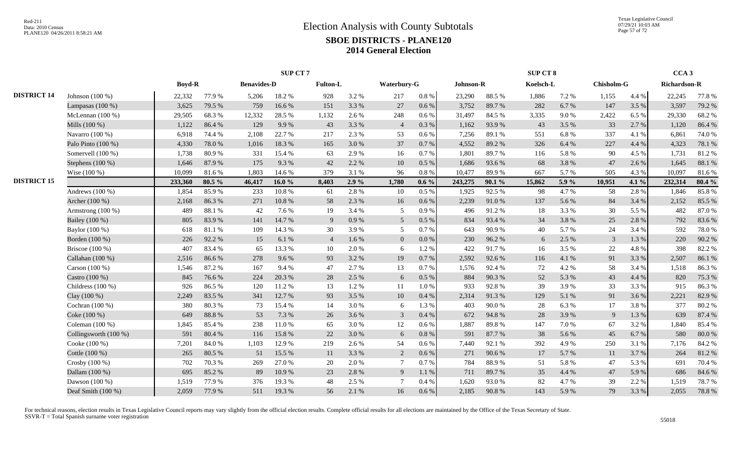|                    |                       |               |        |                    | SUP CT 7 |                |       |                 |           |           |        | SUP CT 8  |       |                |       | CCA <sub>3</sub>    |        |
|--------------------|-----------------------|---------------|--------|--------------------|----------|----------------|-------|-----------------|-----------|-----------|--------|-----------|-------|----------------|-------|---------------------|--------|
|                    |                       | <b>Boyd-R</b> |        | <b>Benavides-D</b> |          | Fulton-L       |       | Waterbury-G     |           | Johnson-R |        | Koelsch-L |       | Chisholm-G     |       | <b>Richardson-R</b> |        |
| <b>DISTRICT 14</b> | Johnson (100 %)       | 22,332        | 77.9%  | 5,206              | 18.2%    | 928            | 3.2 % | 217             | $0.8\ \%$ | 23,290    | 88.5%  | 1,886     | 7.2 % | 1,155          | 4.4 % | 22,245              | 77.8 % |
|                    | Lampasas $(100\%)$    | 3,625         | 79.5 % | 759                | 16.6%    | 151            | 3.3 % | 27              | 0.6 %     | 3,752     | 89.7%  | 282       | 6.7%  | 147            | 3.5 % | 3,597               | 79.2 % |
|                    | McLennan $(100\%)$    | 29,505        | 68.3%  | 12,332             | 28.5 %   | 1.132          | 2.6 % | 248             | 0.6%      | 31,497    | 84.5 % | 3,335     | 9.0%  | 2,422          | 6.5 % | 29,330              | 68.2%  |
|                    | Mills (100 %)         | 1,122         | 86.4%  | 129                | 9.9%     | 43             | 3.3 % | $\overline{4}$  | 0.3%      | 1,162     | 93.9%  | 43        | 3.5 % | 33             | 2.7 % | 1,120               | 86.4%  |
|                    | Navarro (100 %)       | 6,918         | 74.4 % | 2,108              | 22.7 %   | 217            | 2.3 % | 53              | 0.6%      | 7,256     | 89.1 % | 551       | 6.8%  | 337            | 4.1 % | 6,861               | 74.0%  |
|                    | Palo Pinto (100 %)    | 4,330         | 78.0%  | 1,016              | 18.3%    | 165            | 3.0%  | 37              | 0.7%      | 4,552     | 89.2%  | 326       | 6.4 % | 227            | 4.4 % | 4,323               | 78.1 % |
|                    | Somervell (100 %)     | 1,738         | 80.9%  | 331                | 15.4 %   | 63             | 2.9%  | 16              | 0.7%      | 1,801     | 89.7%  | 116       | 5.8 % | 90             | 4.5 % | 1,731               | 81.2%  |
|                    | Stephens (100 %)      | 1,646         | 87.9%  | 175                | 9.3 %    | 42             | 2.2 % | 10              | 0.5 %     | 1,686     | 93.6%  | 68        | 3.8%  | 47             | 2.6%  | 1,645               | 88.1%  |
|                    | Wise (100 %)          | 10,099        | 81.6%  | 1,803              | 14.6 %   | 379            | 3.1 % | 96              | 0.8 %     | 10,477    | 89.9%  | 667       | 5.7%  | 505            | 4.3 % | 10,097              | 81.6%  |
| <b>DISTRICT 15</b> |                       | 233,360       | 80.5 % | 46,417             | 16.0 $%$ | 8,403          | 2.9%  | 1,780           | $0.6\%$   | 243,275   | 90.1%  | 15,862    | 5.9%  | 10,951         | 4.1 % | 232,314             | 80.4%  |
|                    | Andrews $(100\%)$     | 1,854         | 85.9%  | 233                | 10.8%    | 61             | 2.8%  | 10              | 0.5 %     | 1,925     | 92.5 % | 98        | 4.7%  | 58             | 2.8%  | 1,846               | 85.8%  |
|                    | Archer (100 %)        | 2,168         | 86.3%  | 271                | 10.8 %   | 58             | 2.3 % | 16              | 0.6 %     | 2,239     | 91.0%  | 137       | 5.6 % | 84             | 3.4 % | 2,152               | 85.5 % |
|                    | Armstrong $(100\%)$   | 489           | 88.1%  | 42                 | 7.6 %    | 19             | 3.4 % | 5               | 0.9%      | 496       | 91.2%  | 18        | 3.3 % | 30             | 5.5 % | 482                 | 87.0%  |
|                    | Bailey (100 %)        | 805           | 83.9%  | 141                | 14.7 %   | 9              | 0.9%  | 5               | 0.5%      | 834       | 93.4 % | 34        | 3.8%  | 25             | 2.8%  | 792                 | 83.6%  |
|                    | Baylor (100 %)        | 618           | 81.1%  | 109                | 14.3 %   | 30             | 3.9%  | 5               | 0.7%      | 643       | 90.9%  | 40        | 5.7%  | 24             | 3.4 % | 592                 | 78.0%  |
|                    | Borden (100 %)        | 226           | 92.2%  | 15                 | 6.1%     | $\overline{4}$ | 1.6%  | $\overline{0}$  | 0.0 %     | 230       | 96.2%  | 6         | 2.5 % | $\overline{3}$ | 1.3 % | 220                 | 90.2%  |
|                    | Briscoe (100 %)       | 407           | 83.4%  | 65                 | 13.3 %   | 10             | 2.0 % | 6               | 1.2%      | 422       | 91.7%  | 16        | 3.5 % | 22             | 4.8%  | 398                 | 82.2%  |
|                    | Callahan (100 %)      | 2,516         | 86.6%  | 278                | 9.6%     | 93             | 3.2%  | 19              | 0.7%      | 2,592     | 92.6%  | 116       | 4.1%  | 91             | 3.3 % | 2,507               | 86.1%  |
|                    | Carson $(100\%)$      | 1,546         | 87.2%  | 167                | 9.4%     | 47             | 2.7 % | 13              | 0.7%      | 1,576     | 92.4 % | 72        | 4.2 % | 58             | 3.4 % | 1,518               | 86.3%  |
|                    | Castro (100 %)        | 845           | 76.6%  | 224                | 20.3%    | 28             | 2.5 % | 6               | $0.5\%$   | 884       | 90.3%  | 52        | 5.3 % | 43             | 4.4 % | 820                 | 75.3 % |
|                    | Childress $(100\%)$   | 926           | 86.5%  | 120                | 11.2%    | 13             | 1.2%  | 11              | 1.0%      | 933       | 92.8%  | 39        | 3.9%  | 33             | 3.3%  | 915                 | 86.3%  |
|                    | Clay (100 %)          | 2,249         | 83.5%  | 341                | 12.7 %   | 93             | 3.5 % | 10              | 0.4%      | 2,314     | 91.3%  | 129       | 5.1 % | 91             | 3.6 % | 2,221               | 82.9%  |
|                    | Cochran (100 %)       | 380           | 80.3%  | 73                 | 15.4 %   | 14             | 3.0%  | 6               | 1.3 %     | 403       | 90.0%  | 28        | 6.3%  | 17             | 3.8%  | 377                 | 80.2%  |
|                    | Coke (100 %)          | 649           | 88.8%  | 53                 | 7.3 %    | 26             | 3.6 % | $\mathfrak{Z}$  | 0.4%      | 672       | 94.8%  | $28\,$    | 3.9%  | -9             | 1.3 % | 639                 | 87.4%  |
|                    | Coleman $(100\%)$     | 1,845         | 85.4%  | 238                | 11.0%    | 65             | 3.0%  | 12              | 0.6 %     | 1,887     | 89.8%  | 147       | 7.0%  | 67             | 3.2%  | 1,840               | 85.4%  |
|                    | Collingsworth (100 %) | 591           | 80.4%  | 116                | 15.8%    | 22             | 3.0%  | 6               | 0.8%      | 591       | 87.7 % | 38        | 5.6 % | 45             | 6.7%  | 580                 | 80.0%  |
|                    | Cooke (100 %)         | 7,201         | 84.0%  | 1,103              | 12.9%    | 219            | 2.6 % | 54              | 0.6%      | 7,440     | 92.1 % | 392       | 4.9%  | 250            | 3.1 % | 7,176               | 84.2%  |
|                    | Cottle (100 %)        | 265           | 80.5 % | 51                 | 15.5 %   | <sup>11</sup>  | 3.3 % | 2               | $0.6\%$   | 271       | 90.6%  | 17        | 5.7 % | 11             | 3.7 % | 264                 | 81.2%  |
|                    | Crosby (100 %)        | 702           | 70.3 % | 269                | 27.0%    | 20             | 2.0%  | $7\phantom{.0}$ | 0.7%      | 784       | 88.9%  | 51        | 5.8%  | 47             | 5.3 % | 691                 | 70.4 % |
|                    | Dallam (100 %)        | 695           | 85.2%  | 89                 | 10.9%    | 23             | 2.8%  | 9               | 1.1%      | 711       | 89.7%  | 35        | 4.4 % | 47             | 5.9%  | 686                 | 84.6%  |
|                    | Dawson $(100\%)$      | 1,519         | 77.9%  | 376                | 19.3%    | 48             | 2.5 % | $\overline{7}$  | 0.4%      | 1,620     | 93.0%  | 82        | 4.7 % | 39             | 2.2 % | 1,519               | 78.7%  |
|                    | Deaf Smith (100 %)    | 2,059         | 77.9%  | 511                | 19.3%    | 56             | 2.1 % | 16              | 0.6 %     | 2,185     | 90.8%  | 143       | 5.9%  | 79             | 3.3 % | 2,055               | 78.8%  |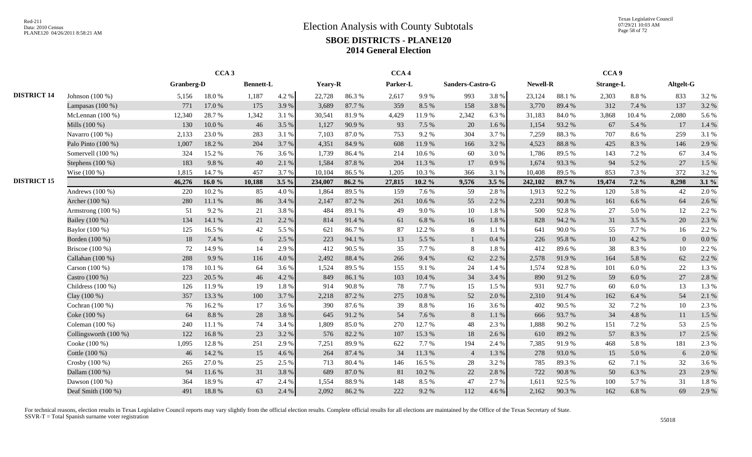Texas Legislative Council 07/29/21 10:03 AM Page 58 of 72

|                    |                       |            | CCA <sub>3</sub> |                  |         |         |        | CCA <sub>4</sub> |           |                  |         |                 |        | CCA <sub>9</sub> |         |                |       |
|--------------------|-----------------------|------------|------------------|------------------|---------|---------|--------|------------------|-----------|------------------|---------|-----------------|--------|------------------|---------|----------------|-------|
|                    |                       | Granberg-D |                  | <b>Bennett-L</b> |         | Yeary-R |        | Parker-L         |           | Sanders-Castro-G |         | <b>Newell-R</b> |        | <b>Strange-L</b> |         | Altgelt-G      |       |
| <b>DISTRICT 14</b> | Johnson $(100\%)$     | 5,156      | 18.0%            | 1,187            | 4.2 %   | 22,728  | 86.3%  | 2,617            | 9.9%      | 993              | 3.8%    | 23,124          | 88.1%  | 2,303            | 8.8%    | 833            | 3.2 % |
|                    | Lampasas $(100\%)$    | 771        | 17.0 %           | 175              | 3.9%    | 3,689   | 87.7%  | 359              | 8.5 %     | 158              | 3.8%    | 3,770           | 89.4%  | 312              | 7.4 %   | 137            | 3.2 % |
|                    | McLennan $(100\%)$    | 12,340     | 28.7%            | 1,342            | 3.1 %   | 30,541  | 81.9%  | 4,429            | 11.9%     | 2,342            | 6.3%    | 31,183          | 84.0%  | 3,868            | 10.4 %  | 2,080          | 5.6 % |
|                    | Mills (100 %)         | 130        | 10.0%            | 46               | 3.5 %   | 1,127   | 90.9%  | 93               | 7.5 %     | 20               | 1.6 %   | 1,154           | 93.2%  | 67               | 5.4 %   | 17             | 1.4 % |
|                    | Navarro (100 %)       | 2,133      | 23.0%            | 283              | 3.1 %   | 7.103   | 87.0%  | 753              | 9.2%      | 304              | 3.7 %   | 7,259           | 88.3%  | 707              | 8.6 %   | 259            | 3.1 % |
|                    | Palo Pinto (100 %)    | 1,007      | 18.2%            | 204              | 3.7 %   | 4,351   | 84.9%  | 608              | 11.9%     | 166              | 3.2 %   | 4,523           | 88.8%  | 425              | 8.3%    | 146            | 2.9%  |
|                    | Somervell (100 %)     | 324        | 15.2%            | 76               | 3.6 %   | 1.739   | 86.4%  | 214              | 10.6%     | 60               | 3.0%    | 1,786           | 89.5 % | 143              | 7.2 %   | 67             | 3.4 % |
|                    | Stephens $(100\%)$    | 183        | 9.8%             | 40               | 2.1 %   | 1,584   | 87.8%  | 204              | 11.3 %    | 17               | 0.9%    | 1,674           | 93.3%  | 94               | 5.2 %   | 27             | 1.5 % |
|                    | Wise (100 %)          | 1,815      | 14.7%            | 457              | 3.7 %   | 10.104  | 86.5%  | 1,205            | 10.3%     | 366              | 3.1 %   | 10,408          | 89.5 % | 853              | 7.3 %   | 372            | 3.2 % |
| <b>DISTRICT 15</b> |                       | 46,276     | 16.0 $%$         | 10,188           | $3.5\%$ | 234,007 | 86.2%  | 27,815           | $10.2 \%$ | 9,576            | $3.5\%$ | 242,102         | 89.7 % | 19,474           | $7.2\%$ | 8,298          | 3.1%  |
|                    | Andrews $(100\%)$     | 220        | 10.2%            | 85               | 4.0%    | 1,864   | 89.5%  | 159              | 7.6%      | 59               | 2.8%    | 1,913           | 92.2%  | 120              | 5.8%    | 42             | 2.0 % |
|                    | Archer (100 %)        | 280        | 11.1 %           | 86               | 3.4 %   | 2,147   | 87.2%  | 261              | 10.6%     | 55               | 2.2%    | 2,231           | 90.8%  | 161              | 6.6%    | 64             | 2.6 % |
|                    | Armstrong $(100\%)$   | 51         | 9.2 %            | 21               | 3.8%    | 484     | 89.1 % | 49               | 9.0%      | 10               | 1.8%    | 500             | 92.8%  | 27               | 5.0 %   | 12             | 2.2 % |
|                    | Bailey (100 %)        | 134        | 14.1 %           | 21               | 2.2 %   | 814     | 91.4 % | 61               | 6.8%      | 16               | 1.8%    | 828             | 94.2%  | 31               | 3.5 %   | 20             | 2.3 % |
|                    | Baylor (100 %)        | 125        | 16.5 %           | 42               | 5.5 %   | 621     | 86.7%  | 87               | 12.2 %    | 8                | 1.1%    | 641             | 90.0%  | 55               | 7.7 %   | 16             | 2.2 % |
|                    | Borden (100 %)        | 18         | 7.4 %            | 6                | 2.5 %   | 223     | 94.1 % | 13               | 5.5 %     |                  | 0.4%    | 226             | 95.8%  | 10               | 4.2 %   | $\overline{0}$ | 0.0 % |
|                    | Briscoe $(100\%)$     | 72         | 14.9%            | 14               | 2.9%    | 412     | 90.5 % | 35               | 7.7%      | 8                | 1.8%    | 412             | 89.6%  | 38               | 8.3%    | 10             | 2.2 % |
|                    | Callahan (100 %)      | 288        | 9.9%             | 116              | 4.0 %   | 2.492   | 88.4 % | 266              | 9.4%      | 62               | 2.2 %   | 2,578           | 91.9%  | 164              | 5.8 %   | 62             | 2.2 % |
|                    | Carson (100 %)        | 178        | 10.1%            | 64               | 3.6 %   | 1,524   | 89.5%  | 155              | 9.1%      | 24               | 1.4 %   | 1,574           | 92.8%  | 101              | 6.0%    | 22             | 1.3 % |
|                    | Castro (100 %)        | 223        | 20.5 %           | 46               | 4.2 %   | 849     | 86.1%  | 103              | 10.4 %    | 34               | 3.4 %   | 890             | 91.2%  | 59               | 6.0 %   | 27             | 2.8%  |
|                    | Childress $(100\%)$   | 126        | 11.9%            | 19               | 1.8%    | 914     | 90.8%  | 78               | 7.7%      | 15               | 1.5 %   | 931             | 92.7%  | 60               | 6.0%    | 13             | 1.3 % |
|                    | Clay (100 %)          | 357        | 13.3 %           | 100              | 3.7%    | 2,218   | 87.2 % | 275              | $10.8~\%$ | 52               | 2.0%    | 2,310           | 91.4%  | 162              | 6.4 %   | 54             | 2.1 % |
|                    | Cochran (100 %)       | 76         | 16.2%            | 17               | 3.6 %   | 390     | 87.6%  | 39               | 8.8 %     | 16               | 3.6%    | 402             | 90.5 % | 32               | 7.2 %   | 10             | 2.3 % |
|                    | Coke (100 %)          | 64         | 8.8%             | 28               | 3.8%    | 645     | 91.2%  | 54               | 7.6%      | 8                | 1.1 %   | 666             | 93.7%  | 34               | 4.8%    | 11             | 1.5 % |
|                    | Coleman $(100\%)$     | 240        | 11.1 %           | 74               | 3.4 %   | 1,809   | 85.0%  | 270              | 12.7%     | 48               | 2.3 %   | 1,888           | 90.2%  | 151              | 7.2 %   | 53             | 2.5 % |
|                    | Collingsworth (100 %) | 122        | 16.8%            | 23               | 3.2 %   | 576     | 82.2%  | 107              | 15.3 %    | 18               | 2.6 %   | 610             | 89.2%  | 57               | 8.3%    | 17             | 2.5 % |
|                    | Cooke (100 %)         | 1,095      | 12.8%            | 251              | 2.9%    | 7,251   | 89.9%  | 622              | 7.7%      | 194              | 2.4 %   | 7,385           | 91.9%  | 468              | 5.8%    | 181            | 2.3 % |
|                    | Cottle (100 %)        | 46         | 14.2 %           | 15               | 4.6 %   | 264     | 87.4 % | 34               | 11.3 %    | $\overline{4}$   | 1.3%    | 278             | 93.0%  | 15               | 5.0%    | 6              | 2.0%  |
|                    | Crosby (100 %)        | 265        | 27.0 %           | 25               | 2.5 %   | 713     | 80.4%  | 146              | 16.5 %    | 28               | 3.2%    | 785             | 89.3%  | 62               | 7.1 %   | 32             | 3.6 % |
|                    | Dallam (100 %)        | 94         | 11.6%            | 31               | 3.8%    | 689     | 87.0%  | 81               | 10.2%     | 22               | 2.8%    | 722             | 90.8%  | 50               | 6.3%    | 23             | 2.9 % |
|                    | Dawson (100 %)        | 364        | 18.9%            | 47               | 2.4 %   | 1,554   | 88.9%  | 148              | 8.5%      | 47               | 2.7%    | 1,611           | 92.5 % | 100              | 5.7 %   | 31             | 1.8%  |
|                    | Deaf Smith (100 %)    | 491        | 18.8%            | 63               | 2.4 %   | 2,092   | 86.2%  | 222              | 9.2%      | 112              | 4.6 %   | 2,162           | 90.3%  | 162              | 6.8%    | 69             | 2.9 % |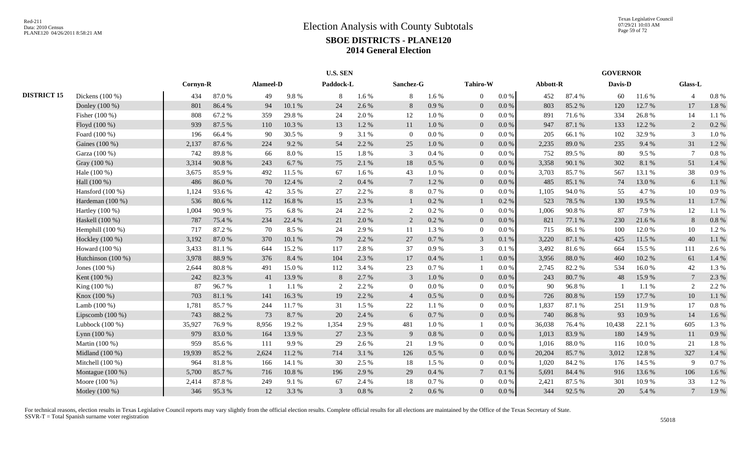|                    |                    |          |        |           |        | <b>U.S. SEN</b> |         |                 |           |                |           |          |        | <b>GOVERNOR</b> |        |                |       |
|--------------------|--------------------|----------|--------|-----------|--------|-----------------|---------|-----------------|-----------|----------------|-----------|----------|--------|-----------------|--------|----------------|-------|
|                    |                    | Cornyn-R |        | Alameel-D |        | Paddock-L       |         | Sanchez-G       |           | Tahiro-W       |           | Abbott-R |        | Davis-D         |        | Glass-L        |       |
| <b>DISTRICT 15</b> | Dickens $(100\%)$  | 434      | 87.0%  | 49        | 9.8%   | -8              | 1.6 %   | 8               | 1.6 %     | $\Omega$       | $0.0\%$   | 452      | 87.4 % | 60              | 11.6 % |                | 0.8%  |
|                    | Donley (100 %)     | 801      | 86.4%  | 94        | 10.1 % | 24              | 2.6%    | 8               | 0.9%      | $\overline{0}$ | $0.0\,\%$ | 803      | 85.2%  | 120             | 12.7%  | 17             | 1.8%  |
|                    | Fisher (100 %)     | 808      | 67.2%  | 359       | 29.8%  | 24              | 2.0%    | 12              | 1.0%      | $\overline{0}$ | 0.0 %     | 891      | 71.6 % | 334             | 26.8%  | 14             | 1.1%  |
|                    | Floyd (100 %)      | 939      | 87.5 % | 110       | 10.3%  | 13              | 1.2%    | 11              | 1.0%      | $\overline{0}$ | 0.0 %     | 947      | 87.1 % | 133             | 12.2 % | 2              | 0.2 % |
|                    | Foard (100 %)      | 196      | 66.4%  | 90        | 30.5 % | -9              | 3.1 %   | $\Omega$        | $0.0\ \%$ | $\overline{0}$ | 0.0 %     | 205      | 66.1%  | 102             | 32.9%  | 3              | 1.0%  |
|                    | Gaines (100 %)     | 2,137    | 87.6 % | 224       | 9.2 %  | 54              | 2.2 %   | 25              | 1.0%      | $\overline{0}$ | 0.0 %     | 2,235    | 89.0%  | 235             | 9.4 %  | 31             | 1.2%  |
|                    | Garza (100 %)      | 742      | 89.8%  | 66        | 8.0%   | 15              | 1.8%    | 3               | 0.4%      | $\overline{0}$ | $0.0\%$   | 752      | 89.5%  | 80              | 9.5%   | $\overline{7}$ | 0.8%  |
|                    | Gray (100 %)       | 3,314    | 90.8%  | 243       | 6.7%   | 75              | 2.1%    | 18              | $0.5\%$   | $\overline{0}$ | 0.0 %     | 3,358    | 90.1 % | 302             | 8.1%   | 51             | 1.4%  |
|                    | Hale (100 %)       | 3,675    | 85.9%  | 492       | 11.5 % | 67              | $1.6\%$ | 43              | $1.0 \%$  | $\Omega$       | $0.0\%$   | 3,703    | 85.7%  | 567             | 13.1 % | 38             | 0.9%  |
|                    | Hall (100 %)       | 486      | 86.0%  | 70        | 12.4 % | 2               | 0.4%    | $7\phantom{.0}$ | 1.2 %     | $\overline{0}$ | 0.0 %     | 485      | 85.1 % | 74              | 13.0%  | 6              | 1.1%  |
|                    | Hansford $(100\%)$ | 1,124    | 93.6%  | 42        | 3.5 %  | 27              | 2.2 %   | 8               | 0.7 %     | $\overline{0}$ | 0.0 %     | 1,105    | 94.0%  | 55              | 4.7%   | 10             | 0.9%  |
|                    | Hardeman (100 %)   | 536      | 80.6%  | 112       | 16.8%  | 15              | 2.3 %   |                 | $0.2 \%$  | $\mathbf{1}$   | 0.2 %     | 523      | 78.5 % | 130             | 19.5 % | 11             | 1.7%  |
|                    | Hartley (100 %)    | 1,004    | 90.9%  | 75        | 6.8%   | 24              | 2.2 %   | $\overline{2}$  | 0.2 %     | $\overline{0}$ | 0.0 %     | 1,006    | 90.8%  | 87              | 7.9%   | 12             | 1.1%  |
|                    | Haskell (100 %)    | 787      | 75.4 % | 234       | 22.4 % | 21              | 2.0%    | 2               | $0.2 \%$  | $\overline{0}$ | 0.0 %     | 821      | 77.1 % | 230             | 21.6 % | 8              | 0.8 % |
|                    | Hemphill (100 %)   | 717      | 87.2%  | 70        | 8.5%   | 24              | 2.9%    | 11              | 1.3 %     | $\overline{0}$ | 0.0 %     | 715      | 86.1%  | 100             | 12.0 % | 10             | 1.2%  |
|                    | Hockley (100 %)    | 3,192    | 87.0%  | 370       | 10.1 % | 79              | 2.2 %   | 27              | 0.7 %     | $\overline{3}$ | 0.1 %     | 3,220    | 87.1 % | 425             | 11.5 % | 40             | 1.1%  |
|                    | Howard (100 %)     | 3,433    | 81.1%  | 644       | 15.2%  | 117             | 2.8%    | 37              | 0.9%      | 3              | 0.1%      | 3,492    | 81.6%  | 664             | 15.5 % | 111            | 2.6%  |
|                    | Hutchinson (100 %) | 3,978    | 88.9%  | 376       | 8.4%   | 104             | 2.3%    | 17              | 0.4 %     |                | 0.0 %     | 3,956    | 88.0%  | 460             | 10.2%  | 61             | 1.4%  |
|                    | Jones (100 %)      | 2,644    | 80.8%  | 491       | 15.0%  | 112             | 3.4 %   | 23              | 0.7 %     |                | 0.0 %     | 2,745    | 82.2 % | 534             | 16.0%  | 42             | 1.3%  |
|                    | Kent (100 %)       | 242      | 82.3%  | 41        | 13.9%  | 8               | 2.7 %   | $\mathfrak{Z}$  | $1.0\ \%$ | $\overline{0}$ | 0.0 %     | 243      | 80.7%  | 48              | 15.9%  | $\tau$         | 2.3 % |
|                    | King (100 %)       | 87       | 96.7%  |           | 1.1 %  | $\overline{2}$  | 2.2 %   | $\overline{0}$  | $0.0\%$   | $\overline{0}$ | 0.0 %     | 90       | 96.8%  |                 | 1.1 %  | 2              | 2.2 % |
|                    | Knox (100 %)       | 703      | 81.1%  | 141       | 16.3%  | 19              | 2.2 %   | $\overline{4}$  | $0.5\%$   | $\overline{0}$ | 0.0 %     | 726      | 80.8%  | 159             | 17.7 % | 10             | 1.1%  |
|                    | Lamb $(100\%)$     | 1,781    | 85.7%  | 244       | 11.7%  | 31              | 1.5 %   | 22              | 1.1%      | $\overline{0}$ | 0.0 %     | 1,837    | 87.1 % | 251             | 11.9%  | 17             | 0.8%  |
|                    | Lipscomb $(100\%)$ | 743      | 88.2%  | 73        | 8.7%   | 20              | 2.4 %   | 6               | 0.7 %     | $\overline{0}$ | $0.0\,\%$ | 740      | 86.8%  | 93              | 10.9%  | 14             | 1.6%  |
|                    | Lubbock $(100\%)$  | 35,927   | 76.9%  | 8,956     | 19.2 % | 1,354           | 2.9%    | 481             | $1.0 \%$  |                | $0.0\,\%$ | 36,038   | 76.4%  | 10,438          | 22.1 % | 605            | 1.3%  |
|                    | Lynn $(100\%)$     | 979      | 83.0%  | 164       | 13.9%  | 27              | 2.3 %   | 9               | $0.8~\%$  | $\overline{0}$ | $0.0\,\%$ | 1,013    | 83.9%  | 180             | 14.9%  | 11             | 0.9%  |
|                    | Martin (100 %)     | 959      | 85.6%  | 111       | 9.9%   | 29              | 2.6 %   | 21              | 1.9%      | $\overline{0}$ | $0.0\,\%$ | 1,016    | 88.0%  | 116             | 10.0 % | 21             | 1.8%  |
|                    | Midland (100 %)    | 19,939   | 85.2%  | 2,624     | 11.2 % | 714             | 3.1 %   | 126             | $0.5\ \%$ | $\overline{0}$ | $0.0\,\%$ | 20,204   | 85.7%  | 3,012           | 12.8 % | 327            | 1.4%  |
|                    | Mitchell (100 %)   | 964      | 81.8 % | 166       | 14.1 % | 30              | 2.5 %   | 18              | 1.5 %     | $\overline{0}$ | $0.0\,\%$ | 1,020    | 84.2 % | 176             | 14.5 % | 9              | 0.7%  |
|                    | Montague (100 %)   | 5,700    | 85.7%  | 716       | 10.8 % | 196             | 2.9 %   | 29              | 0.4 %     | $\overline{7}$ | 0.1 %     | 5,691    | 84.4 % | 916             | 13.6 % | 106            | 1.6%  |
|                    | Moore (100 %)      | 2,414    | 87.8%  | 249       | 9.1 %  | 67              | 2.4 %   | 18              | 0.7 %     | $\overline{0}$ | $0.0\,\%$ | 2,421    | 87.5 % | 301             | 10.9%  | 33             | 1.2%  |
|                    | Motley (100 %)     | 346      | 95.3%  | 12        | 3.3 %  | 3               | 0.8 %   | 2               | 0.6 %     | $\Omega$       | $0.0\,\%$ | 344      | 92.5 % | 20              | 5.4 %  | $\overline{7}$ | 1.9%  |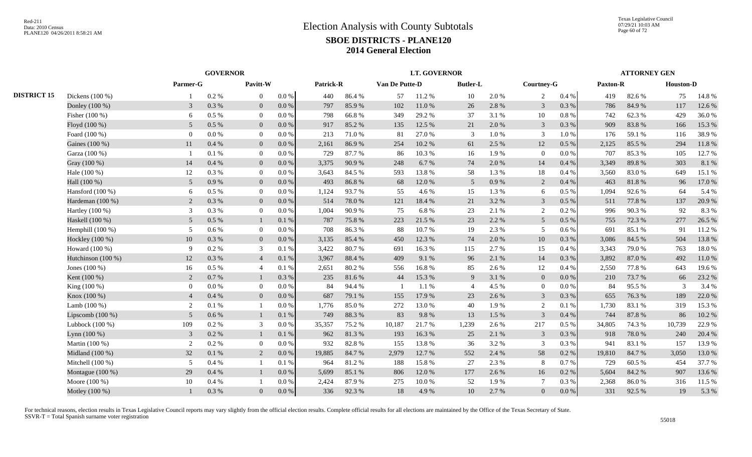|                    |                    |                             | <b>GOVERNOR</b> |                |           |           |        |                | <b>LT. GOVERNOR</b> |                 |       |                 |         |          | <b>ATTORNEY GEN</b> |                  |        |
|--------------------|--------------------|-----------------------------|-----------------|----------------|-----------|-----------|--------|----------------|---------------------|-----------------|-------|-----------------|---------|----------|---------------------|------------------|--------|
|                    |                    | $\bold{Parameter\text{-}G}$ |                 | Pavitt-W       |           | Patrick-R |        | Van De Putte-D |                     | <b>Butler-L</b> |       | Courtney-G      |         | Paxton-R |                     | <b>Houston-D</b> |        |
| <b>DISTRICT 15</b> | Dickens (100 %)    |                             | $0.2\%$         | $\mathbf{0}$   | $0.0\ \%$ | 440       | 86.4%  | 57             | 11.2%               | 10              | 2.0%  | 2               | 0.4 %   | 419      | 82.6%               | 75               | 14.8%  |
|                    | Donley (100 %)     | 3                           | 0.3 %           | $\overline{0}$ | $0.0\ \%$ | 797       | 85.9%  | 102            | 11.0%               | 26              | 2.8%  | 3               | 0.3%    | 786      | 84.9%               | 117              | 12.6 % |
|                    | Fisher (100 %)     | 6                           | 0.5 %           | $\overline{0}$ | 0.0 %     | 798       | 66.8%  | 349            | 29.2 %              | 37              | 3.1%  | $10\,$          | 0.8 %   | 742      | 62.3%               | 429              | 36.0%  |
|                    | Floyd (100 %)      | 5 <sup>5</sup>              | $0.5\%$         | $\mathbf{0}$   | 0.0 %     | 917       | 85.2%  | 135            | 12.5 %              | 21              | 2.0%  | $\mathfrak{Z}$  | 0.3%    | 909      | 83.8%               | 166              | 15.3 % |
|                    | Foard (100 %)      | $\Omega$                    | $0.0\ \%$       | $\overline{0}$ | 0.0 %     | 213       | 71.0%  | 81             | 27.0%               | 3               | 1.0 % | 3               | 1.0%    | 176      | 59.1 %              | 116              | 38.9%  |
|                    | Gaines (100 %)     | 11                          | 0.4%            | $\overline{0}$ | 0.0 %     | 2,161     | 86.9%  | 254            | 10.2 %              | 61              | 2.5 % | 12              | 0.5%    | 2,125    | 85.5 %              | 294              | 11.8%  |
|                    | Garza (100 %)      |                             | 0.1%            | $\overline{0}$ | 0.0 %     | 729       | 87.7%  | 86             | 10.3%               | 16              | 1.9%  | $\overline{0}$  | $0.0\%$ | 707      | 85.3%               | 105              | 12.7 % |
|                    | Gray (100 %)       | 14                          | 0.4%            | $\overline{0}$ | 0.0 %     | 3,375     | 90.9%  | 248            | 6.7 %               | 74              | 2.0%  | 14              | 0.4%    | 3.349    | 89.8%               | 303              | 8.1%   |
|                    | Hale (100 %)       | 12                          | $0.3\%$         | $\overline{0}$ | $0.0\%$   | 3.643     | 84.5 % | 593            | 13.8%               | 58              | 1.3%  | 18              | 0.4%    | 3,560    | 83.0%               | 649              | 15.1 % |
|                    | Hall (100 %)       | 5 <sup>5</sup>              | 0.9%            | $\overline{0}$ | 0.0 %     | 493       | 86.8%  | 68             | 12.0%               | 5 <sup>5</sup>  | 0.9%  | 2               | 0.4%    | 463      | 81.8%               | 96               | 17.0 % |
|                    | Hansford $(100\%)$ | 6                           | $0.5\%$         | $\overline{0}$ | 0.0 %     | 1,124     | 93.7%  | 55             | 4.6 %               | 15              | 1.3%  | 6               | 0.5 %   | 1.094    | 92.6%               | 64               | 5.4 %  |
|                    | Hardeman (100 %)   | 2                           | 0.3 %           | $\overline{0}$ | 0.0 %     | 514       | 78.0%  | 121            | 18.4%               | 21              | 3.2 % | $\mathbf{3}$    | 0.5 %   | 511      | 77.8%               | 137              | 20.9%  |
|                    | Hartley $(100\%)$  | 3                           | 0.3%            | $\overline{0}$ | 0.0 %     | 1,004     | 90.9%  | 75             | 6.8%                | 23              | 2.1 % | 2               | 0.2 %   | 996      | 90.3%               | 92               | 8.3%   |
|                    | Haskell (100 %)    | 5                           | $0.5\ \%$       | -1             | 0.1%      | 787       | 75.8%  | 223            | 21.5 %              | 23              | 2.2 % | $5\overline{)}$ | 0.5 %   | 755      | 72.3 %              | 277              | 26.5 % |
|                    | Hemphill $(100\%)$ | 5                           | $0.6\%$         | $\overline{0}$ | 0.0 %     | 708       | 86.3%  | 88             | 10.7%               | 19              | 2.3 % | 5               | 0.6 %   | 691      | 85.1%               | 91               | 11.2 % |
|                    | Hockley (100 %)    | 10                          | 0.3 %           | $\mathbf{0}$   | 0.0 %     | 3,135     | 85.4%  | 450            | 12.3 %              | 74              | 2.0%  | 10              | 0.3%    | 3,086    | 84.5 %              | 504              | 13.8%  |
|                    | Howard (100 %)     | 9                           | 0.2 %           | $\mathbf{3}$   | 0.1%      | 3,422     | 80.7%  | 691            | 16.3%               | 115             | 2.7 % | 15              | 0.4%    | 3,343    | 79.0%               | 763              | 18.0%  |
|                    | Hutchinson (100 %) | 12                          | $0.3\ \%$       | $\overline{4}$ | $0.1~\%$  | 3,967     | 88.4%  | 409            | 9.1 %               | 96              | 2.1 % | 14              | 0.3%    | 3,892    | 87.0%               | 492              | 11.0%  |
|                    | Jones $(100\%)$    | 16                          | $0.5\%$         | $\overline{4}$ | 0.1%      | 2,651     | 80.2%  | 556            | 16.8%               | 85              | 2.6 % | 12              | 0.4 %   | 2,550    | 77.8%               | 643              | 19.6%  |
|                    | Kent (100 %)       | 2                           | 0.7%            | $\mathbf{1}$   | 0.3%      | 235       | 81.6%  | 44             | 15.3 %              | 9               | 3.1 % | $\overline{0}$  | 0.0 %   | 210      | 73.7%               | 66               | 23.2 % |
|                    | King (100 %)       | $\Omega$                    | 0.0 %           | $\overline{0}$ | 0.0 %     | 84        | 94.4 % |                | 1.1 %               | $\overline{4}$  | 4.5 % | $\overline{0}$  | 0.0 %   | 84       | 95.5%               | 3                | 3.4 %  |
|                    | Know (100 %)       | $\overline{4}$              | 0.4%            | $\overline{0}$ | 0.0 %     | 687       | 79.1 % | 155            | 17.9 %              | 23              | 2.6 % | $\mathbf{3}$    | 0.3%    | 655      | 76.3%               | 189              | 22.0 % |
|                    | Lamb $(100\%)$     | 2                           | 0.1%            | - 1            | 0.0 %     | 1,776     | 85.0%  | 272            | 13.0 %              | 40              | 1.9%  | 2               | 0.1%    | 1,730    | 83.1 %              | 319              | 15.3 % |
|                    | Lipscomb $(100\%)$ | 5                           | 0.6 %           | -1             | 0.1%      | 749       | 88.3%  | 83             | 9.8%                | 13              | 1.5 % | 3               | 0.4%    | 744      | 87.8%               | 86               | 10.2%  |
|                    | Lubbock $(100\%)$  | 109                         | 0.2 %           | 3              | 0.0 %     | 35,357    | 75.2 % | 10,187         | 21.7%               | 1,239           | 2.6 % | 217             | 0.5 %   | 34,805   | 74.3 %              | 10,739           | 22.9 % |
|                    | Lynn $(100\%)$     | $\mathfrak{Z}$              | 0.2 %           | $\mathbf{1}$   | 0.1%      | 962       | 81.3%  | 193            | 16.3%               | 25              | 2.1 % | $\overline{3}$  | 0.3%    | 918      | 78.0%               | 240              | 20.4 % |
|                    | Martin (100 %)     | 2                           | 0.2 %           | $\overline{0}$ | $0.0\%$   | 932       | 82.8%  | 155            | 13.8%               | 36              | 3.2%  | 3               | 0.3%    | 941      | 83.1 %              | 157              | 13.9%  |
|                    | Midland (100 %)    | 32                          | 0.1 %           | 2              | 0.0 %     | 19,885    | 84.7%  | 2,979          | 12.7 %              | 552             | 2.4 % | 58              | 0.2 %   | 19,810   | 84.7%               | 3,050            | 13.0 % |
|                    | Mitchell (100 %)   | 5                           | $0.4~\%$        | - 1            | 0.1%      | 964       | 81.2%  | 188            | 15.8%               | 27              | 2.3 % | 8               | 0.7%    | 729      | 60.5%               | 454              | 37.7 % |
|                    | Montague (100 %)   | 29                          | 0.4%            | $\mathbf{1}$   | 0.0 %     | 5,699     | 85.1 % | 806            | 12.0 %              | 177             | 2.6 % | 16              | 0.2 %   | 5,604    | 84.2 %              | 907              | 13.6%  |
|                    | Moore (100 %)      | 10                          | $0.4~\%$        | - 1            | 0.0 %     | 2,424     | 87.9%  | 275            | 10.0%               | 52              | 1.9%  | $7\phantom{.0}$ | 0.3%    | 2,368    | 86.0%               | 316              | 11.5 % |
|                    | Motley (100 %)     |                             | 0.3%            | $\overline{0}$ | 0.0 %     | 336       | 92.3%  | 18             | 4.9%                | 10              | 2.7%  | $\overline{0}$  | 0.0 %   | 331      | 92.5 %              | 19               | 5.3 %  |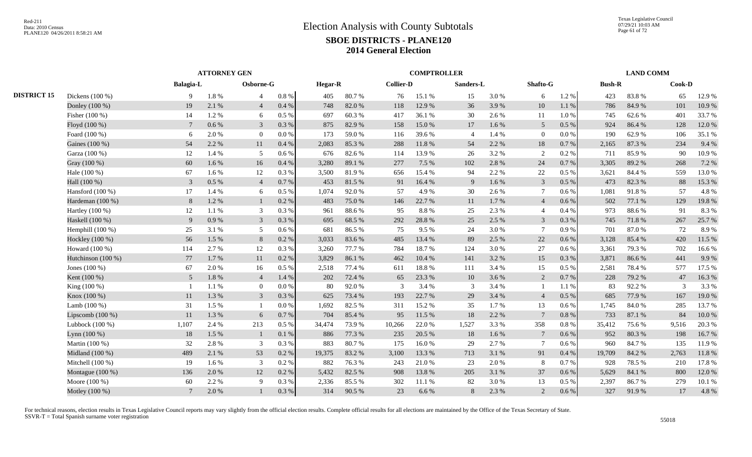Texas Legislative Council 07/29/21 10:03 AM Page 61 of 72

|                    | <b>Balagia-L</b> |           |                |                     |                   |        |                         |        |                           |                    |                    |           |          |        |                        |                            |
|--------------------|------------------|-----------|----------------|---------------------|-------------------|--------|-------------------------|--------|---------------------------|--------------------|--------------------|-----------|----------|--------|------------------------|----------------------------|
| Dickens (100 %)    | 9                | 1.8 %     | $\overline{4}$ | $0.8~\%$            | 405               | 80.7%  | 76                      | 15.1 % | 15                        | 3.0%               | 6                  | 1.2%      | 423      | 83.8%  | 65                     | 12.9 %                     |
| Donley (100 %)     | 19               | 2.1 %     | $\overline{4}$ | 0.4%                | 748               | 82.0%  | 118                     | 12.9 % | 36                        | 3.9%               | 10                 | 1.1 %     | 786      | 84.9%  | 101                    | 10.9%                      |
| Fisher (100 %)     | 14               | 1.2%      | 6              | 0.5%                | 697               | 60.3%  | 417                     | 36.1%  | 30                        | 2.6 %              | 11                 | 1.0%      | 745      | 62.6 % | 401                    | 33.7 %                     |
| Floyd (100 %)      | $7\phantom{.0}$  | $0.6\,\%$ | 3              | 0.3%                | 875               | 82.9%  | 158                     | 15.0%  | 17                        | 1.6 %              | $5\overline{)}$    | 0.5 %     | 924      | 86.4%  | 128                    | 12.0 %                     |
| Foard (100 %)      | 6                | 2.0%      | $\overline{0}$ | 0.0 %               | 173               | 59.0%  | 116                     | 39.6%  | $\overline{4}$            | 1.4 %              | $\overline{0}$     | 0.0 %     | 190      | 62.9%  | 106                    | 35.1 %                     |
| Gaines (100 %)     | 54               | 2.2 %     | 11             | 0.4%                | 2,083             | 85.3%  | 288                     | 11.8 % | 54                        | 2.2 %              | 18                 | 0.7%      | 2,165    | 87.3%  | 234                    | 9.4 %                      |
| Garza (100 %)      | 12               | 1.4 %     | 5              | 0.6%                | 676               | 82.6 % | 114                     | 13.9%  | 26                        | 3.2 %              | 2                  | 0.2 %     | 711      | 85.9%  | 90                     | 10.9%                      |
| Gray (100 %)       | 60               | 1.6 %     | 16             | 0.4%                | 3,280             | 89.1%  | 277                     | 7.5 %  | 102                       | 2.8%               | 24                 | 0.7%      | 3,305    | 89.2%  | 268                    | 7.2 %                      |
| Hale (100 %)       | 67               | $1.6\%$   | 12             | 0.3%                | 3.500             | 81.9%  | 656                     | 15.4 % | 94                        | 2.2 %              | 22                 | 0.5%      | 3.621    | 84.4 % | 559                    | 13.0%                      |
| Hall (100 %)       | 3                | $0.5\ \%$ | $\overline{4}$ | 0.7%                | 453               | 81.5%  | 91                      | 16.4%  | 9                         | 1.6 %              | $\mathfrak{Z}$     | 0.5 %     | 473      | 82.3%  | 88                     | 15.3 %                     |
| Hansford $(100\%)$ | 17               | 1.4 %     | 6              | 0.5 %               | 1,074             | 92.0%  | 57                      | 4.9%   | 30                        | 2.6 %              | $\overline{7}$     | 0.6%      | 1,081    | 91.8%  | 57                     | 4.8%                       |
| Hardeman (100 %)   | 8                | 1.2%      |                | 0.2%                | 483               | 75.0%  | 146                     | 22.7 % | 11                        | 1.7%               | $\overline{4}$     | 0.6%      | 502      | 77.1 % | 129                    | 19.8%                      |
| Hartley $(100\%)$  | 12               | 1.1 %     | 3              | 0.3%                | 961               | 88.6%  | 95                      | 8.8%   | 25                        | 2.3 %              | $\overline{4}$     | 0.4%      | 973      | 88.6%  | 91                     | 8.3%                       |
| Haskell (100 %)    | 9                | 0.9%      | 3              | 0.3%                | 695               | 68.5 % | 292                     | 28.8%  | 25                        | 2.5 %              | 3                  | 0.3%      | 745      | 71.8%  | 267                    | 25.7 %                     |
| Hemphill $(100\%)$ | 25               | 3.1 %     | 5              | 0.6 %               | 681               | 86.5%  | 75                      | 9.5%   | 24                        | 3.0%               | $7\phantom{.0}$    | 0.9%      | 701      | 87.0%  | 72                     | 8.9%                       |
| Hockley (100 %)    | 56               | 1.5 %     | 8              | 0.2 %               | 3,033             | 83.6%  | 485                     | 13.4 % | 89                        | 2.5 %              | 22                 | 0.6 %     | 3,128    | 85.4%  | 420                    | 11.5 %                     |
| Howard (100 %)     | 114              | 2.7 %     | 12             | 0.3%                | 3,260             | 77.7 % | 784                     | 18.7%  | 124                       | 3.0%               | 27                 | 0.6 %     | 3,361    | 79.3%  | 702                    | 16.6%                      |
| Hutchinson (100 %) | 77               | 1.7%      | 11             | 0.2%                | 3,829             | 86.1%  | 462                     | 10.4 % | 141                       | 3.2 %              | 15                 | 0.3%      | 3,871    | 86.6%  | 441                    | 9.9%                       |
| Jones $(100\%)$    | 67               | 2.0%      | 16             | 0.5 %               | 2,518             | 77.4 % | 611                     | 18.8%  | 111                       | 3.4 %              | 15                 | 0.5%      | 2.581    | 78.4%  | 577                    | 17.5 %                     |
| Kent (100 %)       | $5\overline{)}$  | $1.8\ \%$ | $\overline{4}$ | 1.4 %               | 202               | 72.4 % | 65                      | 23.3 % | 10                        | 3.6%               | 2                  | 0.7%      | 228      | 79.2 % | 47                     | 16.3%                      |
| King (100 %)       |                  | 1.1 %     | $\overline{0}$ | 0.0 %               | 80                | 92.0%  | 3                       | 3.4 %  | 3                         | 3.4 %              | - 1                | 1.1 %     | 83       | 92.2%  | $\mathcal{R}$          | 3.3 %                      |
| Knox (100 %)       | 11               | 1.3%      | $\overline{3}$ | 0.3%                | 625               | 73.4 % | 193                     | 22.7 % | 29                        | 3.4 %              | $\overline{4}$     | 0.5%      | 685      | 77.9%  | 167                    | 19.0%                      |
| Lamb $(100\%)$     | 31               | 1.5 %     |                | 0.0 %               | 1,692             | 82.5 % | 311                     | 15.2 % | 35                        | 1.7 %              | 13                 | 0.6%      | 1,745    | 84.0%  | 285                    | 13.7 %                     |
| Lipscomb $(100\%)$ | 11               | 1.3 %     | 6              | 0.7%                | 704               | 85.4%  | 95                      | 11.5 % | 18                        | 2.2 %              | $\overline{7}$     | 0.8%      | 733      | 87.1 % | 84                     | 10.0%                      |
| Lubbock $(100\%)$  | 1,107            | 2.4 %     | 213            | 0.5 %               | 34,474            | 73.9%  | 10,266                  | 22.0%  | 1,527                     | 3.3 %              | 358                | 0.8%      | 35,412   | 75.6%  | 9,516                  | 20.3 %                     |
| Lynn (100 %)       | 18               | 1.5 %     |                | 0.1%                | 886               | 77.3 % | 235                     | 20.5 % | 18                        | 1.6 %              | $7\phantom{.0}$    | 0.6 %     | 952      | 80.3%  | 198                    | 16.7%                      |
|                    | 32               |           | 3              |                     | 883               |        | 175                     |        | 29                        |                    | $7\phantom{.0}$    | 0.6%      | 960      |        | 135                    | 11.9%                      |
| Midland $(100\%)$  | 489              | 2.1 %     | 53             | $0.2~\%$            | 19,375            | 83.2%  | 3,100                   | 13.3 % | 713                       | 3.1 %              | 91                 | 0.4%      | 19,709   | 84.2 % | 2,763                  | 11.8 %                     |
| Mitchell $(100\%)$ | 19               | $1.6\%$   | 3              | 0.2 %               | 882               | 76.3%  | 243                     | 21.0%  | 23                        | 2.0 %              | 8                  | 0.7%      | 928      | 78.5 % | 210                    | 17.8 %                     |
| Montague (100 %)   | 136              | 2.0%      | 12             | $0.2~\%$            | 5,432             | 82.5 % | 908                     | 13.8 % | 205                       | 3.1 %              | 37                 | 0.6 %     | 5,629    | 84.1 % | 800                    | 12.0 %                     |
| Moore (100 %)      | 60               | 2.2 %     | 9              | 0.3%                | 2,336             | 85.5%  | 302                     | 11.1 % | 82                        | 3.0%               | 13                 | 0.5%      | 2,397    | 86.7%  | 279                    | 10.1%                      |
| Motley (100 %)     | $7\phantom{.0}$  | 2.0%      |                | 0.3 %               | 314               | 90.5 % | 23                      | 6.6%   | 8                         | 2.3 %              | 2                  | $0.6\,\%$ | 327      | 91.9%  | 17                     | 4.8%                       |
|                    | Martin (100 %)   |           | 2.8%           | <b>ATTORNEY GEN</b> | Osborne-G<br>0.3% |        | <b>Hegar-R</b><br>80.7% |        | <b>Collier-D</b><br>16.0% | <b>COMPTROLLER</b> | Sanders-L<br>2.7 % |           | Shafto-G |        | <b>Bush-R</b><br>84.7% | <b>LAND COMM</b><br>Cook-D |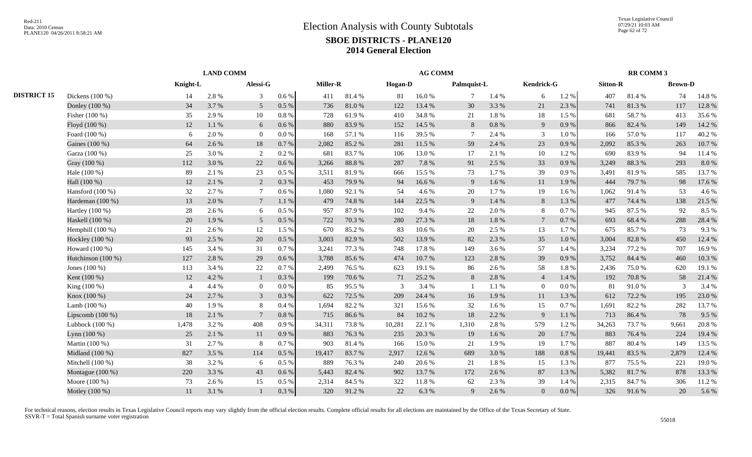|                    |                    |                | <b>LAND COMM</b> |                 |           |          |        |         | <b>AG COMM</b> |             |       |                |       |                 | <b>RR COMM 3</b> |                |        |
|--------------------|--------------------|----------------|------------------|-----------------|-----------|----------|--------|---------|----------------|-------------|-------|----------------|-------|-----------------|------------------|----------------|--------|
|                    |                    | Knight-L       |                  | Alessi-G        |           | Miller-R |        | Hogan-D |                | Palmquist-L |       | Kendrick-G     |       | <b>Sitton-R</b> |                  | <b>Brown-D</b> |        |
| <b>DISTRICT 15</b> | Dickens (100 %)    | 14             | 2.8%             | 3               | $0.6\,\%$ | 411      | 81.4%  | 81      | 16.0%          |             | 1.4 % | 6              | 1.2%  | 407             | 81.4%            | 74             | 14.8%  |
|                    | Donley (100 %)     | 34             | 3.7%             | $5\overline{)}$ | $0.5\ \%$ | 736      | 81.0%  | 122     | 13.4 %         | 30          | 3.3 % | 21             | 2.3 % | 741             | 81.3%            | 117            | 12.8%  |
|                    | Fisher (100 %)     | 35             | 2.9%             | 10              | 0.8%      | 728      | 61.9%  | 410     | 34.8%          | 21          | 1.8%  | 18             | 1.5 % | 681             | 58.7%            | 413            | 35.6%  |
|                    | Floyd (100 %)      | 12             | $1.1\ \%$        | 6               | $0.6\,\%$ | 880      | 83.9%  | 152     | 14.5 %         | 8           | 0.8 % | 9              | 0.9%  | 866             | 82.4%            | 149            | 14.2 % |
|                    | Foard (100 %)      | 6              | 2.0%             | $\overline{0}$  | 0.0 %     | 168      | 57.1 % | 116     | 39.5 %         | $\tau$      | 2.4 % | 3              | 1.0%  | 166             | 57.0%            | 117            | 40.2%  |
|                    | Gaines (100 %)     | 64             | 2.6 %            | 18              | 0.7%      | 2,082    | 85.2%  | 281     | 11.5 %         | 59          | 2.4 % | 23             | 0.9%  | 2,092           | 85.3%            | 263            | 10.7 % |
|                    | Garza (100 %)      | 25             | 3.0%             | 2               | 0.2%      | 681      | 83.7%  | 106     | 13.0%          | 17          | 2.1 % | 10             | 1.2%  | 690             | 83.9%            | 94             | 11.4 % |
|                    | Gray (100 %)       | 112            | 3.0%             | 22              | 0.6 %     | 3,266    | 88.8%  | 287     | 7.8%           | 91          | 2.5 % | 33             | 0.9%  | 3,249           | 88.3%            | 293            | 8.0%   |
|                    | Hale (100 %)       | 89             | 2.1 %            | 23              | 0.5%      | 3,511    | 81.9%  | 666     | 15.5 %         | 73          | 1.7 % | 39             | 0.9%  | 3,491           | 81.9%            | 585            | 13.7 % |
|                    | Hall (100 %)       | 12             | 2.1 %            | 2               | 0.3%      | 453      | 79.9%  | 94      | 16.6%          | 9           | 1.6%  | 11             | 1.9%  | 444             | 79.7%            | 98             | 17.6 % |
|                    | Hansford $(100\%)$ | 32             | 2.7 %            | $7\phantom{.0}$ | 0.6 %     | 1.080    | 92.1 % | 54      | 4.6 %          | 20          | 1.7%  | 19             | 1.6 % | 1.062           | 91.4%            | 53             | 4.6 %  |
|                    | Hardeman (100 %)   | 13             | 2.0%             | $7\phantom{.0}$ | 1.1%      | 479      | 74.8%  | 144     | 22.5 %         | 9           | 1.4 % | 8              | 1.3%  | 477             | 74.4 %           | 138            | 21.5 % |
|                    | Hartley $(100\%)$  | 28             | 2.6 %            | 6               | 0.5%      | 957      | 87.9%  | 102     | 9.4 %          | 22          | 2.0%  | 8              | 0.7%  | 945             | 87.5 %           | 92             | 8.5 %  |
|                    | Haskell (100 %)    | 20             | 1.9%             | $5\overline{)}$ | 0.5 %     | 722      | 70.3 % | 280     | 27.3 %         | 18          | 1.8%  | $\overline{7}$ | 0.7 % | 693             | 68.4%            | 288            | 28.4 % |
|                    | Hemphill (100 %)   | 21             | 2.6 %            | 12              | 1.5 %     | 670      | 85.2%  | 83      | 10.6%          | 20          | 2.5 % | 13             | 1.7%  | 675             | 85.7%            | 73             | 9.3%   |
|                    | Hockley (100 %)    | 93             | 2.5 %            | 20              | 0.5 %     | 3,003    | 82.9%  | 502     | 13.9%          | 82          | 2.3 % | 35             | 1.0%  | 3,004           | 82.8%            | 450            | 12.4 % |
|                    | Howard (100 %)     | 145            | 3.4 %            | 31              | 0.7%      | 3,241    | 77.3 % | 748     | 17.8%          | 149         | 3.6%  | 57             | 1.4 % | 3,234           | 77.2 %           | 707            | 16.9%  |
|                    | Hutchinson (100 %) | 127            | 2.8%             | 29              | 0.6 %     | 3,788    | 85.6%  | 474     | 10.7%          | 123         | 2.8%  | 39             | 0.9%  | 3,752           | 84.4 %           | 460            | 10.3%  |
|                    | Jones (100 %)      | 113            | 3.4 %            | 22              | 0.7%      | 2,499    | 76.5 % | 623     | 19.1 %         | 86          | 2.6 % | 58             | 1.8%  | 2,436           | 75.0%            | 620            | 19.1 % |
|                    | Kent (100 %)       | 12             | 4.2 %            | $\mathbf{1}$    | 0.3%      | 199      | 70.6%  | 71      | 25.2 %         | 8           | 2.8 % | $\overline{4}$ | 1.4 % | 192             | 70.8%            | 58             | 21.4 % |
|                    | King (100 %)       | $\overline{4}$ | 4.4 %            | $\bf{0}$        | 0.0 %     | 85       | 95.5%  | 3       | 3.4 %          |             | 1.1 % | $\overline{0}$ | 0.0 % | 81              | 91.0%            | 3              | 3.4 %  |
|                    | Knox (100 %)       | 24             | 2.7 %            | $\mathfrak{Z}$  | 0.3%      | 622      | 72.5 % | 209     | 24.4 %         | 16          | 1.9%  | 11             | 1.3%  | 612             | 72.2 %           | 195            | 23.0 % |
|                    | Lamb $(100\%)$     | 40             | 1.9%             | 8               | 0.4%      | 1,694    | 82.2%  | 321     | 15.6 %         | 32          | 1.6 % | 15             | 0.7%  | 1,691           | 82.2 %           | 282            | 13.7 % |
|                    | Lipscomb $(100\%)$ | 18             | 2.1 %            | $7\phantom{.0}$ | 0.8%      | 715      | 86.6%  | 84      | 10.2 %         | 18          | 2.2 % | 9              | 1.1%  | 713             | 86.4%            | 78             | 9.5 %  |
|                    | Lubbock $(100\%)$  | 1,478          | 3.2 %            | 408             | 0.9%      | 34,311   | 73.8%  | 10,281  | 22.1 %         | 1,310       | 2.8%  | 579            | 1.2%  | 34,263          | 73.7%            | 9,661          | 20.8%  |
|                    | Lynn $(100\%)$     | 25             | 2.1 %            | 11              | 0.9%      | 883      | 76.3%  | 235     | 20.3 %         | 19          | 1.6%  | 20             | 1.7%  | 883             | 76.4 %           | 224            | 19.4 % |
|                    | Martin (100 %)     | 31             | 2.7%             | 8               | 0.7%      | 903      | 81.4 % | 166     | 15.0%          | 21          | 1.9%  | 19             | 1.7%  | 887             | 80.4%            | 149            | 13.5 % |
|                    | Midland (100 %)    | 827            | 3.5 %            | 114             | 0.5%      | 19,417   | 83.7%  | 2,917   | 12.6 %         | 689         | 3.0 % | 188            | 0.8%  | 19,441          | 83.5%            | 2,879          | 12.4 % |
|                    | Mitchell (100 %)   | 38             | 3.2%             | 6               | 0.5%      | 889      | 76.3%  | 240     | 20.6%          | 21          | 1.8%  | 15             | 1.3%  | 877             | 75.5 %           | 221            | 19.0%  |
|                    | Montague (100 %)   | 220            | 3.3 %            | 43              | $0.6\,\%$ | 5,443    | 82.4 % | 902     | 13.7%          | 172         | 2.6 % | 87             | 1.3 % | 5,382           | 81.7%            | 878            | 13.3 % |
|                    | Moore (100 %)      | 73             | 2.6 %            | 15              | 0.5%      | 2,314    | 84.5 % | 322     | 11.8%          | 62          | 2.3 % | 39             | 1.4 % | 2,315           | 84.7%            | 306            | 11.2%  |
|                    | Motley (100 %)     | 11             | 3.1 %            | $\mathbf{1}$    | 0.3 %     | 320      | 91.2%  | 22      | 6.3 %          | 9           | 2.6 % | $\overline{0}$ | 0.0 % | 326             | 91.6%            | 20             | 5.6 %  |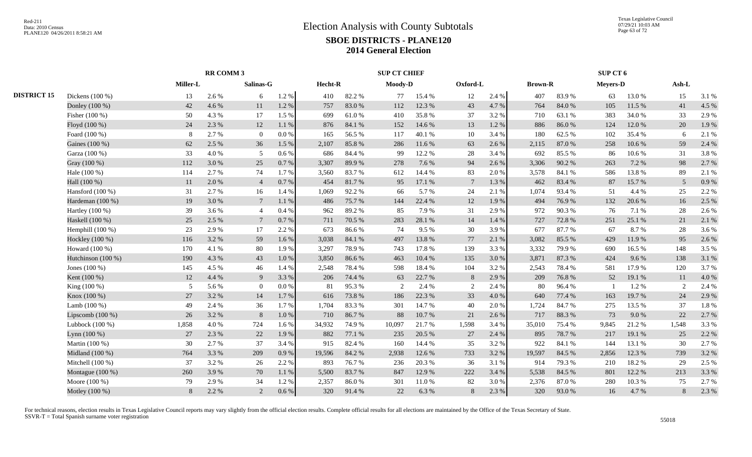|                    |                    |                 | RR COMM 3 |                 |           |         |        | <b>SUP CT CHIEF</b> |        |                 |       |                |        | SUP CT 6        |        |                |       |
|--------------------|--------------------|-----------------|-----------|-----------------|-----------|---------|--------|---------------------|--------|-----------------|-------|----------------|--------|-----------------|--------|----------------|-------|
|                    |                    | <b>Miller-L</b> |           | Salinas-G       |           | Hecht-R |        | Moody-D             |        | Oxford-L        |       | <b>Brown-R</b> |        | <b>Meyers-D</b> |        | Ash-L          |       |
| <b>DISTRICT 15</b> | Dickens $(100\%)$  | 13              | 2.6 %     | 6               | 1.2 %     | 410     | 82.2%  | 77                  | 15.4 % | 12              | 2.4 % | 407            | 83.9%  | 63              | 13.0 % | 15             | 3.1 % |
|                    | Donley (100 %)     | 42              | 4.6%      | 11              | 1.2%      | 757     | 83.0%  | 112                 | 12.3 % | 43              | 4.7%  | 764            | 84.0%  | 105             | 11.5 % | 41             | 4.5 % |
|                    | Fisher (100 %)     | 50              | 4.3 %     | 17              | 1.5 %     | 699     | 61.0%  | 410                 | 35.8%  | 37              | 3.2%  | 710            | 63.1 % | 383             | 34.0 % | 33             | 2.9%  |
|                    | Floyd (100 %)      | 24              | 2.3 %     | 12              | $1.1\ \%$ | 876     | 84.1 % | 152                 | 14.6 % | 13              | 1.2%  | 886            | 86.0%  | 124             | 12.0%  | 20             | 1.9%  |
|                    | Foard (100 %)      | 8               | 2.7 %     | $\overline{0}$  | 0.0 %     | 165     | 56.5 % | 117                 | 40.1 % | 10              | 3.4 % | 180            | 62.5 % | 102             | 35.4 % | 6              | 2.1 % |
|                    | Gaines (100 %)     | 62              | 2.5 %     | 36              | 1.5 %     | 2,107   | 85.8%  | 286                 | 11.6 % | 63              | 2.6 % | 2,115          | 87.0%  | 258             | 10.6%  | 59             | 2.4 % |
|                    | Garza (100 %)      | 33              | 4.0%      | $5\overline{)}$ | 0.6 %     | 686     | 84.4 % | 99                  | 12.2 % | 28              | 3.4 % | 692            | 85.5%  | 86              | 10.6%  | 31             | 3.8%  |
|                    | Gray (100 %)       | 112             | 3.0%      | 25              | 0.7%      | 3,307   | 89.9%  | 278                 | 7.6 %  | 94              | 2.6 % | 3,306          | 90.2%  | 263             | 7.2 %  | 98             | 2.7%  |
|                    | Hale (100 %)       | 114             | 2.7 %     | 74              | 1.7%      | 3.560   | 83.7%  | 612                 | 14.4 % | 83              | 2.0 % | 3,578          | 84.1 % | 586             | 13.8%  | 89             | 2.1 % |
|                    | Hall (100 %)       | 11              | 2.0%      | $\overline{4}$  | 0.7%      | 454     | 81.7%  | 95                  | 17.1 % | $7\phantom{.0}$ | 1.3%  | 462            | 83.4%  | 87              | 15.7%  | $\overline{5}$ | 0.9%  |
|                    | Hansford (100 %)   | 31              | 2.7 %     | 16              | 1.4 %     | 1,069   | 92.2%  | 66                  | 5.7%   | 24              | 2.1 % | 1,074          | 93.4%  | 51              | 4.4 %  | 25             | 2.2 % |
|                    | Hardeman (100 %)   | 19              | 3.0%      | $\tau$          | 1.1%      | 486     | 75.7%  | 144                 | 22.4 % | 12              | 1.9%  | 494            | 76.9%  | 132             | 20.6 % | 16             | 2.5 % |
|                    | Hartley (100 %)    | 39              | 3.6%      | $\overline{4}$  | 0.4%      | 962     | 89.2%  | 85                  | 7.9%   | 31              | 2.9 % | 972            | 90.3%  | 76              | 7.1 %  | 28             | 2.6 % |
|                    | Haskell (100 %)    | 25              | 2.5 %     | $\tau$          | 0.7%      | 711     | 70.5 % | 283                 | 28.1 % | 14              | 1.4 % | 727            | 72.8%  | 251             | 25.1 % | 21             | 2.1 % |
|                    | Hemphill $(100\%)$ | 23              | 2.9%      | 17              | 2.2 %     | 673     | 86.6%  | 74                  | 9.5 %  | 30              | 3.9%  | 677            | 87.7%  | 67              | 8.7%   | 28             | 3.6%  |
|                    | Hockley (100 %)    | 116             | 3.2 %     | 59              | 1.6%      | 3,038   | 84.1 % | 497                 | 13.8%  | 77              | 2.1 % | 3,082          | 85.5 % | 429             | 11.9 % | 95             | 2.6%  |
|                    | Howard (100 %)     | 170             | 4.1 %     | 80              | 1.9%      | 3,297   | 78.9%  | 743                 | 17.8 % | 139             | 3.3%  | 3,332          | 79.9%  | 690             | 16.5 % | 148            | 3.5 % |
|                    | Hutchinson (100 %) | 190             | 4.3 %     | 43              | 1.0%      | 3,850   | 86.6%  | 463                 | 10.4%  | 135             | 3.0%  | 3,871          | 87.3%  | 424             | 9.6%   | 138            | 3.1%  |
|                    | Jones $(100\%)$    | 145             | 4.5 %     | 46              | 1.4 %     | 2.548   | 78.4%  | 598                 | 18.4 % | 104             | 3.2 % | 2,543          | 78.4%  | 581             | 17.9%  | 120            | 3.7%  |
|                    | Kent (100 %)       | 12              | 4.4 %     | -9              | 3.3 %     | 206     | 74.4 % | 63                  | 22.7 % | 8               | 2.9 % | 209            | 76.8%  | 52              | 19.1 % | 11             | 4.0%  |
|                    | King (100 %)       | 5               | 5.6%      | $\overline{0}$  | 0.0 %     | 81      | 95.3%  | 2                   | 2.4 %  | 2               | 2.4 % | 80             | 96.4%  |                 | 1.2%   | 2              | 2.4 % |
|                    | Knox (100 %)       | 27              | 3.2 %     | 14              | 1.7%      | 616     | 73.8%  | 186                 | 22.3 % | 33              | 4.0%  | 640            | 77.4 % | 163             | 19.7%  | 24             | 2.9%  |
|                    | Lamb $(100\%)$     | 49              | 2.4 %     | 36              | 1.7%      | 1,704   | 83.3%  | 301                 | 14.7 % | 40              | 2.0 % | 1,724          | 84.7%  | 275             | 13.5 % | 37             | 1.8%  |
|                    | Lipscomb (100 %)   | 26              | 3.2 %     | 8               | $1.0\ \%$ | 710     | 86.7%  | 88                  | 10.7%  | 21              | 2.6 % | 717            | 88.3%  | 73              | 9.0%   | 22             | 2.7 % |
|                    | Lubbock (100 %)    | 1,858           | $4.0\ \%$ | 724             | 1.6%      | 34,932  | 74.9%  | 10,097              | 21.7%  | 1,598           | 3.4 % | 35,010         | 75.4 % | 9,845           | 21.2%  | 1,548          | 3.3 % |
|                    | Lynn $(100\%)$     | 27              | 2.3 %     | 22              | 1.9%      | 882     | 77.1 % | 235                 | 20.5 % | 27              | 2.4 % | 895            | 78.7%  | 217             | 19.1 % | 25             | 2.2 % |
|                    | Martin (100 %)     | 30              | 2.7 %     | 37              | 3.4 %     | 915     | 82.4 % | 160                 | 14.4 % | 35              | 3.2%  | 922            | 84.1 % | 144             | 13.1 % | 30             | 2.7%  |
|                    | Midland (100 %)    | 764             | 3.3 %     | 209             | 0.9 %     | 19,596  | 84.2%  | 2,938               | 12.6 % | 733             | 3.2%  | 19,597         | 84.5 % | 2,856           | 12.3 % | 739            | 3.2%  |
|                    | Mitchell (100 %)   | 37              | 3.2 %     | 26              | 2.2 %     | 893     | 76.7%  | 236                 | 20.3%  | 36              | 3.1 % | 914            | 79.3 % | 210             | 18.2%  | 29             | 2.5 % |
|                    | Montague $(100\%)$ | 260             | 3.9%      | 70              | 1.1 %     | 5,500   | 83.7%  | 847                 | 12.9%  | 222             | 3.4 % | 5,538          | 84.5 % | 801             | 12.2 % | 213            | 3.3 % |
|                    | Moore (100 %)      | 79              | 2.9%      | 34              | 1.2%      | 2,357   | 86.0%  | 301                 | 11.0%  | 82              | 3.0%  | 2,376          | 87.0%  | 280             | 10.3%  | 75             | 2.7%  |
|                    | Motley (100 %)     | 8               | 2.2 %     | 2               | 0.6 %     | 320     | 91.4%  | 22                  | 6.3%   | 8               | 2.3 % | 320            | 93.0%  | 16              | 4.7 %  | 8              | 2.3 % |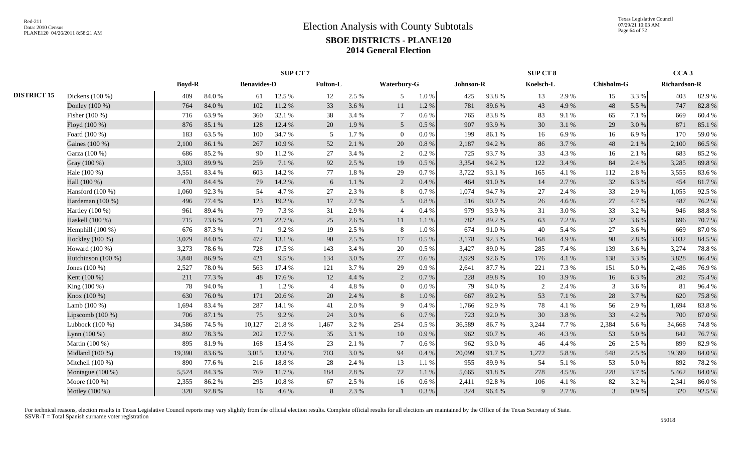|                    |                    |               |        |                    | <b>SUP CT7</b> |                 |       |                 |           |           |        | <b>SUP CT 8</b> |       |            |       | CCA <sub>3</sub>    |        |
|--------------------|--------------------|---------------|--------|--------------------|----------------|-----------------|-------|-----------------|-----------|-----------|--------|-----------------|-------|------------|-------|---------------------|--------|
|                    |                    | <b>Boyd-R</b> |        | <b>Benavides-D</b> |                | <b>Fulton-L</b> |       | Waterbury-G     |           | Johnson-R |        | Koelsch-L       |       | Chisholm-G |       | <b>Richardson-R</b> |        |
| <b>DISTRICT 15</b> | Dickens (100 %)    | 409           | 84.0%  | 61                 | 12.5 %         | 12              | 2.5 % | 5               | 1.0 %     | 425       | 93.8%  | 13              | 2.9 % | 15         | 3.3 % | 403                 | 82.9%  |
|                    | Donley (100 %)     | 764           | 84.0%  | 102                | 11.2%          | 33              | 3.6 % | 11              | 1.2%      | 781       | 89.6%  | 43              | 4.9%  | 48         | 5.5 % | 747                 | 82.8%  |
|                    | Fisher (100 %)     | 716           | 63.9%  | 360                | 32.1 %         | 38              | 3.4 % | $\tau$          | $0.6\%$   | 765       | 83.8%  | 83              | 9.1 % | 65         | 7.1 % | 669                 | 60.4%  |
|                    | Floyd (100 %)      | 876           | 85.1%  | 128                | 12.4 %         | 20              | 1.9%  | $\overline{5}$  | 0.5%      | 907       | 93.9%  | 30              | 3.1 % | 29         | 3.0%  | 871                 | 85.1 % |
|                    | Foard (100 %)      | 183           | 63.5%  | 100                | 34.7%          | 5               | 1.7%  | $\overline{0}$  | 0.0 %     | 199       | 86.1%  | 16              | 6.9%  | 16         | 6.9%  | 170                 | 59.0%  |
|                    | Gaines (100 %)     | 2,100         | 86.1%  | 267                | 10.9%          | 52              | 2.1 % | 20              | 0.8%      | 2,187     | 94.2 % | 86              | 3.7%  | 48         | 2.1 % | 2,100               | 86.5%  |
|                    | Garza (100 %)      | 686           | 85.2%  | 90                 | 11.2%          | 27              | 3.4 % | 2               | 0.2 %     | 725       | 93.7%  | 33              | 4.3 % | 16         | 2.1%  | 683                 | 85.2%  |
|                    | Gray (100 %)       | 3,303         | 89.9%  | 259                | 7.1 %          | 92              | 2.5 % | 19              | $0.5\ \%$ | 3,354     | 94.2%  | 122             | 3.4 % | 84         | 2.4 % | 3,285               | 89.8%  |
|                    | Hale (100 %)       | 3,551         | 83.4 % | 603                | 14.2 %         | 77              | 1.8%  | 29              | 0.7%      | 3,722     | 93.1 % | 165             | 4.1 % | 112        | 2.8%  | 3,555               | 83.6%  |
|                    | Hall (100 %)       | 470           | 84.4 % | 79                 | 14.2 %         | 6               | 1.1%  | 2               | 0.4%      | 464       | 91.0%  | 14              | 2.7 % | 32         | 6.3%  | 454                 | 81.7%  |
|                    | Hansford (100 %)   | 1,060         | 92.3%  | 54                 | 4.7%           | 27              | 2.3 % | 8               | 0.7%      | 1,074     | 94.7%  | 27              | 2.4 % | 33         | 2.9 % | 1,055               | 92.5 % |
|                    | Hardeman (100 %)   | 496           | 77.4 % | 123                | 19.2 %         | 17              | 2.7%  | 5               | $0.8\ \%$ | 516       | 90.7%  | 26              | 4.6 % | 27         | 4.7%  | 487                 | 76.2%  |
|                    | Hartley (100 %)    | 961           | 89.4%  | 79                 | 7.3 %          | 31              | 2.9%  | $\overline{4}$  | 0.4 %     | 979       | 93.9%  | 31              | 3.0%  | 33         | 3.2%  | 946                 | 88.8%  |
|                    | Haskell (100 %)    | 715           | 73.6%  | 221                | 22.7 %         | 25              | 2.6 % | 11              | 1.1%      | 782       | 89.2%  | 63              | 7.2 % | 32         | 3.6%  | 696                 | 70.7%  |
|                    | Hemphill $(100\%)$ | 676           | 87.3%  | 71                 | 9.2%           | 19              | 2.5 % | 8               | 1.0%      | 674       | 91.0%  | 40              | 5.4 % | 27         | 3.6 % | 669                 | 87.0%  |
|                    | Hockley (100 %)    | 3,029         | 84.0%  | 472                | 13.1 %         | 90              | 2.5 % | 17              | 0.5%      | 3,178     | 92.3%  | 168             | 4.9%  | 98         | 2.8 % | 3,032               | 84.5 % |
|                    | Howard (100 %)     | 3,273         | 78.6%  | 728                | 17.5 %         | 143             | 3.4 % | 20              | $0.5\%$   | 3,427     | 89.0%  | 285             | 7.4 % | 139        | 3.6 % | 3,274               | 78.8%  |
|                    | Hutchinson (100 %) | 3,848         | 86.9%  | 421                | 9.5%           | 134             | 3.0%  | 27              | 0.6%      | 3,929     | 92.6%  | 176             | 4.1 % | 138        | 3.3 % | 3,828               | 86.4%  |
|                    | Jones $(100\%)$    | 2,527         | 78.0%  | 563                | 17.4 %         | 121             | 3.7%  | 29              | 0.9%      | 2,641     | 87.7%  | 221             | 7.3 % | 151        | 5.0%  | 2,486               | 76.9%  |
|                    | Kent (100 %)       | 211           | 77.3 % | 48                 | 17.6 %         | 12              | 4.4 % | $\overline{2}$  | 0.7%      | 228       | 89.8%  | $10\,$          | 3.9%  | 16         | 6.3%  | 202                 | 75.4 % |
|                    | King (100 %)       | 78            | 94.0%  | - 1                | 1.2%           | $\overline{A}$  | 4.8%  | $\theta$        | 0.0 %     | 79        | 94.0%  | 2               | 2.4 % | 3          | 3.6 % | 81                  | 96.4%  |
|                    | Knox (100 %)       | 630           | 76.0%  | 171                | 20.6 %         | 20              | 2.4 % | 8               | 1.0%      | 667       | 89.2%  | 53              | 7.1 % | 28         | 3.7 % | 620                 | 75.8%  |
|                    | Lamb $(100\%)$     | 1,694         | 83.4 % | 287                | 14.1 %         | 41              | 2.0%  | 9               | 0.4%      | 1,766     | 92.9%  | 78              | 4.1 % | 56         | 2.9 % | 1,694               | 83.8%  |
|                    | Lipscomb $(100\%)$ | 706           | 87.1 % | 75                 | 9.2%           | 24              | 3.0%  | 6               | $0.7\ \%$ | 723       | 92.0%  | 30              | 3.8%  | 33         | 4.2 % | 700                 | 87.0%  |
|                    | Lubbock $(100\%)$  | 34,586        | 74.5 % | 10,127             | 21.8%          | 1,467           | 3.2%  | 254             | 0.5%      | 36,589    | 86.7%  | 3,244           | 7.7 % | 2,384      | 5.6 % | 34,668              | 74.8%  |
|                    | Lynn (100 %)       | 892           | 78.3%  | 202                | 17.7 %         | 35              | 3.1 % | 10              | 0.9%      | 962       | 90.7%  | 46              | 4.3 % | 53         | 5.0 % | 842                 | 76.7%  |
|                    | Martin (100 %)     | 895           | 81.9%  | 168                | 15.4 %         | 23              | 2.1 % | $7\phantom{.0}$ | 0.6%      | 962       | 93.0%  | 46              | 4.4 % | 26         | 2.5 % | 899                 | 82.9%  |
|                    | Midland (100 %)    | 19,390        | 83.6%  | 3,015              | 13.0%          | 703             | 3.0%  | 94              | 0.4%      | 20,099    | 91.7%  | 1,272           | 5.8%  | 548        | 2.5 % | 19,399              | 84.0%  |
|                    | Mitchell $(100\%)$ | 890           | 77.6 % | 216                | 18.8%          | 28              | 2.4 % | 13              | 1.1%      | 955       | 89.9%  | 54              | 5.1 % | 53         | 5.0 % | 892                 | 78.2 % |
|                    | Montague (100 %)   | 5,524         | 84.3%  | 769                | 11.7%          | 184             | 2.8%  | 72              | 1.1 %     | 5,665     | 91.8%  | 278             | 4.5 % | 228        | 3.7%  | 5,462               | 84.0%  |
|                    | Moore (100 %)      | 2,355         | 86.2%  | 295                | 10.8%          | 67              | 2.5 % | 16              | 0.6%      | 2,411     | 92.8%  | 106             | 4.1 % | 82         | 3.2 % | 2,341               | 86.0%  |
|                    | Motley (100 %)     | 320           | 92.8%  | 16                 | 4.6%           | 8               | 2.3 % |                 | 0.3 %     | 324       | 96.4%  | 9               | 2.7 % | 3          | 0.9 % | 320                 | 92.5 % |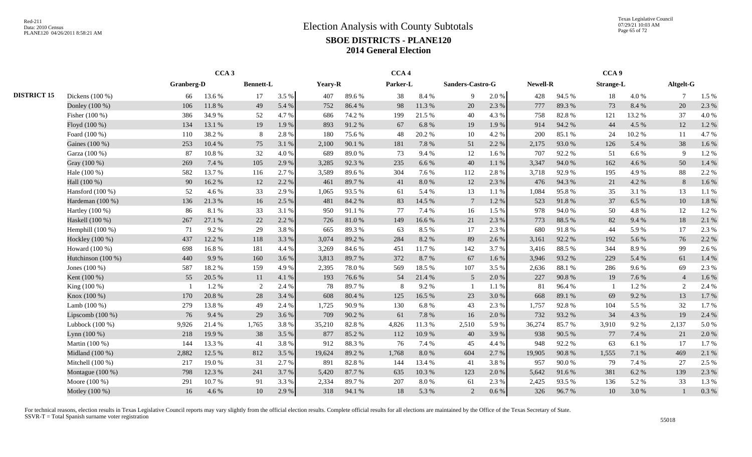Texas Legislative Council 07/29/21 10:03 AM Page 65 of 72

|                    |                    |            | CCA <sub>3</sub> |                  |       |         |        | CCA <sub>4</sub> |        |                  |         |          |        | CCA <sub>9</sub> |        |                |       |
|--------------------|--------------------|------------|------------------|------------------|-------|---------|--------|------------------|--------|------------------|---------|----------|--------|------------------|--------|----------------|-------|
|                    |                    | Granberg-D |                  | <b>Bennett-L</b> |       | Yeary-R |        | Parker-L         |        | Sanders-Castro-G |         | Newell-R |        | <b>Strange-L</b> |        | Altgelt-G      |       |
| <b>DISTRICT 15</b> | Dickens $(100\%)$  | 66         | 13.6 %           | 17               | 3.5 % | 407     | 89.6%  | 38               | 8.4 %  | 9                | 2.0%    | 428      | 94.5 % | 18               | 4.0%   | $\overline{7}$ | 1.5 % |
|                    | Donley (100 %)     | 106        | 11.8%            | 49               | 5.4 % | 752     | 86.4%  | 98               | 11.3 % | 20               | 2.3 %   | 777      | 89.3%  | 73               | 8.4%   | 20             | 2.3 % |
|                    | Fisher (100 %)     | 386        | 34.9%            | 52               | 4.7%  | 686     | 74.2 % | 199              | 21.5 % | 40               | 4.3 %   | 758      | 82.8%  | 121              | 13.2 % | 37             | 4.0%  |
|                    | Floyd (100 %)      | 134        | 13.1 %           | 19               | 1.9%  | 893     | 91.2%  | 67               | 6.8%   | 19               | 1.9%    | 914      | 94.2 % | 44               | 4.5 %  | 12             | 1.2%  |
|                    | Foard (100 %)      | 110        | 38.2%            | 8                | 2.8%  | 180     | 75.6%  | 48               | 20.2 % | 10               | 4.2%    | 200      | 85.1%  | 24               | 10.2%  | 11             | 4.7%  |
|                    | Gaines (100 %)     | 253        | 10.4 %           | 75               | 3.1 % | 2,100   | 90.1 % | 181              | 7.8%   | 51               | 2.2 %   | 2,175    | 93.0%  | 126              | 5.4 %  | 38             | 1.6 % |
|                    | Garza (100 %)      | 87         | 10.8%            | 32               | 4.0%  | 689     | 89.0%  | 73               | 9.4%   | 12               | 1.6 %   | 707      | 92.2%  | 51               | 6.6%   | 9              | 1.2%  |
|                    | Gray (100 %)       | 269        | 7.4 %            | 105              | 2.9%  | 3,285   | 92.3%  | 235              | 6.6 %  | 40               | 1.1%    | 3,347    | 94.0%  | 162              | 4.6 %  | 50             | 1.4 % |
|                    | Hale (100 %)       | 582        | 13.7 %           | 116              | 2.7 % | 3,589   | 89.6%  | 304              | 7.6 %  | 112              | 2.8%    | 3,718    | 92.9%  | 195              | 4.9%   | 88             | 2.2 % |
|                    | Hall (100 %)       | 90         | 16.2%            | 12               | 2.2 % | 461     | 89.7%  | 41               | 8.0%   | 12               | 2.3 %   | 476      | 94.3%  | 21               | 4.2 %  | 8              | 1.6 % |
|                    | Hansford $(100\%)$ | 52         | 4.6 %            | 33               | 2.9 % | 1,065   | 93.5%  | 61               | 5.4 %  | 13               | 1.1%    | 1,084    | 95.8%  | 35               | 3.1 %  | 13             | 1.1 % |
|                    | Hardeman (100 %)   | 136        | 21.3%            | 16               | 2.5 % | 481     | 84.2 % | 83               | 14.5 % | $\tau$           | 1.2%    | 523      | 91.8%  | 37               | 6.5 %  | 10             | 1.8%  |
|                    | Hartley $(100\%)$  | 86         | 8.1%             | 33               | 3.1 % | 950     | 91.1%  | 77               | 7.4 %  | 16               | 1.5 %   | 978      | 94.0%  | 50               | 4.8%   | 12             | 1.2%  |
|                    | Haskell (100 %)    | 267        | 27.1 %           | 22               | 2.2 % | 726     | 81.0%  | 149              | 16.6%  | 21               | 2.3 %   | 773      | 88.5%  | 82               | 9.4 %  | 18             | 2.1 % |
|                    | Hemphill $(100\%)$ | 71         | 9.2%             | 29               | 3.8%  | 665     | 89.3%  | 63               | 8.5 %  | 17               | 2.3 %   | 680      | 91.8%  | 44               | 5.9%   | 17             | 2.3 % |
|                    | Hockley (100 %)    | 437        | 12.2 %           | 118              | 3.3 % | 3,074   | 89.2%  | 284              | 8.2%   | 89               | 2.6 %   | 3,161    | 92.2%  | 192              | 5.6 %  | 76             | 2.2 % |
|                    | Howard (100 %)     | 698        | 16.8%            | 181              | 4.4 % | 3,269   | 84.6 % | 451              | 11.7 % | 142              | 3.7%    | 3,416    | 88.5%  | 344              | 8.9%   | 99             | 2.6 % |
|                    | Hutchinson (100 %) | 440        | 9.9%             | 160              | 3.6 % | 3,813   | 89.7%  | 372              | 8.7%   | 67               | 1.6%    | 3,946    | 93.2%  | 229              | 5.4 %  | 61             | 1.4 % |
|                    | Jones $(100\%)$    | 587        | 18.2%            | 159              | 4.9%  | 2,395   | 78.0%  | 569              | 18.5 % | 107              | 3.5 %   | 2,636    | 88.1%  | 286              | 9.6%   | 69             | 2.3 % |
|                    | Kent (100 %)       | 55         | 20.5 %           | 11               | 4.1 % | 193     | 76.6%  | 54               | 21.4 % | 5 <sup>5</sup>   | 2.0%    | 227      | 90.8%  | 19               | 7.6 %  | $\overline{4}$ | 1.6%  |
|                    | King (100 %)       |            | 1.2%             | $\overline{2}$   | 2.4 % | 78      | 89.7%  | 8                | 9.2%   |                  | 1.1 %   | 81       | 96.4%  |                  | 1.2%   | 2              | 2.4 % |
|                    | $K$ nox (100 %)    | 170        | 20.8%            | 28               | 3.4 % | 608     | 80.4%  | 125              | 16.5 % | 23               | 3.0%    | 668      | 89.1 % | 69               | 9.2%   | 13             | 1.7 % |
|                    | Lamb (100 %)       | 279        | 13.8%            | 49               | 2.4 % | 1,725   | 90.9%  | 130              | 6.8%   | 43               | 2.3 %   | 1,757    | 92.8%  | 104              | 5.5 %  | 32             | 1.7%  |
|                    | Lipscomb $(100\%)$ | 76         | 9.4 %            | 29               | 3.6%  | 709     | 90.2%  | 61               | 7.8%   | 16               | 2.0%    | 732      | 93.2%  | 34               | 4.3 %  | 19             | 2.4 % |
|                    | Lubbock $(100\%)$  | 9,926      | 21.4 %           | 1,765            | 3.8%  | 35,210  | 82.8%  | 4,826            | 11.3 % | 2,510            | 5.9%    | 36,274   | 85.7%  | 3,910            | 9.2%   | 2,137          | 5.0%  |
|                    | Lynn (100 %)       | 218        | 19.9%            | 38               | 3.5 % | 877     | 85.2%  | 112              | 10.9%  | 40               | 3.9%    | 938      | 90.5 % | 77               | 7.4 %  | 21             | 2.0 % |
|                    | Martin (100 %)     | 144        | 13.3 %           | 41               | 3.8%  | 912     | 88.3%  | 76               | 7.4 %  | 45               | 4.4 %   | 948      | 92.2%  | 63               | 6.1%   | 17             | 1.7%  |
|                    | Midland (100 %)    | 2,882      | 12.5 %           | 812              | 3.5 % | 19,624  | 89.2%  | 1,768            | 8.0%   | 604              | 2.7 %   | 19,905   | 90.8%  | 1,555            | 7.1 %  | 469            | 2.1 % |
|                    | Mitchell (100 %)   | 217        | 19.0%            | 31               | 2.7%  | 891     | 82.8%  | 144              | 13.4 % | 41               | 3.8%    | 957      | 90.0%  | 79               | 7.4 %  | 27             | 2.5 % |
|                    | Montague (100 %)   | 798        | 12.3 %           | 241              | 3.7 % | 5,420   | 87.7%  | 635              | 10.3 % | 123              | 2.0%    | 5,642    | 91.6%  | 381              | 6.2%   | 139            | 2.3 % |
|                    | Moore (100 %)      | 291        | 10.7%            | 91               | 3.3%  | 2,334   | 89.7%  | 207              | 8.0%   | 61               | 2.3 %   | 2,425    | 93.5%  | 136              | 5.2%   | 33             | 1.3 % |
|                    | Motley (100 %)     | 16         | 4.6%             | 10               | 2.9 % | 318     | 94.1 % | 18               | 5.3 %  | $\mathcal{L}$    | $0.6\%$ | 326      | 96.7%  | 10               | 3.0%   |                | 0.3%  |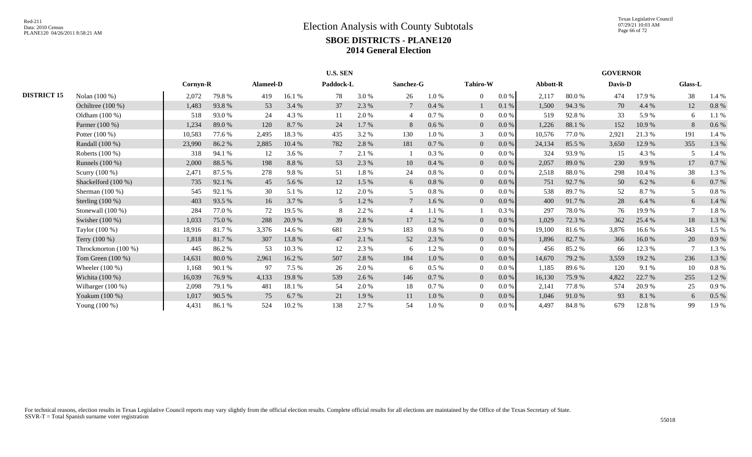|                    |                        |          |        |                  |        | U.S. SEN  |       |                |          |                 |           |          |        | <b>GOVERNOR</b> |         |                |       |
|--------------------|------------------------|----------|--------|------------------|--------|-----------|-------|----------------|----------|-----------------|-----------|----------|--------|-----------------|---------|----------------|-------|
|                    |                        | Cornyn-R |        | <b>Alameel-D</b> |        | Paddock-L |       | Sanchez-G      |          | <b>Tahiro-W</b> |           | Abbott-R |        | Davis-D         |         | <b>Glass-L</b> |       |
| <b>DISTRICT 15</b> | Nolan (100 %)          | 2,072    | 79.8%  | 419              | 16.1 % | 78        | 3.0%  | 26             | 1.0%     | $\overline{0}$  | $0.0\%$   | 2,117    | 80.0%  | 474             | 17.9%   | 38             | 1.4 % |
|                    | Ochiltree (100 %)      | 1,483    | 93.8%  | 53               | 3.4 %  | 37        | 2.3%  |                | 0.4%     |                 | $0.1~\%$  | 1,500    | 94.3 % | 70              | 4.4 %   | 12             | 0.8%  |
|                    | Oldham $(100\%)$       | 518      | 93.0%  | 24               | 4.3 %  | 11        | 2.0%  |                | 0.7%     | $\overline{0}$  | 0.0 %     | 519      | 92.8%  | 33              | 5.9%    | 6              | 1.1 % |
|                    | Parmer (100 %)         | 1,234    | 89.0%  | 120              | 8.7%   | 24        | 1.7%  | 8              | 0.6%     | $\overline{0}$  | $0.0\,\%$ | 1,226    | 88.1 % | 152             | 10.9%   | 8              | 0.6%  |
|                    | Potter $(100\%)$       | 10,583   | 77.6 % | 2,495            | 18.3%  | 435       | 3.2 % | 130            | 1.0%     | 3               | 0.0 %     | 10,576   | 77.0 % | 2,921           | 21.3%   | 191            | 1.4 % |
|                    | Randall (100 %)        | 23,990   | 86.2%  | 2,885            | 10.4 % | 782       | 2.8%  | 181            | 0.7 %    | $\overline{0}$  | 0.0 %     | 24,134   | 85.5%  | 3,650           | 12.9 %  | 355            | 1.3%  |
|                    | Roberts (100 %)        | 318      | 94.1 % | 12               | 3.6 %  |           | 2.1 % |                | 0.3%     |                 | 0.0 %     | 324      | 93.9%  | 15              | 4.3 %   |                | 1.4 % |
|                    | Runnels (100 %)        | 2,000    | 88.5%  | 198              | 8.8%   | 53        | 2.3 % | 10             | 0.4%     | $\overline{0}$  | $0.0\%$   | 2,057    | 89.0%  | 230             | 9.9%    | 17             | 0.7%  |
|                    | Scurry (100 %)         | 2,471    | 87.5 % | 278              | 9.8%   | 51        | 1.8%  | 24             | $0.8 \%$ | $\Omega$        | $0.0\%$   | 2,518    | 88.0%  | 298             | 10.4 %  | 38             | 1.3%  |
|                    | Shackelford (100 %)    | 735      | 92.1 % | 45               | 5.6 %  | 12        | 1.5 % | 6              | 0.8%     | $\overline{0}$  | $0.0\,\%$ | 751      | 92.7%  | 50              | $6.2\%$ | 6              | 0.7%  |
|                    | Sherman $(100\%)$      | 545      | 92.1 % | 30               | 5.1 %  | 12        | 2.0%  | 5              | 0.8%     | $\Omega$        | $0.0\%$   | 538      | 89.7%  | 52              | 8.7%    |                | 0.8%  |
|                    | Sterling $(100\%)$     | 403      | 93.5%  | 16               | 3.7 %  | 5         | 1.2 % |                | 1.6 %    | $\overline{0}$  | 0.0 %     | 400      | 91.7%  | 28              | 6.4 %   | 6              | 1.4 % |
|                    | Stonewall $(100\%)$    | 284      | 77.0 % | 72               | 19.5 % | 8         | 2.2 % | $\overline{4}$ | 1.1 %    |                 | 0.3%      | 297      | 78.0%  | 76              | 19.9%   | $\overline{7}$ | 1.8%  |
|                    | Swisher (100 %)        | 1,033    | 75.0%  | 288              | 20.9%  | 39        | 2.8%  | 17             | 1.2%     | $\overline{0}$  | $0.0\,\%$ | 1,029    | 72.3 % | 362             | 25.4 %  | 18             | 1.3%  |
|                    | Taylor (100 %)         | 18,916   | 81.7%  | 3,376            | 14.6 % | 681       | 2.9%  | 183            | $0.8 \%$ | $\overline{0}$  | $0.0\,\%$ | 19,100   | 81.6 % | 3,876           | 16.6 %  | 343            | 1.5 % |
|                    | Terry $(100\%)$        | 1,818    | 81.7%  | 307              | 13.8%  | 47        | 2.1 % | 52             | 2.3 %    | $\overline{0}$  | $0.0\,\%$ | 1,896    | 82.7 % | 366             | 16.0%   | 20             | 0.9%  |
|                    | Throckmorton $(100\%)$ | 445      | 86.2%  | 53               | 10.3%  | 12        | 2.3%  | 6              | 1.2%     | $\Omega$        | 0.0 %     | 456      | 85.2%  | 66              | 12.3 %  |                | 1.3%  |
|                    | Tom Green (100 %)      | 14,631   | 80.0%  | 2,961            | 16.2 % | 507       | 2.8%  | 184            | 1.0%     | $\overline{0}$  | 0.0 %     | 14,670   | 79.2 % | 3,559           | 19.2 %  | 236            | 1.3%  |
|                    | Wheeler $(100\%)$      | 1,168    | 90.1 % | 97               | 7.5 %  | 26        | 2.0%  | -6             | 0.5%     | $\Omega$        | 0.0 %     | 1,185    | 89.6%  | 120             | 9.1 %   | 10             | 0.8%  |
|                    | Wichita (100 %)        | 16,039   | 76.9%  | 4,133            | 19.8%  | 539       | 2.6 % | 146            | 0.7 %    | $\overline{0}$  | $0.0\,\%$ | 16,130   | 75.9%  | 4,822           | 22.7 %  | 255            | 1.2%  |
|                    | Wilbarger (100 %)      | 2,098    | 79.1 % | 481              | 18.1 % | 54        | 2.0 % | 18             | 0.7%     |                 | 0.0 %     | 2,141    | 77.8%  | 574             | 20.9%   | 25             | 0.9%  |
|                    | Yoakum (100 %)         | 1,017    | 90.5 % | 75               | 6.7%   | 21        | 1.9%  | 11             | 1.0%     | $\overline{0}$  | $0.0\,\%$ | 1,046    | 91.0%  | 93              | 8.1 %   | 6              | 0.5 % |
|                    | Young (100 %)          | 4,431    | 86.1%  | 524              | 10.2 % | 138       | 2.7 % | 54             | 1.0%     |                 | $0.0\%$   | 4,497    | 84.8%  | 679             | 12.8%   | 99             | 1.9%  |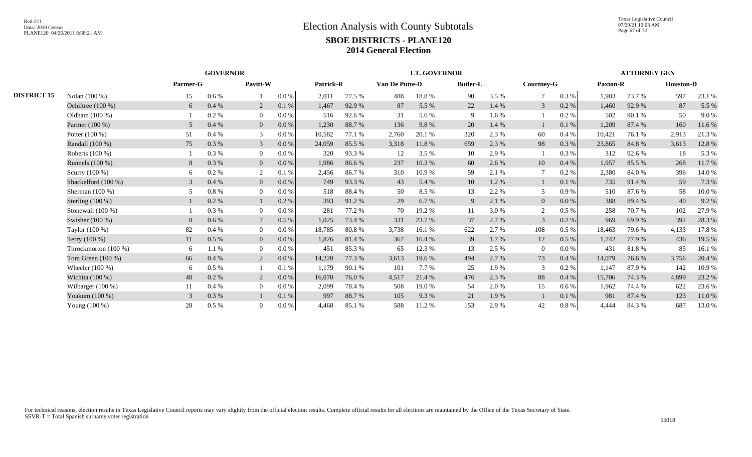|                    |                      |          | <b>GOVERNOR</b> |                |         |           |        |                | <b>LT. GOVERNOR</b> |                 |       |                   |         |          | <b>ATTORNEY GEN</b> |                  |        |
|--------------------|----------------------|----------|-----------------|----------------|---------|-----------|--------|----------------|---------------------|-----------------|-------|-------------------|---------|----------|---------------------|------------------|--------|
|                    |                      | Parmer-G |                 | Pavitt-W       |         | Patrick-R |        | Van De Putte-D |                     | <b>Butler-L</b> |       | <b>Courtney-G</b> |         | Paxton-R |                     | <b>Houston-D</b> |        |
| <b>DISTRICT 15</b> | Nolan (100 %)        | 15       | $0.6\%$         |                | $0.0\%$ | 2,011     | 77.5 % | 488            | 18.8%               | 90              | 3.5 % | 7                 | 0.3 %   | 1,903    | 73.7 %              | 597              | 23.1 % |
|                    | Ochiltree (100 %)    | 6        | 0.4%            | 2              | 0.1%    | 1,467     | 92.9%  | 87             | 5.5 %               | 22              | 1.4 % | 3                 | 0.2 %   | 1,460    | 92.9%               | 87               | 5.5 %  |
|                    | Oldham (100 %)       |          | 0.2 %           | $\overline{0}$ | 0.0 %   | 516       | 92.6 % | 31             | 5.6 %               | 9               | 1.6%  |                   | 0.2 %   | 502      | 90.1 %              | 50               | 9.0%   |
|                    | Parmer (100 %)       | 5        | 0.4%            | $\overline{0}$ | 0.0 %   | 1,230     | 88.7%  | 136            | 9.8%                | 20              | 1.4 % |                   | 0.1%    | 1,209    | 87.4 %              | 160              | 11.6 % |
|                    | Potter $(100\%)$     | 51       | 0.4%            | 3              | 0.0 %   | 10,582    | 77.1 % | 2,760          | 20.1 %              | 320             | 2.3 % | 60                | 0.4%    | 10,421   | 76.1 %              | 2,913            | 21.3%  |
|                    | Randall (100 %)      | 75       | 0.3%            | 3              | 0.0 %   | 24,059    | 85.5 % | 3,318          | 11.8%               | 659             | 2.3 % | 98                | 0.3%    | 23,865   | 84.8%               | 3,613            | 12.8%  |
|                    | Roberts (100 %)      |          | 0.3 %           | $\overline{0}$ | $0.0\%$ | 320       | 93.3 % | 12             | 3.5 %               | 10              | 2.9 % |                   | $0.3\%$ | 312      | 92.6 %              | 18               | 5.3 %  |
|                    | Runnels (100 %)      | 8        | 0.3%            | $\mathbf{0}$   | 0.0 %   | 1,986     | 86.6%  | 237            | 10.3%               | 60              | 2.6 % | 10                | 0.4%    | 1,957    | 85.5 %              | 268              | 11.7%  |
|                    | Scurry (100 %)       | 6        | 0.2 %           | $\overline{2}$ | 0.1%    | 2,456     | 86.7%  | 310            | 10.9 %              | 59              | 2.1 % | $\overline{7}$    | 0.2 %   | 2,380    | 84.0%               | 396              | 14.0%  |
|                    | Shackelford (100 %)  | 3        | 0.4%            | $\mathbf{0}$   | 0.0 %   | 749       | 93.3%  | 43             | 5.4 %               | 10              | 1.2%  |                   | 0.1%    | 735      | 91.4%               | 59               | 7.3 %  |
|                    | Sherman $(100\%)$    |          | 0.8%            | $\overline{0}$ | 0.0 %   | 518       | 88.4%  | 50             | 8.5 %               | 13              | 2.2 % | 5                 | 0.9%    | 510      | 87.6%               | 58               | 10.0%  |
|                    | Sterling $(100\%)$   |          | $0.2 \%$        |                | 0.2%    | 393       | 91.2%  | 29             | 6.7 %               | 9               | 2.1 % | $\overline{0}$    | 0.0 %   | 388      | 89.4 %              | 40               | 9.2%   |
|                    | Stonewall $(100\%)$  |          | 0.3%            | $\Omega$       | 0.0 %   | 281       | 77.2 % | 70             | 19.2 %              | 11              | 3.0 % | 2                 | 0.5%    | 258      | 70.7%               | 102              | 27.9 % |
|                    | Swisher $(100\%)$    | 8        | $0.6\%$         | 7              | $0.5\%$ | 1,025     | 73.4 % | 331            | 23.7 %              | 37              | 2.7 % | 3                 | 0.2 %   | 969      | 69.9%               | 392              | 28.3 % |
|                    | Taylor (100 %)       | 82       | 0.4%            | $\overline{0}$ | 0.0 %   | 18,785    | 80.8 % | 3,738          | 16.1 %              | 622             | 2.7 % | 108               | 0.5%    | 18,463   | 79.6%               | 4,133            | 17.8%  |
|                    | Terry (100 %)        | 11       | $0.5\ \%$       | $\overline{0}$ | 0.0 %   | 1,826     | 81.4 % | 367            | 16.4 %              | 39              | 1.7 % | 12                | $0.5\%$ | 1,742    | 77.9 %              | 436              | 19.5 % |
|                    | Throckmorton (100 %) | 6        | 1.1%            | $\overline{0}$ | 0.0 %   | 451       | 85.3 % | 65             | 12.3 %              | 13              | 2.5 % | $\overline{0}$    | 0.0 %   | 431      | 81.8%               | 85               | 16.1%  |
|                    | Tom Green (100 %)    | 66       | 0.4%            | 2              | 0.0 %   | 14,220    | 77.3 % | 3,613          | 19.6%               | 494             | 2.7 % | 73                | 0.4%    | 14,079   | 76.6%               | 3,756            | 20.4 % |
|                    | Wheeler $(100\%)$    | 6        | $0.5\%$         |                | 0.1%    | 1,179     | 90.1 % | 101            | 7.7 %               | 25              | 1.9%  | 3                 | 0.2 %   | 1,147    | 87.9%               | 142              | 10.9%  |
|                    | Wichita (100 %)      | 48       | $0.2 \%$        | 2              | 0.0 %   | 16,070    | 76.0%  | 4,517          | 21.4 %              | 476             | 2.3 % | 88                | 0.4%    | 15,706   | 74.3 %              | 4,899            | 23.2 % |
|                    | Wilbarger $(100\%)$  | 11       | 0.4%            | $\overline{0}$ | 0.0 %   | 2,099     | 78.4 % | 508            | 19.0%               | 54              | 2.0 % | 15                | $0.6\%$ | 1,962    | 74.4 %              | 622              | 23.6 % |
|                    | Yoakum (100 %)       | 3        | 0.3%            |                | 0.1%    | 997       | 88.7%  | 105            | 9.3%                | 21              | 1.9%  |                   | 0.1%    | 981      | 87.4 %              | 123              | 11.0%  |
|                    | Young (100 %)        | 28       | 0.5 %           | $\Omega$       | 0.0 %   | 4,468     | 85.1 % | 588            | 11.2 %              | 153             | 2.9%  | 42                | $0.8\%$ | 4,444    | 84.3 %              | 687              | 13.0%  |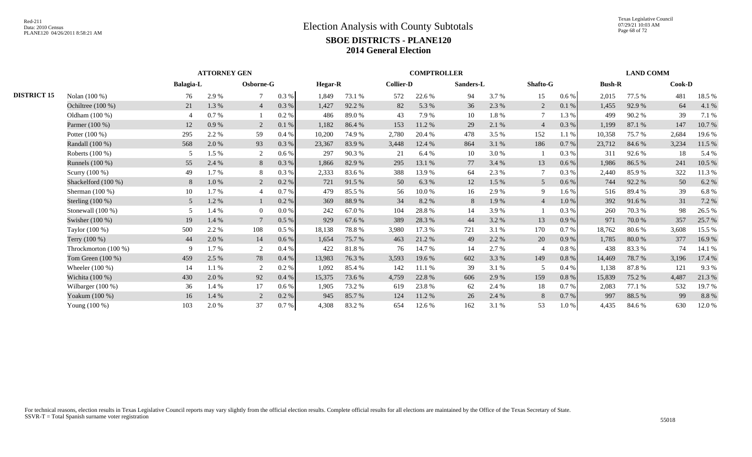Texas Legislative Council 07/29/21 10:03 AM Page 68 of 72

|                    |                      |                  | <b>ATTORNEY GEN</b> |                |           |                |        |                  | <b>COMPTROLLER</b> |           |       |                 |           |               | <b>LAND COMM</b> |               |        |
|--------------------|----------------------|------------------|---------------------|----------------|-----------|----------------|--------|------------------|--------------------|-----------|-------|-----------------|-----------|---------------|------------------|---------------|--------|
|                    |                      | <b>Balagia-L</b> |                     | Osborne-G      |           | <b>Hegar-R</b> |        | <b>Collier-D</b> |                    | Sanders-L |       | <b>Shafto-G</b> |           | <b>Bush-R</b> |                  | <b>Cook-D</b> |        |
| <b>DISTRICT 15</b> | Nolan (100 %)        | 76               | 2.9%                | 7              | $0.3~\%$  | 1,849          | 73.1 % | 572              | 22.6 %             | 94        | 3.7 % | 15              | $0.6\%$   | 2,015         | 77.5 %           | 481           | 18.5 % |
|                    | Ochiltree $(100\%)$  | 21               | 1.3 %               | $\overline{4}$ | $0.3~\%$  | 1,427          | 92.2 % | 82               | 5.3 %              | 36        | 2.3 % | 2               | 0.1 %     | 1,455         | 92.9 %           | 64            | 4.1 %  |
|                    | Oldham $(100\%)$     |                  | 0.7 %               |                | 0.2%      | 486            | 89.0%  | 43               | 7.9 %              | 10        | 1.8%  | $\overline{7}$  | 1.3%      | 499           | 90.2%            | 39            | 7.1 %  |
|                    | Parmer (100 %)       | 12               | 0.9%                | 2              | $0.1\ \%$ | 1,182          | 86.4%  | 153              | 11.2 %             | 29        | 2.1 % | $\overline{4}$  | 0.3%      | 1,199         | 87.1 %           | 147           | 10.7%  |
|                    | Potter $(100\%)$     | 295              | 2.2 %               | 59             | 0.4%      | 10,200         | 74.9%  | 2,780            | 20.4 %             | 478       | 3.5 % | 152             | 1.1 %     | 10.358        | 75.7 %           | 2,684         | 19.6%  |
|                    | Randall (100 %)      | 568              | 2.0 %               | 93             | $0.3\ \%$ | 23,367         | 83.9%  | 3,448            | 12.4 %             | 864       | 3.1 % | 186             | 0.7%      | 23,712        | 84.6 %           | 3,234         | 11.5 % |
|                    | Roberts (100 %)      |                  | 1.5 %               | 2              | 0.6 %     | 297            | 90.3%  | 21               | 6.4 %              | 10        | 3.0 % |                 | 0.3%      | 311           | 92.6 %           | 18            | 5.4 %  |
|                    | Runnels (100 %)      | 55               | 2.4 %               | 8              | $0.3~\%$  | 1,866          | 82.9%  | 295              | 13.1 %             | 77        | 3.4 % | 13              | 0.6%      | 1,986         | 86.5%            | 241           | 10.5 % |
|                    | Scurry (100 %)       | 49               | $1.7\%$             | 8              | 0.3%      | 2,333          | 83.6%  | 388              | 13.9%              | 64        | 2.3 % | 7               | 0.3%      | 2,440         | 85.9%            | 322           | 11.3 % |
|                    | Shackelford (100 %)  | 8                | 1.0%                | 2              | 0.2%      | 721            | 91.5 % | 50               | 6.3 %              | 12        | 1.5 % | 5               | 0.6%      | 744           | 92.2 %           | 50            | 6.2 %  |
|                    | Sherman $(100\%)$    | 10               | 1.7%                | $\overline{4}$ | 0.7%      | 479            | 85.5 % | 56               | 10.0%              | 16        | 2.9 % | 9               | 1.6 %     | 516           | 89.4%            | 39            | 6.8%   |
|                    | Sterling $(100\%)$   | 5                | 1.2 %               |                | 0.2 %     | 369            | 88.9%  | 34               | 8.2%               | 8         | 1.9 % | $\overline{4}$  | 1.0%      | 392           | 91.6 %           | 31            | 7.2 %  |
|                    | Stonewall (100 %)    | 5                | 1.4 %               | $\overline{0}$ | 0.0 %     | 242            | 67.0%  | 104              | 28.8%              | 14        | 3.9%  |                 | 0.3%      | 260           | 70.3 %           | 98            | 26.5 % |
|                    | Swisher (100 %)      | 19               | 1.4 %               |                | $0.5~\%$  | 929            | 67.6%  | 389              | 28.3%              | 44        | 3.2 % | 13              | $0.9\ \%$ | 971           | 70.0%            | 357           | 25.7%  |
|                    | Taylor (100 %)       | 500              | 2.2 %               | 108            | 0.5%      | 18,138         | 78.8%  | 3,980            | 17.3 %             | 721       | 3.1 % | 170             | 0.7%      | 18,762        | 80.6 %           | 3,608         | 15.5 % |
|                    | Terry $(100\%)$      | 44               | 2.0 %               | 14             | $0.6\%$   | 1,654          | 75.7 % | 463              | 21.2 %             | 49        | 2.2 % | 20              | 0.9%      | 1,785         | 80.0%            | 377           | 16.9%  |
|                    | Throckmorton (100 %) | 9                | 1.7%                | 2              | 0.4%      | 422            | 81.8%  | 76               | 14.7 %             | 14        | 2.7 % | $\overline{4}$  | 0.8%      | 438           | 83.3%            | 74            | 14.1 % |
|                    | Tom Green $(100\%)$  | 459              | 2.5 %               | 78             | 0.4%      | 13,983         | 76.3 % | 3,593            | 19.6%              | 602       | 3.3 % | 149             | 0.8%      | 14,469        | 78.7%            | 3,196         | 17.4 % |
|                    | Wheeler $(100\%)$    | 14               | $1.1\%$             | 2              | 0.2%      | 1,092          | 85.4 % | 142              | 11.1 %             | 39        | 3.1 % | 5               | 0.4%      | 1,138         | 87.8%            | 121           | 9.3%   |
|                    | Wichita (100 %)      | 430              | 2.0 %               | 92             | $0.4~\%$  | 15,375         | 73.6 % | 4,759            | 22.8 %             | 606       | 2.9 % | 159             | 0.8%      | 15,839        | 75.2 %           | 4,487         | 21.3%  |
|                    | Wilbarger (100 %)    | 36               | 1.4 %               | 17             | 0.6%      | 1,905          | 73.2 % | 619              | 23.8%              | 62        | 2.4 % | 18              | 0.7%      | 2,083         | 77.1 %           | 532           | 19.7%  |
|                    | Yoakum (100 %)       | 16               | 1.4 %               |                | $0.2~\%$  | 945            | 85.7%  | 124              | 11.2 %             | 26        | 2.4 % | 8               | 0.7%      | 997           | 88.5 %           | 99            | 8.8%   |
|                    | Young (100 %)        | 103              | 2.0%                | 37             | 0.7 %     | 4,308          | 83.2%  | 654              | 12.6 %             | 162       | 3.1 % | 53              | 1.0%      | 4,435         | 84.6 %           | 630           | 12.0%  |
|                    |                      |                  |                     |                |           |                |        |                  |                    |           |       |                 |           |               |                  |               |        |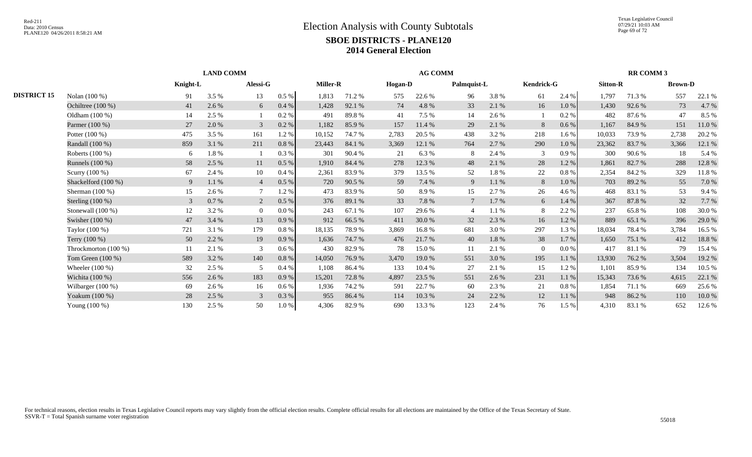|                    |                      |          | <b>LAND COMM</b> |                |          |          |        |                | <b>AG COMM</b> |             |       |                   |          |                 | <b>RR COMM 3</b> |                |        |
|--------------------|----------------------|----------|------------------|----------------|----------|----------|--------|----------------|----------------|-------------|-------|-------------------|----------|-----------------|------------------|----------------|--------|
|                    |                      | Knight-L |                  | Alessi-G       |          | Miller-R |        | <b>Hogan-D</b> |                | Palmquist-L |       | <b>Kendrick-G</b> |          | <b>Sitton-R</b> |                  | <b>Brown-D</b> |        |
| <b>DISTRICT 15</b> | Nolan (100 %)        | 91       | 3.5 %            | 13             | 0.5 %    | 1,813    | 71.2%  | 575            | 22.6 %         | 96          | 3.8%  | 61                | 2.4 %    | 1,797           | 71.3 %           | 557            | 22.1 % |
|                    | Ochiltree (100 %)    | 41       | 2.6 %            | 6              | 0.4%     | 1,428    | 92.1 % | 74             | 4.8%           | 33          | 2.1 % | 16                | $1.0%$   | 1,430           | 92.6 %           | 73             | 4.7 %  |
|                    | Oldham (100 %)       | 14       | 2.5 %            |                | 0.2%     | 491      | 89.8%  | 41             | 7.5 %          | 14          | 2.6 % |                   | $0.2~\%$ | 482             | 87.6 %           | 47             | 8.5 %  |
|                    | Parmer (100 %)       | 27       | 2.0 %            | 3              | 0.2%     | 1,182    | 85.9%  | 157            | 11.4 %         | 29          | 2.1 % | 8                 | $0.6\%$  | 1,167           | 84.9%            | 151            | 11.0%  |
|                    | Potter $(100\%)$     | 475      | 3.5 %            | 161            | 1.2%     | 10,152   | 74.7 % | 2,783          | 20.5 %         | 438         | 3.2 % | 218               | 1.6 %    | 10,033          | 73.9 %           | 2,738          | 20.2 % |
|                    | Randall (100 %)      | 859      | 3.1 %            | 211            | 0.8%     | 23,443   | 84.1 % | 3,369          | 12.1 %         | 764         | 2.7 % | 290               | 1.0%     | 23,362          | 83.7%            | 3,366          | 12.1 % |
|                    | Roberts (100 %)      | 6        | 1.8%             |                | 0.3%     | 301      | 90.4%  | 21             | 6.3%           | 8           | 2.4 % | 3                 | 0.9%     | 300             | 90.6%            | 18             | 5.4 %  |
|                    | Runnels (100 %)      | 58       | 2.5 %            | 11             | 0.5%     | 1,910    | 84.4 % | 278            | 12.3 %         | 48          | 2.1 % | $28\,$            | 1.2%     | 1,861           | 82.7%            | 288            | 12.8 % |
|                    | Scurry $(100\%)$     | 67       | 2.4 %            | 10             | 0.4%     | 2,361    | 83.9%  | 379            | 13.5 %         | 52          | 1.8%  | $22\,$            | 0.8%     | 2,354           | 84.2 %           | 329            | 11.8%  |
|                    | Shackelford (100 %)  | 9        | 1.1%             | $\overline{4}$ | 0.5%     | 720      | 90.5 % | 59             | 7.4 %          | 9           | 1.1%  | 8                 | 1.0%     | 703             | 89.2%            | 55             | 7.0 %  |
|                    | Sherman $(100\%)$    | 15       | 2.6 %            | $\overline{7}$ | 1.2%     | 473      | 83.9%  | 50             | 8.9%           | 15          | 2.7 % | 26                | 4.6 %    | 468             | 83.1 %           | 53             | 9.4 %  |
|                    | Sterling $(100\%)$   | 3        | 0.7%             | $\overline{2}$ | 0.5%     | 376      | 89.1 % | 33             | 7.8%           |             | 1.7%  | 6                 | 1.4 %    | 367             | 87.8%            | 32             | 7.7 %  |
|                    | Stonewall $(100\%)$  | 12       | 3.2 %            | $\overline{0}$ | 0.0 %    | 243      | 67.1 % | 107            | 29.6 %         |             | 1.1 % | 8                 | 2.2%     | 237             | 65.8%            | 108            | 30.0%  |
|                    | Swisher $(100\%)$    | 47       | 3.4 %            | 13             | 0.9%     | 912      | 66.5%  | 411            | 30.0%          | 32          | 2.3 % | 16                | 1.2%     | 889             | 65.1 %           | 396            | 29.0 % |
|                    | Taylor (100 %)       | 721      | 3.1 %            | 179            | 0.8%     | 18,135   | 78.9%  | 3,869          | 16.8%          | 681         | 3.0%  | 297               | 1.3%     | 18.034          | 78.4%            | 3,784          | 16.5 % |
|                    | Terry (100 %)        | 50       | 2.2 %            | 19             | 0.9%     | 1,636    | 74.7 % | 476            | 21.7 %         | 40          | 1.8%  | 38                | $1.7\%$  | 1,650           | 75.1 %           | 412            | 18.8%  |
|                    | Throckmorton (100 %) | 11       | 2.1 %            | 3              | 0.6 %    | 430      | 82.9%  | 78             | 15.0%          | 11          | 2.1 % | $\overline{0}$    | $0.0\%$  | 417             | 81.1%            | 79             | 15.4 % |
|                    | Tom Green (100 %)    | 589      | 3.2 %            | 140            | $0.8 \%$ | 14,050   | 76.9%  | 3,470          | 19.0%          | 551         | 3.0%  | 195               | 1.1%     | 13,930          | 76.2 %           | 3,504          | 19.2 % |
|                    | Wheeler $(100\%)$    | 32       | 2.5 %            | 5              | 0.4%     | 1,108    | 86.4%  | 133            | 10.4 %         | 27          | 2.1 % | 15                | 1.2%     | 1,101           | 85.9%            | 134            | 10.5 % |
|                    | Wichita $(100\%)$    | 556      | 2.6 %            | 183            | 0.9%     | 15,201   | 72.8%  | 4,897          | 23.5 %         | 551         | 2.6 % | 231               | 1.1%     | 15,343          | 73.6 %           | 4,615          | 22.1 % |
|                    | Wilbarger (100 %)    | 69       | 2.6 %            | 16             | 0.6%     | 1,936    | 74.2 % | 591            | 22.7 %         | 60          | 2.3 % | 21                | 0.8%     | 1,854           | 71.1 %           | 669            | 25.6 % |
|                    | Yoakum (100 %)       | 28       | 2.5 %            | 3              | 0.3 %    | 955      | 86.4%  | 114            | 10.3%          | 24          | 2.2 % | 12                | 1.1%     | 948             | 86.2%            | 110            | 10.0%  |
|                    | Young (100 %)        | 130      | 2.5 %            | 50             | 1.0%     | 4,306    | 82.9%  | 690            | 13.3 %         | 123         | 2.4 % | 76                | 1.5 %    | 4,310           | 83.1 %           | 652            | 12.6 % |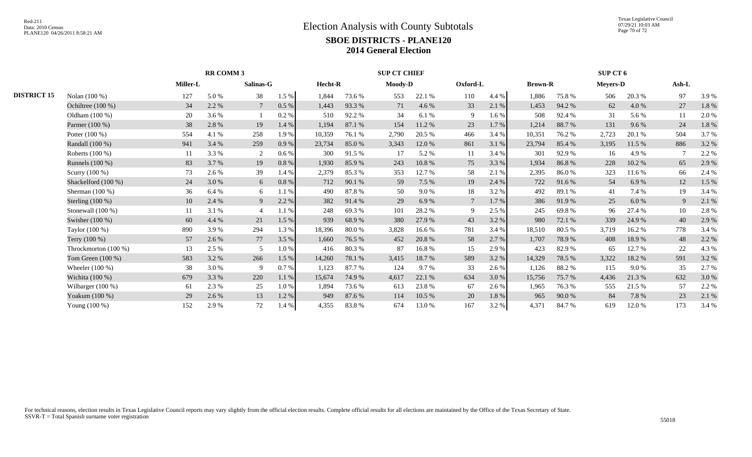Texas Legislative Council 07/29/21 10:03 AM Page 70 of 72

|                      | Miller-L |       |                |                  |           |        |         |        |                                |       |          |        |                |        | Ash-L                              |       |
|----------------------|----------|-------|----------------|------------------|-----------|--------|---------|--------|--------------------------------|-------|----------|--------|----------------|--------|------------------------------------|-------|
| Nolan (100 %)        | 127      | 5.0 % | 38             | 1.5 %            | 1,844     | 73.6 % | 553     | 22.1 % | 110                            | 4.4 % | 1,886    | 75.8%  | 506            | 20.3 % | 97                                 | 3.9 % |
| Ochiltree $(100\%)$  | 34       | 2.2 % |                | $0.5\ \%$        | 1,443     | 93.3 % | 71      | 4.6 %  | 33                             | 2.1%  | 1,453    | 94.2 % | 62             | 4.0%   | 27                                 | 1.8%  |
| Oldham $(100\%)$     | 20       | 3.6 % |                | 0.2%             | 510       | 92.2 % | 34      | 6.1%   | 9                              | 1.6 % | 508      | 92.4 % | 31             | 5.6 %  | 11                                 | 2.0 % |
| Parmer (100 %)       | 38       | 2.8%  | 19             | 1.4 %            | 1,194     | 87.1 % | 154     | 11.2 % | 23                             | 1.7 % | 1,214    | 88.7%  | 131            | 9.6%   | 24                                 | 1.8%  |
| Potter $(100\%)$     | 554      | 4.1 % | 258            | 1.9%             | 10,359    | 76.1 % | 2,790   | 20.5 % | 466                            | 3.4 % | 10,351   | 76.2 % | 2,723          | 20.1 % | 504                                | 3.7 % |
| Randall (100 %)      | 941      | 3.4 % | 259            | 0.9%             | 23,734    | 85.0%  | 3,343   | 12.0 % | 861                            | 3.1 % | 23,794   | 85.4%  | 3,195          | 11.5 % | 886                                | 3.2 % |
| Roberts $(100\%)$    | 11       | 3.3 % |                | 0.6%             | 300       | 91.5 % | -17     | 5.2 %  | -11                            | 3.4 % | 301      | 92.9%  | 16             | 4.9 %  |                                    | 2.2 % |
| Runnels (100 %)      | 83       | 3.7 % | 19             | $0.8\ \%$        | 1,930     | 85.9%  | 243     | 10.8%  | 75                             | 3.3%  | 1,934    | 86.8%  | 228            | 10.2 % | 65                                 | 2.9 % |
| Scurry (100 %)       | 73       | 2.6 % | 39             | 1.4 %            | 2,379     | 85.3%  | 353     | 12.7 % | 58                             | 2.1 % | 2,395    | 86.0%  | 323            | 11.6 % | 66                                 | 2.4 % |
| Shackelford (100 %)  | 24       | 3.0 % | 6              | $0.8\ \%$        | 712       | 90.1%  | 59      | 7.5 %  | 19                             | 2.4 % | 722      | 91.6%  | 54             | 6.9%   | 12                                 | 1.5 % |
| Sherman $(100\%)$    | 36       | 6.4 % | 6              | 1.1%             | 490       | 87.8%  | 50      | 9.0%   | 18                             | 3.2%  | 492      | 89.1 % | 41             | 7.4 %  | 19                                 | 3.4 % |
| Sterling $(100\%)$   | 10       | 2.4 % | 9              | 2.2 %            | 382       | 91.4 % | 29      | 6.9%   | $7\phantom{.0}$                | 1.7%  | 386      | 91.9%  | 25             | 6.0%   | 9                                  | 2.1 % |
| Stonewall $(100\%)$  | 11       | 3.1 % | $\overline{4}$ | 1.1 %            | 248       | 69.3%  | 101     | 28.2 % | 9                              | 2.5 % | 245      | 69.8%  | 96             | 27.4 % | 10                                 | 2.8 % |
| Swisher (100 %)      | 60       | 4.4 % | 21             | 1.5 %            | 939       | 68.9%  | 380     | 27.9 % | 43                             | 3.2 % | 980      | 72.1 % | 339            | 24.9 % | 40                                 | 2.9%  |
| Taylor (100 %)       | 890      | 3.9%  | 294            | 1.3%             | 18,396    | 80.0%  | 3,828   | 16.6 % | 781                            | 3.4 % | 18,510   | 80.5 % | 3,719          | 16.2%  | 778                                | 3.4 % |
| Terry (100 %)        | 57       | 2.6 % | 77             | 3.5 %            | 1,660     | 76.5 % | 452     | 20.8%  | 58                             | 2.7 % | 1,707    | 78.9%  | 408            | 18.9%  | 48                                 | 2.2 % |
| Throckmorton (100 %) | 13       | 2.5 % | 5              | 1.0%             | 416       | 80.3%  | 87      | 16.8%  | 15                             | 2.9%  | 423      | 82.9%  | 65             | 12.7 % | 22                                 | 4.3 % |
| Tom Green $(100\%)$  | 583      | 3.2 % | 266            | 1.5 %            | 14,260    | 78.1 % | 3,415   | 18.7%  | 589                            | 3.2%  | 14,329   | 78.5 % | 3,322          | 18.2%  | 591                                | 3.2 % |
| Wheeler $(100\%)$    | 38       | 3.0 % | 9              | 0.7%             | 1,123     | 87.7 % | 124     | 9.7%   | 33                             | 2.6 % | 1,126    | 88.2%  | 115            | 9.0%   | 35                                 | 2.7%  |
| Wichita $(100\%)$    | 679      | 3.3 % | 220            | $1.1\ \%$        | 15,674    | 74.9%  | 4,617   | 22.1 % | 634                            | 3.0 % | 15,756   | 75.7%  | 4,436          | 21.3%  | 632                                | 3.0%  |
| Wilbarger (100 %)    | 61       | 2.3 % | 25             | 1.0%             | 1,894     | 73.6 % | 613     | 23.8%  | 67                             | 2.6 % | 1,965    | 76.3%  | 555            | 21.5 % | 57                                 | 2.2 % |
| Yoakum (100 %)       | 29       | 2.6 % | 13             | 1.2%             | 949       | 87.6 % | 114     | 10.5 % | 20                             | 1.8%  | 965      | 90.0%  | 84             | 7.8%   | 23                                 | 2.1 % |
| Young (100 %)        | 152      | 2.9 % | 72             | 1.4 %            | 4,355     | 83.8%  | 674     | 13.0 % | 167                            | 3.2 % | 4,371    | 84.7 % | 619            | 12.0 % | 173                                | 3.4 % |
|                      |          |       |                | <b>RR COMM 3</b> | Salinas-G |        | Hecht-R |        | <b>SUP CT CHIEF</b><br>Moody-D |       | Oxford-L |        | <b>Brown-R</b> |        | <b>SUP CT 6</b><br><b>Meyers-D</b> |       |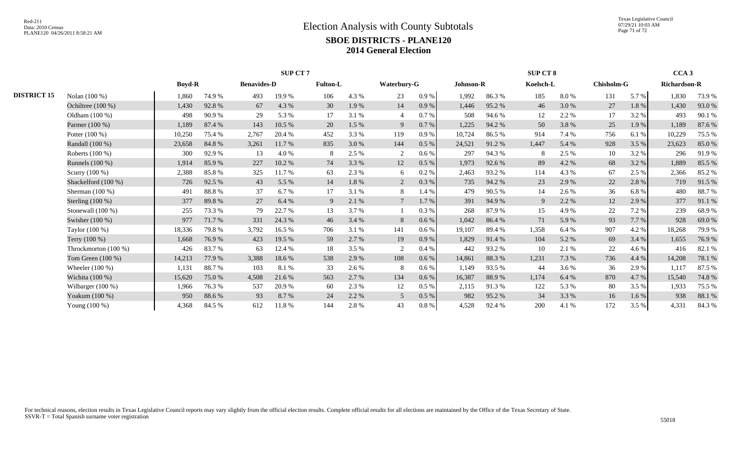|                    |                      |               |        |                    | <b>SUP CT7</b> |                 |       |                 |         |           |        | <b>SUP CT 8</b> |       |                   |         | CCA <sub>3</sub>    |        |
|--------------------|----------------------|---------------|--------|--------------------|----------------|-----------------|-------|-----------------|---------|-----------|--------|-----------------|-------|-------------------|---------|---------------------|--------|
|                    |                      | <b>Boyd-R</b> |        | <b>Benavides-D</b> |                | <b>Fulton-L</b> |       | Waterbury-G     |         | Johnson-R |        | Koelsch-L       |       | <b>Chisholm-G</b> |         | <b>Richardson-R</b> |        |
| <b>DISTRICT 15</b> | Nolan (100 %)        | 1,860         | 74.9%  | 493                | 19.9%          | 106             | 4.3 % | 23              | 0.9%    | 1,992     | 86.3%  | 185             | 8.0%  | 131               | 5.7 %   | 1,830               | 73.9%  |
|                    | Ochiltree (100 %)    | 1,430         | 92.8%  | 67                 | 4.3 %          | 30              | 1.9 % | 14              | 0.9%    | 1,446     | 95.2%  | 46              | 3.0%  | 27                | 1.8%    | 1,430               | 93.0%  |
|                    | Oldham (100 %)       | 498           | 90.9%  | 29                 | 5.3 %          | 17              | 3.1 % | $\overline{4}$  | 0.7%    | 508       | 94.6 % | 12              | 2.2 % | 17                | 3.2 %   | 493                 | 90.1 % |
|                    | Parmer (100 %)       | 1,189         | 87.4 % | 143                | 10.5 %         | 20              | 1.5 % | 9               | 0.7%    | 1,225     | 94.2 % | 50              | 3.8%  | 25                | 1.9%    | 1,189               | 87.6%  |
|                    | Potter $(100\%)$     | 10,250        | 75.4 % | 2,767              | 20.4 %         | 452             | 3.3 % | 119             | 0.9%    | 10,724    | 86.5%  | 914             | 7.4 % | 756               | 6.1%    | 10,229              | 75.5 % |
|                    | Randall (100 %)      | 23,658        | 84.8%  | 3,261              | 11.7 %         | 835             | 3.0%  | 144             | $0.5\%$ | 24,521    | 91.2%  | 1,447           | 5.4 % | 928               | 3.5 %   | 23,623              | 85.0%  |
|                    | Roberts (100 %)      | 300           | 92.9%  | 13                 | 4.0 %          | 8               | 2.5 % | 2               | $0.6\%$ | 297       | 94.3 % | 8               | 2.5 % | 10                | 3.2 %   | 296                 | 91.9%  |
|                    | Runnels $(100\%)$    | 1,914         | 85.9%  | 227                | 10.2 %         | 74              | 3.3 % | 12              | $0.5\%$ | 1,973     | 92.6 % | 89              | 4.2 % | 68                | 3.2 %   | 1,889               | 85.5%  |
|                    | Scurry (100 %)       | 2,388         | 85.8%  | 325                | 11.7 %         | 63              | 2.3 % | 6               | 0.2 %   | 2,463     | 93.2%  | 114             | 4.3 % | 67                | 2.5 %   | 2,366               | 85.2%  |
|                    | Shackelford (100 %)  | 726           | 92.5 % | 43                 | 5.5 %          | 14              | 1.8%  | $\overline{2}$  | 0.3%    | 735       | 94.2 % | 23              | 2.9 % | 22                | 2.8 %   | 719                 | 91.5%  |
|                    | Sherman $(100\%)$    | 491           | 88.8%  | 37                 | 6.7 %          | 17              | 3.1 % | 8               | 1.4 %   | 479       | 90.5%  | 14              | 2.6 % | 36                | 6.8%    | 480                 | 88.7%  |
|                    | Sterling $(100\%)$   | 377           | 89.8%  | 27                 | 6.4 %          | 9               | 2.1 % | $7\phantom{.0}$ | $1.7\%$ | 391       | 94.9%  | 9               | 2.2 % | 12                | 2.9 %   | 377                 | 91.1 % |
|                    | Stonewall $(100\%)$  | 255           | 73.3 % | 79                 | 22.7 %         | 13              | 3.7 % |                 | 0.3 %   | 268       | 87.9%  | 15              | 4.9%  | 22                | 7.2 %   | 239                 | 68.9%  |
|                    | Swisher (100 %)      | 977           | 71.7%  | 331                | 24.3 %         | 46              | 3.4 % | 8               | $0.6\%$ | 1,042     | 86.4%  | 71              | 5.9%  | 93                | 7.7 %   | 928                 | 69.0%  |
|                    | Taylor (100 %)       | 18,336        | 79.8%  | 3,792              | 16.5 %         | 706             | 3.1 % | 141             | $0.6\%$ | 19,107    | 89.4%  | 1,358           | 6.4 % | 907               | 4.2 %   | 18,268              | 79.9%  |
|                    | Terry (100 %)        | 1,668         | 76.9%  | 423                | 19.5 %         | 59              | 2.7 % | 19              | 0.9%    | 1,829     | 91.4%  | 104             | 5.2 % | 69                | 3.4 %   | 1,655               | 76.9%  |
|                    | Throckmorton (100 %) | 426           | 83.7 % | 63                 | 12.4 %         | 18              | 3.5 % |                 | 0.4%    | 442       | 93.2%  | 10              | 2.1 % | 22                | 4.6 %   | 416                 | 82.1 % |
|                    | Tom Green $(100\%)$  | 14,213        | 77.9 % | 3,388              | 18.6%          | 538             | 2.9 % | 108             | 0.6 %   | 14,861    | 88.3%  | 1,231           | 7.3 % | 736               | 4.4 %   | 14,208              | 78.1 % |
|                    | Wheeler $(100\%)$    | 1,131         | 88.7%  | 103                | 8.1 %          | 33              | 2.6 % | 8               | 0.6%    | 1,149     | 93.5 % | 44              | 3.6 % | 36                | 2.9 %   | 1,117               | 87.5 % |
|                    | Wichita (100 %)      | 15,620        | 75.0%  | 4,508              | 21.6 %         | 563             | 2.7 % | 134             | 0.6 %   | 16,387    | 88.9%  | 1,174           | 6.4 % | 870               | 4.7%    | 15,540              | 74.8%  |
|                    | Wilbarger (100 %)    | 1,966         | 76.3%  | 537                | 20.9%          | 60              | 2.3 % | 12              | $0.5\%$ | 2,115     | 91.3%  | 122             | 5.3 % | 80                | 3.5 %   | 1,933               | 75.5 % |
|                    | Yoakum (100 %)       | 950           | 88.6%  | 93                 | 8.7 %          | 24              | 2.2 % | 5               | 0.5 %   | 982       | 95.2 % | 34              | 3.3 % | 16                | $1.6\%$ | 938                 | 88.1%  |
|                    | Young (100 %)        | 4,368         | 84.5 % | 612                | 11.8%          | 144             | 2.8%  | 43              | 0.8 %   | 4,528     | 92.4 % | 200             | 4.1 % | 172               | 3.5%    | 4,331               | 84.3%  |